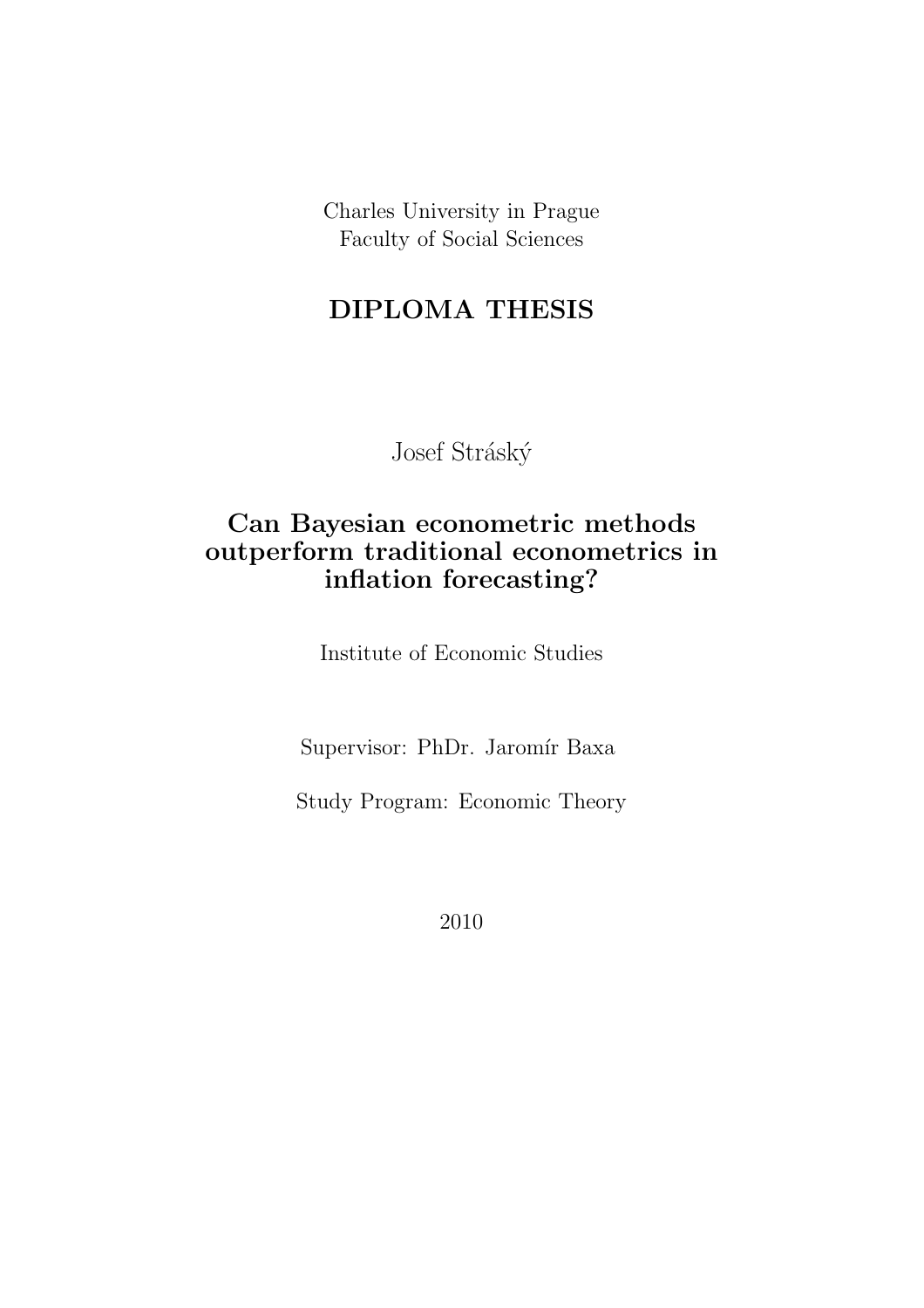Charles University in Prague Faculty of Social Sciences

# DIPLOMA THESIS

Josef Stráský

# Can Bayesian econometric methods outperform traditional econometrics in inflation forecasting?

Institute of Economic Studies

Supervisor: PhDr. Jaromír Baxa

Study Program: Economic Theory

2010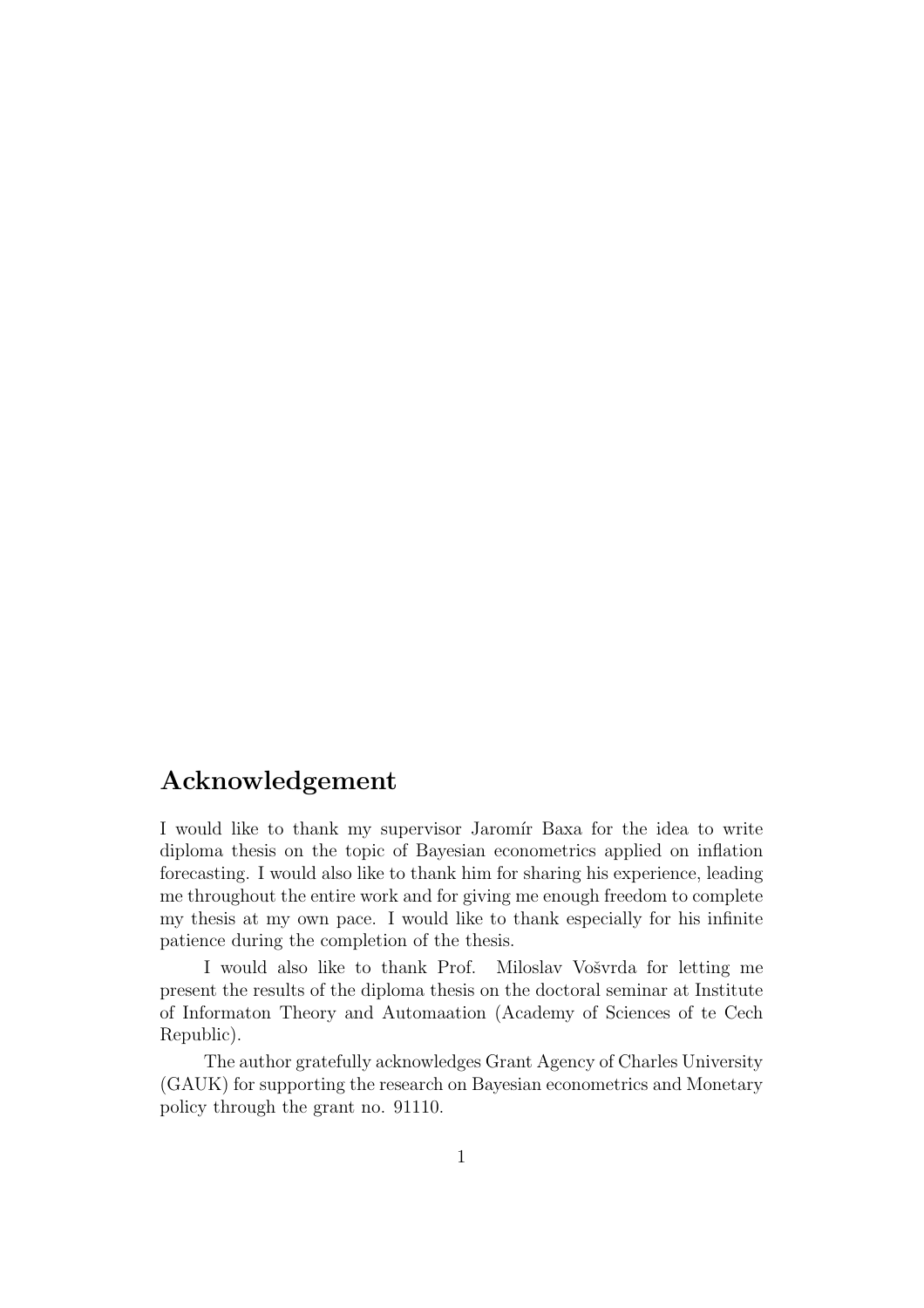## Acknowledgement

I would like to thank my supervisor Jaromír Baxa for the idea to write diploma thesis on the topic of Bayesian econometrics applied on inflation forecasting. I would also like to thank him for sharing his experience, leading me throughout the entire work and for giving me enough freedom to complete my thesis at my own pace. I would like to thank especially for his infinite patience during the completion of the thesis.

I would also like to thank Prof. Miloslav Vošvrda for letting me present the results of the diploma thesis on the doctoral seminar at Institute of Informaton Theory and Automaation (Academy of Sciences of te Cech Republic).

The author gratefully acknowledges Grant Agency of Charles University (GAUK) for supporting the research on Bayesian econometrics and Monetary policy through the grant no. 91110.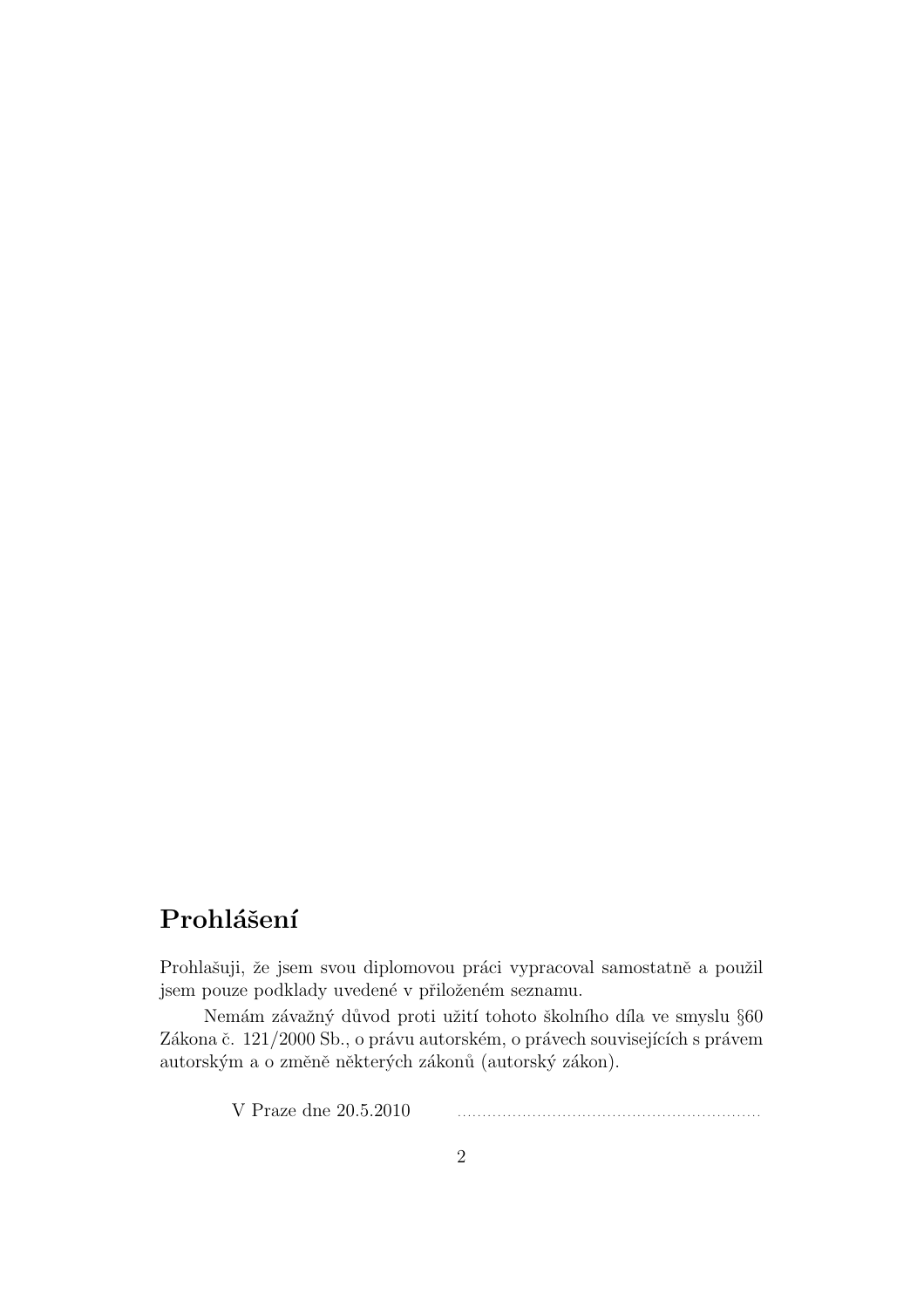# Prohlášení

Prohlašuji, že jsem svou diplomovou práci vypracoval samostatně a použil jsem pouze podklady uvedené v přiloženém seznamu.

Nemám závažný důvod proti užití tohoto školního díla ve smyslu §60 Zákona č. 121/2000 Sb., o právu autorském, o právech souvisejících s právem autorským a o změně některých zákonů (autorský zákon).

V Praze dne 20.5.2010 . . . . . . . . . . . . . . . . . . . . . . . . . . . . . . . . . . . . . . . . . . . . . . . . . . . . . . . . . . . . .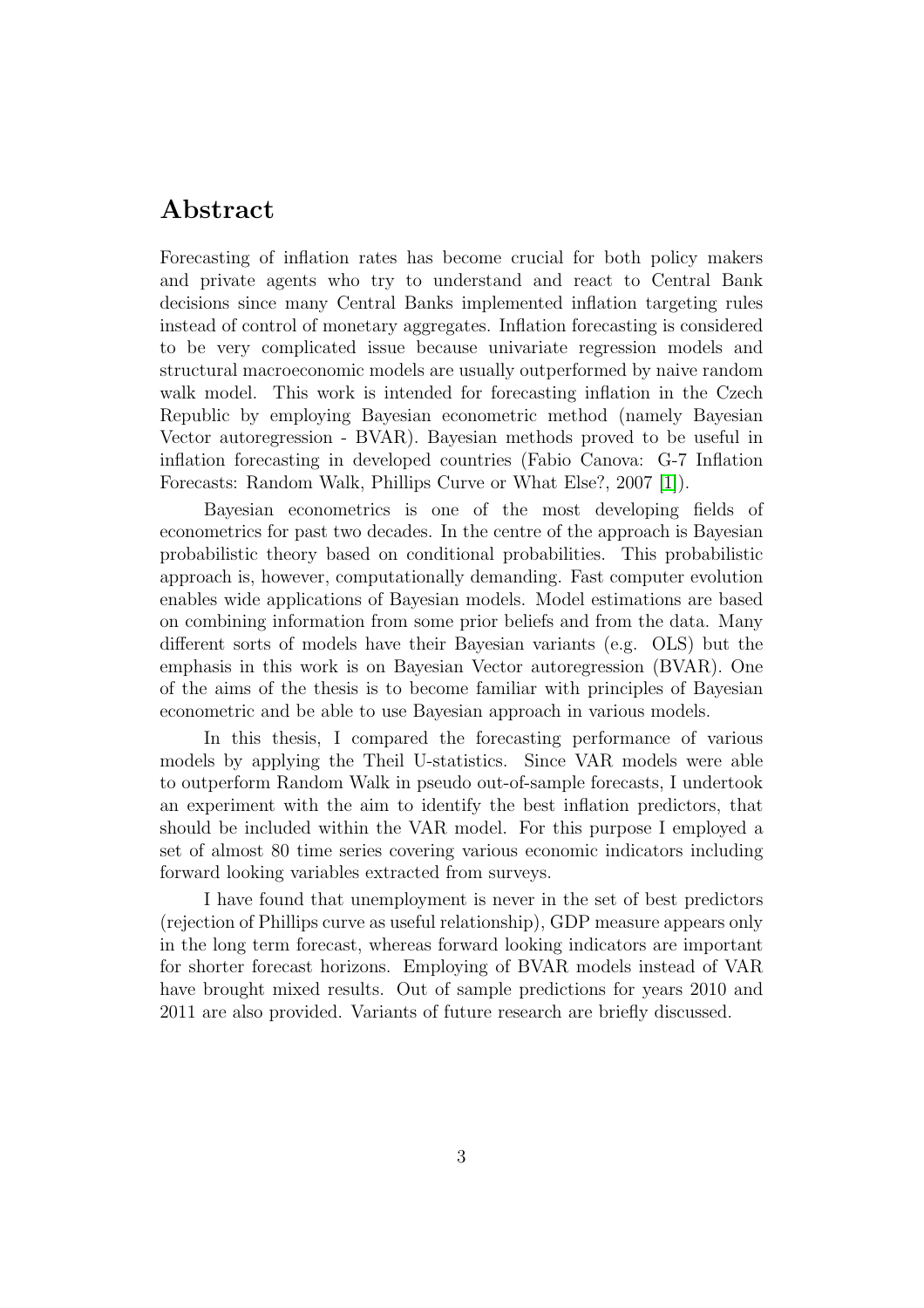# Abstract

Forecasting of inflation rates has become crucial for both policy makers and private agents who try to understand and react to Central Bank decisions since many Central Banks implemented inflation targeting rules instead of control of monetary aggregates. Inflation forecasting is considered to be very complicated issue because univariate regression models and structural macroeconomic models are usually outperformed by naive random walk model. This work is intended for forecasting inflation in the Czech Republic by employing Bayesian econometric method (namely Bayesian Vector autoregression - BVAR). Bayesian methods proved to be useful in inflation forecasting in developed countries (Fabio Canova: G-7 Inflation Forecasts: Random Walk, Phillips Curve or What Else?, 2007 [\[1\]](#page-78-0)).

Bayesian econometrics is one of the most developing fields of econometrics for past two decades. In the centre of the approach is Bayesian probabilistic theory based on conditional probabilities. This probabilistic approach is, however, computationally demanding. Fast computer evolution enables wide applications of Bayesian models. Model estimations are based on combining information from some prior beliefs and from the data. Many different sorts of models have their Bayesian variants (e.g. OLS) but the emphasis in this work is on Bayesian Vector autoregression (BVAR). One of the aims of the thesis is to become familiar with principles of Bayesian econometric and be able to use Bayesian approach in various models.

In this thesis, I compared the forecasting performance of various models by applying the Theil U-statistics. Since VAR models were able to outperform Random Walk in pseudo out-of-sample forecasts, I undertook an experiment with the aim to identify the best inflation predictors, that should be included within the VAR model. For this purpose I employed a set of almost 80 time series covering various economic indicators including forward looking variables extracted from surveys.

I have found that unemployment is never in the set of best predictors (rejection of Phillips curve as useful relationship), GDP measure appears only in the long term forecast, whereas forward looking indicators are important for shorter forecast horizons. Employing of BVAR models instead of VAR have brought mixed results. Out of sample predictions for years 2010 and 2011 are also provided. Variants of future research are briefly discussed.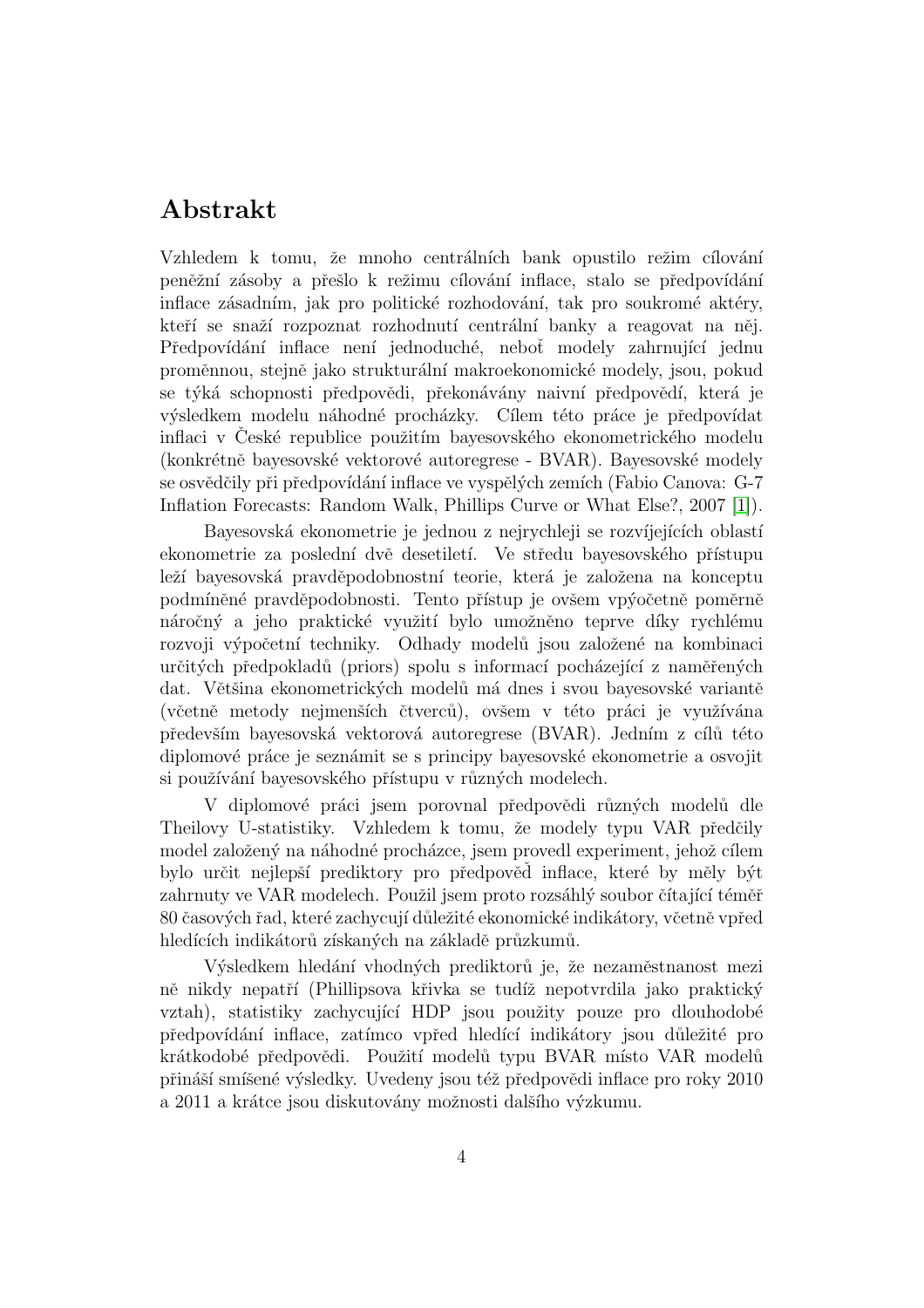# Abstrakt

Vzhledem k tomu, že mnoho centrálních bank opustilo režim cílování peněžní zásoby a přešlo k režimu cílování inflace, stalo se předpovídání inflace zásadním, jak pro politické rozhodování, tak pro soukromé aktéry, kteří se snaží rozpoznat rozhodnutí centrální banky a reagovat na něj. Předpovídání inflace není jednoduché, neboť modely zahrnující jednu proměnnou, stejně jako strukturální makroekonomické modely, jsou, pokud se týká schopnosti předpovědi, překonávány naivní předpovědí, která je výsledkem modelu náhodné procházky. Cílem této práce je předpovídat inflaci v České republice použitím bayesovského ekonometrického modelu (konkrétně bayesovské vektorové autoregrese - BVAR). Bayesovské modely se osvědčily při předpovídání inflace ve vyspělých zemích (Fabio Canova: G-7 Inflation Forecasts: Random Walk, Phillips Curve or What Else?, 2007 [\[1\]](#page-78-0)).

Bayesovská ekonometrie je jednou z nejrychleji se rozvíjejících oblastí ekonometrie za poslední dvě desetiletí. Ve středu bayesovského přístupu leží bayesovská pravděpodobnostní teorie, která je založena na konceptu podmíněné pravděpodobnosti. Tento přístup je ovšem vpýočetně poměrně náročný a jeho praktické využití bylo umožněno teprve díky rychlému rozvoji výpočetní techniky. Odhady modelů jsou založené na kombinaci určitých předpokladů (priors) spolu s informací pocházející z naměřených dat. Většina ekonometrických modelů má dnes i svou bayesovské variantě (včetně metody nejmenších čtverců), ovšem v této práci je využívána především bayesovská vektorová autoregrese (BVAR). Jedním z cílů této diplomové práce je seznámit se s principy bayesovské ekonometrie a osvojit si používání bayesovského přístupu v různých modelech.

V diplomové práci jsem porovnal předpovědi různých modelů dle Theilovy U-statistiky. Vzhledem k tomu, že modely typu VAR předčily model založený na náhodné procházce, jsem provedl experiment, jehož cílem bylo určit nejlepší prediktory pro předpověd inflace, které by měly být zahrnuty ve VAR modelech. Použil jsem proto rozsáhlý soubor čítající téměř 80 časových řad, které zachycují důležité ekonomické indikátory, včetně vpřed hledících indikátorů získaných na základě průzkumů.

Výsledkem hledání vhodných prediktorů je, že nezaměstnanost mezi ně nikdy nepatří (Phillipsova křivka se tudíž nepotvrdila jako praktický vztah), statistiky zachycující HDP jsou použity pouze pro dlouhodobé předpovídání inflace, zatímco vpřed hledící indikátory jsou důležité pro krátkodobé předpovědi. Použití modelů typu BVAR místo VAR modelů přináší smíšené výsledky. Uvedeny jsou též předpovědi inflace pro roky 2010 a 2011 a krátce jsou diskutovány možnosti dalšího výzkumu.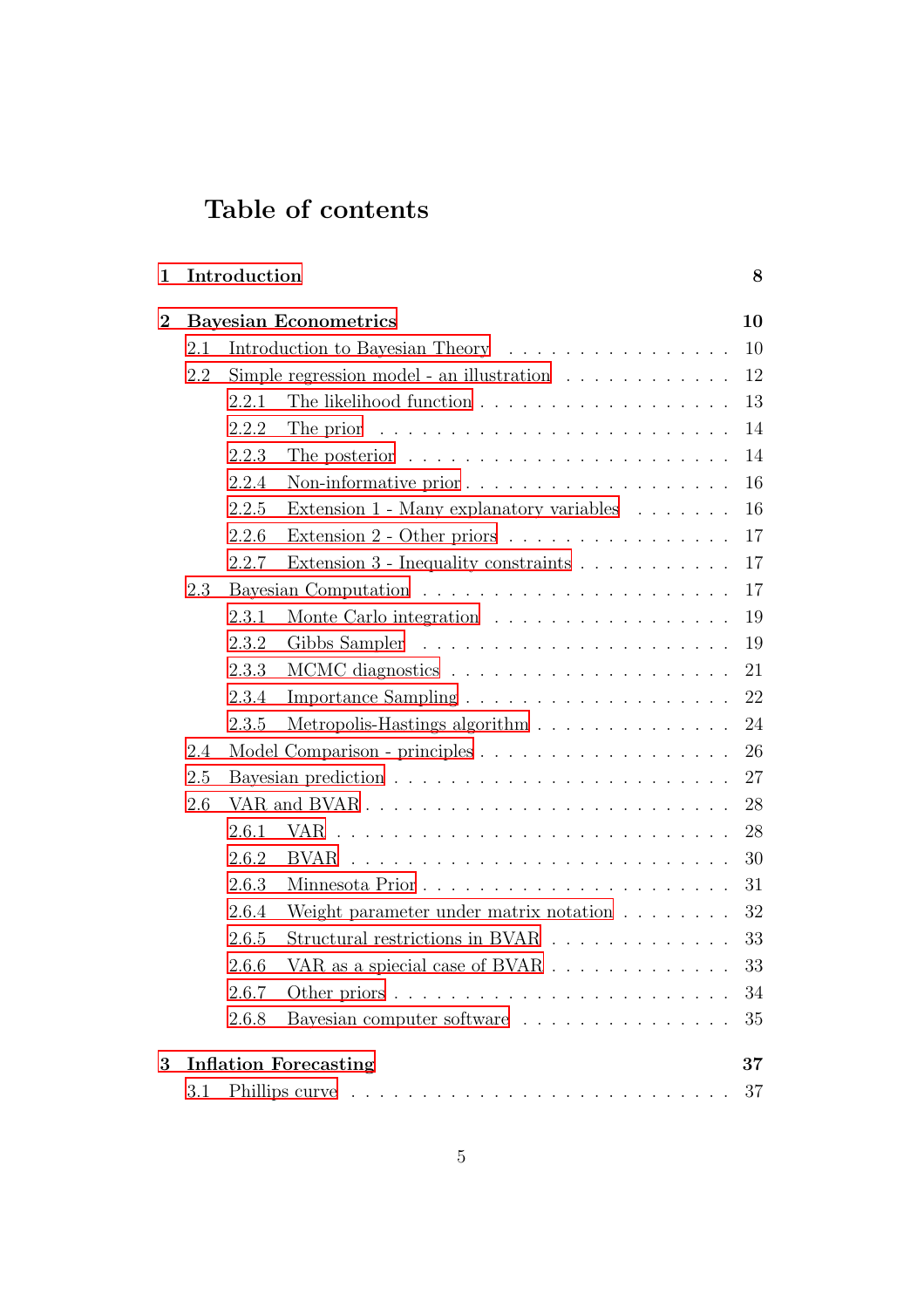# Table of contents

| 1              |                                        | Introduction                                                            |                                                                         | 8  |  |  |  |
|----------------|----------------------------------------|-------------------------------------------------------------------------|-------------------------------------------------------------------------|----|--|--|--|
| $\overline{2}$ | <b>Bayesian Econometrics</b><br>10     |                                                                         |                                                                         |    |  |  |  |
|                | Introduction to Bayesian Theory<br>2.1 |                                                                         |                                                                         | 10 |  |  |  |
|                | 2.2                                    | Simple regression model - an illustration $\ldots \ldots \ldots \ldots$ | 12                                                                      |    |  |  |  |
|                |                                        | 2.2.1                                                                   |                                                                         | 13 |  |  |  |
|                |                                        | 2.2.2                                                                   | The prior $\dots \dots \dots \dots \dots \dots \dots \dots \dots \dots$ | 14 |  |  |  |
|                |                                        | 2.2.3                                                                   | The posterior $\dots \dots \dots \dots \dots \dots \dots \dots \dots$   | 14 |  |  |  |
|                |                                        | 2.2.4                                                                   |                                                                         | 16 |  |  |  |
|                |                                        | 2.2.5                                                                   | Extension $1$ - Many explanatory variables $\ldots \ldots$              | 16 |  |  |  |
|                |                                        | 2.2.6                                                                   | Extension $2$ - Other priors                                            | 17 |  |  |  |
|                |                                        | 2.2.7                                                                   | Extension $3$ - Inequality constraints $\ldots \ldots \ldots \ldots$    | 17 |  |  |  |
|                | 2.3                                    |                                                                         |                                                                         | 17 |  |  |  |
|                |                                        | 2.3.1                                                                   | Monte Carlo integration                                                 | 19 |  |  |  |
|                |                                        | 2.3.2                                                                   |                                                                         | 19 |  |  |  |
|                |                                        | 2.3.3                                                                   |                                                                         | 21 |  |  |  |
|                |                                        | 2.3.4                                                                   |                                                                         | 22 |  |  |  |
|                |                                        | 2.3.5                                                                   | Metropolis-Hastings algorithm                                           | 24 |  |  |  |
|                | 2.4                                    |                                                                         |                                                                         | 26 |  |  |  |
|                | 2.5                                    | 27                                                                      |                                                                         |    |  |  |  |
|                | 2.6                                    |                                                                         |                                                                         | 28 |  |  |  |
|                |                                        | 2.6.1                                                                   |                                                                         | 28 |  |  |  |
|                |                                        | 2.6.2                                                                   |                                                                         | 30 |  |  |  |
|                |                                        | 2.6.3                                                                   |                                                                         | 31 |  |  |  |
|                |                                        | 2.6.4                                                                   | Weight parameter under matrix notation $\ldots \ldots \ldots$           | 32 |  |  |  |
|                |                                        | 2.6.5                                                                   | Structural restrictions in BVAR                                         | 33 |  |  |  |
|                |                                        | 2.6.6                                                                   | VAR as a spiecial case of BVAR                                          | 33 |  |  |  |
|                |                                        | 2.6.7                                                                   |                                                                         | 34 |  |  |  |
|                |                                        | 2.6.8                                                                   | Bayesian computer software $\ldots \ldots \ldots \ldots \ldots$         | 35 |  |  |  |
| 3 <sup>1</sup> | <b>Inflation Forecasting</b><br>37     |                                                                         |                                                                         |    |  |  |  |
|                | 3.1                                    |                                                                         |                                                                         | 37 |  |  |  |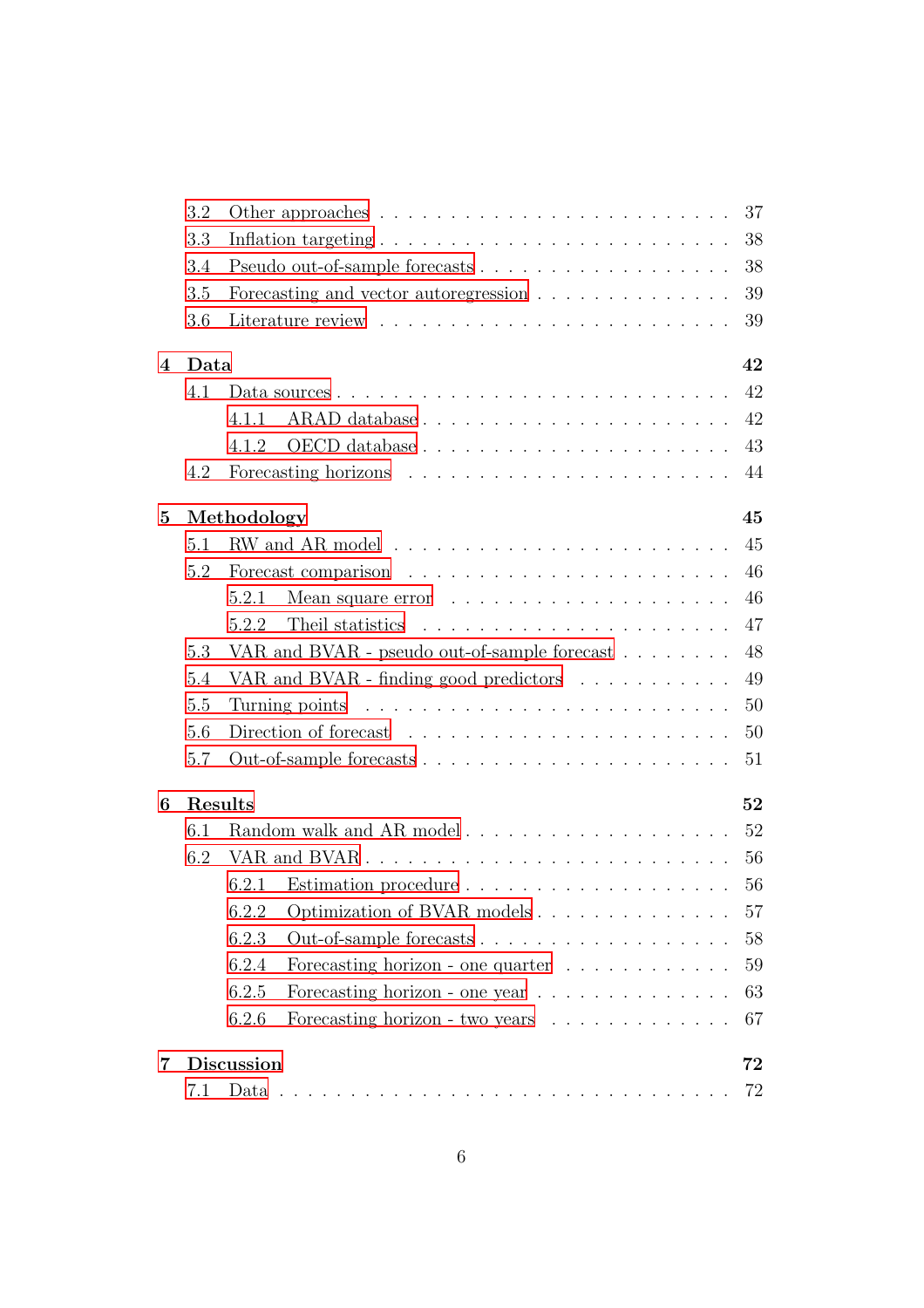|          | 3.2 | 37                                                                               |  |  |  |  |  |  |
|----------|-----|----------------------------------------------------------------------------------|--|--|--|--|--|--|
|          | 3.3 | 38                                                                               |  |  |  |  |  |  |
|          | 3.4 | 38                                                                               |  |  |  |  |  |  |
|          | 3.5 | Forecasting and vector autoregression $\ldots \ldots \ldots \ldots \ldots$<br>39 |  |  |  |  |  |  |
|          | 3.6 | 39                                                                               |  |  |  |  |  |  |
| 4        |     | Data<br>42                                                                       |  |  |  |  |  |  |
|          | 4.1 | 42                                                                               |  |  |  |  |  |  |
|          |     | 42<br>4.1.1                                                                      |  |  |  |  |  |  |
|          |     | 43<br>4.1.2                                                                      |  |  |  |  |  |  |
|          | 4.2 | 44                                                                               |  |  |  |  |  |  |
| $\bf{5}$ |     | Methodology<br>45                                                                |  |  |  |  |  |  |
|          | 5.1 | 45                                                                               |  |  |  |  |  |  |
|          | 5.2 | 46                                                                               |  |  |  |  |  |  |
|          |     | 46<br>5.2.1                                                                      |  |  |  |  |  |  |
|          |     | 47<br>Theil statistics<br>5.2.2                                                  |  |  |  |  |  |  |
|          | 5.3 | VAR and BVAR - pseudo out-of-sample forecast $\ldots \ldots$<br>48               |  |  |  |  |  |  |
|          | 5.4 | VAR and BVAR - finding good predictors<br>49                                     |  |  |  |  |  |  |
|          | 5.5 | 50                                                                               |  |  |  |  |  |  |
|          | 5.6 | Direction of forecast $\ldots \ldots \ldots \ldots \ldots \ldots \ldots$<br>50   |  |  |  |  |  |  |
|          | 5.7 | 51                                                                               |  |  |  |  |  |  |
| 6        |     | Results<br>52                                                                    |  |  |  |  |  |  |
|          | 6.1 | 52                                                                               |  |  |  |  |  |  |
|          | 6.2 | 56                                                                               |  |  |  |  |  |  |
|          |     | 56<br>6.2.1                                                                      |  |  |  |  |  |  |
|          |     | 6.2.2<br>Optimization of BVAR models<br>57                                       |  |  |  |  |  |  |
|          |     | 6.2.3<br>58                                                                      |  |  |  |  |  |  |
|          |     | 6.2.4<br>Forecasting horizon - one quarter $\ldots \ldots \ldots \ldots$<br>59   |  |  |  |  |  |  |
|          |     | 6.2.5<br>63<br>Forecasting horizon - one year $\ldots \ldots \ldots \ldots$      |  |  |  |  |  |  |
|          |     | 6.2.6<br>67<br>Forecasting horizon - two years                                   |  |  |  |  |  |  |
| 7        |     | <b>Discussion</b><br>72                                                          |  |  |  |  |  |  |
|          | 7.1 | 72<br>Data $\ldots$<br>and a complete service of the complete service of the     |  |  |  |  |  |  |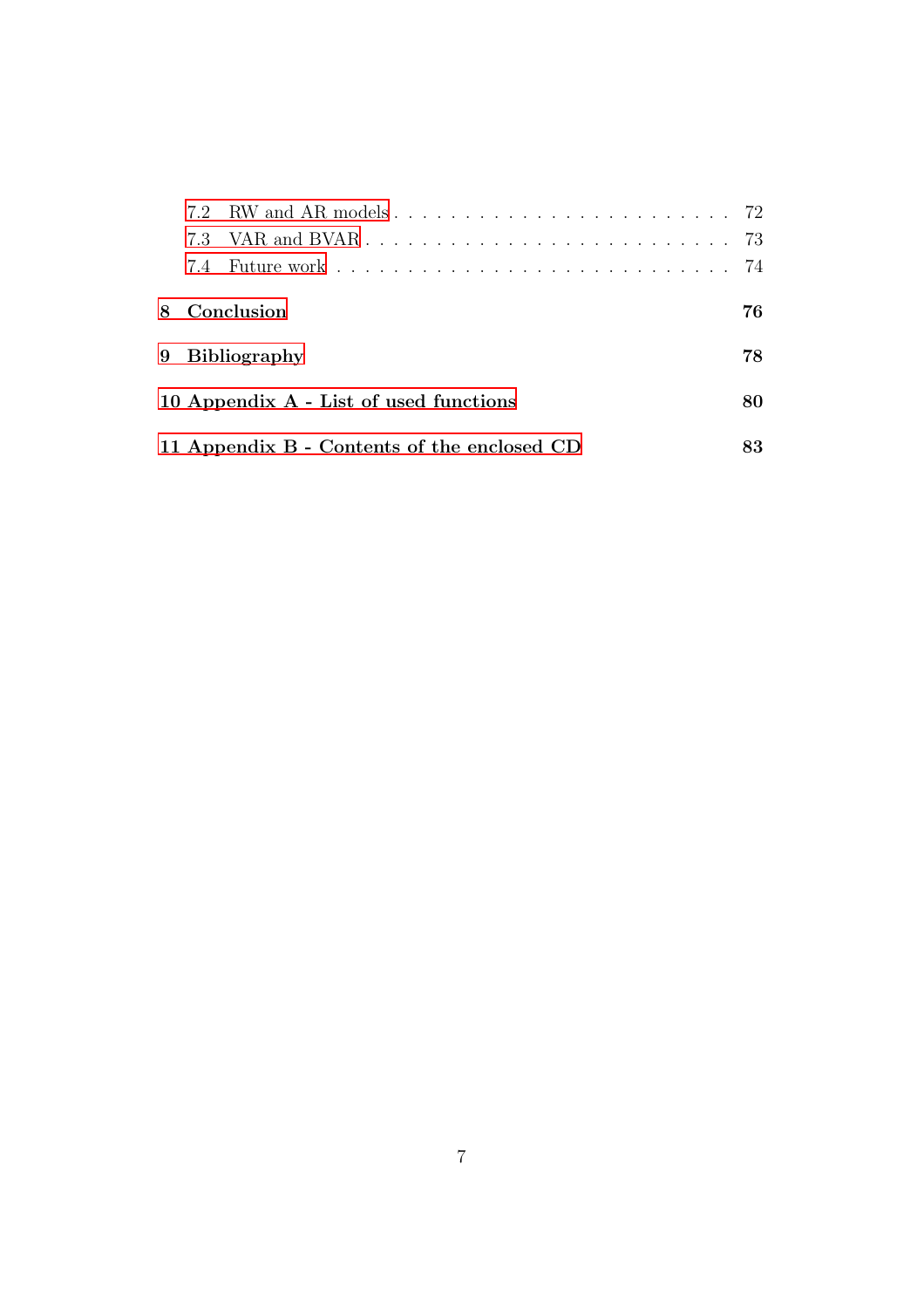| 8 Conclusion                                |  |  |  |  |  |  |  |
|---------------------------------------------|--|--|--|--|--|--|--|
| 9 Bibliography                              |  |  |  |  |  |  |  |
| 10 Appendix A - List of used functions      |  |  |  |  |  |  |  |
| 11 Appendix B - Contents of the enclosed CD |  |  |  |  |  |  |  |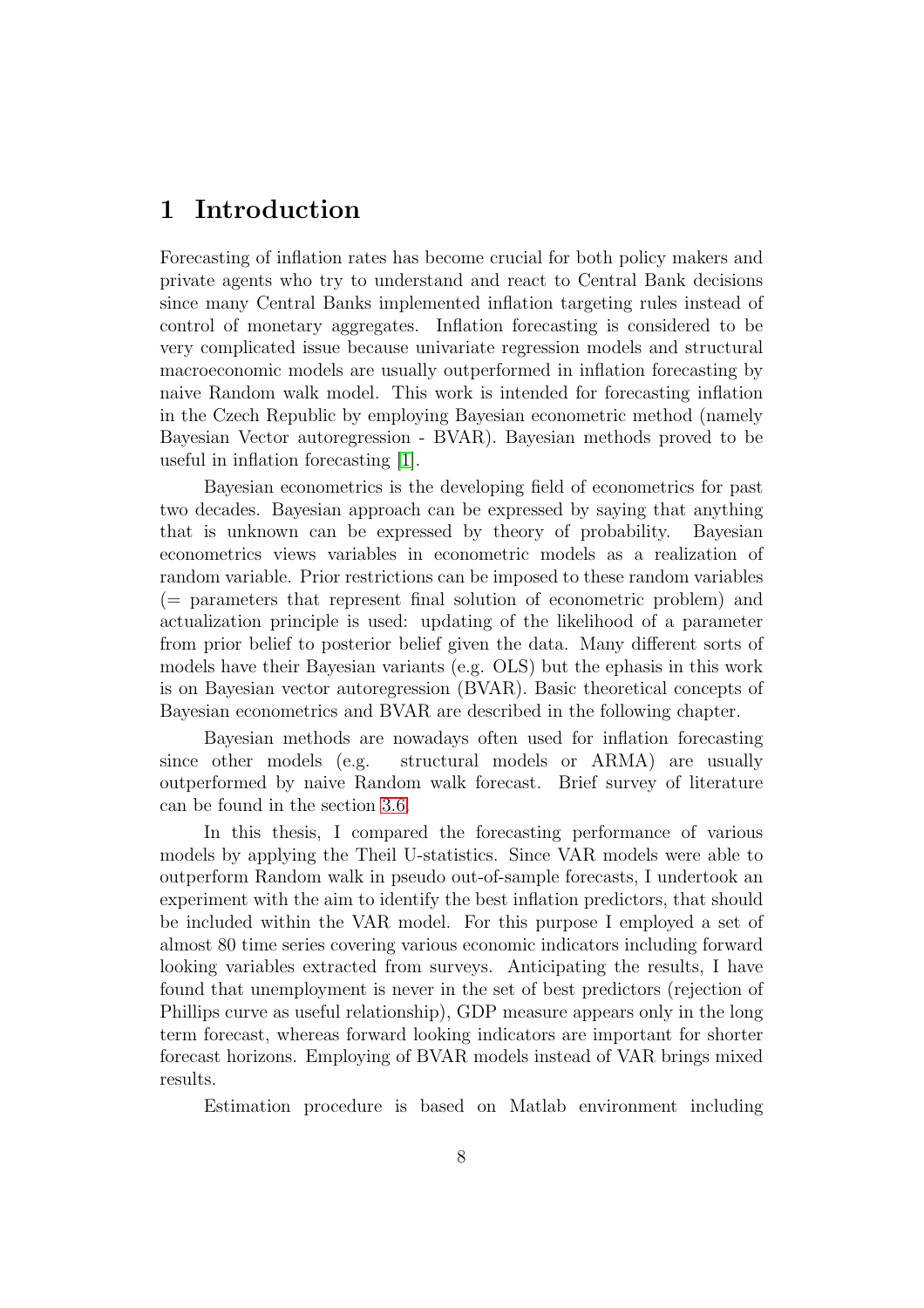# <span id="page-8-0"></span>1 Introduction

Forecasting of inflation rates has become crucial for both policy makers and private agents who try to understand and react to Central Bank decisions since many Central Banks implemented inflation targeting rules instead of control of monetary aggregates. Inflation forecasting is considered to be very complicated issue because univariate regression models and structural macroeconomic models are usually outperformed in inflation forecasting by naive Random walk model. This work is intended for forecasting inflation in the Czech Republic by employing Bayesian econometric method (namely Bayesian Vector autoregression - BVAR). Bayesian methods proved to be useful in inflation forecasting [\[1\]](#page-78-0).

Bayesian econometrics is the developing field of econometrics for past two decades. Bayesian approach can be expressed by saying that anything that is unknown can be expressed by theory of probability. Bayesian econometrics views variables in econometric models as a realization of random variable. Prior restrictions can be imposed to these random variables (= parameters that represent final solution of econometric problem) and actualization principle is used: updating of the likelihood of a parameter from prior belief to posterior belief given the data. Many different sorts of models have their Bayesian variants (e.g. OLS) but the ephasis in this work is on Bayesian vector autoregression (BVAR). Basic theoretical concepts of Bayesian econometrics and BVAR are described in the following chapter.

Bayesian methods are nowadays often used for inflation forecasting since other models (e.g. structural models or ARMA) are usually outperformed by naive Random walk forecast. Brief survey of literature can be found in the section [3.6.](#page-39-1)

In this thesis, I compared the forecasting performance of various models by applying the Theil U-statistics. Since VAR models were able to outperform Random walk in pseudo out-of-sample forecasts, I undertook an experiment with the aim to identify the best inflation predictors, that should be included within the VAR model. For this purpose I employed a set of almost 80 time series covering various economic indicators including forward looking variables extracted from surveys. Anticipating the results, I have found that unemployment is never in the set of best predictors (rejection of Phillips curve as useful relationship), GDP measure appears only in the long term forecast, whereas forward looking indicators are important for shorter forecast horizons. Employing of BVAR models instead of VAR brings mixed results.

Estimation procedure is based on Matlab environment including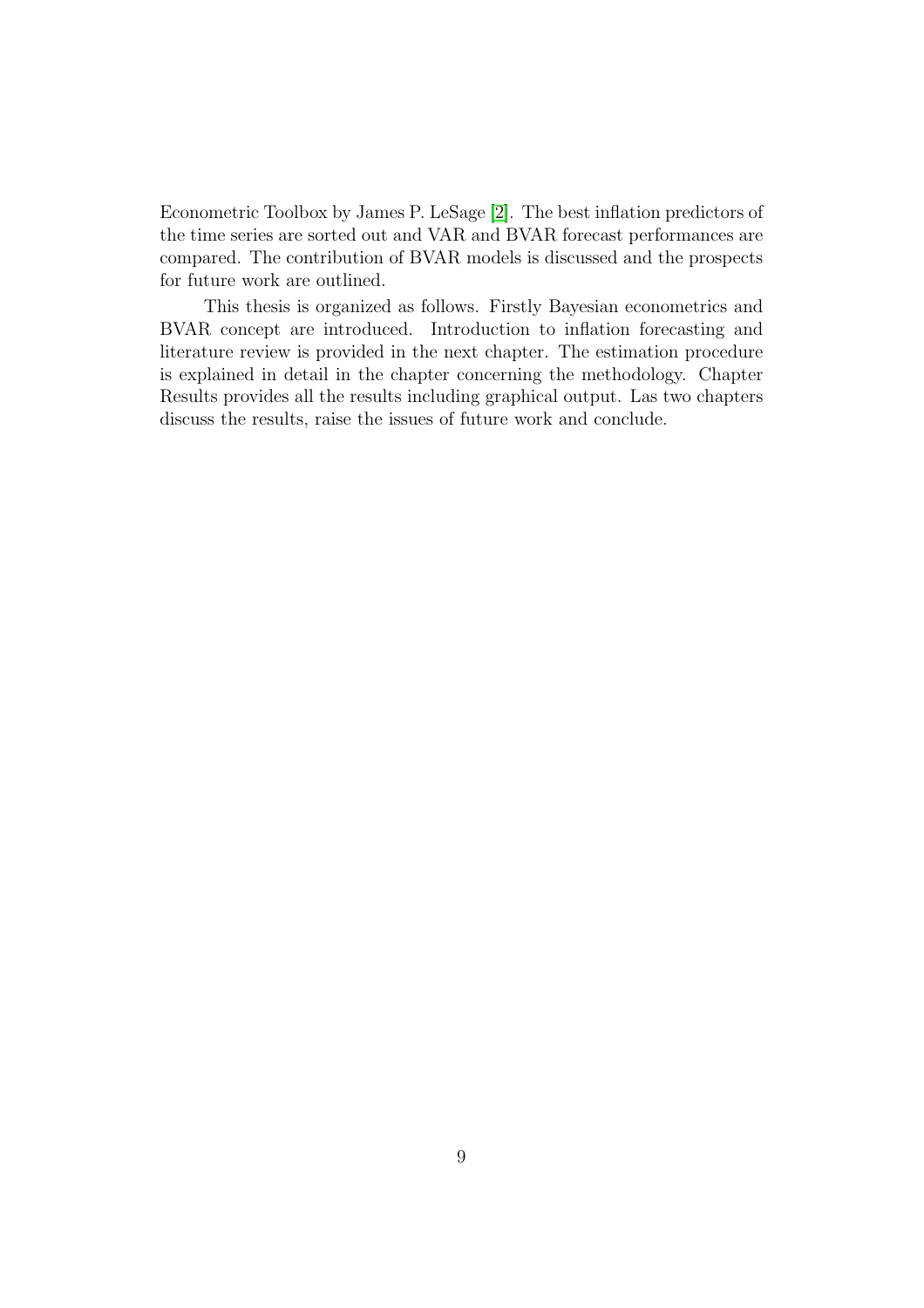Econometric Toolbox by James P. LeSage [\[2\]](#page-78-2). The best inflation predictors of the time series are sorted out and VAR and BVAR forecast performances are compared. The contribution of BVAR models is discussed and the prospects for future work are outlined.

This thesis is organized as follows. Firstly Bayesian econometrics and BVAR concept are introduced. Introduction to inflation forecasting and literature review is provided in the next chapter. The estimation procedure is explained in detail in the chapter concerning the methodology. Chapter Results provides all the results including graphical output. Las two chapters discuss the results, raise the issues of future work and conclude.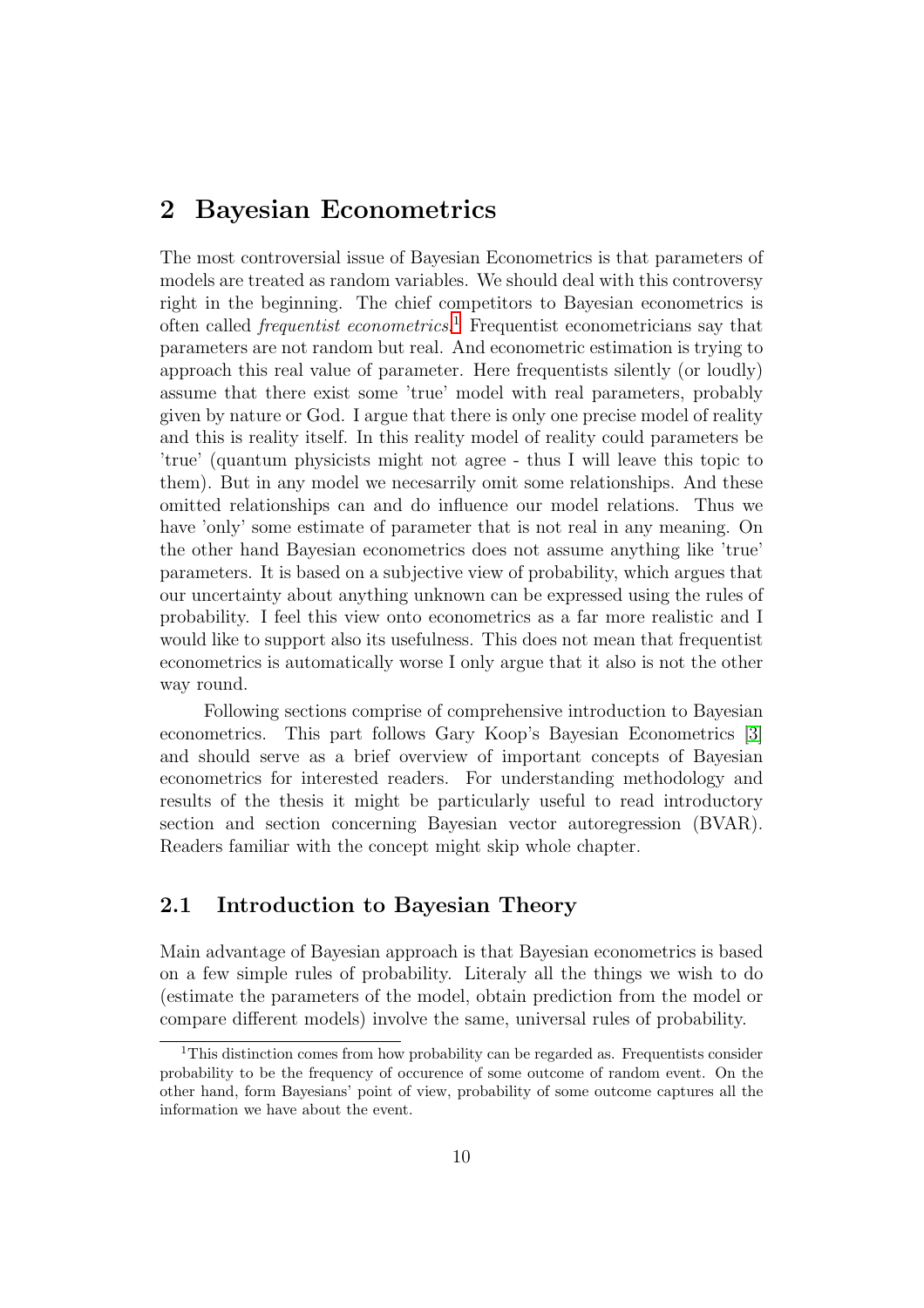## <span id="page-10-0"></span>2 Bayesian Econometrics

The most controversial issue of Bayesian Econometrics is that parameters of models are treated as random variables. We should deal with this controversy right in the beginning. The chief competitors to Bayesian econometrics is often called *frequentist econometrics*.<sup>[1](#page-10-2)</sup> Frequentist econometricians say that parameters are not random but real. And econometric estimation is trying to approach this real value of parameter. Here frequentists silently (or loudly) assume that there exist some 'true' model with real parameters, probably given by nature or God. I argue that there is only one precise model of reality and this is reality itself. In this reality model of reality could parameters be 'true' (quantum physicists might not agree - thus I will leave this topic to them). But in any model we necesarrily omit some relationships. And these omitted relationships can and do influence our model relations. Thus we have 'only' some estimate of parameter that is not real in any meaning. On the other hand Bayesian econometrics does not assume anything like 'true' parameters. It is based on a subjective view of probability, which argues that our uncertainty about anything unknown can be expressed using the rules of probability. I feel this view onto econometrics as a far more realistic and I would like to support also its usefulness. This does not mean that frequentist econometrics is automatically worse I only argue that it also is not the other way round.

Following sections comprise of comprehensive introduction to Bayesian econometrics. This part follows Gary Koop's Bayesian Econometrics [\[3\]](#page-78-3) and should serve as a brief overview of important concepts of Bayesian econometrics for interested readers. For understanding methodology and results of the thesis it might be particularly useful to read introductory section and section concerning Bayesian vector autoregression (BVAR). Readers familiar with the concept might skip whole chapter.

### <span id="page-10-1"></span>2.1 Introduction to Bayesian Theory

Main advantage of Bayesian approach is that Bayesian econometrics is based on a few simple rules of probability. Literaly all the things we wish to do (estimate the parameters of the model, obtain prediction from the model or compare different models) involve the same, universal rules of probability.

<span id="page-10-2"></span><sup>&</sup>lt;sup>1</sup>This distinction comes from how probability can be regarded as. Frequentists consider probability to be the frequency of occurence of some outcome of random event. On the other hand, form Bayesians' point of view, probability of some outcome captures all the information we have about the event.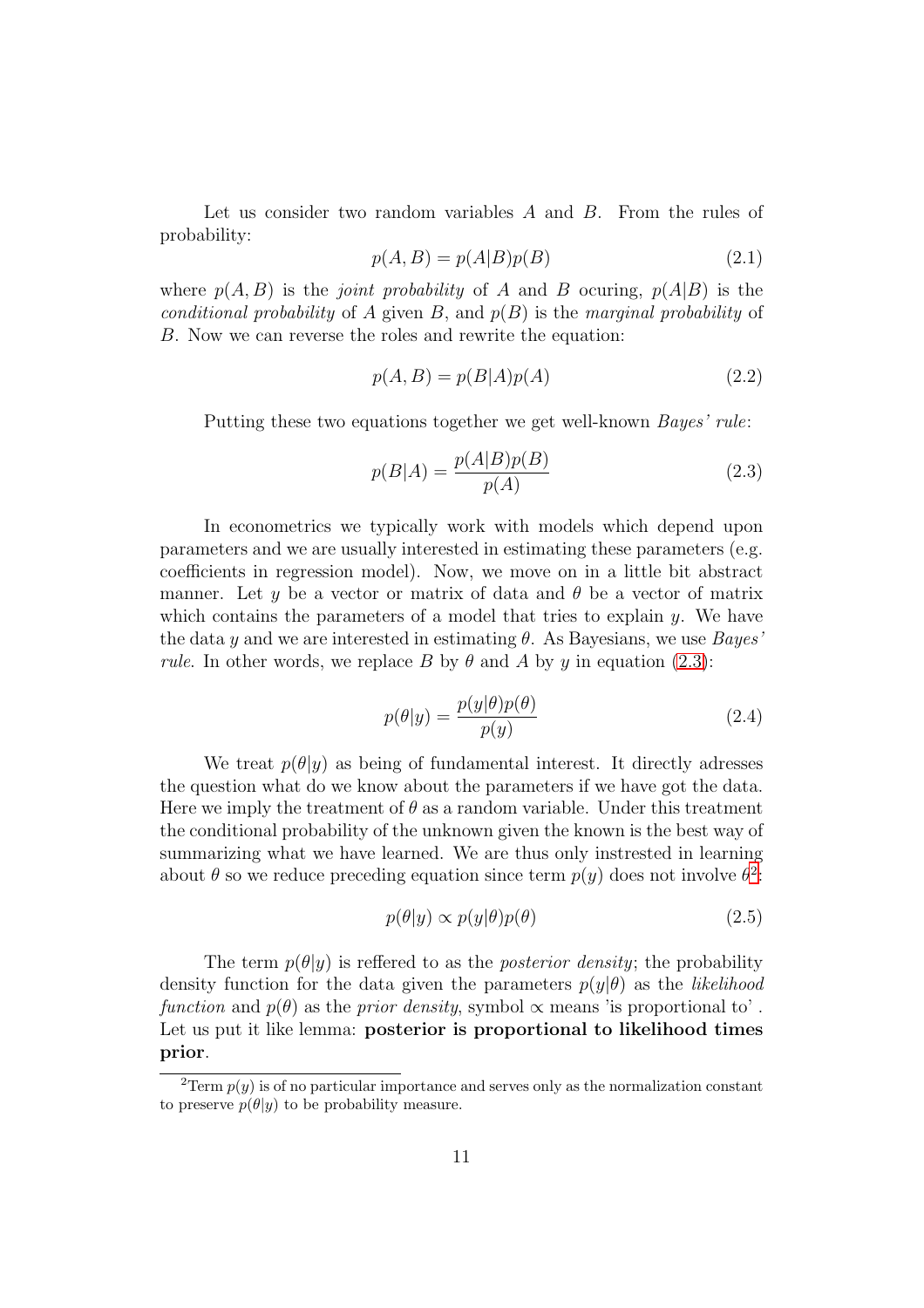Let us consider two random variables  $A$  and  $B$ . From the rules of probability:

$$
p(A,B) = p(A|B)p(B)
$$
\n<sup>(2.1)</sup>

where  $p(A, B)$  is the *joint probability* of A and B ocuring,  $p(A|B)$  is the conditional probability of A given B, and  $p(B)$  is the marginal probability of B. Now we can reverse the roles and rewrite the equation:

$$
p(A,B) = p(B|A)p(A)
$$
\n(2.2)

Putting these two equations together we get well-known Bayes' rule:

<span id="page-11-0"></span>
$$
p(B|A) = \frac{p(A|B)p(B)}{p(A)}
$$
\n
$$
(2.3)
$$

In econometrics we typically work with models which depend upon parameters and we are usually interested in estimating these parameters (e.g. coefficients in regression model). Now, we move on in a little bit abstract manner. Let y be a vector or matrix of data and  $\theta$  be a vector of matrix which contains the parameters of a model that tries to explain  $\gamma$ . We have the data y and we are interested in estimating  $\theta$ . As Bayesians, we use Bayes' *rule.* In other words, we replace B by  $\theta$  and A by y in equation [\(2.3\)](#page-11-0):

<span id="page-11-3"></span>
$$
p(\theta|y) = \frac{p(y|\theta)p(\theta)}{p(y)}
$$
\n(2.4)

We treat  $p(\theta|y)$  as being of fundamental interest. It directly adresses the question what do we know about the parameters if we have got the data. Here we imply the treatment of  $\theta$  as a random variable. Under this treatment the conditional probability of the unknown given the known is the best way of summarizing what we have learned. We are thus only instrested in learning about  $\theta$  so we reduce preceding equation since term  $p(y)$  does not involve  $\theta^2$  $\theta^2$ .

<span id="page-11-2"></span>
$$
p(\theta|y) \propto p(y|\theta)p(\theta) \tag{2.5}
$$

The term  $p(\theta|y)$  is reffered to as the *posterior density*; the probability density function for the data given the parameters  $p(y|\theta)$  as the *likelihood* function and  $p(\theta)$  as the prior density, symbol  $\alpha$  means 'is proportional to'. Let us put it like lemma: posterior is proportional to likelihood times prior.

<span id="page-11-1"></span><sup>&</sup>lt;sup>2</sup>Term  $p(y)$  is of no particular importance and serves only as the normalization constant to preserve  $p(\theta|y)$  to be probability measure.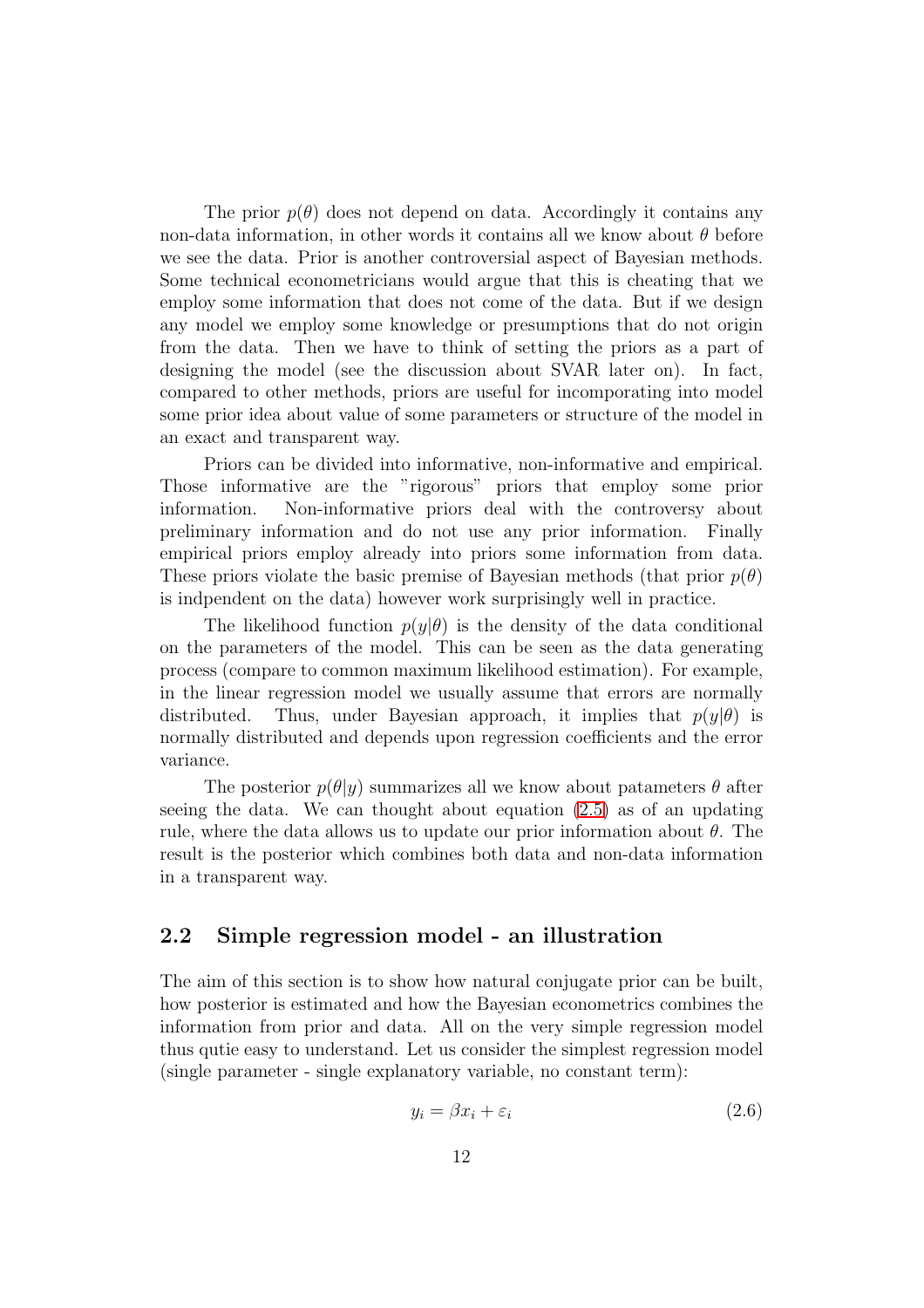The prior  $p(\theta)$  does not depend on data. Accordingly it contains any non-data information, in other words it contains all we know about  $\theta$  before we see the data. Prior is another controversial aspect of Bayesian methods. Some technical econometricians would argue that this is cheating that we employ some information that does not come of the data. But if we design any model we employ some knowledge or presumptions that do not origin from the data. Then we have to think of setting the priors as a part of designing the model (see the discussion about SVAR later on). In fact, compared to other methods, priors are useful for incomporating into model some prior idea about value of some parameters or structure of the model in an exact and transparent way.

Priors can be divided into informative, non-informative and empirical. Those informative are the "rigorous" priors that employ some prior information. Non-informative priors deal with the controversy about preliminary information and do not use any prior information. Finally empirical priors employ already into priors some information from data. These priors violate the basic premise of Bayesian methods (that prior  $p(\theta)$ ) is indpendent on the data) however work surprisingly well in practice.

The likelihood function  $p(y|\theta)$  is the density of the data conditional on the parameters of the model. This can be seen as the data generating process (compare to common maximum likelihood estimation). For example, in the linear regression model we usually assume that errors are normally distributed. Thus, under Bayesian approach, it implies that  $p(y|\theta)$  is normally distributed and depends upon regression coefficients and the error variance.

The posterior  $p(\theta|y)$  summarizes all we know about patameters  $\theta$  after seeing the data. We can thought about equation [\(2.5\)](#page-11-2) as of an updating rule, where the data allows us to update our prior information about  $\theta$ . The result is the posterior which combines both data and non-data information in a transparent way.

### <span id="page-12-0"></span>2.2 Simple regression model - an illustration

The aim of this section is to show how natural conjugate prior can be built, how posterior is estimated and how the Bayesian econometrics combines the information from prior and data. All on the very simple regression model thus qutie easy to understand. Let us consider the simplest regression model (single parameter - single explanatory variable, no constant term):

$$
y_i = \beta x_i + \varepsilon_i \tag{2.6}
$$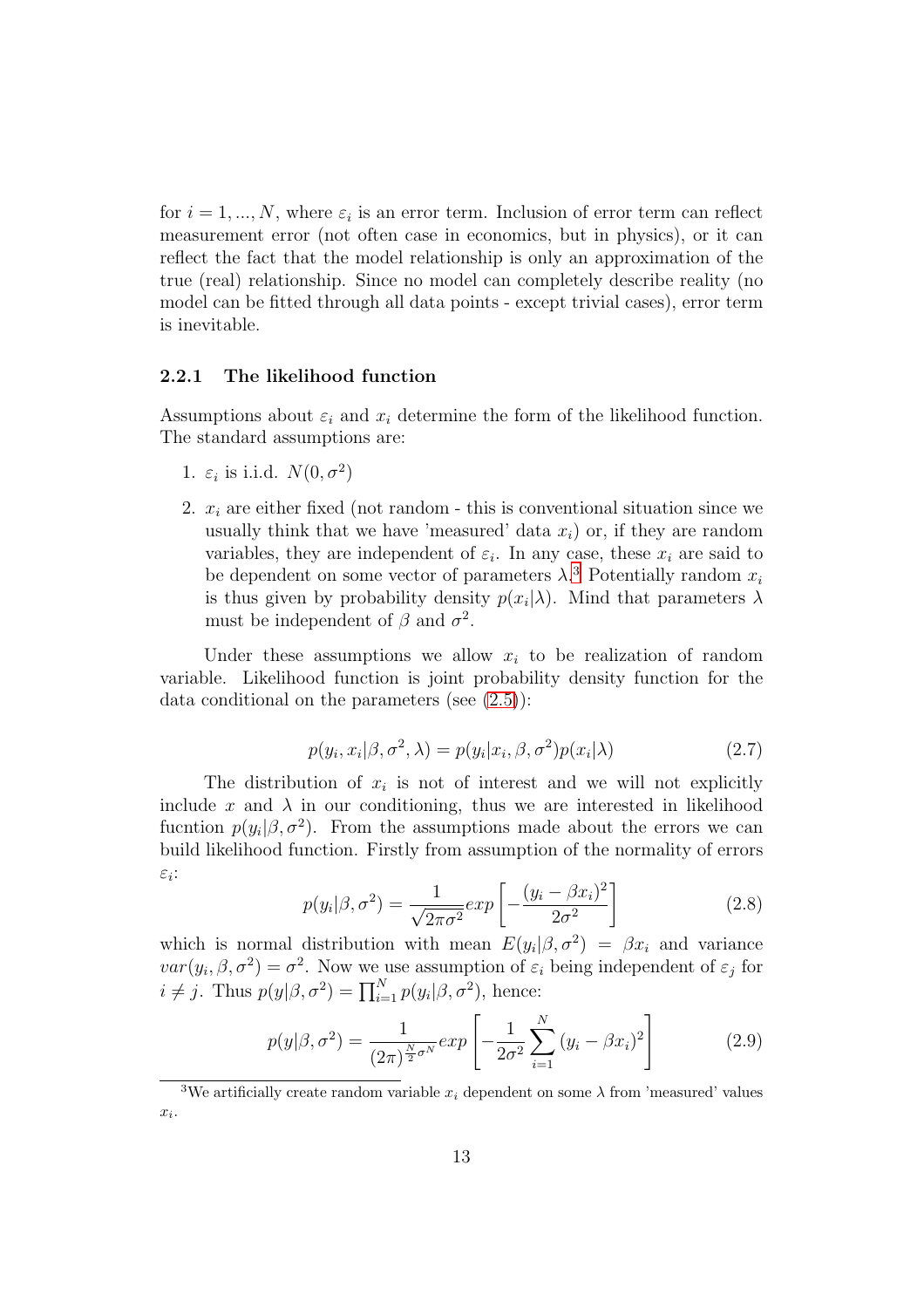for  $i = 1, ..., N$ , where  $\varepsilon_i$  is an error term. Inclusion of error term can reflect measurement error (not often case in economics, but in physics), or it can reflect the fact that the model relationship is only an approximation of the true (real) relationship. Since no model can completely describe reality (no model can be fitted through all data points - except trivial cases), error term is inevitable.

#### <span id="page-13-0"></span>2.2.1 The likelihood function

Assumptions about  $\varepsilon_i$  and  $x_i$  determine the form of the likelihood function. The standard assumptions are:

- 1.  $\varepsilon_i$  is i.i.d.  $N(0, \sigma^2)$
- 2.  $x_i$  are either fixed (not random this is conventional situation since we usually think that we have 'measured' data  $x_i$ ) or, if they are random variables, they are independent of  $\varepsilon_i$ . In any case, these  $x_i$  are said to be dependent on some vector of parameters  $\lambda$ <sup>[3](#page-13-1)</sup> Potentially random  $x_i$ is thus given by probability density  $p(x_i|\lambda)$ . Mind that parameters  $\lambda$ must be independent of  $\beta$  and  $\sigma^2$ .

Under these assumptions we allow  $x_i$  to be realization of random variable. Likelihood function is joint probability density function for the data conditional on the parameters (see [\(2.5\)](#page-11-2)):

$$
p(y_i, x_i | \beta, \sigma^2, \lambda) = p(y_i | x_i, \beta, \sigma^2) p(x_i | \lambda)
$$
\n(2.7)

The distribution of  $x_i$  is not of interest and we will not explicitly include x and  $\lambda$  in our conditioning, thus we are interested in likelihood fucntion  $p(y_i|\beta, \sigma^2)$ . From the assumptions made about the errors we can build likelihood function. Firstly from assumption of the normality of errors  $\varepsilon_i$ :

<span id="page-13-2"></span>
$$
p(y_i|\beta, \sigma^2) = \frac{1}{\sqrt{2\pi\sigma^2}} exp\left[-\frac{(y_i - \beta x_i)^2}{2\sigma^2}\right]
$$
 (2.8)

which is normal distribution with mean  $E(y_i|\beta, \sigma^2) = \beta x_i$  and variance  $var(y_i, \beta, \sigma^2) = \sigma^2$ . Now we use assumption of  $\varepsilon_i$  being independent of  $\varepsilon_j$  for  $i \neq j$ . Thus  $p(y|\beta, \sigma^2) = \prod_{i=1}^{N} p(y_i|\beta, \sigma^2)$ , hence:

$$
p(y|\beta, \sigma^2) = \frac{1}{(2\pi)^{\frac{N}{2}\sigma^N}} exp\left[-\frac{1}{2\sigma^2} \sum_{i=1}^N (y_i - \beta x_i)^2\right]
$$
 (2.9)

<span id="page-13-1"></span><sup>&</sup>lt;sup>3</sup>We artificially create random variable  $x_i$  dependent on some  $\lambda$  from 'measured' values  $x_i$ .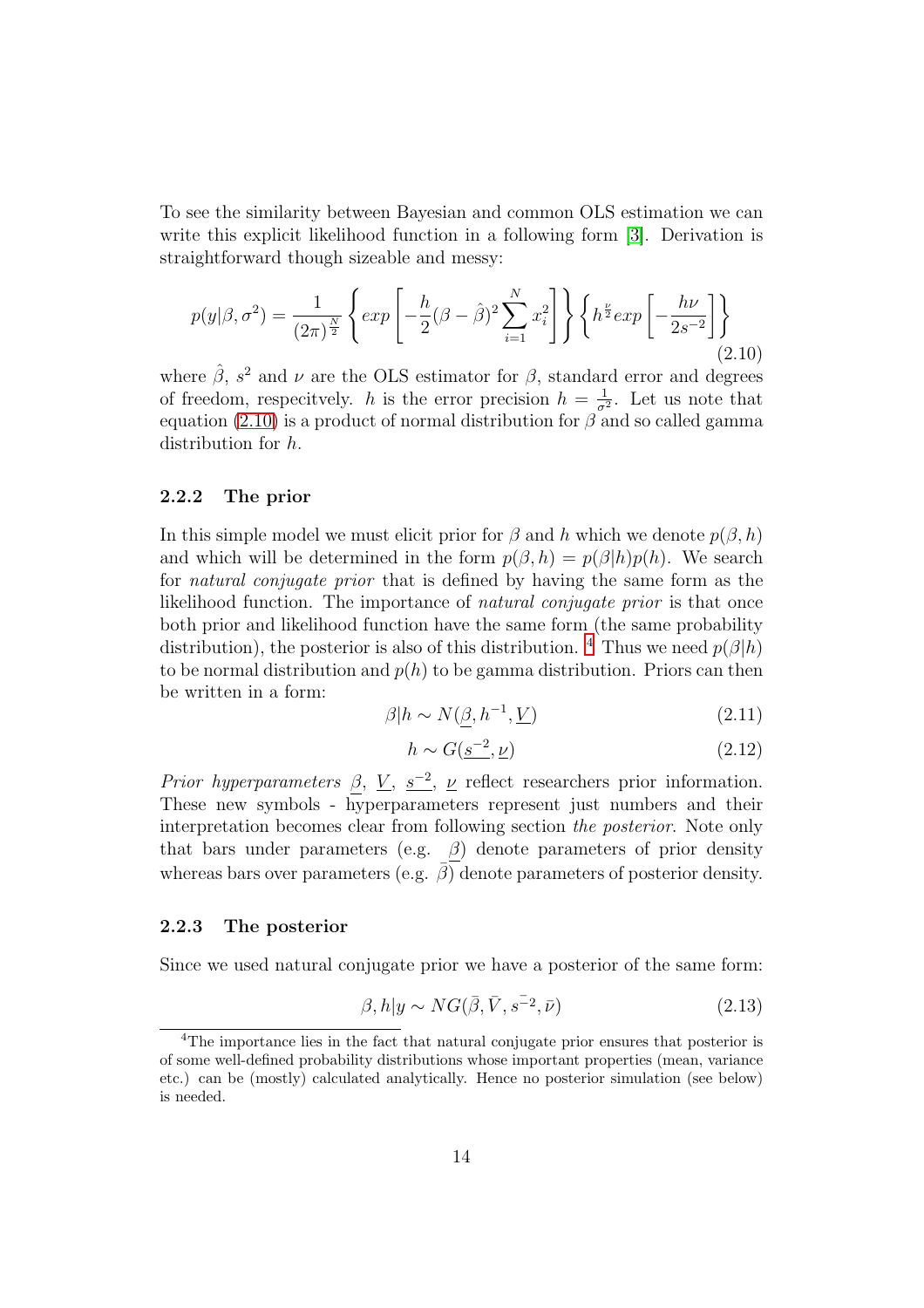To see the similarity between Bayesian and common OLS estimation we can write this explicit likelihood function in a following form [\[3\]](#page-78-3). Derivation is straightforward though sizeable and messy:

<span id="page-14-2"></span>
$$
p(y|\beta, \sigma^2) = \frac{1}{(2\pi)^{\frac{N}{2}}} \left\{ \exp\left[ -\frac{h}{2} (\beta - \hat{\beta})^2 \sum_{i=1}^N x_i^2 \right] \right\} \left\{ h^{\frac{\nu}{2}} \exp\left[ -\frac{h\nu}{2s^{-2}} \right] \right\} \tag{2.10}
$$

where  $\hat{\beta}$ ,  $s^2$  and  $\nu$  are the OLS estimator for  $\beta$ , standard error and degrees of freedom, respecitvely. h is the error precision  $h = \frac{1}{\sigma^2}$ . Let us note that equation [\(2.10\)](#page-14-2) is a product of normal distribution for  $\beta$  and so called gamma distribution for h.

#### <span id="page-14-0"></span>2.2.2 The prior

In this simple model we must elicit prior for  $\beta$  and h which we denote  $p(\beta, h)$ and which will be determined in the form  $p(\beta, h) = p(\beta|h)p(h)$ . We search for natural conjugate prior that is defined by having the same form as the likelihood function. The importance of *natural conjugate prior* is that once both prior and likelihood function have the same form (the same probability distribution), the posterior is also of this distribution. <sup>[4](#page-14-3)</sup> Thus we need  $p(\beta|h)$ to be normal distribution and  $p(h)$  to be gamma distribution. Priors can then be written in a form:

$$
\beta | h \sim N(\underline{\beta}, h^{-1}, \underline{V}) \tag{2.11}
$$

$$
h \sim G(\underline{s^{-2}}, \underline{\nu})\tag{2.12}
$$

*Prior hyperparameters*  $\beta$ ,  $\underline{V}$ ,  $\underline{s^{-2}}$ ,  $\underline{\nu}$  reflect researchers prior information. These new symbols - hyperparameters represent just numbers and their interpretation becomes clear from following section the posterior. Note only that bars under parameters (e.g.  $\beta$ ) denote parameters of prior density whereas bars over parameters (e.g.  $\overline{\beta}$ ) denote parameters of posterior density.

#### <span id="page-14-1"></span>2.2.3 The posterior

Since we used natural conjugate prior we have a posterior of the same form:

$$
\beta, h|y \sim NG(\bar{\beta}, \bar{V}, s^{-2}, \bar{\nu})
$$
\n(2.13)

<span id="page-14-3"></span><sup>4</sup>The importance lies in the fact that natural conjugate prior ensures that posterior is of some well-defined probability distributions whose important properties (mean, variance etc.) can be (mostly) calculated analytically. Hence no posterior simulation (see below) is needed.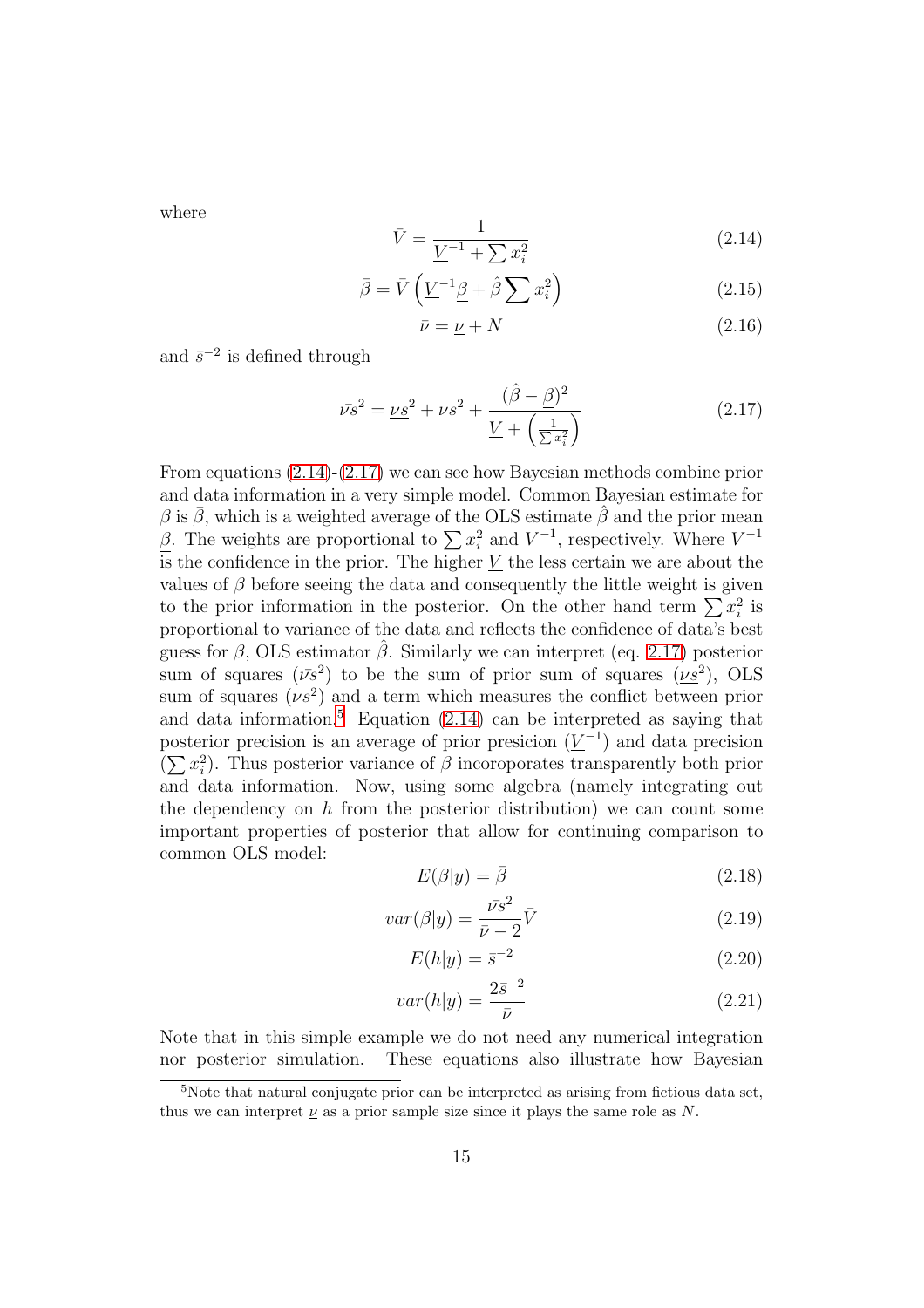where

<span id="page-15-0"></span>
$$
\bar{V} = \frac{1}{\underline{V}^{-1} + \sum x_i^2} \tag{2.14}
$$

$$
\bar{\beta} = \bar{V} \left( \underline{V}^{-1} \underline{\beta} + \hat{\beta} \sum x_i^2 \right) \tag{2.15}
$$

$$
\bar{\nu} = \underline{\nu} + N \tag{2.16}
$$

and  $\bar{s}^{-2}$  is defined through

<span id="page-15-1"></span>
$$
\bar{\nu s}^2 = \underline{\nu s}^2 + \nu s^2 + \frac{(\hat{\beta} - \underline{\beta})^2}{\underline{V} + (\frac{1}{\sum x_i^2})}
$$
(2.17)

From equations [\(2.14\)](#page-15-0)-[\(2.17\)](#page-15-1) we can see how Bayesian methods combine prior and data information in a very simple model. Common Bayesian estimate for  $\beta$  is  $\bar{\beta}$ , which is a weighted average of the OLS estimate  $\bar{\beta}$  and the prior mean  $\beta$ . The weights are proportional to  $\sum x_i^2$  and  $\underline{V}^{-1}$ , respectively. Where  $\underline{V}^{-1}$ is the confidence in the prior. The higher  $\underline{V}$  the less certain we are about the values of  $\beta$  before seeing the data and consequently the little weight is given to the prior information in the posterior. On the other hand term  $\sum x_i^2$  is proportional to variance of the data and reflects the confidence of data's best guess for  $\beta$ , OLS estimator  $\beta$ . Similarly we can interpret (eq. [2.17\)](#page-15-1) posterior sum of squares  $(\bar{\nu}s^2)$  to be the sum of prior sum of squares  $(\nu s^2)$ , OLS sum of squares  $(\nu s^2)$  and a term which measures the conflict between prior and data information.<sup>[5](#page-15-2)</sup> Equation  $(2.14)$  can be interpreted as saying that posterior precision is an average of prior presicion  $(\underline{V}^{-1})$  and data precision  $(\sum x_i^2)$ . Thus posterior variance of  $\beta$  incoroporates transparently both prior and data information. Now, using some algebra (namely integrating out the dependency on  $h$  from the posterior distribution) we can count some important properties of posterior that allow for continuing comparison to common OLS model:

$$
E(\beta|y) = \bar{\beta} \tag{2.18}
$$

$$
var(\beta|y) = \frac{\bar{\nu}s^2}{\bar{\nu} - 2}\bar{V}
$$
\n(2.19)

$$
E(h|y) = \bar{s}^{-2}
$$
 (2.20)

$$
var(h|y) = \frac{2\bar{s}^{-2}}{\bar{\nu}}\tag{2.21}
$$

Note that in this simple example we do not need any numerical integration nor posterior simulation. These equations also illustrate how Bayesian

<span id="page-15-2"></span><sup>5</sup>Note that natural conjugate prior can be interpreted as arising from fictious data set, thus we can interpret  $\underline{\nu}$  as a prior sample size since it plays the same role as N.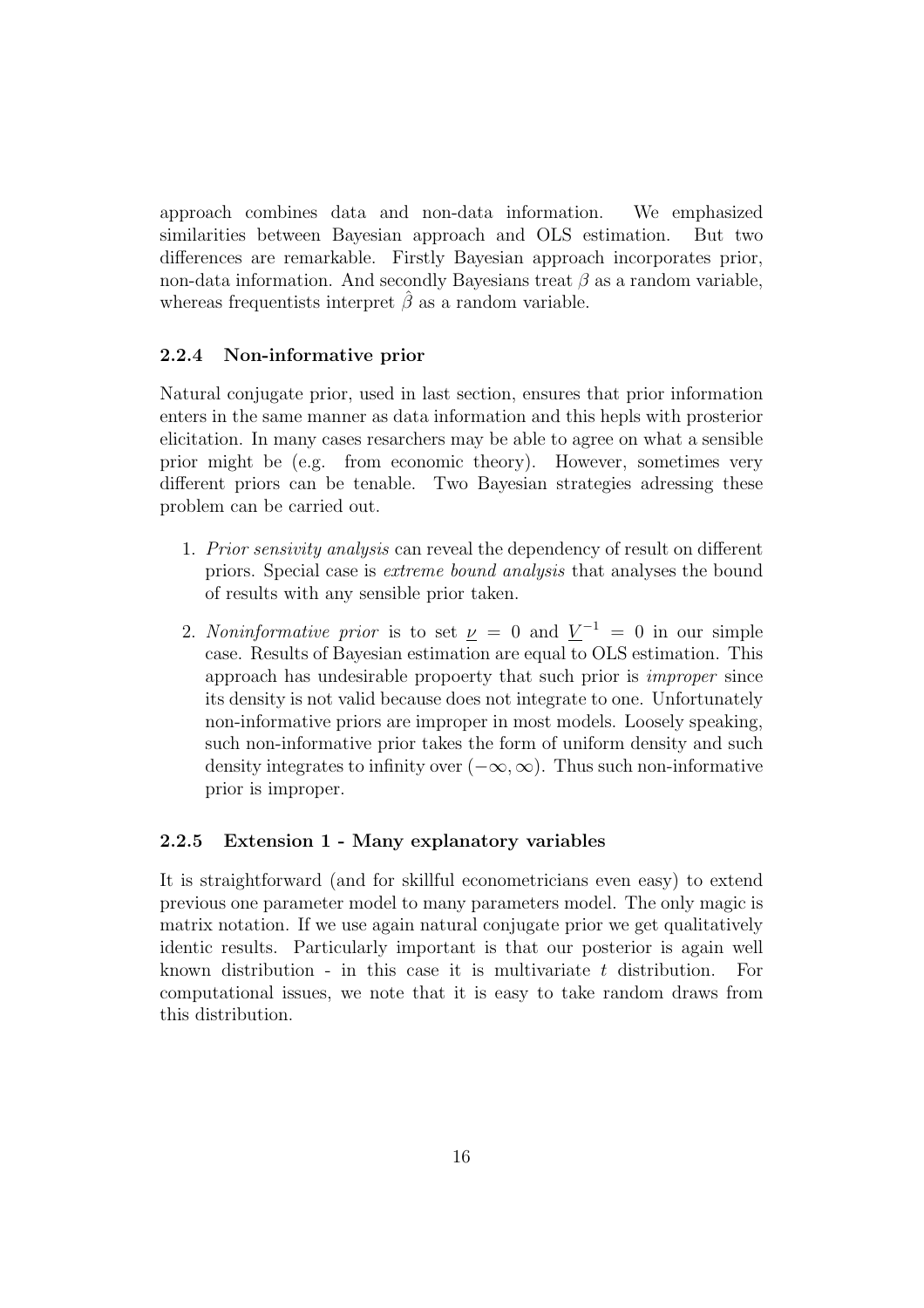approach combines data and non-data information. We emphasized similarities between Bayesian approach and OLS estimation. But two differences are remarkable. Firstly Bayesian approach incorporates prior, non-data information. And secondly Bayesians treat  $\beta$  as a random variable, whereas frequentists interpret  $\hat{\beta}$  as a random variable.

#### <span id="page-16-0"></span>2.2.4 Non-informative prior

Natural conjugate prior, used in last section, ensures that prior information enters in the same manner as data information and this hepls with prosterior elicitation. In many cases resarchers may be able to agree on what a sensible prior might be (e.g. from economic theory). However, sometimes very different priors can be tenable. Two Bayesian strategies adressing these problem can be carried out.

- 1. Prior sensivity analysis can reveal the dependency of result on different priors. Special case is extreme bound analysis that analyses the bound of results with any sensible prior taken.
- 2. Noninformative prior is to set  $\underline{\nu} = 0$  and  $\underline{V}^{-1} = 0$  in our simple case. Results of Bayesian estimation are equal to OLS estimation. This approach has undesirable propoerty that such prior is improper since its density is not valid because does not integrate to one. Unfortunately non-informative priors are improper in most models. Loosely speaking, such non-informative prior takes the form of uniform density and such density integrates to infinity over  $(-\infty,\infty)$ . Thus such non-informative prior is improper.

#### <span id="page-16-1"></span>2.2.5 Extension 1 - Many explanatory variables

It is straightforward (and for skillful econometricians even easy) to extend previous one parameter model to many parameters model. The only magic is matrix notation. If we use again natural conjugate prior we get qualitatively identic results. Particularly important is that our posterior is again well known distribution - in this case it is multivariate  $t$  distribution. For computational issues, we note that it is easy to take random draws from this distribution.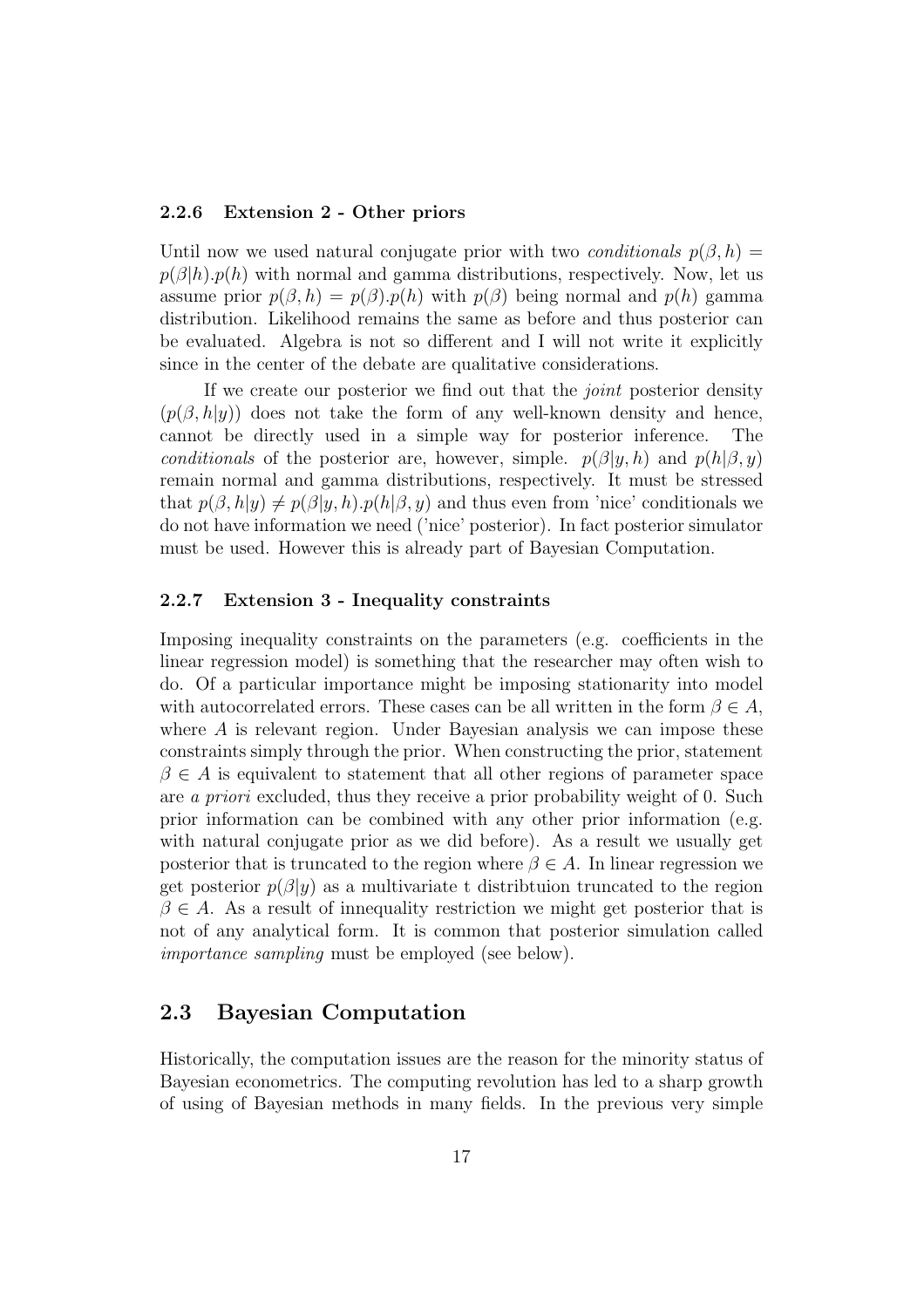#### <span id="page-17-0"></span>2.2.6 Extension 2 - Other priors

Until now we used natural conjugate prior with two *conditionals*  $p(\beta, h)$  =  $p(\beta|h)p(h)$  with normal and gamma distributions, respectively. Now, let us assume prior  $p(\beta, h) = p(\beta) \cdot p(h)$  with  $p(\beta)$  being normal and  $p(h)$  gamma distribution. Likelihood remains the same as before and thus posterior can be evaluated. Algebra is not so different and I will not write it explicitly since in the center of the debate are qualitative considerations.

If we create our posterior we find out that the joint posterior density  $(p(\beta, h|y))$  does not take the form of any well-known density and hence, cannot be directly used in a simple way for posterior inference. The cannot be directly used in a simple way for posterior inference. conditionals of the posterior are, however, simple.  $p(\beta | y, h)$  and  $p(h | \beta, y)$ remain normal and gamma distributions, respectively. It must be stressed that  $p(\beta, h|y) \neq p(\beta |y, h) \cdot p(h|\beta, y)$  and thus even from 'nice' conditionals we do not have information we need ('nice' posterior). In fact posterior simulator must be used. However this is already part of Bayesian Computation.

#### <span id="page-17-1"></span>2.2.7 Extension 3 - Inequality constraints

Imposing inequality constraints on the parameters (e.g. coefficients in the linear regression model) is something that the researcher may often wish to do. Of a particular importance might be imposing stationarity into model with autocorrelated errors. These cases can be all written in the form  $\beta \in A$ , where A is relevant region. Under Bayesian analysis we can impose these constraints simply through the prior. When constructing the prior, statement  $\beta \in A$  is equivalent to statement that all other regions of parameter space are a priori excluded, thus they receive a prior probability weight of 0. Such prior information can be combined with any other prior information (e.g. with natural conjugate prior as we did before). As a result we usually get posterior that is truncated to the region where  $\beta \in A$ . In linear regression we get posterior  $p(\beta|y)$  as a multivariate t distribution truncated to the region  $\beta \in A$ . As a result of innequality restriction we might get posterior that is not of any analytical form. It is common that posterior simulation called importance sampling must be employed (see below).

### <span id="page-17-2"></span>2.3 Bayesian Computation

Historically, the computation issues are the reason for the minority status of Bayesian econometrics. The computing revolution has led to a sharp growth of using of Bayesian methods in many fields. In the previous very simple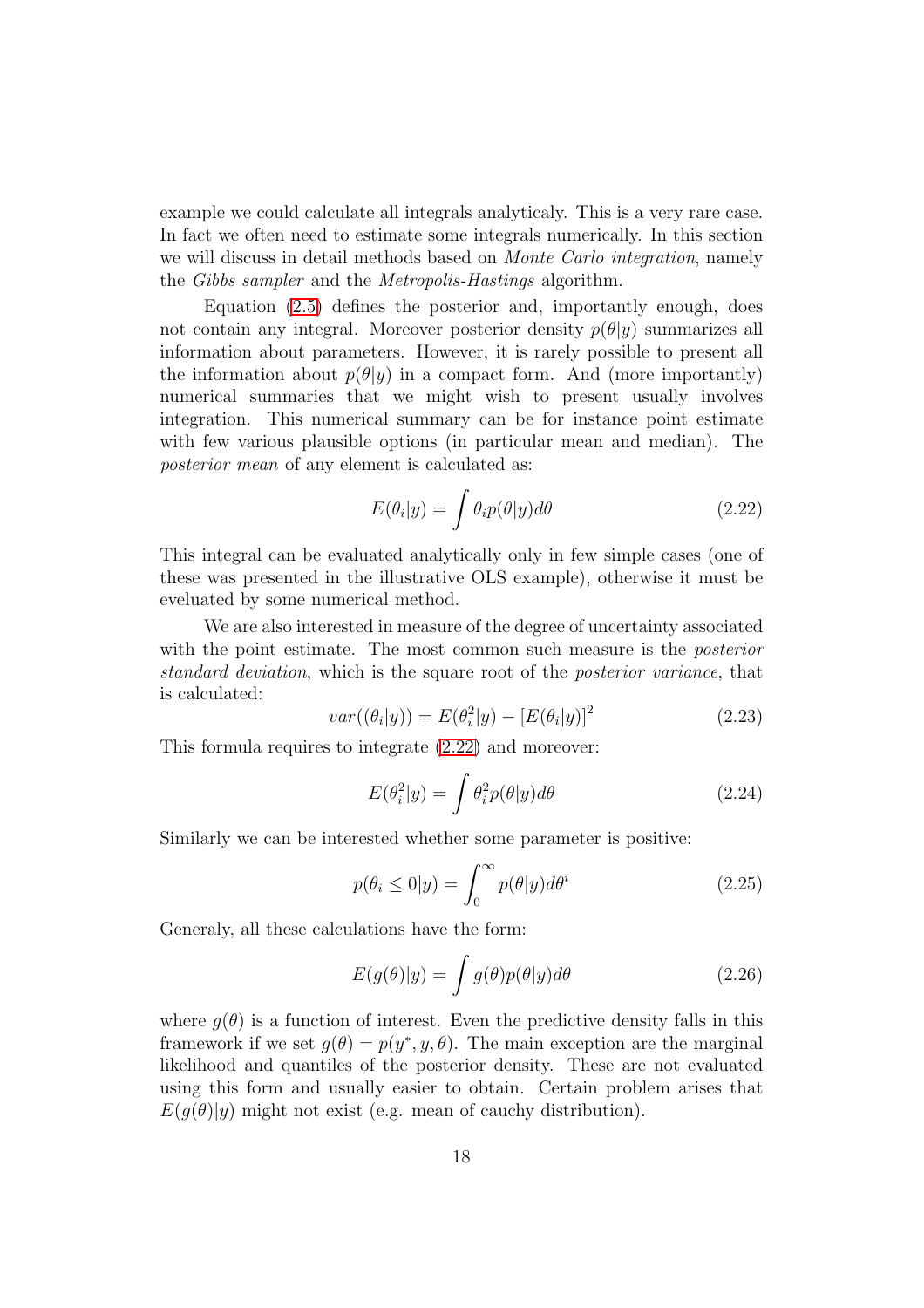example we could calculate all integrals analyticaly. This is a very rare case. In fact we often need to estimate some integrals numerically. In this section we will discuss in detail methods based on *Monte Carlo integration*, namely the Gibbs sampler and the Metropolis-Hastings algorithm.

Equation [\(2.5\)](#page-11-2) defines the posterior and, importantly enough, does not contain any integral. Moreover posterior density  $p(\theta|y)$  summarizes all information about parameters. However, it is rarely possible to present all the information about  $p(\theta|y)$  in a compact form. And (more importantly) numerical summaries that we might wish to present usually involves integration. This numerical summary can be for instance point estimate with few various plausible options (in particular mean and median). The posterior mean of any element is calculated as:

<span id="page-18-0"></span>
$$
E(\theta_i|y) = \int \theta_i p(\theta|y) d\theta \qquad (2.22)
$$

This integral can be evaluated analytically only in few simple cases (one of these was presented in the illustrative OLS example), otherwise it must be eveluated by some numerical method.

We are also interested in measure of the degree of uncertainty associated with the point estimate. The most common such measure is the *posterior* standard deviation, which is the square root of the posterior variance, that is calculated:

$$
var((\theta_i|y)) = E(\theta_i^2|y) - [E(\theta_i|y)]^2
$$
\n(2.23)

This formula requires to integrate [\(2.22\)](#page-18-0) and moreover:

$$
E(\theta_i^2|y) = \int \theta_i^2 p(\theta|y) d\theta \qquad (2.24)
$$

Similarly we can be interested whether some parameter is positive:

$$
p(\theta_i \le 0 | y) = \int_0^\infty p(\theta | y) d\theta^i \tag{2.25}
$$

Generaly, all these calculations have the form:

<span id="page-18-1"></span>
$$
E(g(\theta)|y) = \int g(\theta)p(\theta|y)d\theta
$$
 (2.26)

where  $q(\theta)$  is a function of interest. Even the predictive density falls in this framework if we set  $g(\theta) = p(y^*, y, \theta)$ . The main exception are the marginal likelihood and quantiles of the posterior density. These are not evaluated using this form and usually easier to obtain. Certain problem arises that  $E(g(\theta)|y)$  might not exist (e.g. mean of cauchy distribution).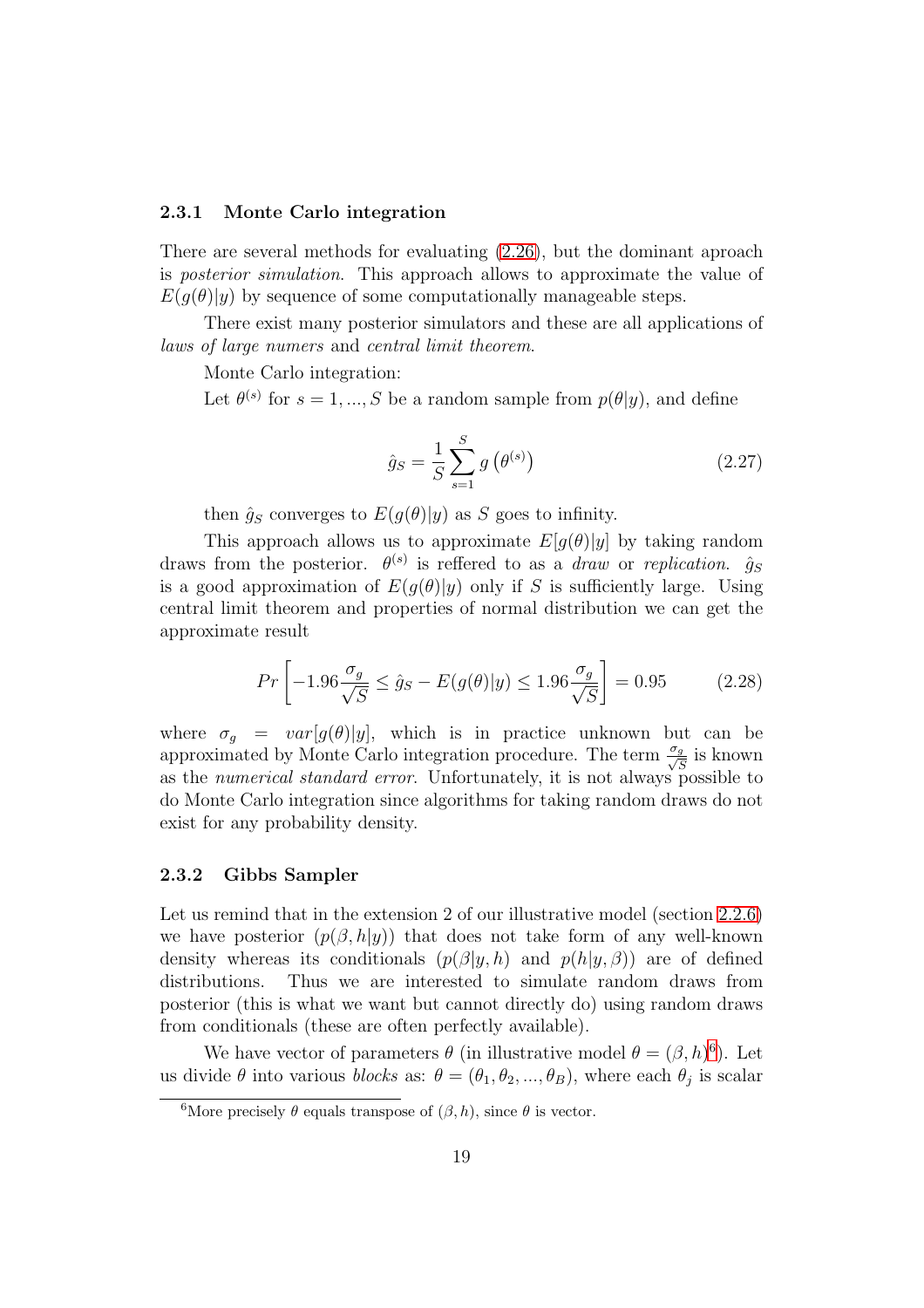#### <span id="page-19-0"></span>2.3.1 Monte Carlo integration

There are several methods for evaluating [\(2.26\)](#page-18-1), but the dominant aproach is posterior simulation. This approach allows to approximate the value of  $E(g(\theta)|y)$  by sequence of some computationally manageable steps.

There exist many posterior simulators and these are all applications of laws of large numers and central limit theorem.

Monte Carlo integration:

Let  $\theta^{(s)}$  for  $s = 1, ..., S$  be a random sample from  $p(\theta|y)$ , and define

$$
\hat{g}_S = \frac{1}{S} \sum_{s=1}^{S} g\left(\theta^{(s)}\right)
$$
\n(2.27)

then  $\hat{g}_S$  converges to  $E(g(\theta)|y)$  as S goes to infinity.

This approach allows us to approximate  $E[q(\theta)|y]$  by taking random draws from the posterior.  $\theta^{(s)}$  is reffered to as a *draw* or *replication.*  $\hat{g}_S$ is a good approximation of  $E(q(\theta)|y)$  only if S is sufficiently large. Using central limit theorem and properties of normal distribution we can get the approximate result

<span id="page-19-3"></span>
$$
Pr\left[-1.96\frac{\sigma_g}{\sqrt{S}} \le \hat{g}_S - E(g(\theta)|y) \le 1.96\frac{\sigma_g}{\sqrt{S}}\right] = 0.95\tag{2.28}
$$

where  $\sigma_q = var[g(\theta)|y]$ , which is in practice unknown but can be approximated by Monte Carlo integration procedure. The term  $\frac{\sigma_g}{\sqrt{g}}$  $\frac{g}{\overline{S}}$  is known as the *numerical standard error*. Unfortunately, it is not always possible to do Monte Carlo integration since algorithms for taking random draws do not exist for any probability density.

#### <span id="page-19-1"></span>2.3.2 Gibbs Sampler

Let us remind that in the extension 2 of our illustrative model (section [2.2.6\)](#page-17-0) we have posterior  $(p(\beta, h|y))$  that does not take form of any well-known density whereas its conditionals  $(p(\beta|y, h)$  and  $p(h|y, \beta))$  are of defined distributions. Thus we are interested to simulate random draws from Thus we are interested to simulate random draws from posterior (this is what we want but cannot directly do) using random draws from conditionals (these are often perfectly available).

We have vector of parameters  $\theta$  (in illustrative model  $\theta = (\beta, h)^6$  $\theta = (\beta, h)^6$ ). Let us divide  $\theta$  into various *blocks* as:  $\theta = (\theta_1, \theta_2, ..., \theta_B)$ , where each  $\theta_j$  is scalar

<span id="page-19-2"></span><sup>&</sup>lt;sup>6</sup>More precisely  $\theta$  equals transpose of  $(\beta, h)$ , since  $\theta$  is vector.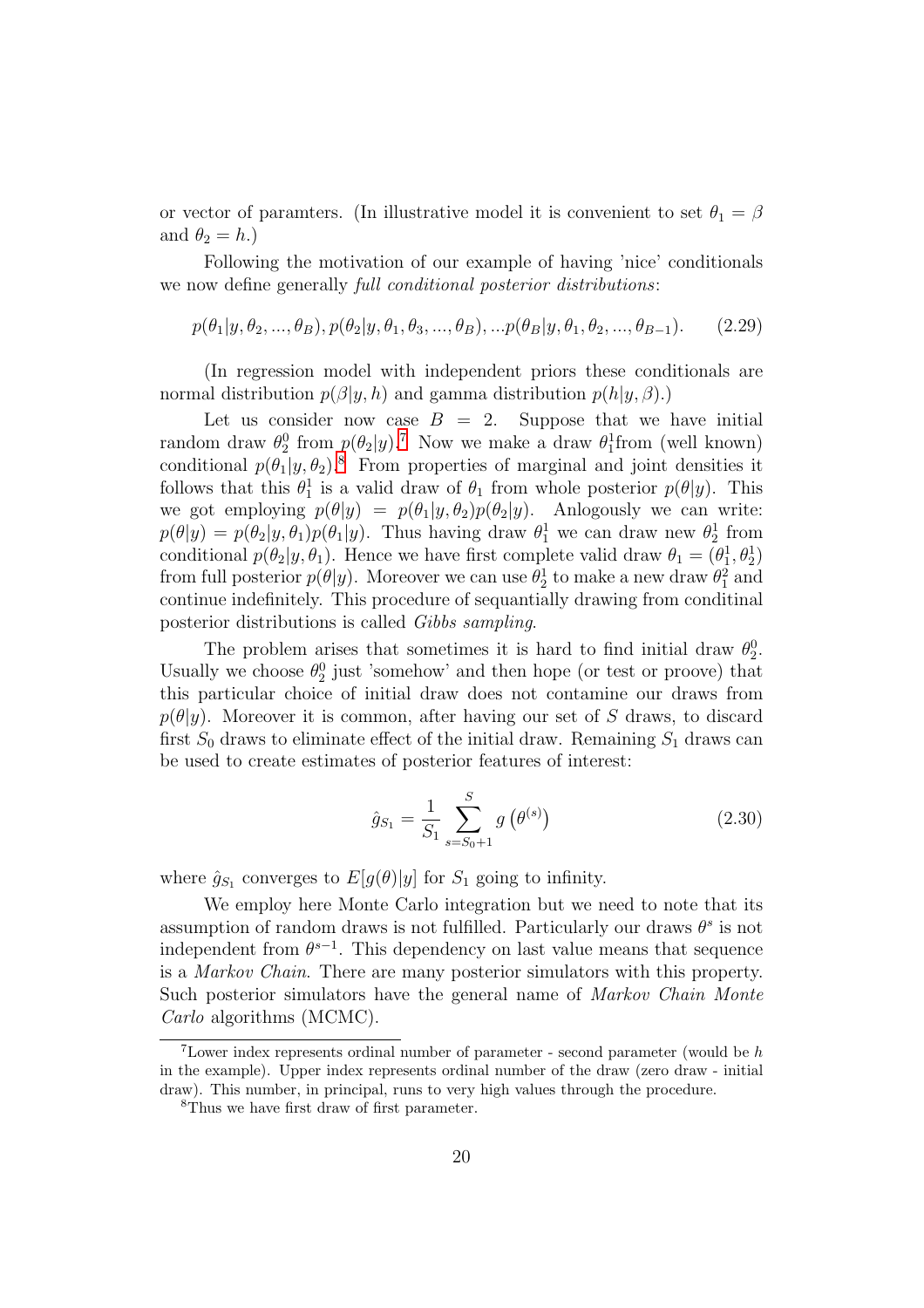or vector of paramters. (In illustrative model it is convenient to set  $\theta_1 = \beta$ and  $\theta_2 = h$ .

Following the motivation of our example of having 'nice' conditionals we now define generally *full conditional posterior distributions*:

$$
p(\theta_1|y, \theta_2, ..., \theta_B), p(\theta_2|y, \theta_1, \theta_3, ..., \theta_B), ... p(\theta_B|y, \theta_1, \theta_2, ..., \theta_{B-1}).
$$
 (2.29)

(In regression model with independent priors these conditionals are normal distribution  $p(\beta | y, h)$  and gamma distribution  $p(h|y, \beta)$ .)

Let us consider now case  $B = 2$ . Suppose that we have initial random draw  $\theta_2^0$  from  $p(\theta_2|y)$ .<sup>[7](#page-20-0)</sup> Now we make a draw  $\theta_1^1$  from (well known) conditional  $p(\theta_1|y, \theta_2)^8$  $p(\theta_1|y, \theta_2)^8$ . From properties of marginal and joint densities it follows that this  $\theta_1^1$  is a valid draw of  $\theta_1$  from whole posterior  $p(\theta|y)$ . This we got employing  $p(\theta|y) = p(\theta_1|y, \theta_2)p(\theta_2|y)$ . Anlogously we can write:  $p(\theta|y) = p(\theta_2|y, \theta_1)p(\theta_1|y)$ . Thus having draw  $\theta_1^1$  we can draw new  $\theta_2^1$  from conditional  $p(\theta_2|y, \theta_1)$ . Hence we have first complete valid draw  $\theta_1 = (\theta_1^1, \theta_2^1)$ from full posterior  $p(\theta | y)$ . Moreover we can use  $\theta_2^1$  to make a new draw  $\theta_1^2$  and continue indefinitely. This procedure of sequantially drawing from conditinal posterior distributions is called Gibbs sampling.

The problem arises that sometimes it is hard to find initial draw  $\theta_2^0$ . Usually we choose  $\theta_2^0$  just 'somehow' and then hope (or test or proove) that this particular choice of initial draw does not contamine our draws from  $p(\theta|y)$ . Moreover it is common, after having our set of S draws, to discard first  $S_0$  draws to eliminate effect of the initial draw. Remaining  $S_1$  draws can be used to create estimates of posterior features of interest:

$$
\hat{g}_{S_1} = \frac{1}{S_1} \sum_{s=S_0+1}^{S} g\left(\theta^{(s)}\right) \tag{2.30}
$$

where  $\hat{g}_{S_1}$  converges to  $E[g(\theta)|y]$  for  $S_1$  going to infinity.

We employ here Monte Carlo integration but we need to note that its assumption of random draws is not fulfilled. Particularly our draws  $\theta^s$  is not independent from  $\theta^{s-1}$ . This dependency on last value means that sequence is a Markov Chain. There are many posterior simulators with this property. Such posterior simulators have the general name of Markov Chain Monte Carlo algorithms (MCMC).

<span id="page-20-0"></span><sup>&</sup>lt;sup>7</sup>Lower index represents ordinal number of parameter - second parameter (would be  $h$ in the example). Upper index represents ordinal number of the draw (zero draw - initial draw). This number, in principal, runs to very high values through the procedure.

<span id="page-20-1"></span><sup>8</sup>Thus we have first draw of first parameter.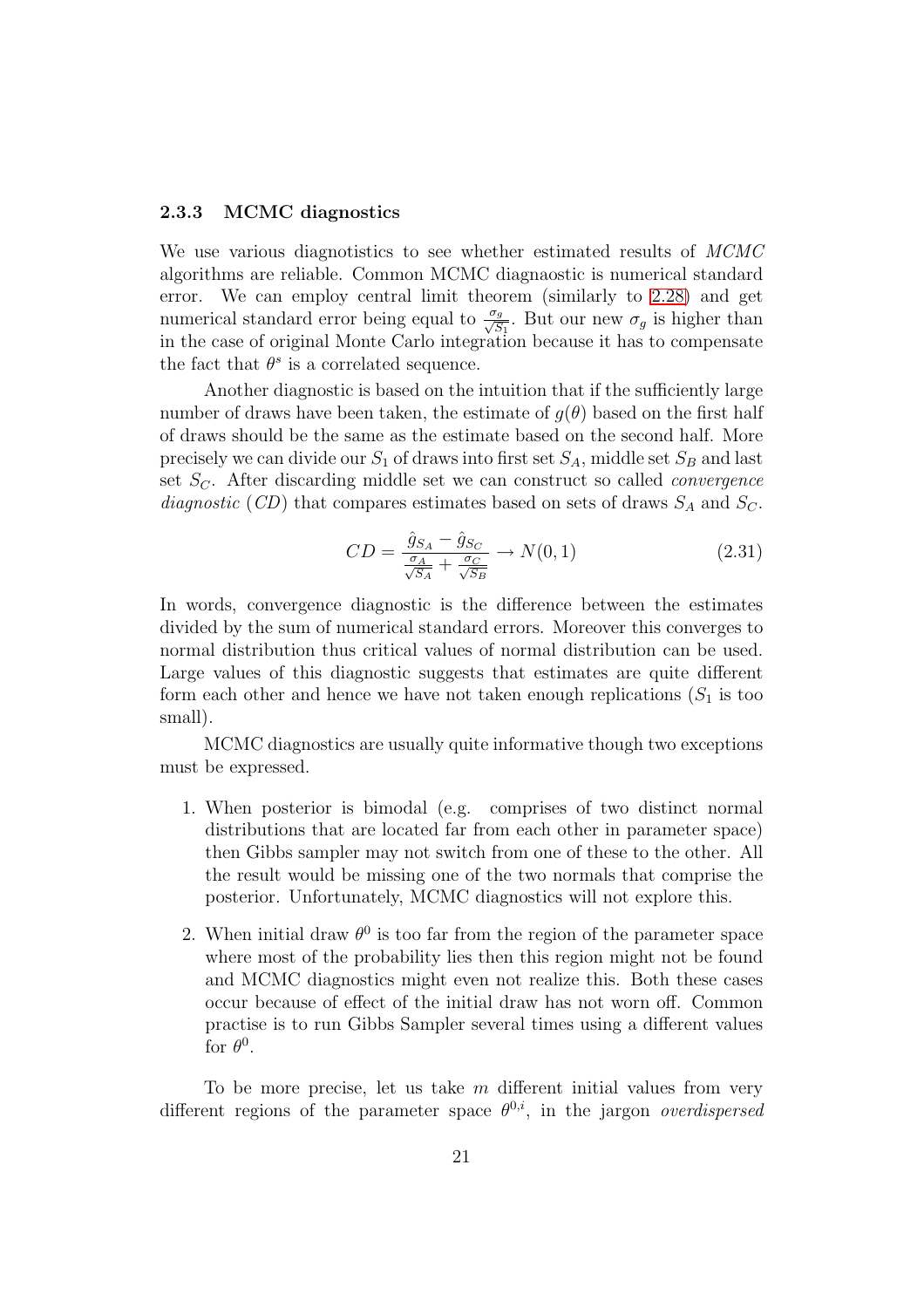#### <span id="page-21-0"></span>2.3.3 MCMC diagnostics

We use various diagnotistics to see whether estimated results of MCMC algorithms are reliable. Common MCMC diagnaostic is numerical standard error. We can employ central limit theorem (similarly to [2.28\)](#page-19-3) and get numerical standard error being equal to  $\frac{\sigma_g}{\sqrt{S}}$  $\frac{g_g}{S_1}$ . But our new  $\sigma_g$  is higher than in the case of original Monte Carlo integration because it has to compensate the fact that  $\theta^s$  is a correlated sequence.

Another diagnostic is based on the intuition that if the sufficiently large number of draws have been taken, the estimate of  $q(\theta)$  based on the first half of draws should be the same as the estimate based on the second half. More precisely we can divide our  $S_1$  of draws into first set  $S_A$ , middle set  $S_B$  and last set  $S_C$ . After discarding middle set we can construct so called *convergence* diagnostic (CD) that compares estimates based on sets of draws  $S_A$  and  $S_C$ .

$$
CD = \frac{\hat{g}_{S_A} - \hat{g}_{S_C}}{\frac{\sigma_A}{\sqrt{S_A}} + \frac{\sigma_C}{\sqrt{S_B}}} \to N(0, 1)
$$
\n(2.31)

In words, convergence diagnostic is the difference between the estimates divided by the sum of numerical standard errors. Moreover this converges to normal distribution thus critical values of normal distribution can be used. Large values of this diagnostic suggests that estimates are quite different form each other and hence we have not taken enough replications  $(S_1$  is too small).

MCMC diagnostics are usually quite informative though two exceptions must be expressed.

- 1. When posterior is bimodal (e.g. comprises of two distinct normal distributions that are located far from each other in parameter space) then Gibbs sampler may not switch from one of these to the other. All the result would be missing one of the two normals that comprise the posterior. Unfortunately, MCMC diagnostics will not explore this.
- 2. When initial draw  $\theta^0$  is too far from the region of the parameter space where most of the probability lies then this region might not be found and MCMC diagnostics might even not realize this. Both these cases occur because of effect of the initial draw has not worn off. Common practise is to run Gibbs Sampler several times using a different values for  $\theta^0$ .

To be more precise, let us take  $m$  different initial values from very different regions of the parameter space  $\theta^{0,i}$ , in the jargon *overdispersed*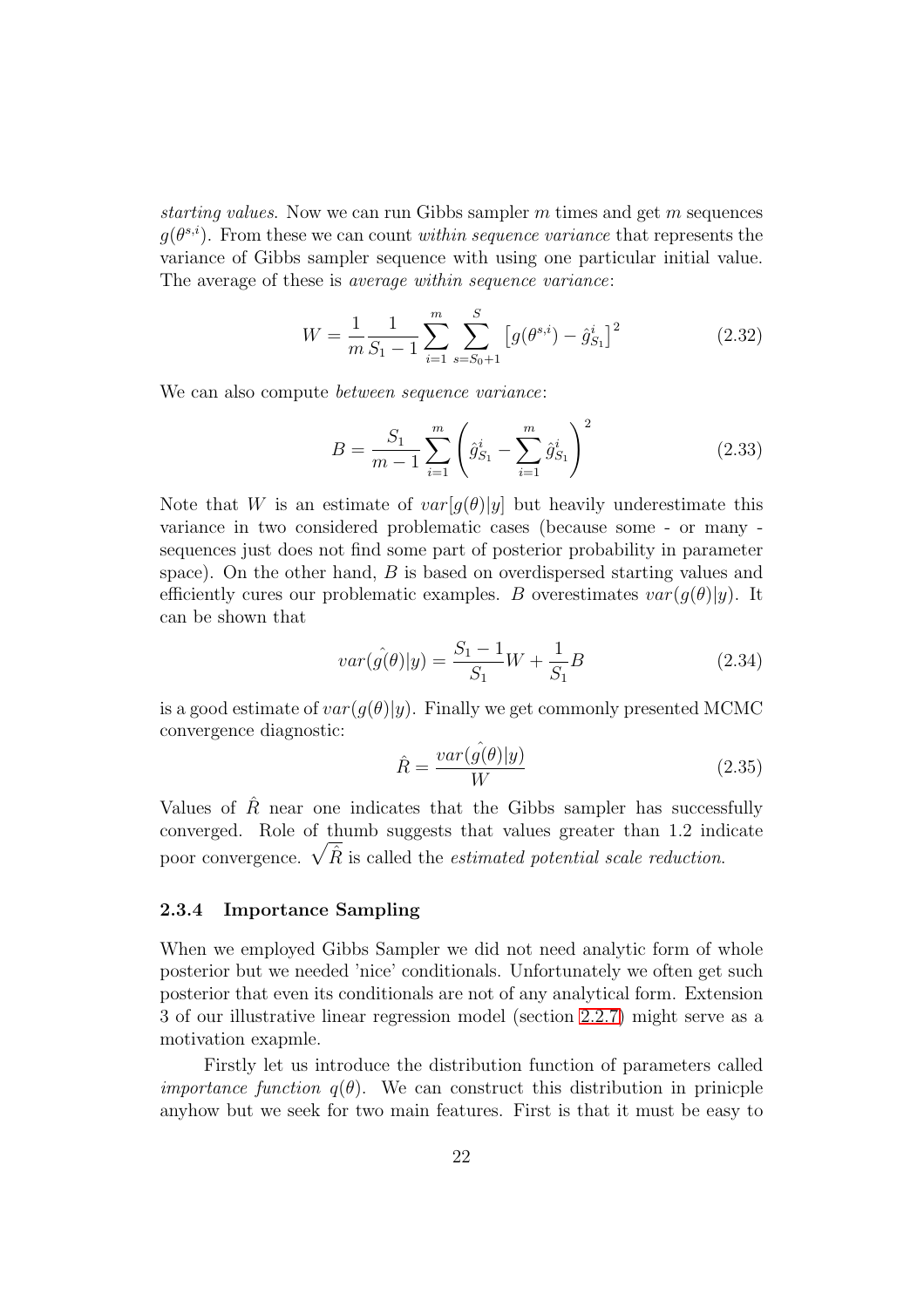starting values. Now we can run Gibbs sampler  $m$  times and get  $m$  sequences  $g(\theta^{s,i})$ . From these we can count within sequence variance that represents the variance of Gibbs sampler sequence with using one particular initial value. The average of these is average within sequence variance:

$$
W = \frac{1}{m} \frac{1}{S_1 - 1} \sum_{i=1}^{m} \sum_{s=S_0 + 1}^{S} \left[ g(\theta^{s,i}) - \hat{g}_{S_1}^i \right]^2
$$
 (2.32)

We can also compute *between sequence variance*:

$$
B = \frac{S_1}{m-1} \sum_{i=1}^{m} \left( \hat{g}_{S_1}^i - \sum_{i=1}^{m} \hat{g}_{S_1}^i \right)^2
$$
 (2.33)

Note that W is an estimate of  $var[g(\theta)|y]$  but heavily underestimate this variance in two considered problematic cases (because some - or many sequences just does not find some part of posterior probability in parameter space). On the other hand, B is based on overdispersed starting values and efficiently cures our problematic examples. B overestimates  $var(g(\theta)|y)$ . It can be shown that

$$
var(\hat{g(\theta)}|y) = \frac{S_1 - 1}{S_1}W + \frac{1}{S_1}B
$$
\n(2.34)

is a good estimate of  $var(q(\theta)|y)$ . Finally we get commonly presented MCMC convergence diagnostic:

$$
\hat{R} = \frac{var(\hat{g}(\theta)|y)}{W} \tag{2.35}
$$

Values of  $\hat{R}$  near one indicates that the Gibbs sampler has successfully converged. Role of thumb suggests that values greater than 1.2 indicate poor convergence.  $\sqrt{\hat{R}}$  is called the *estimated potential scale reduction*.

#### <span id="page-22-0"></span>2.3.4 Importance Sampling

When we employed Gibbs Sampler we did not need analytic form of whole posterior but we needed 'nice' conditionals. Unfortunately we often get such posterior that even its conditionals are not of any analytical form. Extension 3 of our illustrative linear regression model (section [2.2.7\)](#page-17-1) might serve as a motivation exapmle.

Firstly let us introduce the distribution function of parameters called *importance function*  $q(\theta)$ . We can construct this distribution in prinicple anyhow but we seek for two main features. First is that it must be easy to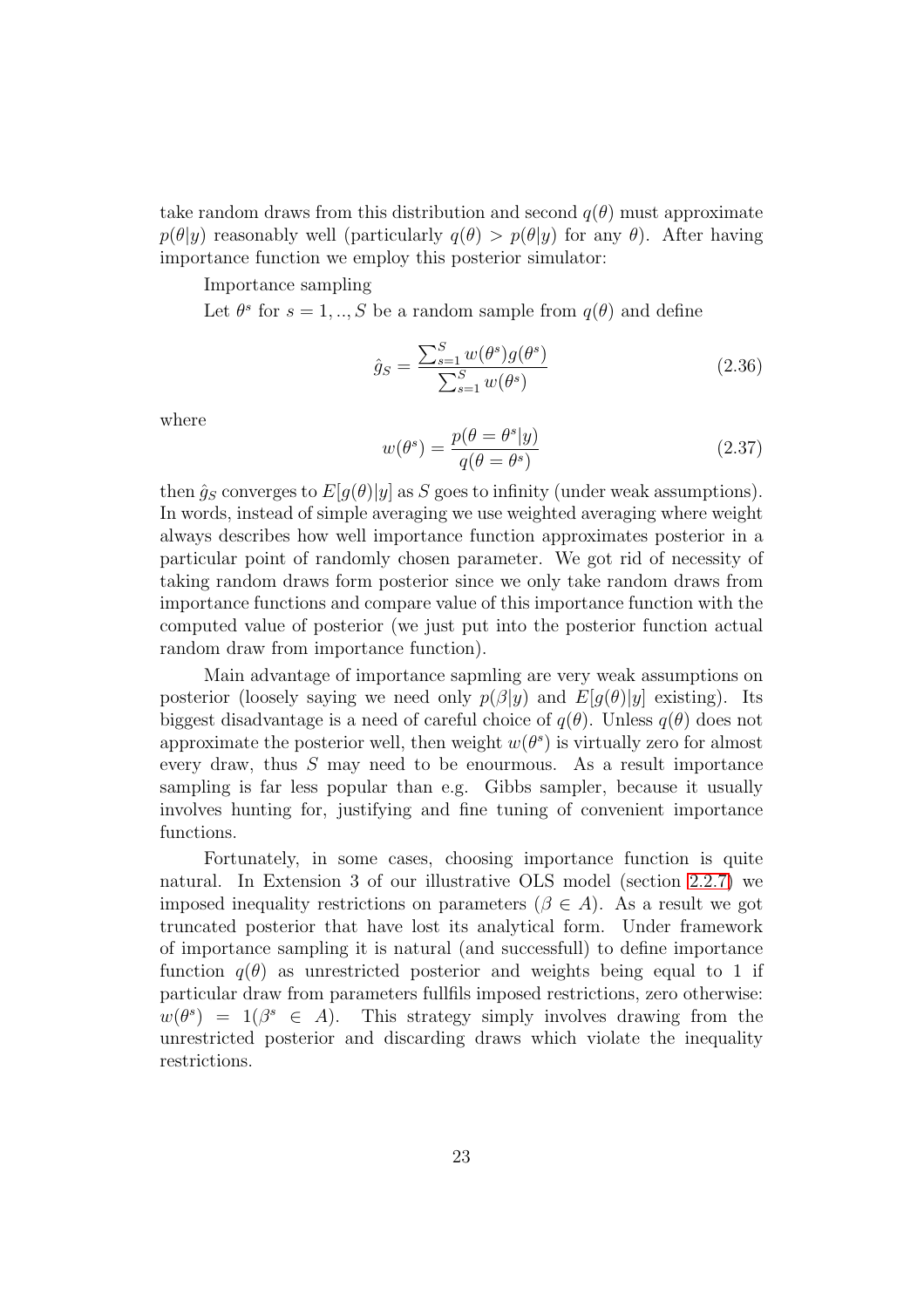take random draws from this distribution and second  $q(\theta)$  must approximate  $p(\theta|y)$  reasonably well (particularly  $q(\theta) > p(\theta|y)$  for any  $\theta$ ). After having importance function we employ this posterior simulator:

Importance sampling

Let  $\theta^s$  for  $s = 1, ..., S$  be a random sample from  $q(\theta)$  and define

$$
\hat{g}_S = \frac{\sum_{s=1}^S w(\theta^s) g(\theta^s)}{\sum_{s=1}^S w(\theta^s)}
$$
(2.36)

where

$$
w(\theta^s) = \frac{p(\theta = \theta^s | y)}{q(\theta = \theta^s)}
$$
\n(2.37)

then  $\hat{q}_S$  converges to  $E[q(\theta)|y]$  as S goes to infinity (under weak assumptions). In words, instead of simple averaging we use weighted averaging where weight always describes how well importance function approximates posterior in a particular point of randomly chosen parameter. We got rid of necessity of taking random draws form posterior since we only take random draws from importance functions and compare value of this importance function with the computed value of posterior (we just put into the posterior function actual random draw from importance function).

Main advantage of importance sapmling are very weak assumptions on posterior (loosely saying we need only  $p(\beta|y)$  and  $E[q(\theta)|y]$  existing). Its biggest disadvantage is a need of careful choice of  $q(\theta)$ . Unless  $q(\theta)$  does not approximate the posterior well, then weight  $w(\theta^s)$  is virtually zero for almost every draw, thus S may need to be enourmous. As a result importance sampling is far less popular than e.g. Gibbs sampler, because it usually involves hunting for, justifying and fine tuning of convenient importance functions.

Fortunately, in some cases, choosing importance function is quite natural. In Extension 3 of our illustrative OLS model (section [2.2.7\)](#page-17-1) we imposed inequality restrictions on parameters ( $\beta \in A$ ). As a result we got truncated posterior that have lost its analytical form. Under framework of importance sampling it is natural (and successfull) to define importance function  $q(\theta)$  as unrestricted posterior and weights being equal to 1 if particular draw from parameters fullfils imposed restrictions, zero otherwise:  $w(\theta^s) = 1(\beta^s \in A)$ . This strategy simply involves drawing from the unrestricted posterior and discarding draws which violate the inequality restrictions.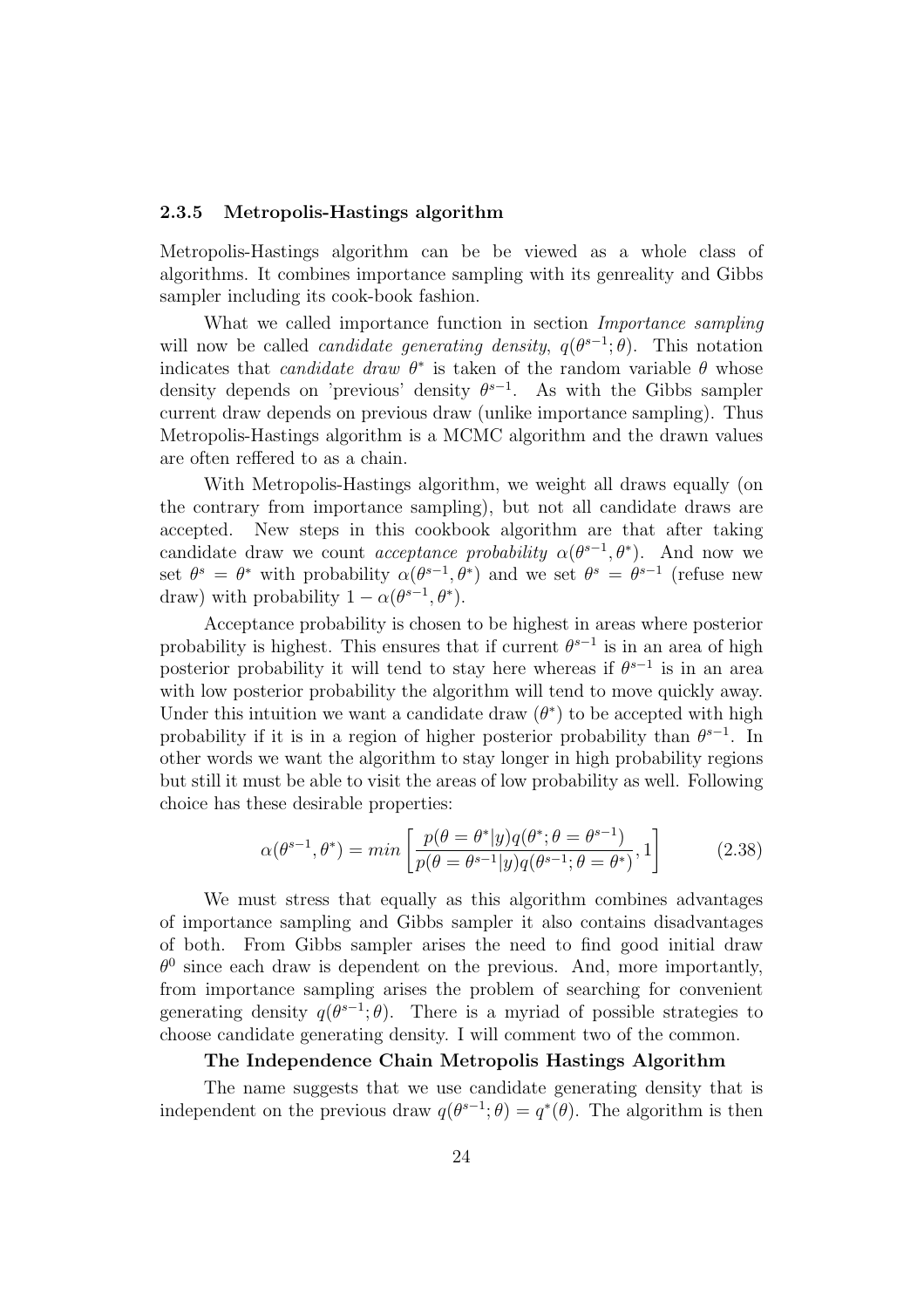#### <span id="page-24-0"></span>2.3.5 Metropolis-Hastings algorithm

Metropolis-Hastings algorithm can be be viewed as a whole class of algorithms. It combines importance sampling with its genreality and Gibbs sampler including its cook-book fashion.

What we called importance function in section Importance sampling will now be called *candidate generating density*,  $q(\theta^{s-1}; \theta)$ . This notation indicates that *candidate draw*  $\theta^*$  is taken of the random variable  $\theta$  whose density depends on 'previous' density  $\theta^{s-1}$ . As with the Gibbs sampler current draw depends on previous draw (unlike importance sampling). Thus Metropolis-Hastings algorithm is a MCMC algorithm and the drawn values are often reffered to as a chain.

With Metropolis-Hastings algorithm, we weight all draws equally (on the contrary from importance sampling), but not all candidate draws are accepted. New steps in this cookbook algorithm are that after taking candidate draw we count *acceptance probability*  $\alpha(\theta^{s-1}, \theta^*)$ . And now we set  $\theta^s = \theta^*$  with probability  $\alpha(\theta^{s-1}, \theta^*)$  and we set  $\theta^s = \theta^{s-1}$  (refuse new draw) with probability  $1 - \alpha(\theta^{s-1}, \theta^*)$ .

Acceptance probability is chosen to be highest in areas where posterior probability is highest. This ensures that if current  $\theta^{s-1}$  is in an area of high posterior probability it will tend to stay here whereas if  $\theta^{s-1}$  is in an area with low posterior probability the algorithm will tend to move quickly away. Under this intuition we want a candidate draw  $(\theta^*)$  to be accepted with high probability if it is in a region of higher posterior probability than  $\theta^{s-1}$ . In other words we want the algorithm to stay longer in high probability regions but still it must be able to visit the areas of low probability as well. Following choice has these desirable properties:

$$
\alpha(\theta^{s-1}, \theta^*) = \min \left[ \frac{p(\theta = \theta^* | y) q(\theta^*; \theta = \theta^{s-1})}{p(\theta = \theta^{s-1} | y) q(\theta^{s-1}; \theta = \theta^*)}, 1 \right]
$$
(2.38)

We must stress that equally as this algorithm combines advantages of importance sampling and Gibbs sampler it also contains disadvantages of both. From Gibbs sampler arises the need to find good initial draw  $\theta^0$  since each draw is dependent on the previous. And, more importantly, from importance sampling arises the problem of searching for convenient generating density  $q(\theta^{s-1}; \theta)$ . There is a myriad of possible strategies to choose candidate generating density. I will comment two of the common.

#### The Independence Chain Metropolis Hastings Algorithm

The name suggests that we use candidate generating density that is independent on the previous draw  $q(\theta^{s-1}; \theta) = q^*(\theta)$ . The algorithm is then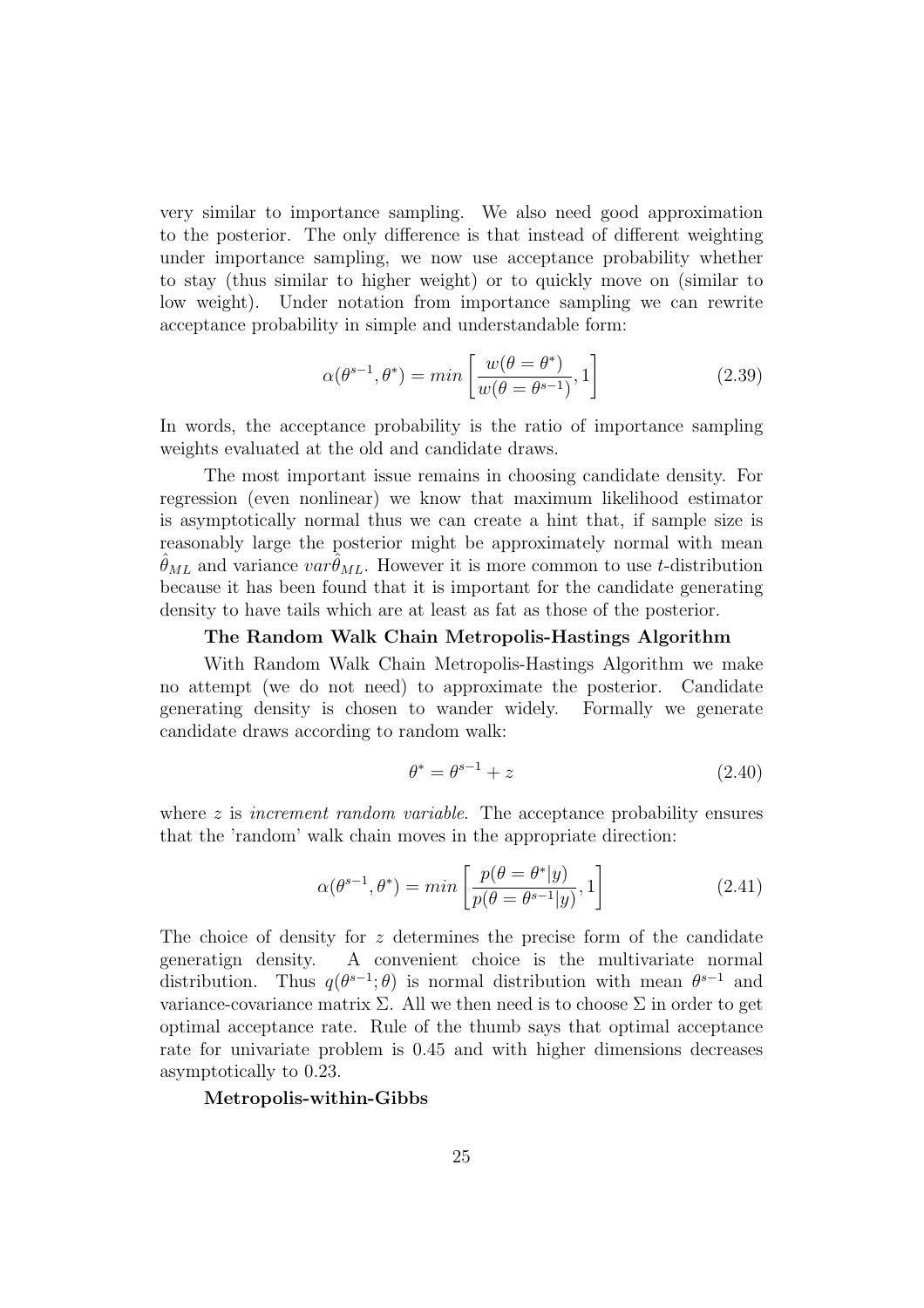very similar to importance sampling. We also need good approximation to the posterior. The only difference is that instead of different weighting under importance sampling, we now use acceptance probability whether to stay (thus similar to higher weight) or to quickly move on (similar to low weight). Under notation from importance sampling we can rewrite acceptance probability in simple and understandable form:

$$
\alpha(\theta^{s-1}, \theta^*) = \min\left[\frac{w(\theta = \theta^*)}{w(\theta = \theta^{s-1})}, 1\right]
$$
\n(2.39)

In words, the acceptance probability is the ratio of importance sampling weights evaluated at the old and candidate draws.

The most important issue remains in choosing candidate density. For regression (even nonlinear) we know that maximum likelihood estimator is asymptotically normal thus we can create a hint that, if sample size is reasonably large the posterior might be approximately normal with mean  $\hat{\theta}_{ML}$  and variance  $var\hat{\theta}_{ML}$ . However it is more common to use t-distribution because it has been found that it is important for the candidate generating density to have tails which are at least as fat as those of the posterior.

#### The Random Walk Chain Metropolis-Hastings Algorithm

With Random Walk Chain Metropolis-Hastings Algorithm we make no attempt (we do not need) to approximate the posterior. Candidate generating density is chosen to wander widely. Formally we generate candidate draws according to random walk:

$$
\theta^* = \theta^{s-1} + z \tag{2.40}
$$

where z is *increment random variable*. The acceptance probability ensures that the 'random' walk chain moves in the appropriate direction:

$$
\alpha(\theta^{s-1}, \theta^*) = \min\left[\frac{p(\theta = \theta^*|y)}{p(\theta = \theta^{s-1}|y)}, 1\right]
$$
\n(2.41)

The choice of density for z determines the precise form of the candidate generatign density. A convenient choice is the multivariate normal distribution. Thus  $q(\theta^{s-1};\theta)$  is normal distribution with mean  $\theta^{s-1}$  and variance-covariance matrix  $\Sigma$ . All we then need is to choose  $\Sigma$  in order to get optimal acceptance rate. Rule of the thumb says that optimal acceptance rate for univariate problem is 0.45 and with higher dimensions decreases asymptotically to 0.23.

Metropolis-within-Gibbs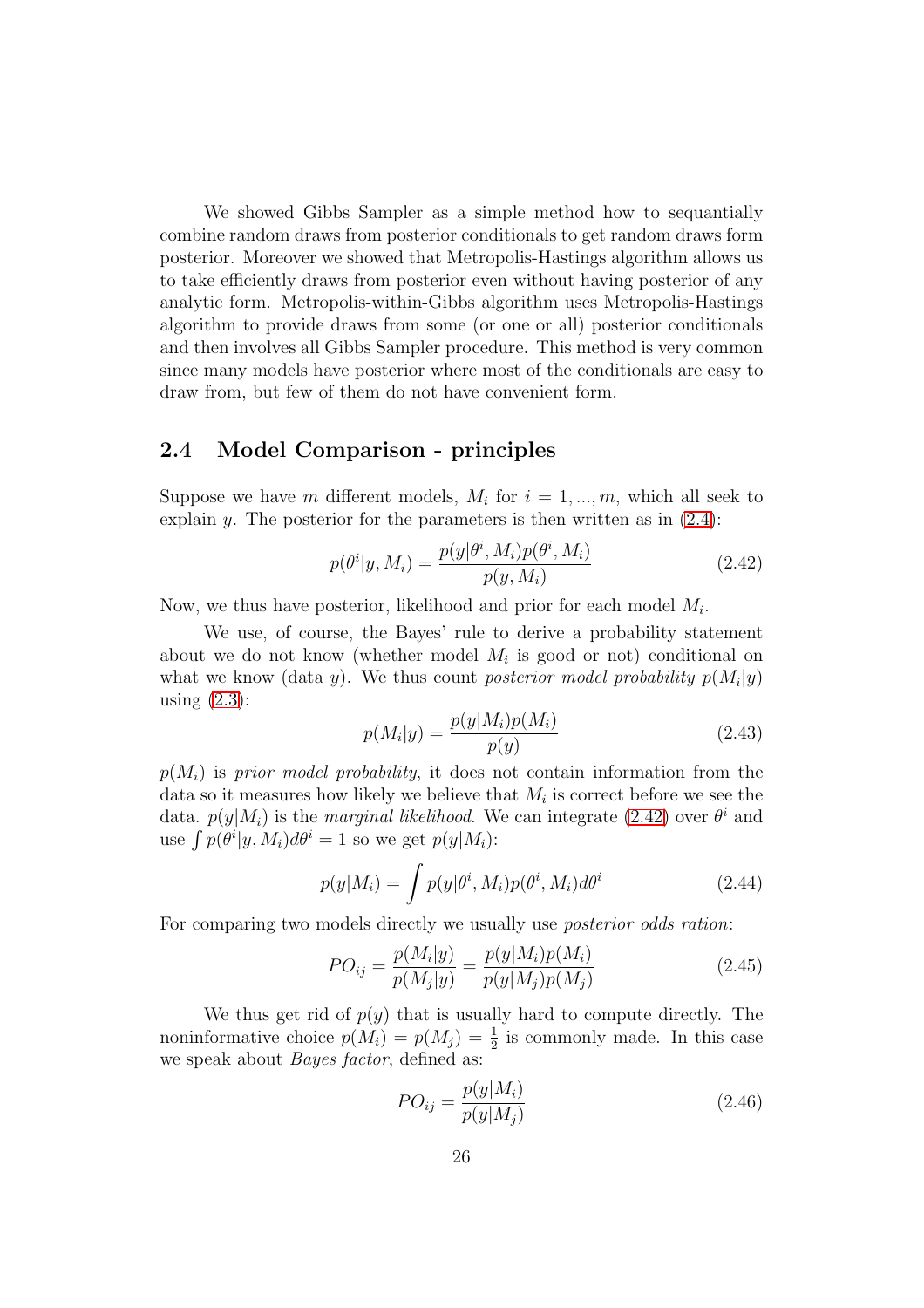We showed Gibbs Sampler as a simple method how to sequantially combine random draws from posterior conditionals to get random draws form posterior. Moreover we showed that Metropolis-Hastings algorithm allows us to take efficiently draws from posterior even without having posterior of any analytic form. Metropolis-within-Gibbs algorithm uses Metropolis-Hastings algorithm to provide draws from some (or one or all) posterior conditionals and then involves all Gibbs Sampler procedure. This method is very common since many models have posterior where most of the conditionals are easy to draw from, but few of them do not have convenient form.

### <span id="page-26-0"></span>2.4 Model Comparison - principles

Suppose we have m different models,  $M_i$  for  $i = 1, ..., m$ , which all seek to explain y. The posterior for the parameters is then written as in  $(2.4)$ :

<span id="page-26-1"></span>
$$
p(\theta^i | y, M_i) = \frac{p(y | \theta^i, M_i) p(\theta^i, M_i)}{p(y, M_i)}
$$
(2.42)

Now, we thus have posterior, likelihood and prior for each model  $M_i$ .

We use, of course, the Bayes' rule to derive a probability statement about we do not know (whether model  $M_i$  is good or not) conditional on what we know (data y). We thus count posterior model probability  $p(M_i|y)$ using  $(2.3)$ :

$$
p(M_i|y) = \frac{p(y|M_i)p(M_i)}{p(y)}
$$
\n(2.43)

 $p(M<sub>i</sub>)$  is prior model probability, it does not contain information from the data so it measures how likely we believe that  $M_i$  is correct before we see the data.  $p(y|M_i)$  is the *marginal likelihood*. We can integrate [\(2.42\)](#page-26-1) over  $\theta^i$  and use  $\int p(\theta^i | y, M_i) d\theta^i = 1$  so we get  $p(y|M_i)$ :

$$
p(y|M_i) = \int p(y|\theta^i, M_i)p(\theta^i, M_i)d\theta^i
$$
 (2.44)

For comparing two models directly we usually use *posterior odds ration*:

$$
PO_{ij} = \frac{p(M_i|y)}{p(M_j|y)} = \frac{p(y|M_i)p(M_i)}{p(y|M_j)p(M_j)}
$$
(2.45)

We thus get rid of  $p(y)$  that is usually hard to compute directly. The noninformative choice  $p(M_i) = p(M_j) = \frac{1}{2}$  is commonly made. In this case we speak about Bayes factor, defined as:

$$
PO_{ij} = \frac{p(y|M_i)}{p(y|M_j)}
$$
 (2.46)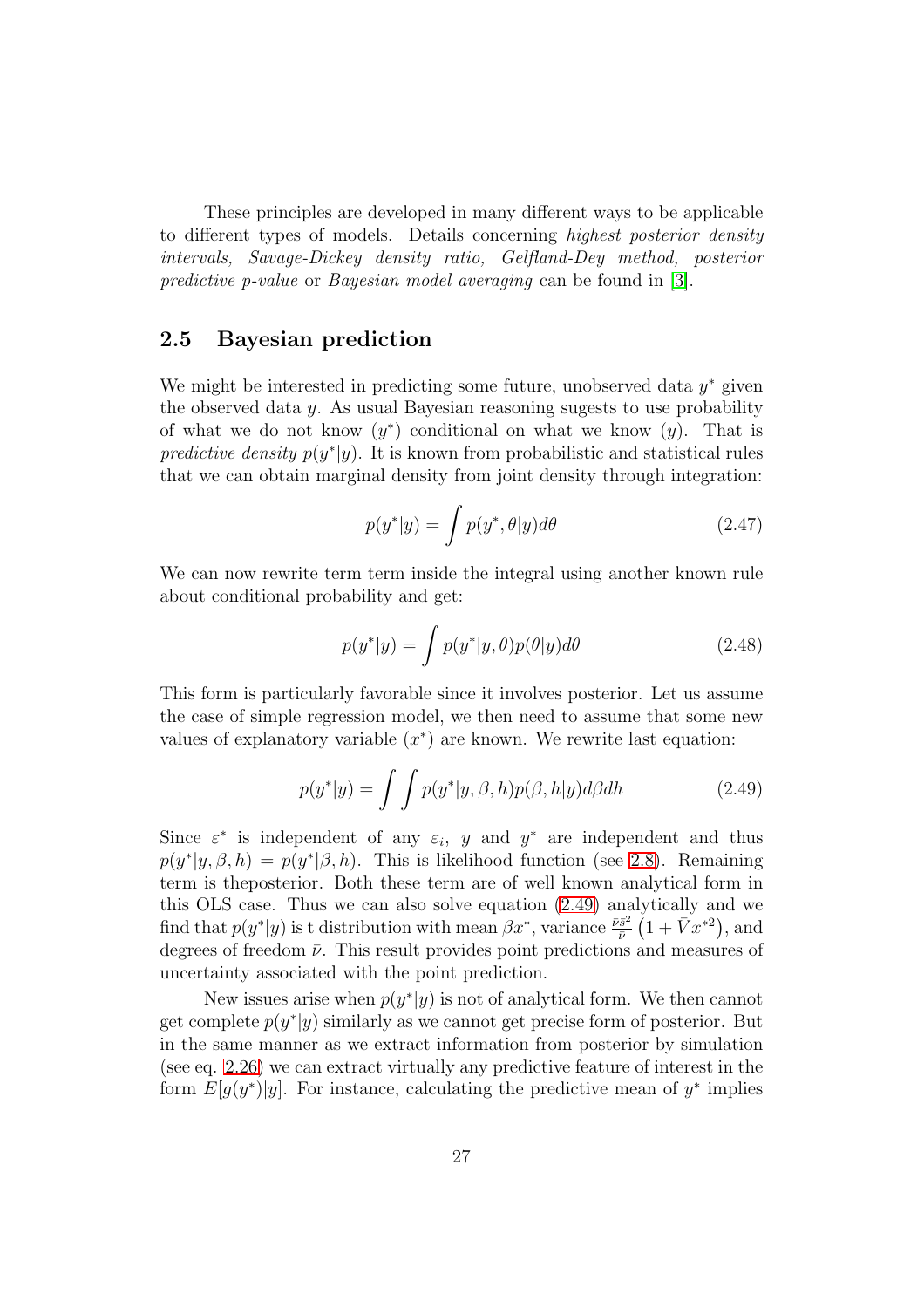These principles are developed in many different ways to be applicable to different types of models. Details concerning highest posterior density intervals, Savage-Dickey density ratio, Gelfland-Dey method, posterior predictive p-value or Bayesian model averaging can be found in [\[3\]](#page-78-3).

### <span id="page-27-0"></span>2.5 Bayesian prediction

We might be interested in predicting some future, unobserved data  $y^*$  given the observed data  $\gamma$ . As usual Bayesian reasoning sugests to use probability of what we do not know  $(y^*)$  conditional on what we know  $(y)$ . That is predictive density  $p(y^*|y)$ . It is known from probabilistic and statistical rules that we can obtain marginal density from joint density through integration:

$$
p(y^*|y) = \int p(y^*, \theta|y) d\theta \qquad (2.47)
$$

We can now rewrite term term inside the integral using another known rule about conditional probability and get:

$$
p(y^*|y) = \int p(y^*|y,\theta)p(\theta|y)d\theta
$$
 (2.48)

This form is particularly favorable since it involves posterior. Let us assume the case of simple regression model, we then need to assume that some new values of explanatory variable  $(x^*)$  are known. We rewrite last equation:

<span id="page-27-1"></span>
$$
p(y^*|y) = \int \int p(y^*|y,\beta,h)p(\beta,h|y)d\beta dh \qquad (2.49)
$$

Since  $\varepsilon^*$  is independent of any  $\varepsilon_i$ , y and  $y^*$  are independent and thus  $p(y^*|y, \beta, h) = p(y^*|\beta, h)$ . This is likelihood function (see [2.8\)](#page-13-2). Remaining term is theposterior. Both these term are of well known analytical form in this OLS case. Thus we can also solve equation [\(2.49\)](#page-27-1) analytically and we find that  $p(y^*|y)$  is t distribution with mean  $\beta x^*$ , variance  $\frac{\bar{v}\bar{s}^2}{\bar{v}}$  $\frac{\bar{s}^2}{\bar{\nu}}(1+\bar{V}x^{*2}), \text{and}$ degrees of freedom  $\bar{\nu}$ . This result provides point predictions and measures of uncertainty associated with the point prediction.

New issues arise when  $p(y^*|y)$  is not of analytical form. We then cannot get complete  $p(y^*|y)$  similarly as we cannot get precise form of posterior. But in the same manner as we extract information from posterior by simulation (see eq. [2.26\)](#page-18-1) we can extract virtually any predictive feature of interest in the form  $E[g(y^*)|y]$ . For instance, calculating the predictive mean of  $y^*$  implies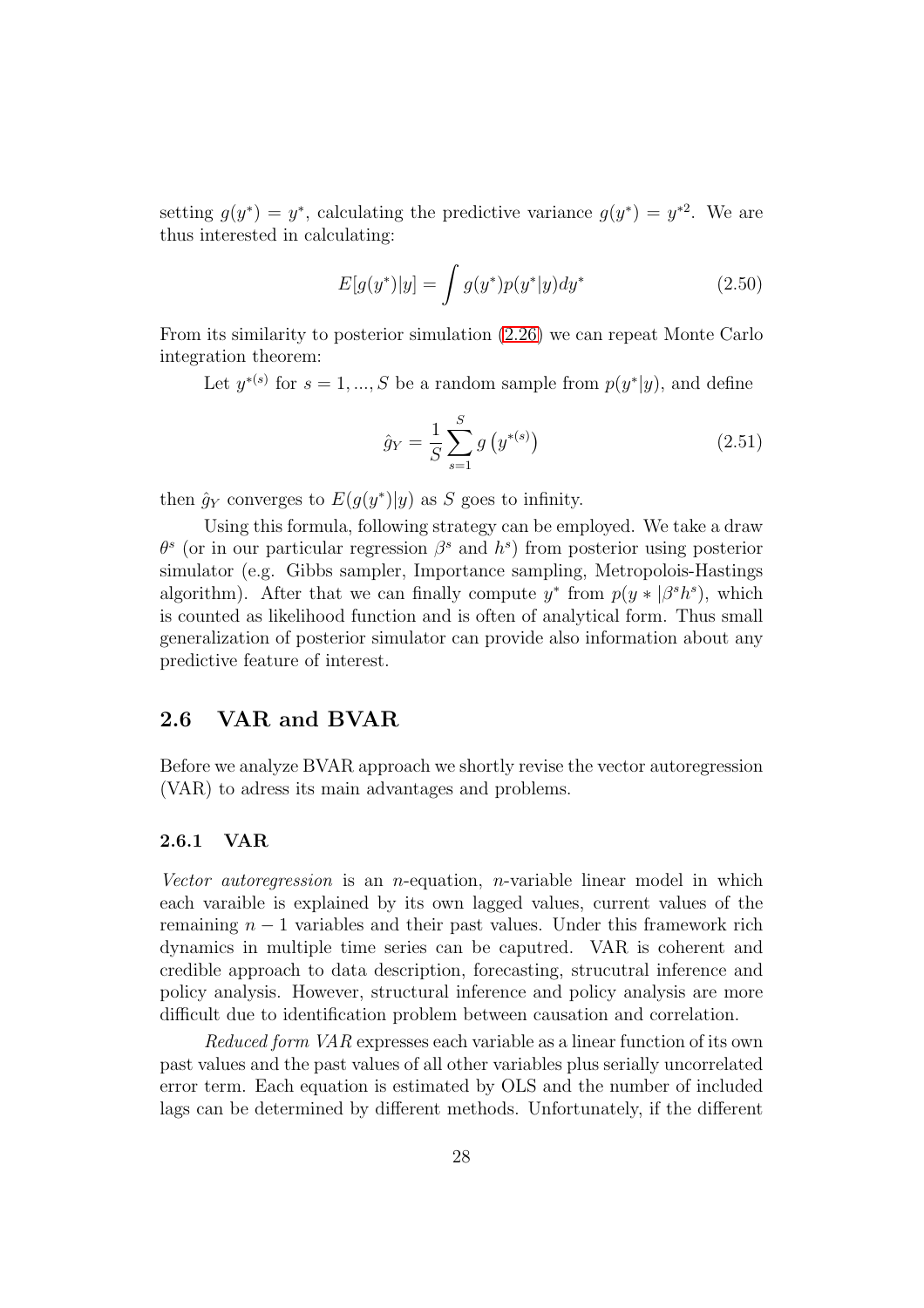setting  $g(y^*) = y^*$ , calculating the predictive variance  $g(y^*) = y^{*2}$ . We are thus interested in calculating:

$$
E[g(y^*)|y] = \int g(y^*)p(y^*|y)dy^*
$$
\n(2.50)

From its similarity to posterior simulation [\(2.26\)](#page-18-1) we can repeat Monte Carlo integration theorem:

Let  $y^{*(s)}$  for  $s = 1, ..., S$  be a random sample from  $p(y^*|y)$ , and define

$$
\hat{g}_Y = \frac{1}{S} \sum_{s=1}^{S} g\left(y^{*(s)}\right) \tag{2.51}
$$

then  $\hat{g}_Y$  converges to  $E(g(y^*)|y)$  as S goes to infinity.

Using this formula, following strategy can be employed. We take a draw  $\theta^s$  (or in our particular regression  $\beta^s$  and  $h^s$ ) from posterior using posterior simulator (e.g. Gibbs sampler, Importance sampling, Metropolois-Hastings algorithm). After that we can finally compute  $y^*$  from  $p(y * |\beta^s h^s)$ , which is counted as likelihood function and is often of analytical form. Thus small generalization of posterior simulator can provide also information about any predictive feature of interest.

#### <span id="page-28-0"></span>2.6 VAR and BVAR

Before we analyze BVAR approach we shortly revise the vector autoregression (VAR) to adress its main advantages and problems.

### <span id="page-28-1"></span>2.6.1 VAR

Vector autoregression is an *n*-equation, *n*-variable linear model in which each varaible is explained by its own lagged values, current values of the remaining  $n - 1$  variables and their past values. Under this framework rich dynamics in multiple time series can be caputred. VAR is coherent and credible approach to data description, forecasting, strucutral inference and policy analysis. However, structural inference and policy analysis are more difficult due to identification problem between causation and correlation.

Reduced form VAR expresses each variable as a linear function of its own past values and the past values of all other variables plus serially uncorrelated error term. Each equation is estimated by OLS and the number of included lags can be determined by different methods. Unfortunately, if the different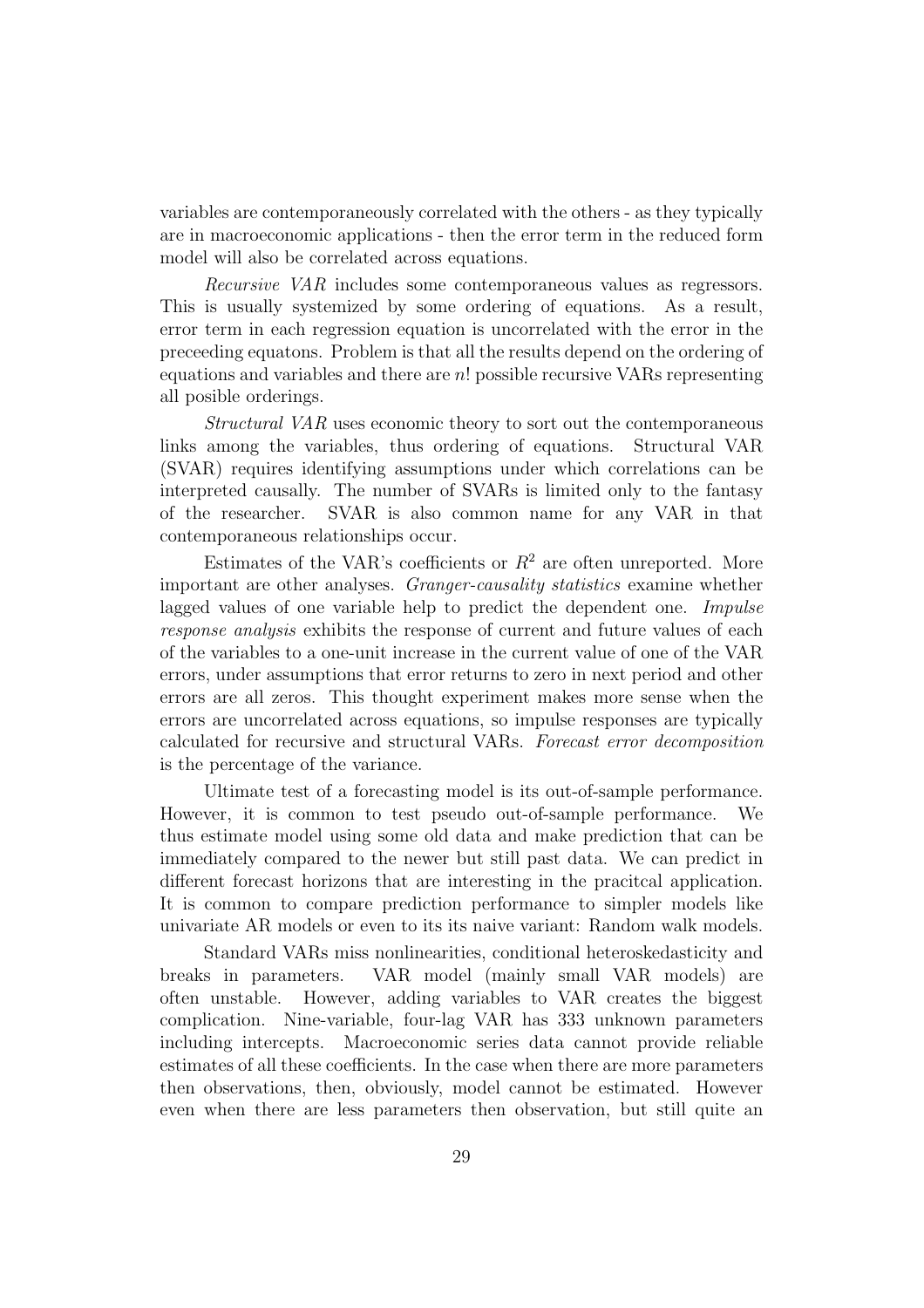variables are contemporaneously correlated with the others - as they typically are in macroeconomic applications - then the error term in the reduced form model will also be correlated across equations.

Recursive VAR includes some contemporaneous values as regressors. This is usually systemized by some ordering of equations. As a result, error term in each regression equation is uncorrelated with the error in the preceeding equatons. Problem is that all the results depend on the ordering of equations and variables and there are n! possible recursive VARs representing all posible orderings.

Structural VAR uses economic theory to sort out the contemporaneous links among the variables, thus ordering of equations. Structural VAR (SVAR) requires identifying assumptions under which correlations can be interpreted causally. The number of SVARs is limited only to the fantasy of the researcher. SVAR is also common name for any VAR in that contemporaneous relationships occur.

Estimates of the VAR's coefficients or  $R^2$  are often unreported. More important are other analyses. Granger-causality statistics examine whether lagged values of one variable help to predict the dependent one. Impulse response analysis exhibits the response of current and future values of each of the variables to a one-unit increase in the current value of one of the VAR errors, under assumptions that error returns to zero in next period and other errors are all zeros. This thought experiment makes more sense when the errors are uncorrelated across equations, so impulse responses are typically calculated for recursive and structural VARs. Forecast error decomposition is the percentage of the variance.

Ultimate test of a forecasting model is its out-of-sample performance. However, it is common to test pseudo out-of-sample performance. We thus estimate model using some old data and make prediction that can be immediately compared to the newer but still past data. We can predict in different forecast horizons that are interesting in the pracitcal application. It is common to compare prediction performance to simpler models like univariate AR models or even to its its naive variant: Random walk models.

Standard VARs miss nonlinearities, conditional heteroskedasticity and breaks in parameters. VAR model (mainly small VAR models) are often unstable. However, adding variables to VAR creates the biggest complication. Nine-variable, four-lag VAR has 333 unknown parameters including intercepts. Macroeconomic series data cannot provide reliable estimates of all these coefficients. In the case when there are more parameters then observations, then, obviously, model cannot be estimated. However even when there are less parameters then observation, but still quite an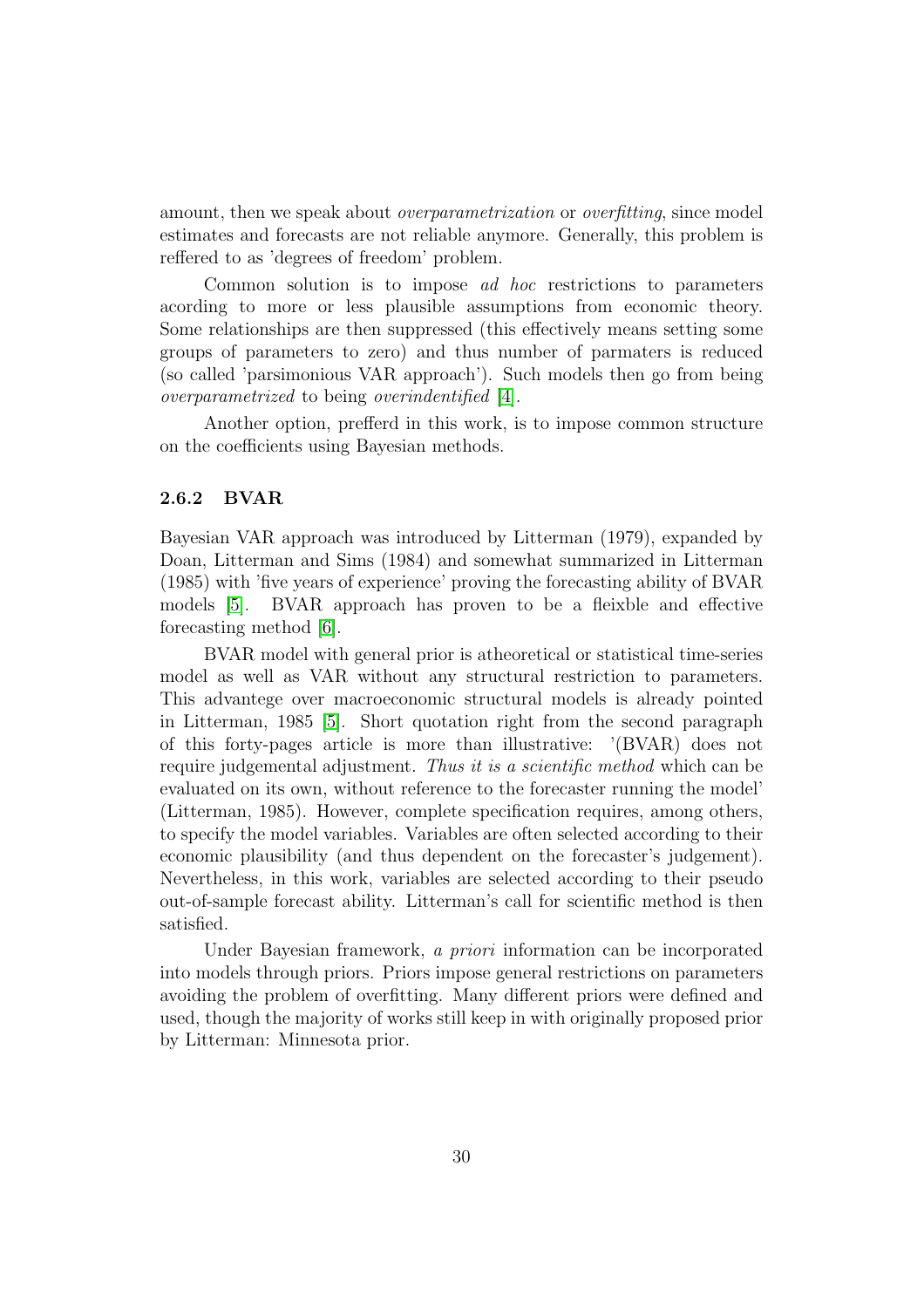amount, then we speak about *overparametrization* or *overfitting*, since model estimates and forecasts are not reliable anymore. Generally, this problem is reffered to as 'degrees of freedom' problem.

Common solution is to impose ad hoc restrictions to parameters acording to more or less plausible assumptions from economic theory. Some relationships are then suppressed (this effectively means setting some groups of parameters to zero) and thus number of parmaters is reduced (so called 'parsimonious VAR approach'). Such models then go from being overparametrized to being overindentified [\[4\]](#page-78-4).

Another option, prefferd in this work, is to impose common structure on the coefficients using Bayesian methods.

#### <span id="page-30-0"></span>2.6.2 BVAR

Bayesian VAR approach was introduced by Litterman (1979), expanded by Doan, Litterman and Sims (1984) and somewhat summarized in Litterman (1985) with 'five years of experience' proving the forecasting ability of BVAR models [\[5\]](#page-78-5). BVAR approach has proven to be a fleixble and effective forecasting method [\[6\]](#page-78-6).

BVAR model with general prior is atheoretical or statistical time-series model as well as VAR without any structural restriction to parameters. This advantege over macroeconomic structural models is already pointed in Litterman, 1985 [\[5\]](#page-78-5). Short quotation right from the second paragraph of this forty-pages article is more than illustrative: '(BVAR) does not require judgemental adjustment. Thus it is a scientific method which can be evaluated on its own, without reference to the forecaster running the model' (Litterman, 1985). However, complete specification requires, among others, to specify the model variables. Variables are often selected according to their economic plausibility (and thus dependent on the forecaster's judgement). Nevertheless, in this work, variables are selected according to their pseudo out-of-sample forecast ability. Litterman's call for scientific method is then satisfied.

Under Bayesian framework, a priori information can be incorporated into models through priors. Priors impose general restrictions on parameters avoiding the problem of overfitting. Many different priors were defined and used, though the majority of works still keep in with originally proposed prior by Litterman: Minnesota prior.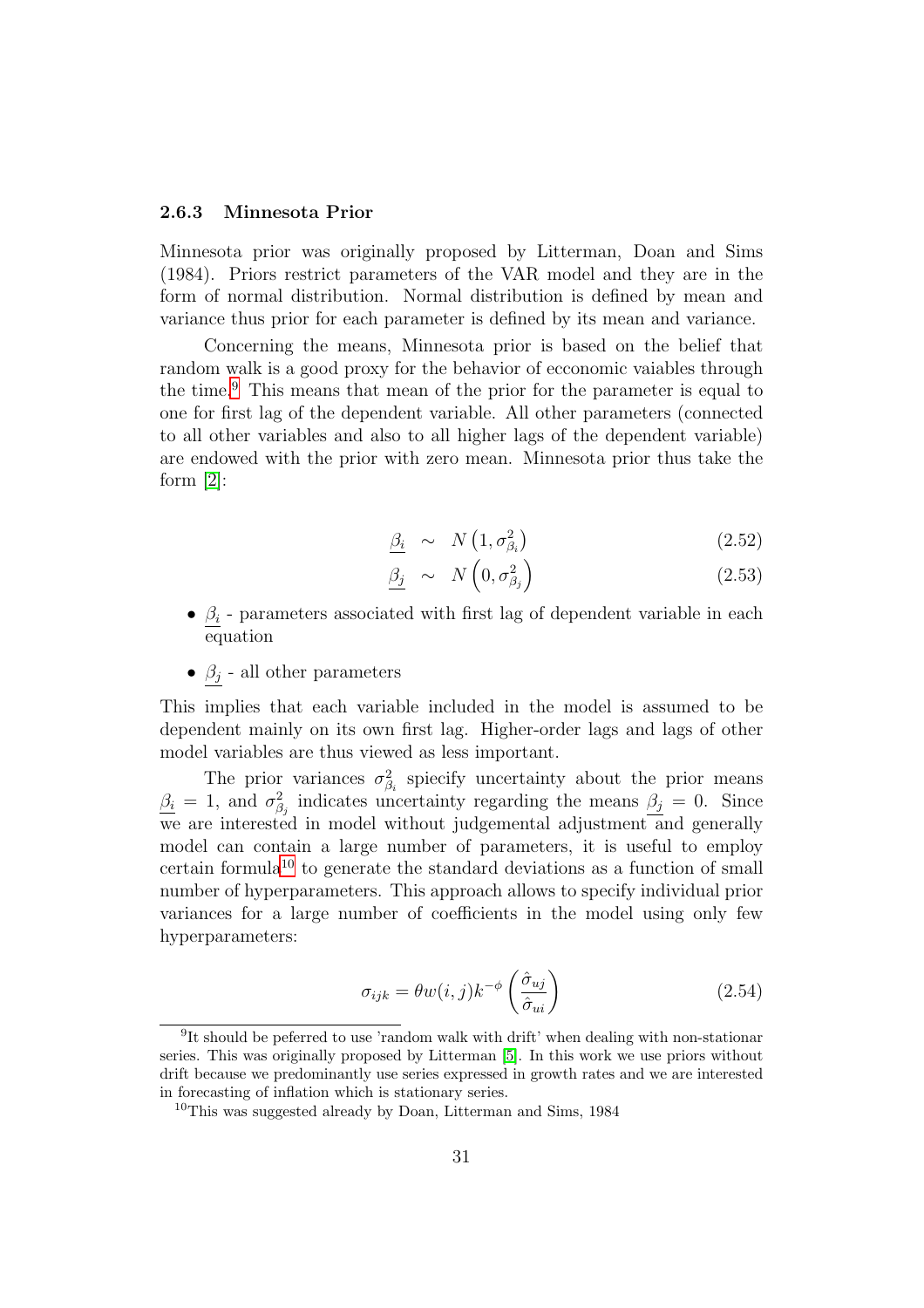#### <span id="page-31-0"></span>2.6.3 Minnesota Prior

Minnesota prior was originally proposed by Litterman, Doan and Sims (1984). Priors restrict parameters of the VAR model and they are in the form of normal distribution. Normal distribution is defined by mean and variance thus prior for each parameter is defined by its mean and variance.

Concerning the means, Minnesota prior is based on the belief that random walk is a good proxy for the behavior of ecconomic vaiables through the time.[9](#page-31-1) This means that mean of the prior for the parameter is equal to one for first lag of the dependent variable. All other parameters (connected to all other variables and also to all higher lags of the dependent variable) are endowed with the prior with zero mean. Minnesota prior thus take the form  $[2]$ :

$$
\underline{\beta_i} \sim N\left(1, \sigma_{\beta_i}^2\right) \tag{2.52}
$$

$$
\underline{\beta_j} \sim N\left(0, \sigma_{\beta_j}^2\right) \tag{2.53}
$$

- $\beta_i$  parameters associated with first lag of dependent variable in each equation
- $\beta_j$  all other parameters

This implies that each variable included in the model is assumed to be dependent mainly on its own first lag. Higher-order lags and lags of other model variables are thus viewed as less important.

The prior variances  $\sigma_{\beta_i}^2$  spiecify uncertainty about the prior means  $\beta_i = 1$ , and  $\sigma_{\beta_j}^2$  indicates uncertainty regarding the means  $\beta_j = 0$ . Since we are interested in model without judgemental adjustment and generally model can contain a large number of parameters, it is useful to employ certain formula<sup>[10](#page-31-2)</sup> to generate the standard deviations as a function of small number of hyperparameters. This approach allows to specify individual prior variances for a large number of coefficients in the model using only few hyperparameters:

$$
\sigma_{ijk} = \theta w(i,j) k^{-\phi} \left( \frac{\hat{\sigma}_{uj}}{\hat{\sigma}_{ui}} \right)
$$
\n(2.54)

<span id="page-31-1"></span><sup>&</sup>lt;sup>9</sup>It should be peferred to use 'random walk with drift' when dealing with non-stationar series. This was originally proposed by Litterman [\[5\]](#page-78-5). In this work we use priors without drift because we predominantly use series expressed in growth rates and we are interested in forecasting of inflation which is stationary series.

<span id="page-31-2"></span><sup>&</sup>lt;sup>10</sup>This was suggested already by Doan, Litterman and Sims, 1984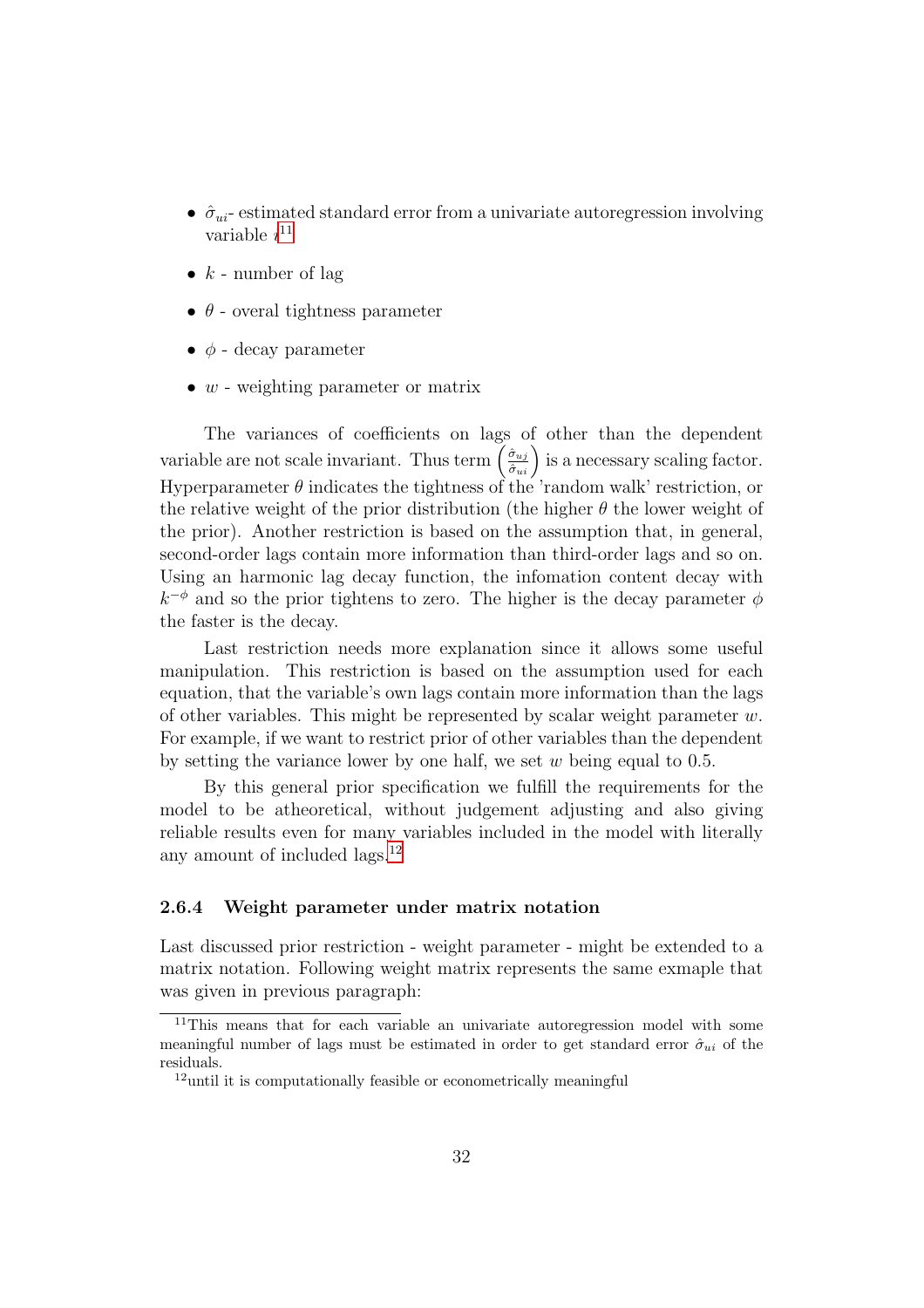- $\hat{\sigma}_{ui}$  estimated standard error from a univariate autoregression involving variable  $i^{11}$  $i^{11}$  $i^{11}$
- $k$  number of lag
- $\bullet$   $\theta$  overal tightness parameter
- $\bullet$   $\phi$  decay parameter
- $w$  weighting parameter or matrix

The variances of coefficients on lags of other than the dependent variable are not scale invariant. Thus term  $\left(\frac{\hat{\sigma}_{uj}}{\hat{\sigma}_{ui}}\right)$  is a necessary scaling factor. Hyperparameter  $\theta$  indicates the tightness of the 'random walk' restriction, or the relative weight of the prior distribution (the higher  $\theta$  the lower weight of the prior). Another restriction is based on the assumption that, in general, second-order lags contain more information than third-order lags and so on. Using an harmonic lag decay function, the infomation content decay with  $k^{-\phi}$  and so the prior tightens to zero. The higher is the decay parameter  $\phi$ the faster is the decay.

Last restriction needs more explanation since it allows some useful manipulation. This restriction is based on the assumption used for each equation, that the variable's own lags contain more information than the lags of other variables. This might be represented by scalar weight parameter  $w$ . For example, if we want to restrict prior of other variables than the dependent by setting the variance lower by one half, we set  $w$  being equal to 0.5.

By this general prior specification we fulfill the requirements for the model to be atheoretical, without judgement adjusting and also giving reliable results even for many variables included in the model with literally any amount of included lags.<sup>[12](#page-32-2)</sup>

#### <span id="page-32-0"></span>2.6.4 Weight parameter under matrix notation

Last discussed prior restriction - weight parameter - might be extended to a matrix notation. Following weight matrix represents the same exmaple that was given in previous paragraph:

<span id="page-32-1"></span><sup>&</sup>lt;sup>11</sup>This means that for each variable an univariate autoregression model with some meaningful number of lags must be estimated in order to get standard error  $\hat{\sigma}_{ui}$  of the residuals.

<span id="page-32-2"></span> $12$ until it is computationally feasible or econometrically meaningful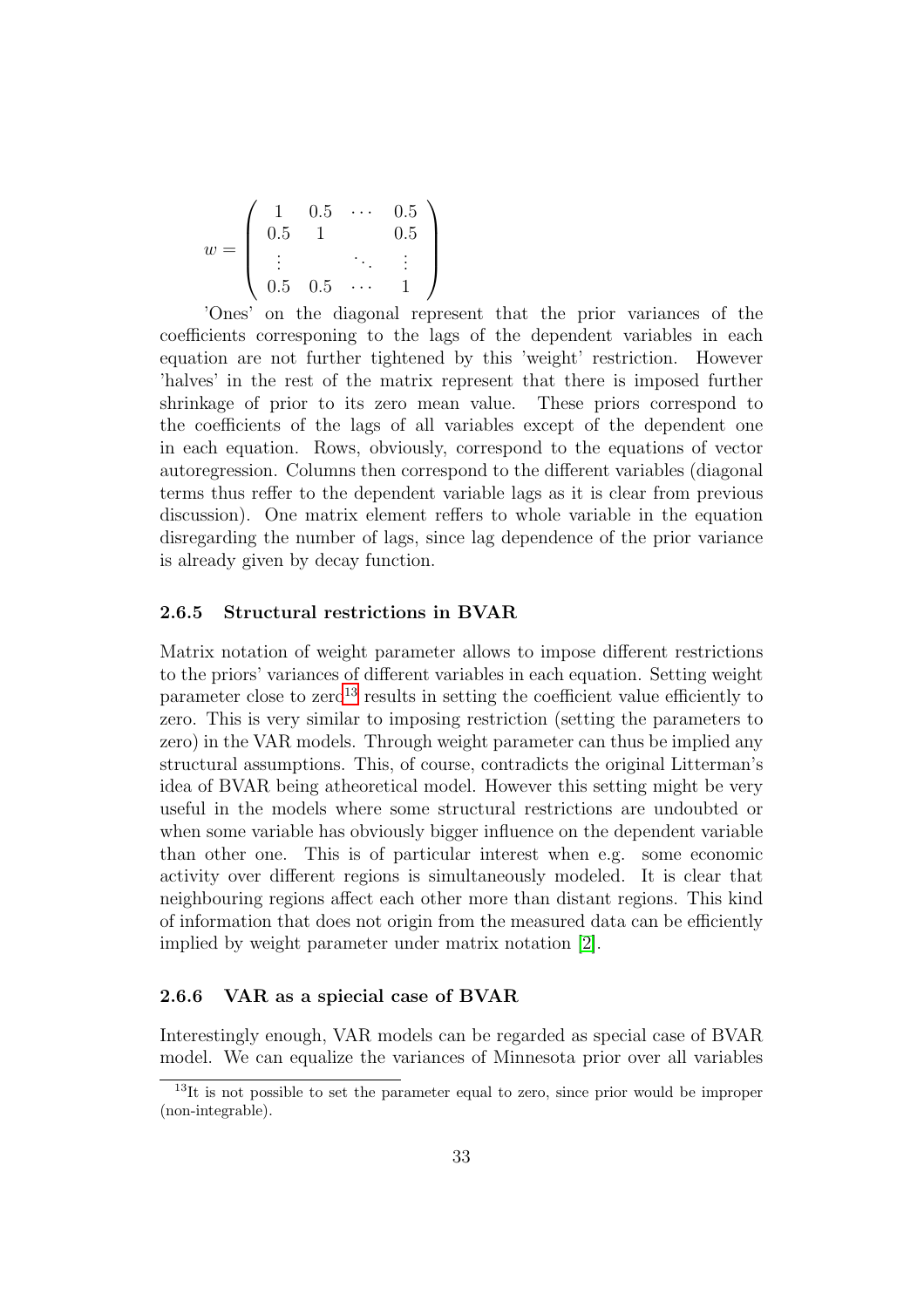$$
w = \left(\begin{array}{cccc} 1 & 0.5 & \cdots & 0.5 \\ 0.5 & 1 & & 0.5 \\ \vdots & & & \vdots \\ 0.5 & 0.5 & \cdots & 1 \end{array}\right)
$$

'Ones' on the diagonal represent that the prior variances of the coefficients corresponing to the lags of the dependent variables in each equation are not further tightened by this 'weight' restriction. However 'halves' in the rest of the matrix represent that there is imposed further shrinkage of prior to its zero mean value. These priors correspond to the coefficients of the lags of all variables except of the dependent one in each equation. Rows, obviously, correspond to the equations of vector autoregression. Columns then correspond to the different variables (diagonal terms thus reffer to the dependent variable lags as it is clear from previous discussion). One matrix element reffers to whole variable in the equation disregarding the number of lags, since lag dependence of the prior variance is already given by decay function.

#### <span id="page-33-0"></span>2.6.5 Structural restrictions in BVAR

Matrix notation of weight parameter allows to impose different restrictions to the priors' variances of different variables in each equation. Setting weight parameter close to  $zero^{13}$  $zero^{13}$  $zero^{13}$  results in setting the coefficient value efficiently to zero. This is very similar to imposing restriction (setting the parameters to zero) in the VAR models. Through weight parameter can thus be implied any structural assumptions. This, of course, contradicts the original Litterman's idea of BVAR being atheoretical model. However this setting might be very useful in the models where some structural restrictions are undoubted or when some variable has obviously bigger influence on the dependent variable than other one. This is of particular interest when e.g. some economic activity over different regions is simultaneously modeled. It is clear that neighbouring regions affect each other more than distant regions. This kind of information that does not origin from the measured data can be efficiently implied by weight parameter under matrix notation [\[2\]](#page-78-2).

#### <span id="page-33-1"></span>2.6.6 VAR as a spiecial case of BVAR

Interestingly enough, VAR models can be regarded as special case of BVAR model. We can equalize the variances of Minnesota prior over all variables

<span id="page-33-2"></span> $13$ It is not possible to set the parameter equal to zero, since prior would be improper (non-integrable).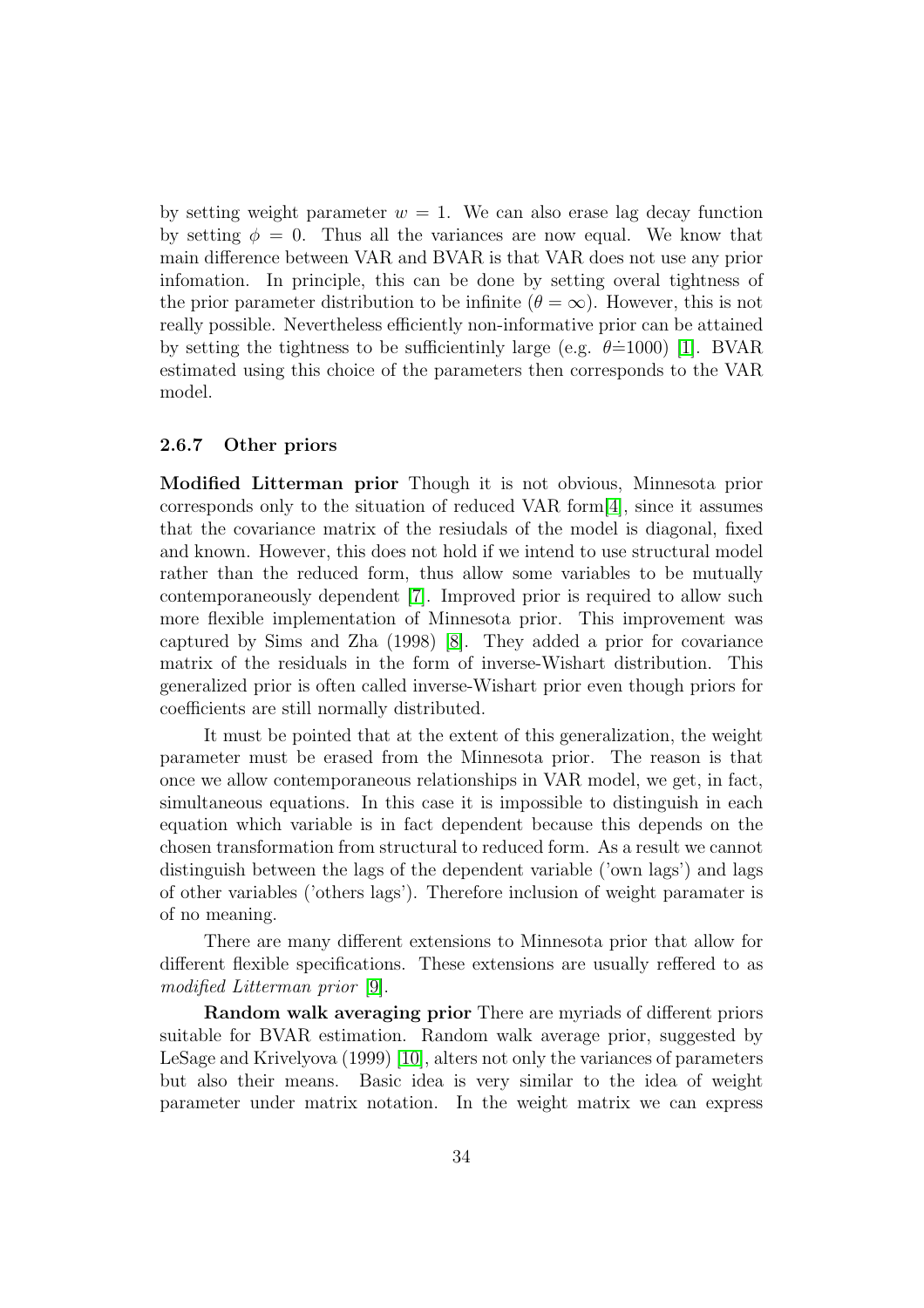by setting weight parameter  $w = 1$ . We can also erase lag decay function by setting  $\phi = 0$ . Thus all the variances are now equal. We know that main difference between VAR and BVAR is that VAR does not use any prior infomation. In principle, this can be done by setting overal tightness of the prior parameter distribution to be infinite ( $\theta = \infty$ ). However, this is not really possible. Nevertheless efficiently non-informative prior can be attained by setting the tightness to be sufficientinly large (e.g.  $\theta \doteq 1000$ ) [\[1\]](#page-78-0). BVAR estimated using this choice of the parameters then corresponds to the VAR model.

#### <span id="page-34-0"></span>2.6.7 Other priors

Modified Litterman prior Though it is not obvious, Minnesota prior corresponds only to the situation of reduced VAR form[\[4\]](#page-78-4), since it assumes that the covariance matrix of the resiudals of the model is diagonal, fixed and known. However, this does not hold if we intend to use structural model rather than the reduced form, thus allow some variables to be mutually contemporaneously dependent [\[7\]](#page-78-7). Improved prior is required to allow such more flexible implementation of Minnesota prior. This improvement was captured by Sims and Zha (1998) [\[8\]](#page-78-8). They added a prior for covariance matrix of the residuals in the form of inverse-Wishart distribution. This generalized prior is often called inverse-Wishart prior even though priors for coefficients are still normally distributed.

It must be pointed that at the extent of this generalization, the weight parameter must be erased from the Minnesota prior. The reason is that once we allow contemporaneous relationships in VAR model, we get, in fact, simultaneous equations. In this case it is impossible to distinguish in each equation which variable is in fact dependent because this depends on the chosen transformation from structural to reduced form. As a result we cannot distinguish between the lags of the dependent variable ('own lags') and lags of other variables ('others lags'). Therefore inclusion of weight paramater is of no meaning.

There are many different extensions to Minnesota prior that allow for different flexible specifications. These extensions are usually reffered to as modified Litterman prior [\[9\]](#page-78-9).

Random walk averaging prior There are myriads of different priors suitable for BVAR estimation. Random walk average prior, suggested by LeSage and Krivelyova (1999) [\[10\]](#page-78-10), alters not only the variances of parameters but also their means. Basic idea is very similar to the idea of weight parameter under matrix notation. In the weight matrix we can express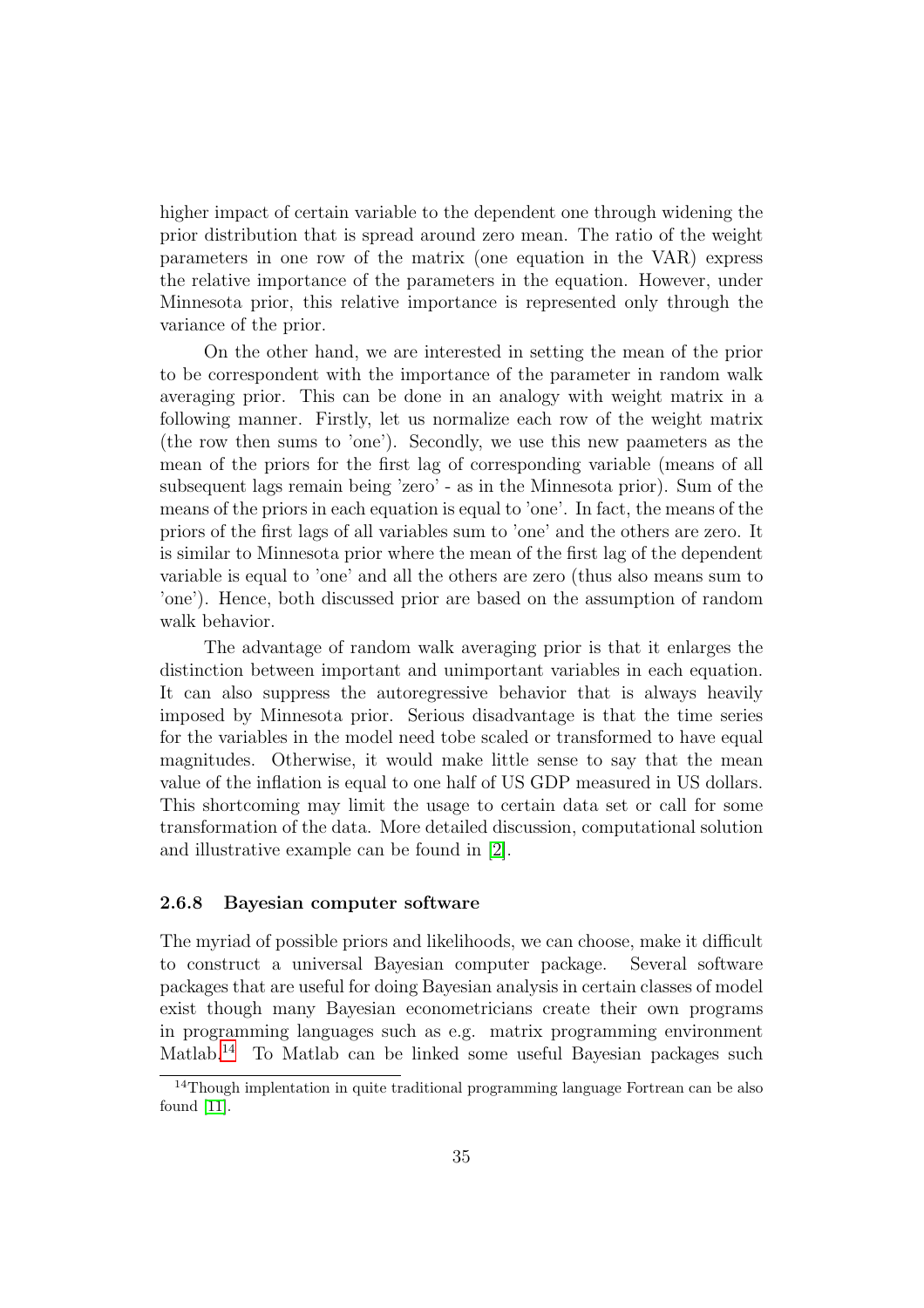higher impact of certain variable to the dependent one through widening the prior distribution that is spread around zero mean. The ratio of the weight parameters in one row of the matrix (one equation in the VAR) express the relative importance of the parameters in the equation. However, under Minnesota prior, this relative importance is represented only through the variance of the prior.

On the other hand, we are interested in setting the mean of the prior to be correspondent with the importance of the parameter in random walk averaging prior. This can be done in an analogy with weight matrix in a following manner. Firstly, let us normalize each row of the weight matrix (the row then sums to 'one'). Secondly, we use this new paameters as the mean of the priors for the first lag of corresponding variable (means of all subsequent lags remain being 'zero' - as in the Minnesota prior). Sum of the means of the priors in each equation is equal to 'one'. In fact, the means of the priors of the first lags of all variables sum to 'one' and the others are zero. It is similar to Minnesota prior where the mean of the first lag of the dependent variable is equal to 'one' and all the others are zero (thus also means sum to 'one'). Hence, both discussed prior are based on the assumption of random walk behavior.

The advantage of random walk averaging prior is that it enlarges the distinction between important and unimportant variables in each equation. It can also suppress the autoregressive behavior that is always heavily imposed by Minnesota prior. Serious disadvantage is that the time series for the variables in the model need tobe scaled or transformed to have equal magnitudes. Otherwise, it would make little sense to say that the mean value of the inflation is equal to one half of US GDP measured in US dollars. This shortcoming may limit the usage to certain data set or call for some transformation of the data. More detailed discussion, computational solution and illustrative example can be found in [\[2\]](#page-78-2).

#### <span id="page-35-0"></span>2.6.8 Bayesian computer software

The myriad of possible priors and likelihoods, we can choose, make it difficult to construct a universal Bayesian computer package. Several software packages that are useful for doing Bayesian analysis in certain classes of model exist though many Bayesian econometricians create their own programs in programming languages such as e.g. matrix programming environment Matlab.<sup>[14](#page-35-1)</sup> To Matlab can be linked some useful Bayesian packages such

<span id="page-35-1"></span><sup>&</sup>lt;sup>14</sup>Though implentation in quite traditional programming language Fortrean can be also found [\[11\]](#page-78-11).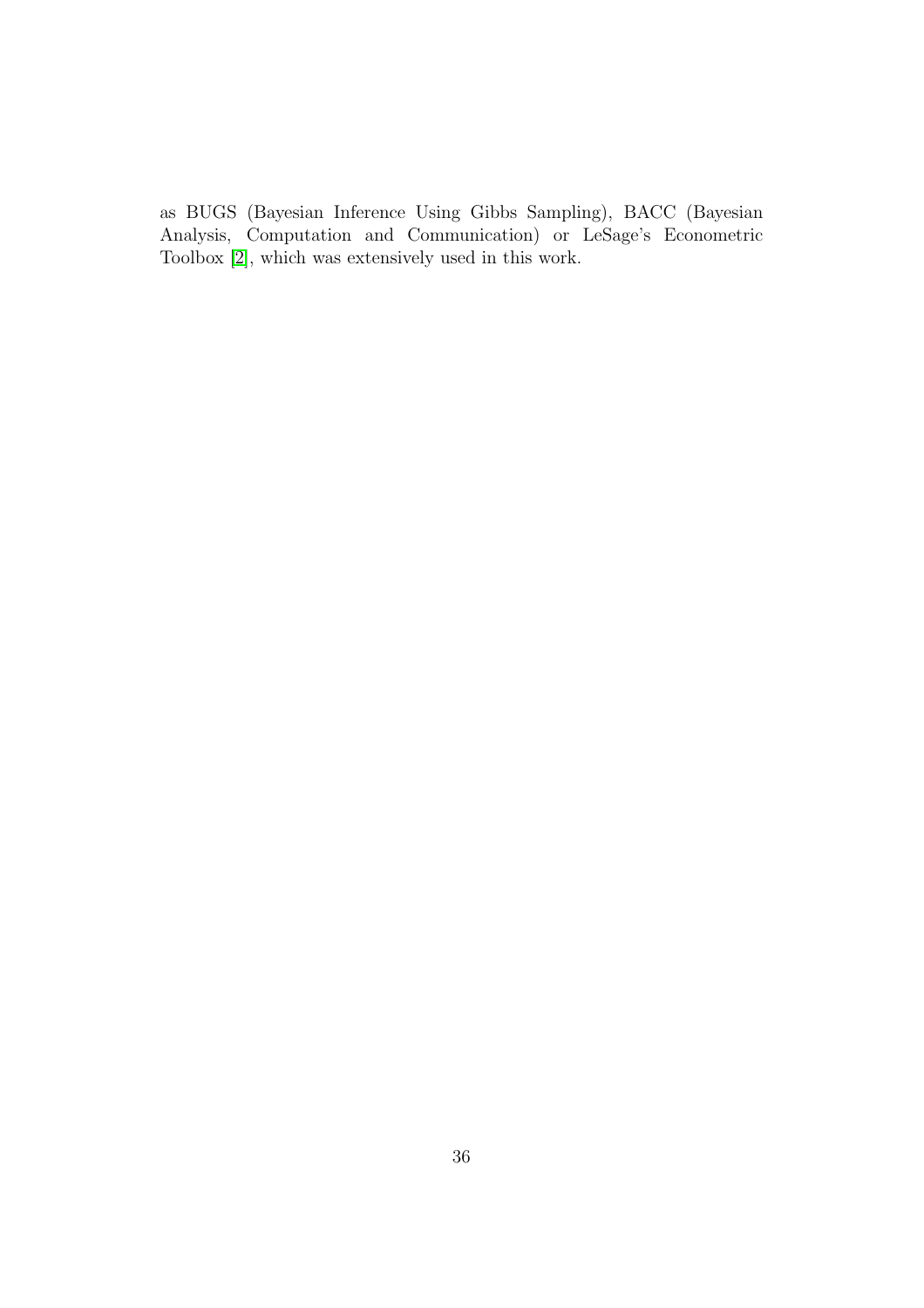as BUGS (Bayesian Inference Using Gibbs Sampling), BACC (Bayesian Analysis, Computation and Communication) or LeSage's Econometric Toolbox [\[2\]](#page-78-0), which was extensively used in this work.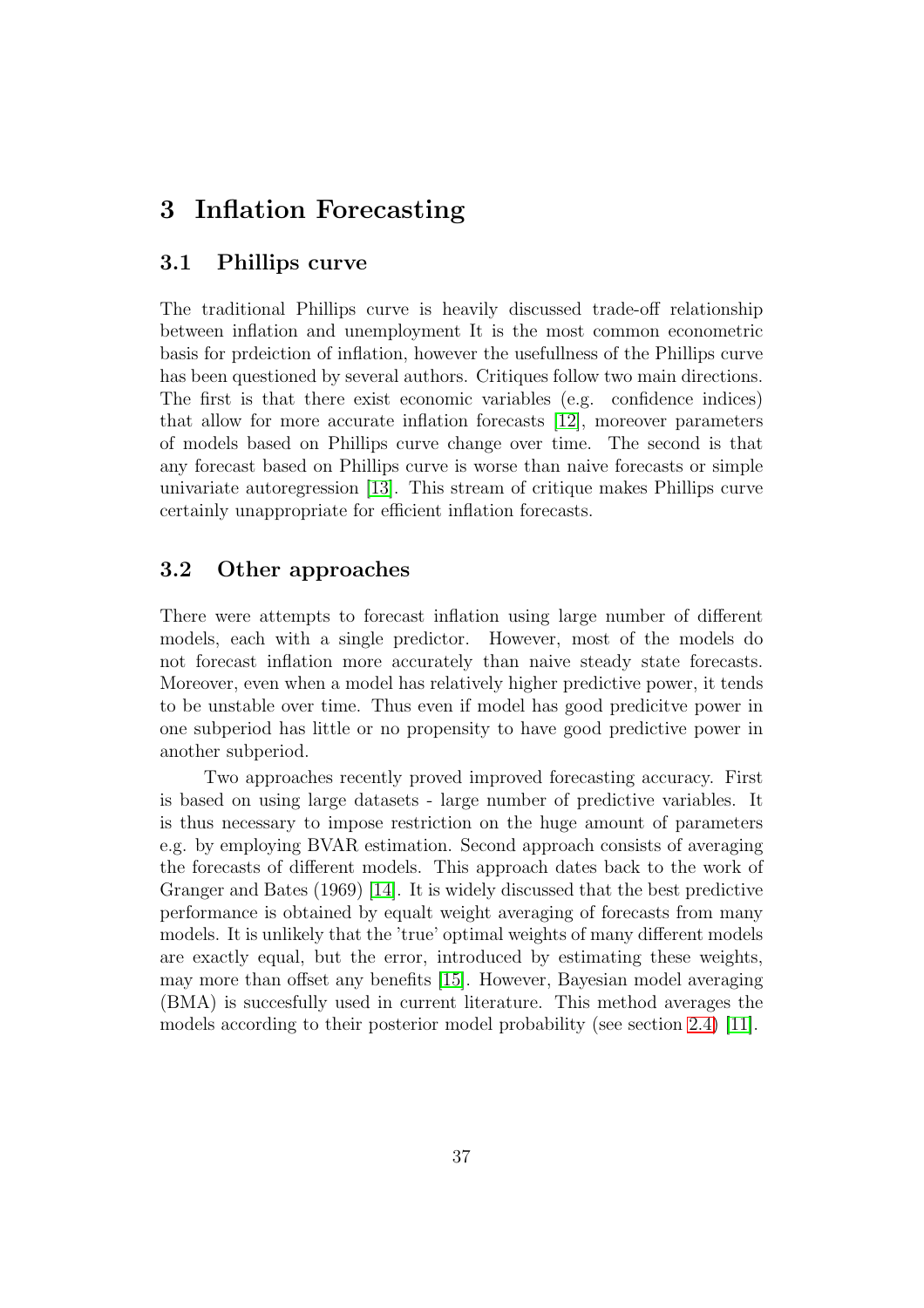# 3 Inflation Forecasting

## 3.1 Phillips curve

The traditional Phillips curve is heavily discussed trade-off relationship between inflation and unemployment It is the most common econometric basis for prdeiction of inflation, however the usefullness of the Phillips curve has been questioned by several authors. Critiques follow two main directions. The first is that there exist economic variables (e.g. confidence indices) that allow for more accurate inflation forecasts [\[12\]](#page-78-1), moreover parameters of models based on Phillips curve change over time. The second is that any forecast based on Phillips curve is worse than naive forecasts or simple univariate autoregression [\[13\]](#page-78-2). This stream of critique makes Phillips curve certainly unappropriate for efficient inflation forecasts.

# 3.2 Other approaches

There were attempts to forecast inflation using large number of different models, each with a single predictor. However, most of the models do not forecast inflation more accurately than naive steady state forecasts. Moreover, even when a model has relatively higher predictive power, it tends to be unstable over time. Thus even if model has good predicitve power in one subperiod has little or no propensity to have good predictive power in another subperiod.

Two approaches recently proved improved forecasting accuracy. First is based on using large datasets - large number of predictive variables. It is thus necessary to impose restriction on the huge amount of parameters e.g. by employing BVAR estimation. Second approach consists of averaging the forecasts of different models. This approach dates back to the work of Granger and Bates (1969) [\[14\]](#page-78-3). It is widely discussed that the best predictive performance is obtained by equalt weight averaging of forecasts from many models. It is unlikely that the 'true' optimal weights of many different models are exactly equal, but the error, introduced by estimating these weights, may more than offset any benefits [\[15\]](#page-79-0). However, Bayesian model averaging (BMA) is succesfully used in current literature. This method averages the models according to their posterior model probability (see section [2.4\)](#page-26-0) [\[11\]](#page-78-4).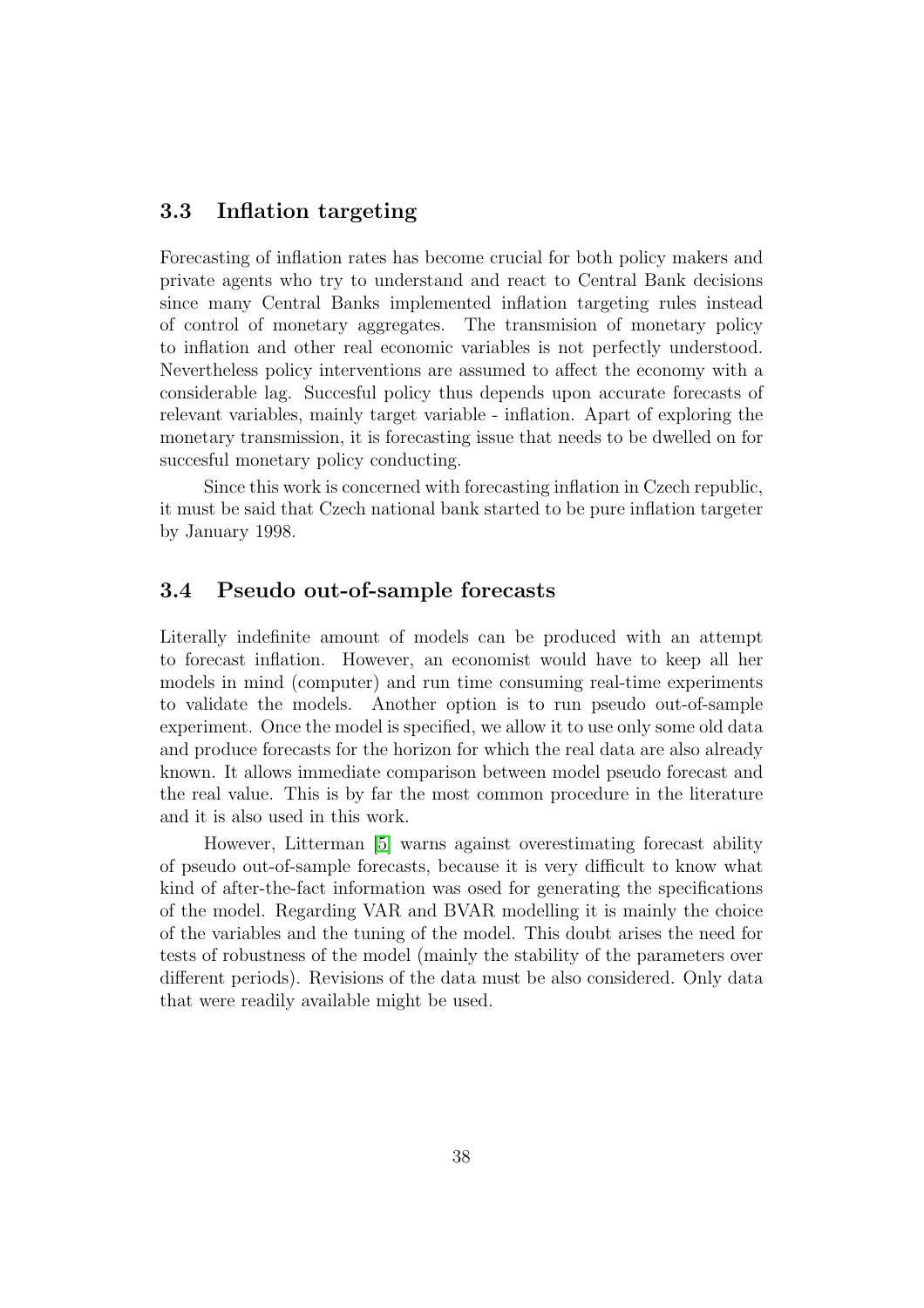## 3.3 Inflation targeting

Forecasting of inflation rates has become crucial for both policy makers and private agents who try to understand and react to Central Bank decisions since many Central Banks implemented inflation targeting rules instead of control of monetary aggregates. The transmision of monetary policy to inflation and other real economic variables is not perfectly understood. Nevertheless policy interventions are assumed to affect the economy with a considerable lag. Succesful policy thus depends upon accurate forecasts of relevant variables, mainly target variable - inflation. Apart of exploring the monetary transmission, it is forecasting issue that needs to be dwelled on for succesful monetary policy conducting.

Since this work is concerned with forecasting inflation in Czech republic, it must be said that Czech national bank started to be pure inflation targeter by January 1998.

## 3.4 Pseudo out-of-sample forecasts

Literally indefinite amount of models can be produced with an attempt to forecast inflation. However, an economist would have to keep all her models in mind (computer) and run time consuming real-time experiments to validate the models. Another option is to run pseudo out-of-sample experiment. Once the model is specified, we allow it to use only some old data and produce forecasts for the horizon for which the real data are also already known. It allows immediate comparison between model pseudo forecast and the real value. This is by far the most common procedure in the literature and it is also used in this work.

However, Litterman [\[5\]](#page-78-5) warns against overestimating forecast ability of pseudo out-of-sample forecasts, because it is very difficult to know what kind of after-the-fact information was osed for generating the specifications of the model. Regarding VAR and BVAR modelling it is mainly the choice of the variables and the tuning of the model. This doubt arises the need for tests of robustness of the model (mainly the stability of the parameters over different periods). Revisions of the data must be also considered. Only data that were readily available might be used.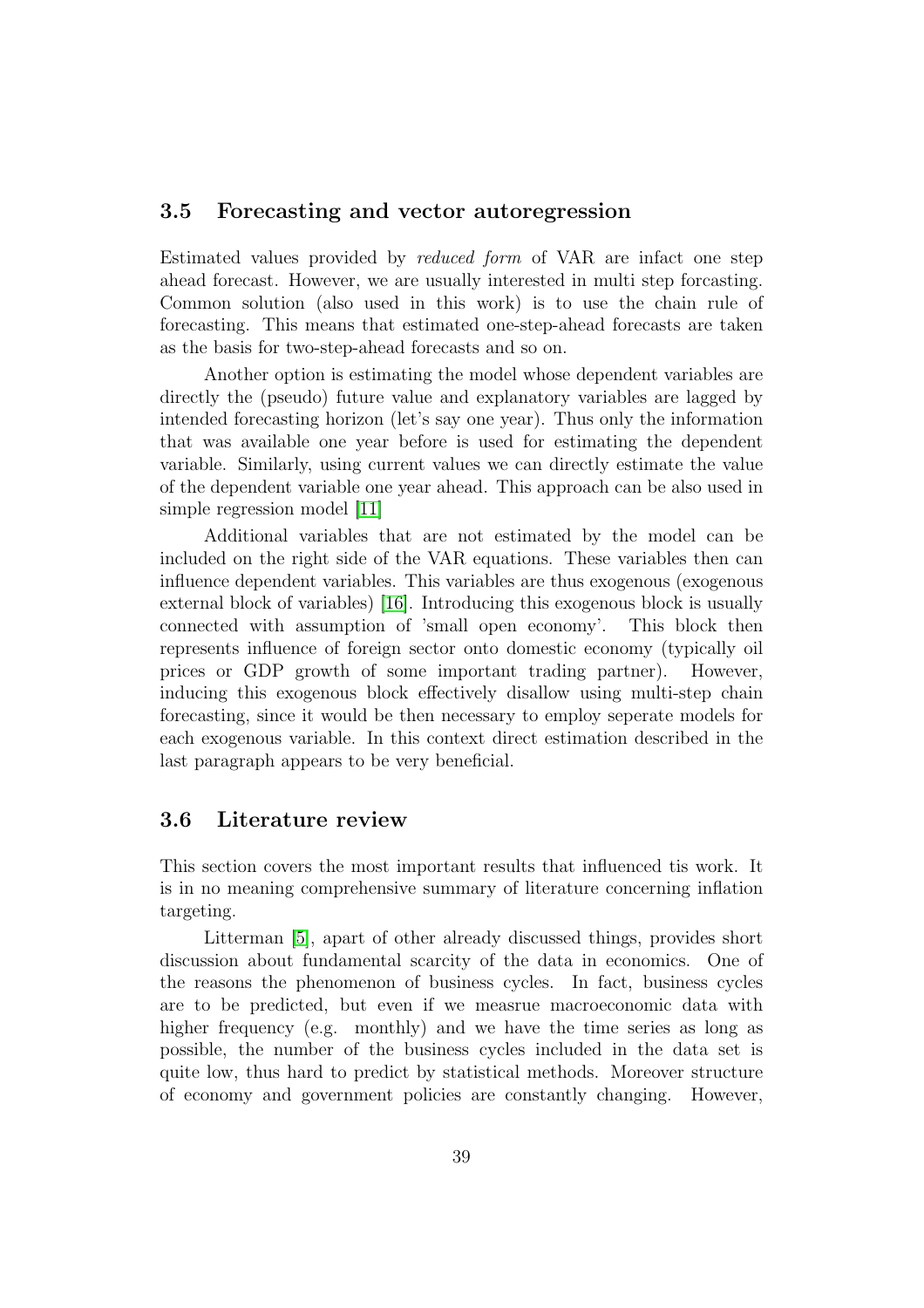## 3.5 Forecasting and vector autoregression

Estimated values provided by reduced form of VAR are infact one step ahead forecast. However, we are usually interested in multi step forcasting. Common solution (also used in this work) is to use the chain rule of forecasting. This means that estimated one-step-ahead forecasts are taken as the basis for two-step-ahead forecasts and so on.

Another option is estimating the model whose dependent variables are directly the (pseudo) future value and explanatory variables are lagged by intended forecasting horizon (let's say one year). Thus only the information that was available one year before is used for estimating the dependent variable. Similarly, using current values we can directly estimate the value of the dependent variable one year ahead. This approach can be also used in simple regression model [\[11\]](#page-78-4)

Additional variables that are not estimated by the model can be included on the right side of the VAR equations. These variables then can influence dependent variables. This variables are thus exogenous (exogenous external block of variables) [\[16\]](#page-79-1). Introducing this exogenous block is usually connected with assumption of 'small open economy'. This block then represents influence of foreign sector onto domestic economy (typically oil prices or GDP growth of some important trading partner). However, inducing this exogenous block effectively disallow using multi-step chain forecasting, since it would be then necessary to employ seperate models for each exogenous variable. In this context direct estimation described in the last paragraph appears to be very beneficial.

# 3.6 Literature review

This section covers the most important results that influenced tis work. It is in no meaning comprehensive summary of literature concerning inflation targeting.

Litterman [\[5\]](#page-78-5), apart of other already discussed things, provides short discussion about fundamental scarcity of the data in economics. One of the reasons the phenomenon of business cycles. In fact, business cycles are to be predicted, but even if we measrue macroeconomic data with higher frequency (e.g. monthly) and we have the time series as long as possible, the number of the business cycles included in the data set is quite low, thus hard to predict by statistical methods. Moreover structure of economy and government policies are constantly changing. However,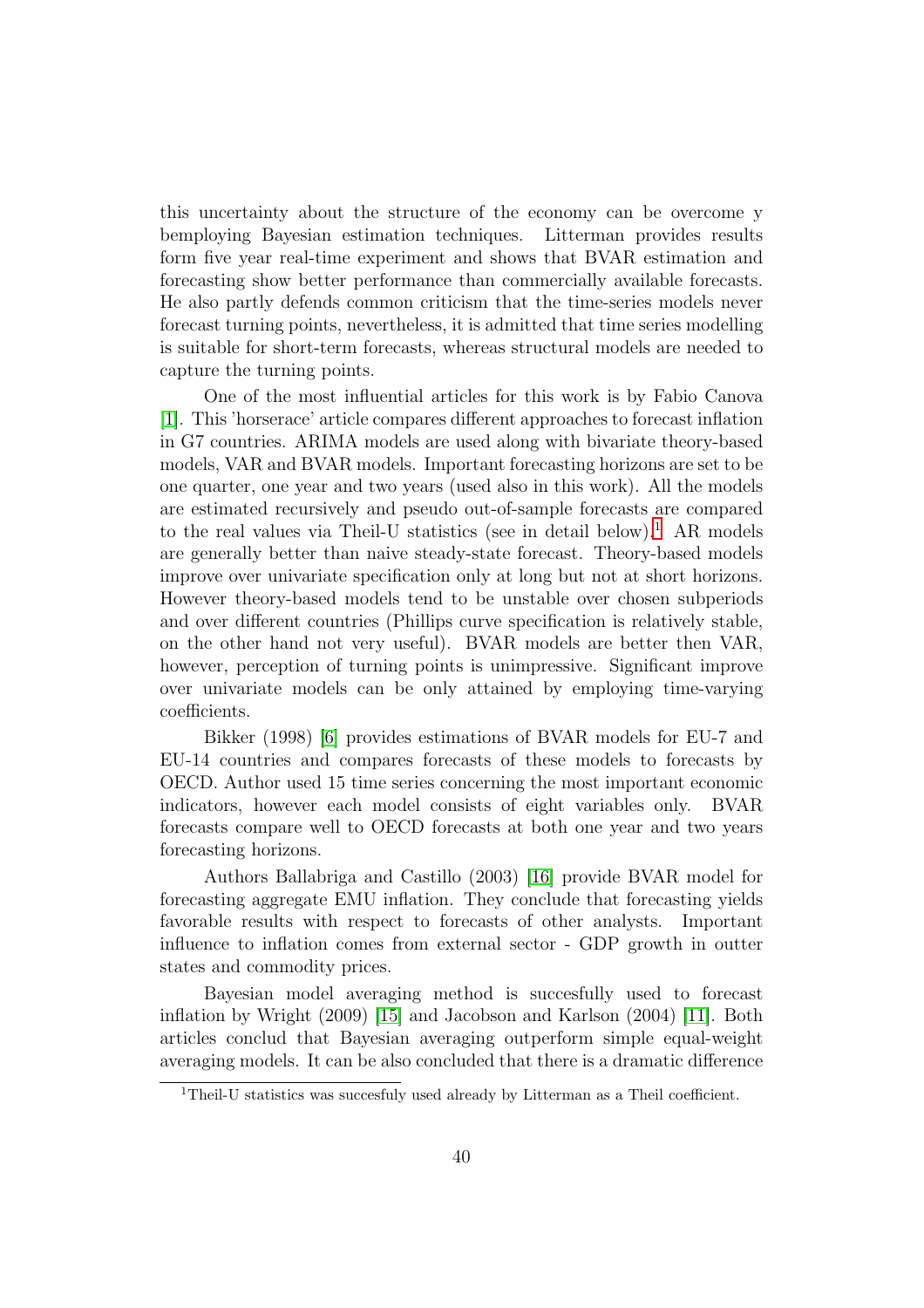this uncertainty about the structure of the economy can be overcome y bemploying Bayesian estimation techniques. Litterman provides results form five year real-time experiment and shows that BVAR estimation and forecasting show better performance than commercially available forecasts. He also partly defends common criticism that the time-series models never forecast turning points, nevertheless, it is admitted that time series modelling is suitable for short-term forecasts, whereas structural models are needed to capture the turning points.

One of the most influential articles for this work is by Fabio Canova [\[1\]](#page-78-6). This 'horserace' article compares different approaches to forecast inflation in G7 countries. ARIMA models are used along with bivariate theory-based models, VAR and BVAR models. Important forecasting horizons are set to be one quarter, one year and two years (used also in this work). All the models are estimated recursively and pseudo out-of-sample forecasts are compared to the real values via Theil-U statistics (see in detail below).<sup>[1](#page-40-0)</sup> AR models are generally better than naive steady-state forecast. Theory-based models improve over univariate specification only at long but not at short horizons. However theory-based models tend to be unstable over chosen subperiods and over different countries (Phillips curve specification is relatively stable, on the other hand not very useful). BVAR models are better then VAR, however, perception of turning points is unimpressive. Significant improve over univariate models can be only attained by employing time-varying coefficients.

Bikker (1998) [\[6\]](#page-78-7) provides estimations of BVAR models for EU-7 and EU-14 countries and compares forecasts of these models to forecasts by OECD. Author used 15 time series concerning the most important economic indicators, however each model consists of eight variables only. BVAR forecasts compare well to OECD forecasts at both one year and two years forecasting horizons.

Authors Ballabriga and Castillo (2003) [\[16\]](#page-79-1) provide BVAR model for forecasting aggregate EMU inflation. They conclude that forecasting yields favorable results with respect to forecasts of other analysts. Important influence to inflation comes from external sector - GDP growth in outter states and commodity prices.

Bayesian model averaging method is succesfully used to forecast inflation by Wright (2009) [\[15\]](#page-79-0) and Jacobson and Karlson (2004) [\[11\]](#page-78-4). Both articles conclud that Bayesian averaging outperform simple equal-weight averaging models. It can be also concluded that there is a dramatic difference

<span id="page-40-0"></span><sup>&</sup>lt;sup>1</sup>Theil-U statistics was succesfuly used already by Litterman as a Theil coefficient.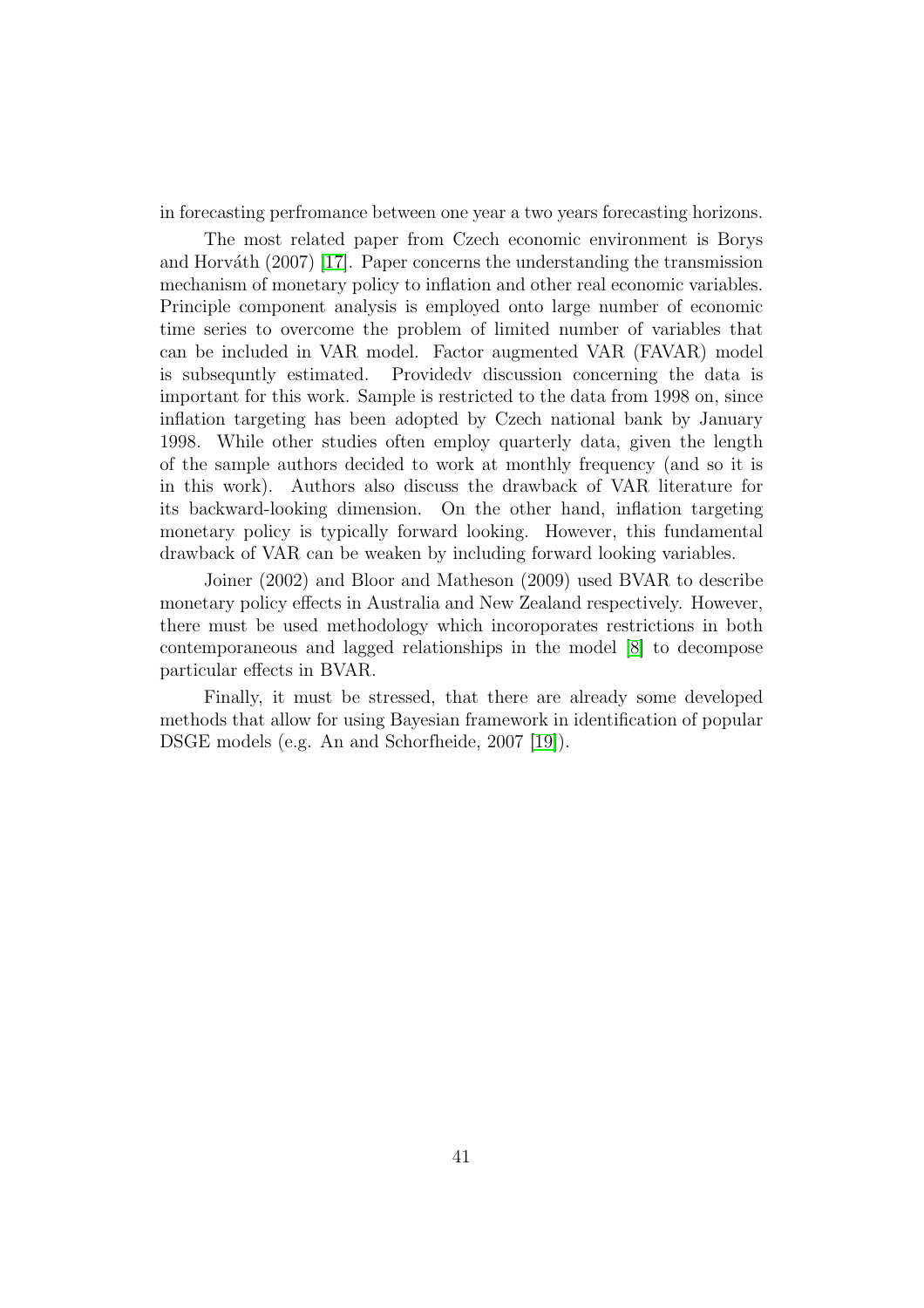in forecasting perfromance between one year a two years forecasting horizons.

The most related paper from Czech economic environment is Borys and Horváth  $(2007)$  [\[17\]](#page-79-2). Paper concerns the understanding the transmission mechanism of monetary policy to inflation and other real economic variables. Principle component analysis is employed onto large number of economic time series to overcome the problem of limited number of variables that can be included in VAR model. Factor augmented VAR (FAVAR) model is subsequntly estimated. Providedv discussion concerning the data is important for this work. Sample is restricted to the data from 1998 on, since inflation targeting has been adopted by Czech national bank by January 1998. While other studies often employ quarterly data, given the length of the sample authors decided to work at monthly frequency (and so it is in this work). Authors also discuss the drawback of VAR literature for its backward-looking dimension. On the other hand, inflation targeting monetary policy is typically forward looking. However, this fundamental drawback of VAR can be weaken by including forward looking variables.

Joiner (2002) and Bloor and Matheson (2009) used BVAR to describe monetary policy effects in Australia and New Zealand respectively. However, there must be used methodology which incoroporates restrictions in both contemporaneous and lagged relationships in the model [\[8\]](#page-78-8) to decompose particular effects in BVAR.

Finally, it must be stressed, that there are already some developed methods that allow for using Bayesian framework in identification of popular DSGE models (e.g. An and Schorfheide, 2007 [\[19\]](#page-79-3)).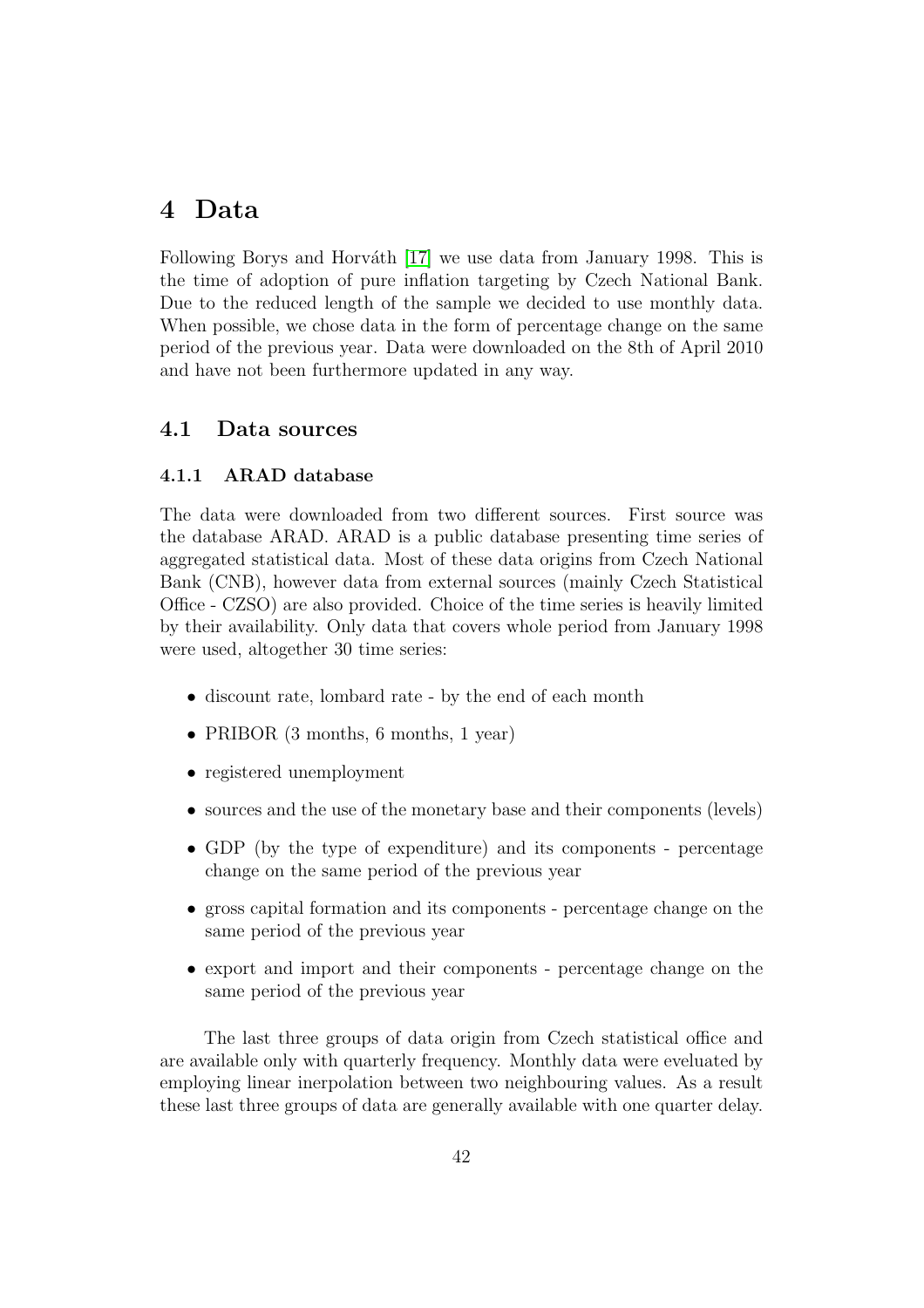# 4 Data

Following Borys and Horváth [\[17\]](#page-79-2) we use data from January 1998. This is the time of adoption of pure inflation targeting by Czech National Bank. Due to the reduced length of the sample we decided to use monthly data. When possible, we chose data in the form of percentage change on the same period of the previous year. Data were downloaded on the 8th of April 2010 and have not been furthermore updated in any way.

## 4.1 Data sources

#### 4.1.1 ARAD database

The data were downloaded from two different sources. First source was the database ARAD. ARAD is a public database presenting time series of aggregated statistical data. Most of these data origins from Czech National Bank (CNB), however data from external sources (mainly Czech Statistical Office - CZSO) are also provided. Choice of the time series is heavily limited by their availability. Only data that covers whole period from January 1998 were used, altogether 30 time series:

- discount rate, lombard rate by the end of each month
- PRIBOR (3 months, 6 months, 1 year)
- registered unemployment
- sources and the use of the monetary base and their components (levels)
- GDP (by the type of expenditure) and its components percentage change on the same period of the previous year
- gross capital formation and its components percentage change on the same period of the previous year
- export and import and their components percentage change on the same period of the previous year

The last three groups of data origin from Czech statistical office and are available only with quarterly frequency. Monthly data were eveluated by employing linear inerpolation between two neighbouring values. As a result these last three groups of data are generally available with one quarter delay.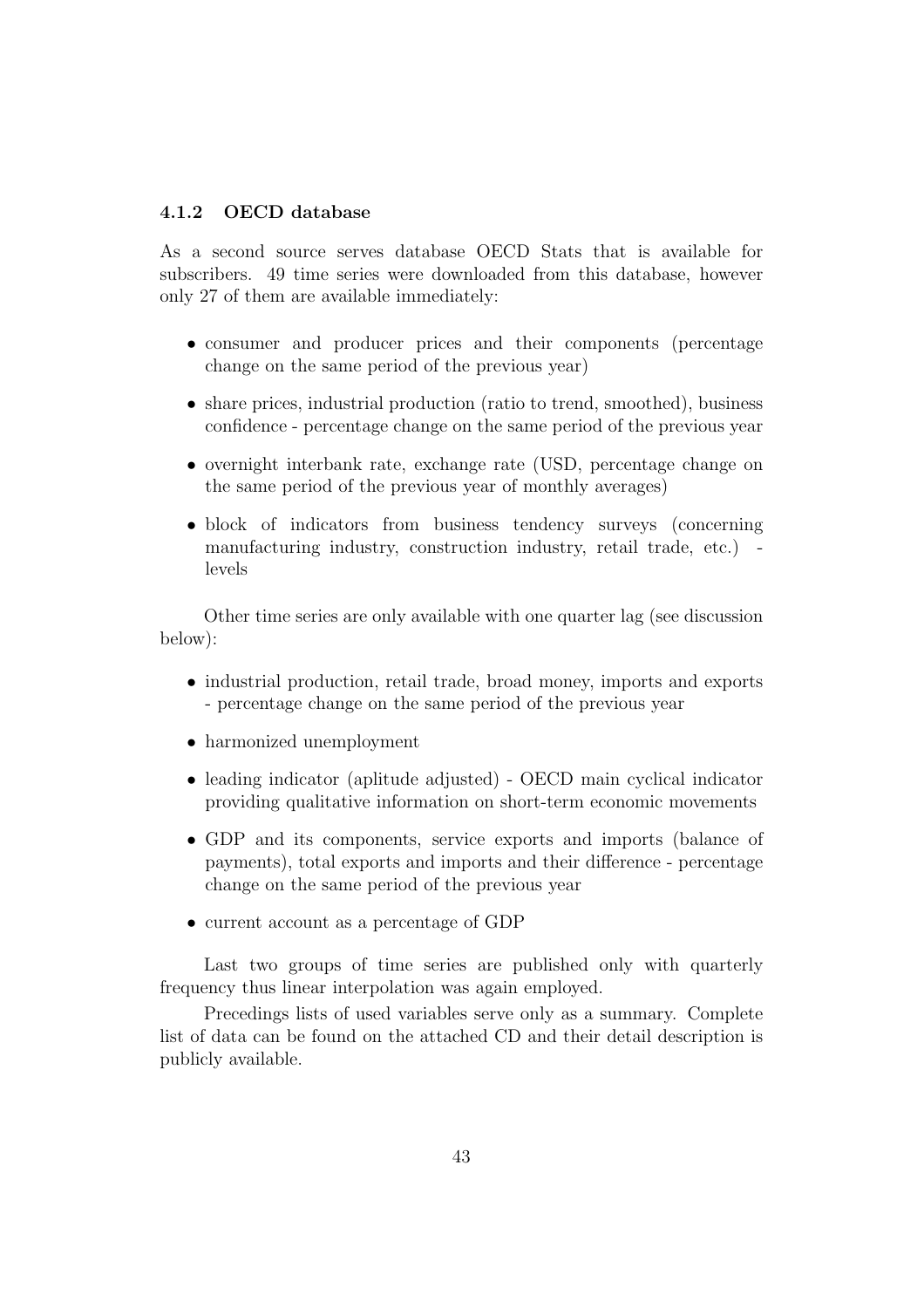#### 4.1.2 OECD database

As a second source serves database OECD Stats that is available for subscribers. 49 time series were downloaded from this database, however only 27 of them are available immediately:

- consumer and producer prices and their components (percentage change on the same period of the previous year)
- share prices, industrial production (ratio to trend, smoothed), business confidence - percentage change on the same period of the previous year
- overnight interbank rate, exchange rate (USD, percentage change on the same period of the previous year of monthly averages)
- block of indicators from business tendency surveys (concerning manufacturing industry, construction industry, retail trade, etc.) levels

Other time series are only available with one quarter lag (see discussion below):

- industrial production, retail trade, broad money, imports and exports - percentage change on the same period of the previous year
- harmonized unemployment
- leading indicator (aplitude adjusted) OECD main cyclical indicator providing qualitative information on short-term economic movements
- GDP and its components, service exports and imports (balance of payments), total exports and imports and their difference - percentage change on the same period of the previous year
- current account as a percentage of GDP

Last two groups of time series are published only with quarterly frequency thus linear interpolation was again employed.

Precedings lists of used variables serve only as a summary. Complete list of data can be found on the attached CD and their detail description is publicly available.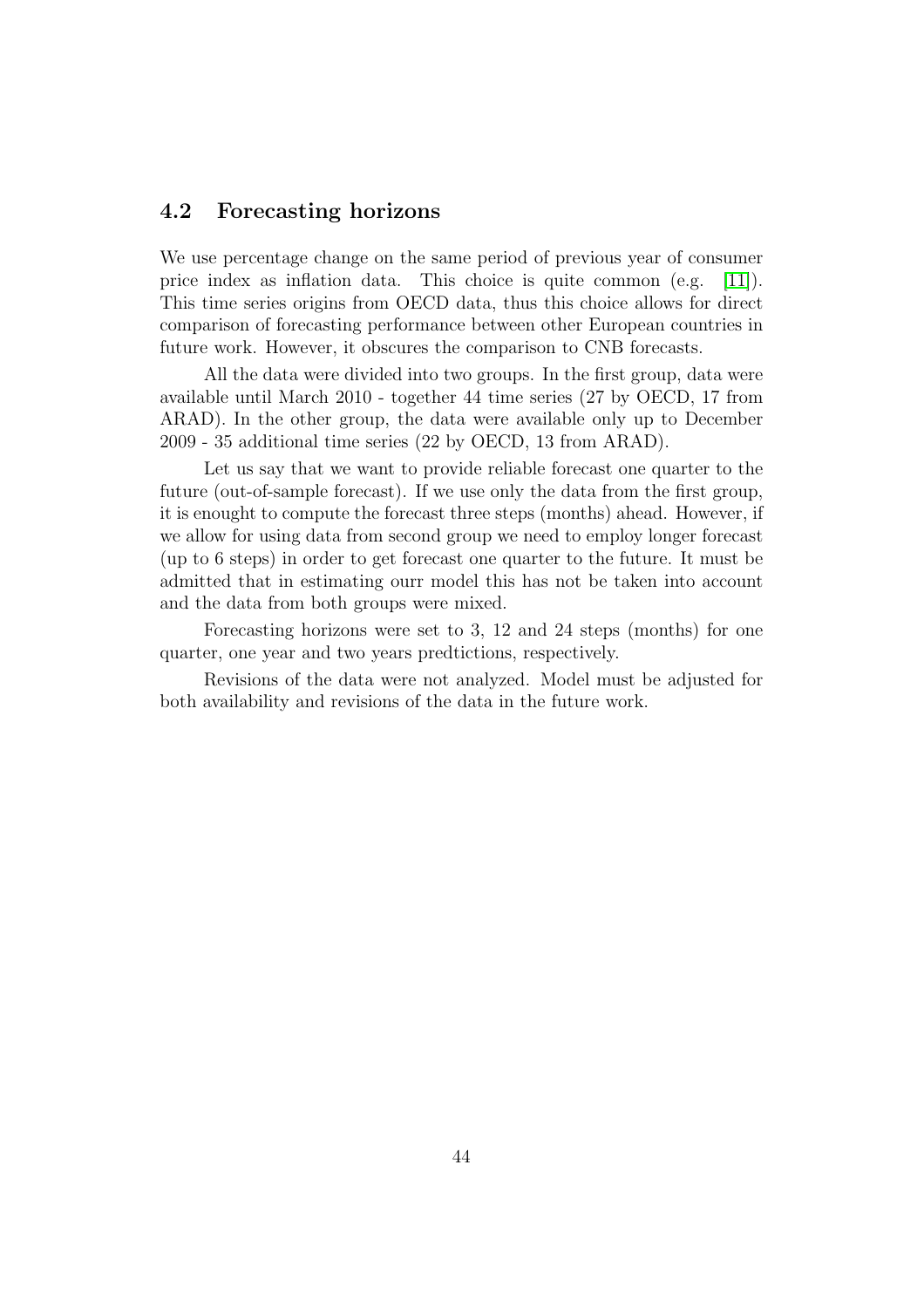## 4.2 Forecasting horizons

We use percentage change on the same period of previous year of consumer price index as inflation data. This choice is quite common (e.g. [\[11\]](#page-78-4)). This time series origins from OECD data, thus this choice allows for direct comparison of forecasting performance between other European countries in future work. However, it obscures the comparison to CNB forecasts.

All the data were divided into two groups. In the first group, data were available until March 2010 - together 44 time series (27 by OECD, 17 from ARAD). In the other group, the data were available only up to December 2009 - 35 additional time series (22 by OECD, 13 from ARAD).

Let us say that we want to provide reliable forecast one quarter to the future (out-of-sample forecast). If we use only the data from the first group, it is enought to compute the forecast three steps (months) ahead. However, if we allow for using data from second group we need to employ longer forecast (up to 6 steps) in order to get forecast one quarter to the future. It must be admitted that in estimating ourr model this has not be taken into account and the data from both groups were mixed.

Forecasting horizons were set to 3, 12 and 24 steps (months) for one quarter, one year and two years predtictions, respectively.

Revisions of the data were not analyzed. Model must be adjusted for both availability and revisions of the data in the future work.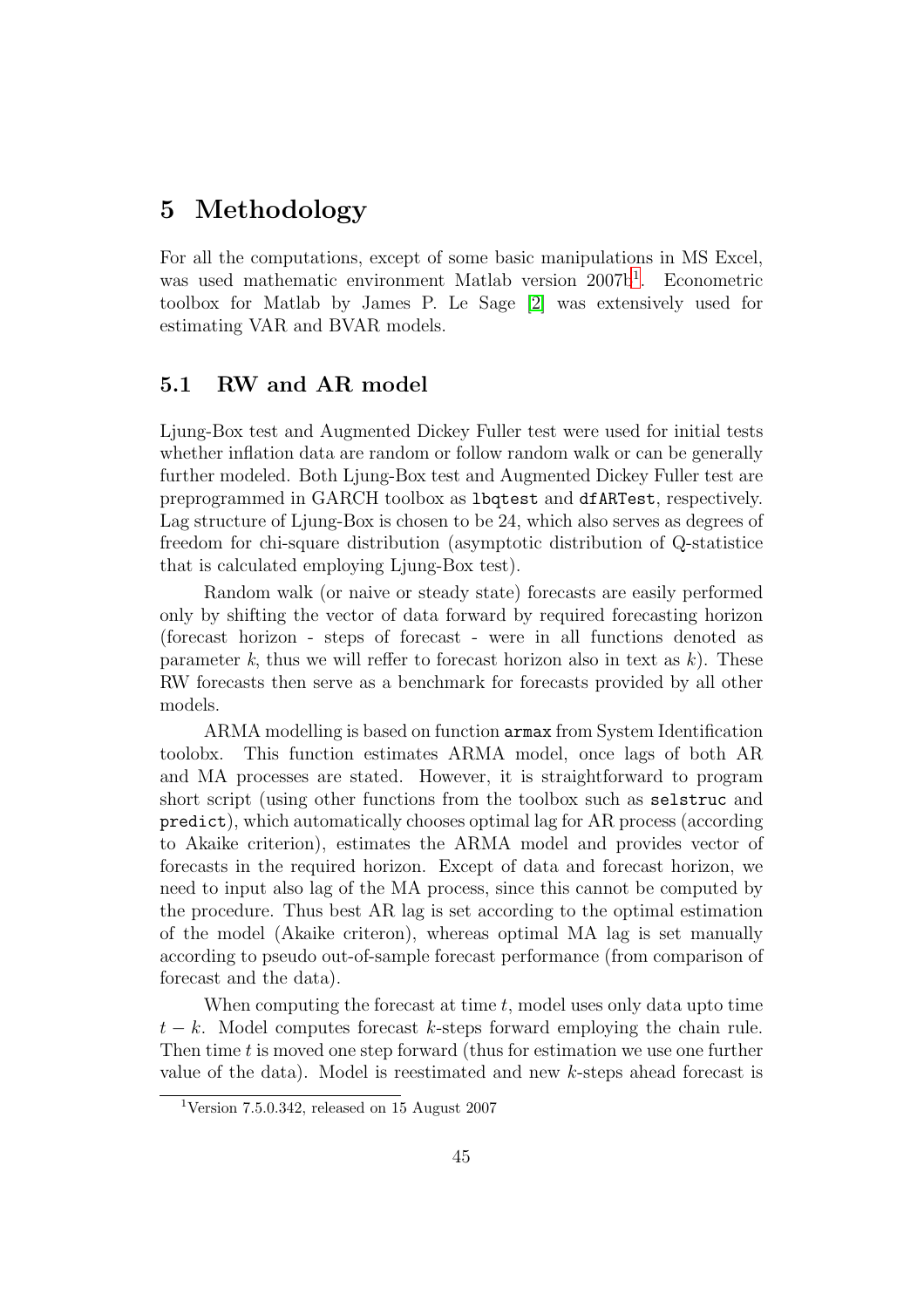# 5 Methodology

For all the computations, except of some basic manipulations in MS Excel, was used mathematic environment Matlab version 2007b<sup>[1](#page-45-0)</sup>. Econometric toolbox for Matlab by James P. Le Sage [\[2\]](#page-78-0) was extensively used for estimating VAR and BVAR models.

## 5.1 RW and AR model

Ljung-Box test and Augmented Dickey Fuller test were used for initial tests whether inflation data are random or follow random walk or can be generally further modeled. Both Ljung-Box test and Augmented Dickey Fuller test are preprogrammed in GARCH toolbox as lbqtest and dfARTest, respectively. Lag structure of Ljung-Box is chosen to be 24, which also serves as degrees of freedom for chi-square distribution (asymptotic distribution of Q-statistice that is calculated employing Ljung-Box test).

Random walk (or naive or steady state) forecasts are easily performed only by shifting the vector of data forward by required forecasting horizon (forecast horizon - steps of forecast - were in all functions denoted as parameter k, thus we will reffer to forecast horizon also in text as  $k$ ). These RW forecasts then serve as a benchmark for forecasts provided by all other models.

ARMA modelling is based on function armax from System Identification toolobx. This function estimates ARMA model, once lags of both AR and MA processes are stated. However, it is straightforward to program short script (using other functions from the toolbox such as selstruc and predict), which automatically chooses optimal lag for AR process (according to Akaike criterion), estimates the ARMA model and provides vector of forecasts in the required horizon. Except of data and forecast horizon, we need to input also lag of the MA process, since this cannot be computed by the procedure. Thus best AR lag is set according to the optimal estimation of the model (Akaike criteron), whereas optimal MA lag is set manually according to pseudo out-of-sample forecast performance (from comparison of forecast and the data).

When computing the forecast at time  $t$ , model uses only data upto time  $t - k$ . Model computes forecast k-steps forward employing the chain rule. Then time  $t$  is moved one step forward (thus for estimation we use one further value of the data). Model is reestimated and new k-steps ahead forecast is

<span id="page-45-0"></span><sup>&</sup>lt;sup>1</sup>Version 7.5.0.342, released on 15 August 2007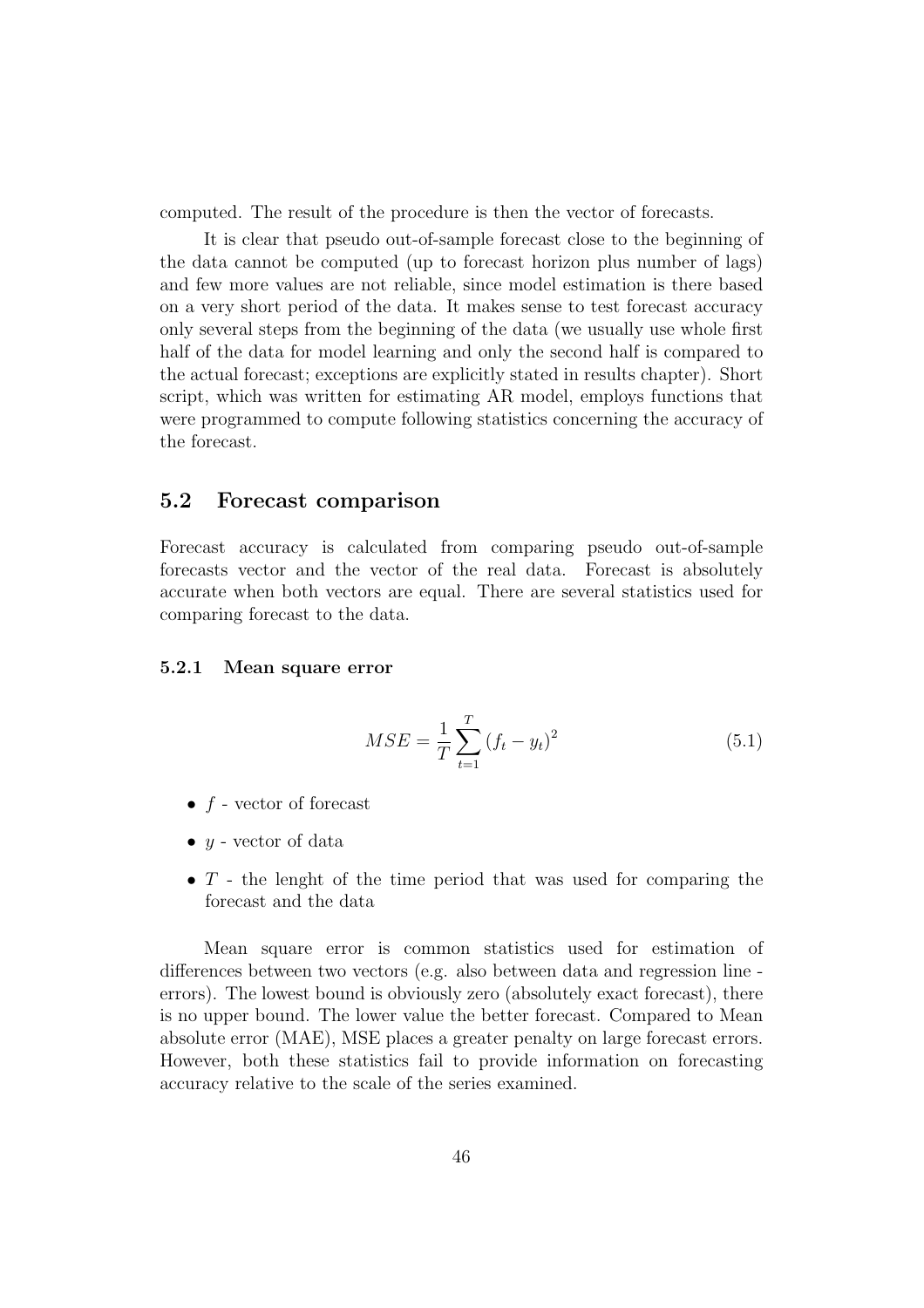computed. The result of the procedure is then the vector of forecasts.

It is clear that pseudo out-of-sample forecast close to the beginning of the data cannot be computed (up to forecast horizon plus number of lags) and few more values are not reliable, since model estimation is there based on a very short period of the data. It makes sense to test forecast accuracy only several steps from the beginning of the data (we usually use whole first half of the data for model learning and only the second half is compared to the actual forecast; exceptions are explicitly stated in results chapter). Short script, which was written for estimating AR model, employs functions that were programmed to compute following statistics concerning the accuracy of the forecast.

## 5.2 Forecast comparison

Forecast accuracy is calculated from comparing pseudo out-of-sample forecasts vector and the vector of the real data. Forecast is absolutely accurate when both vectors are equal. There are several statistics used for comparing forecast to the data.

#### 5.2.1 Mean square error

$$
MSE = \frac{1}{T} \sum_{t=1}^{T} (f_t - y_t)^2
$$
\n(5.1)

- $f$  vector of forecast
- $y$  vector of data
- $T$  the lenght of the time period that was used for comparing the forecast and the data

Mean square error is common statistics used for estimation of differences between two vectors (e.g. also between data and regression line errors). The lowest bound is obviously zero (absolutely exact forecast), there is no upper bound. The lower value the better forecast. Compared to Mean absolute error (MAE), MSE places a greater penalty on large forecast errors. However, both these statistics fail to provide information on forecasting accuracy relative to the scale of the series examined.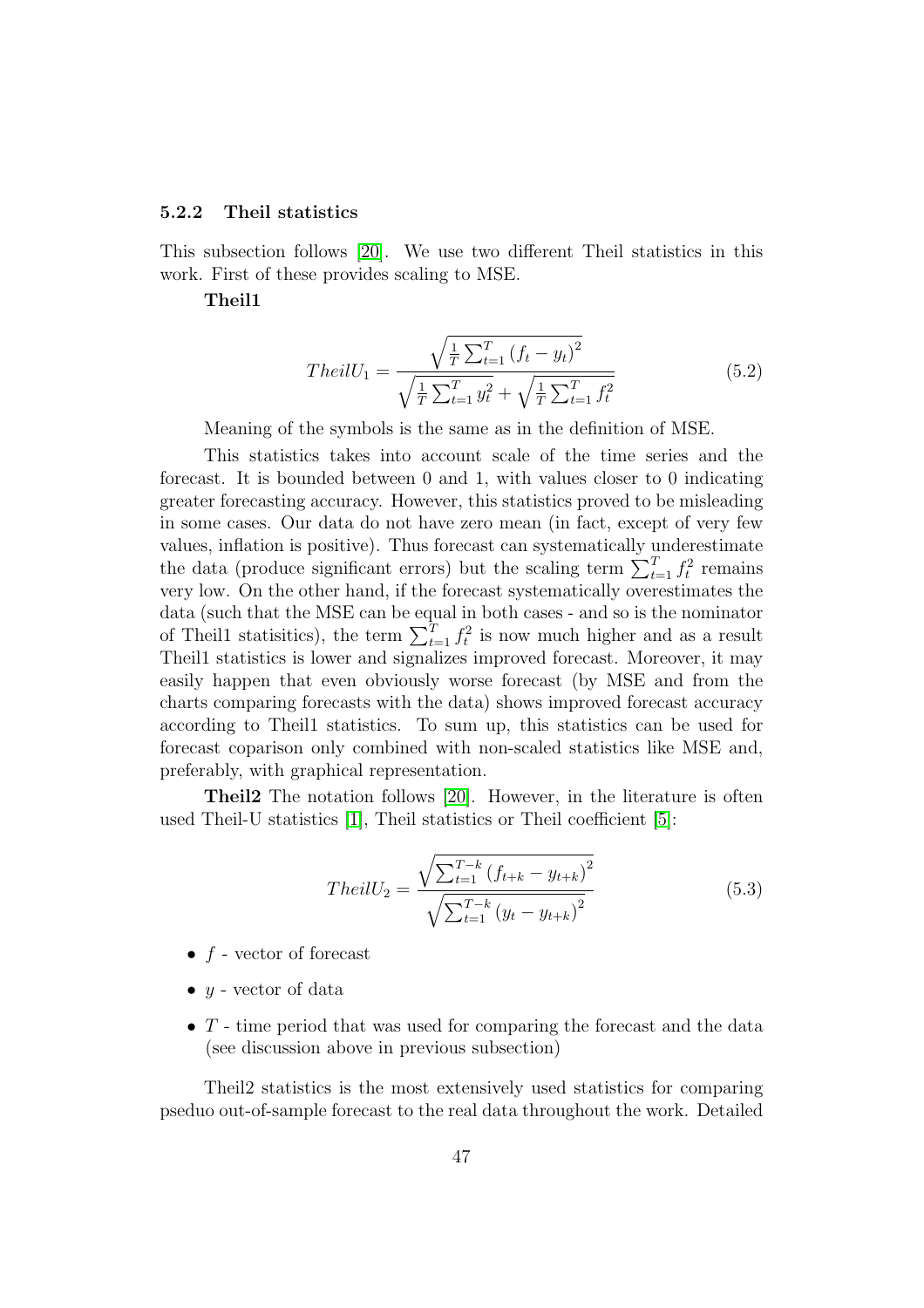#### <span id="page-47-0"></span>5.2.2 Theil statistics

This subsection follows [\[20\]](#page-79-4). We use two different Theil statistics in this work. First of these provides scaling to MSE.

#### Theil1

$$
TheilU_1 = \frac{\sqrt{\frac{1}{T} \sum_{t=1}^{T} (f_t - y_t)^2}}{\sqrt{\frac{1}{T} \sum_{t=1}^{T} y_t^2} + \sqrt{\frac{1}{T} \sum_{t=1}^{T} f_t^2}}
$$
(5.2)

Meaning of the symbols is the same as in the definition of MSE.

This statistics takes into account scale of the time series and the forecast. It is bounded between 0 and 1, with values closer to 0 indicating greater forecasting accuracy. However, this statistics proved to be misleading in some cases. Our data do not have zero mean (in fact, except of very few values, inflation is positive). Thus forecast can systematically underestimate the data (produce significant errors) but the scaling term  $\sum_{t=1}^{T} f_t^2$  remains very low. On the other hand, if the forecast systematically overestimates the data (such that the MSE can be equal in both cases - and so is the nominator of Theil1 statisitics), the term  $\sum_{t=1}^{T} f_t^2$  is now much higher and as a result Theil1 statistics is lower and signalizes improved forecast. Moreover, it may easily happen that even obviously worse forecast (by MSE and from the charts comparing forecasts with the data) shows improved forecast accuracy according to Theil1 statistics. To sum up, this statistics can be used for forecast coparison only combined with non-scaled statistics like MSE and, preferably, with graphical representation.

Theil2 The notation follows [\[20\]](#page-79-4). However, in the literature is often used Theil-U statistics [\[1\]](#page-78-6), Theil statistics or Theil coefficient [\[5\]](#page-78-5):

$$
TheilU_2 = \frac{\sqrt{\sum_{t=1}^{T-k} (f_{t+k} - y_{t+k})^2}}{\sqrt{\sum_{t=1}^{T-k} (y_t - y_{t+k})^2}}
$$
(5.3)

- $f$  vector of forecast
- $y$  vector of data
- $T$  time period that was used for comparing the forecast and the data (see discussion above in previous subsection)

Theil2 statistics is the most extensively used statistics for comparing pseduo out-of-sample forecast to the real data throughout the work. Detailed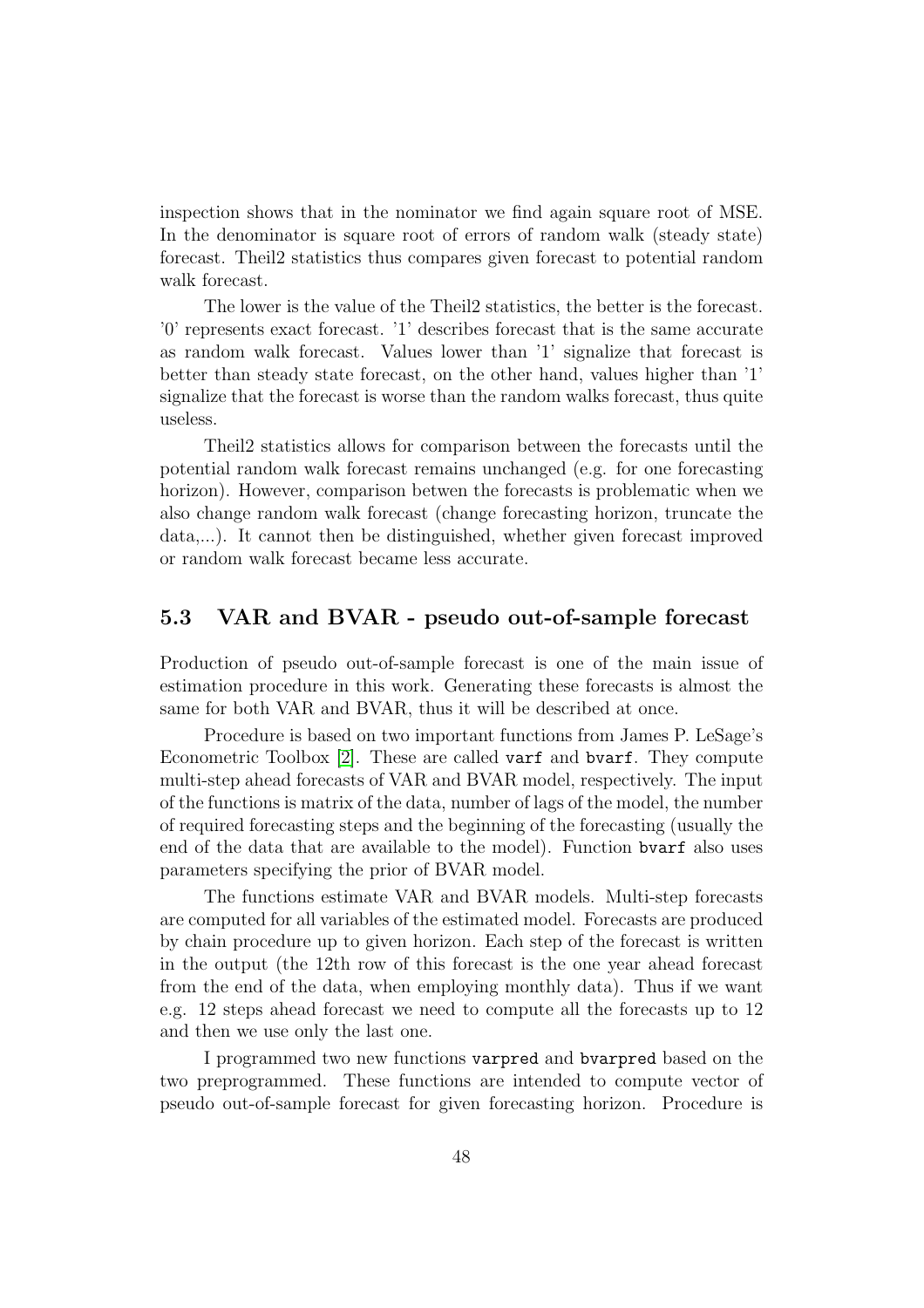inspection shows that in the nominator we find again square root of MSE. In the denominator is square root of errors of random walk (steady state) forecast. Theil2 statistics thus compares given forecast to potential random walk forecast.

The lower is the value of the Theil2 statistics, the better is the forecast. '0' represents exact forecast. '1' describes forecast that is the same accurate as random walk forecast. Values lower than '1' signalize that forecast is better than steady state forecast, on the other hand, values higher than '1' signalize that the forecast is worse than the random walks forecast, thus quite useless.

Theil2 statistics allows for comparison between the forecasts until the potential random walk forecast remains unchanged (e.g. for one forecasting horizon). However, comparison betwen the forecasts is problematic when we also change random walk forecast (change forecasting horizon, truncate the data,...). It cannot then be distinguished, whether given forecast improved or random walk forecast became less accurate.

### 5.3 VAR and BVAR - pseudo out-of-sample forecast

Production of pseudo out-of-sample forecast is one of the main issue of estimation procedure in this work. Generating these forecasts is almost the same for both VAR and BVAR, thus it will be described at once.

Procedure is based on two important functions from James P. LeSage's Econometric Toolbox [\[2\]](#page-78-0). These are called varf and bvarf. They compute multi-step ahead forecasts of VAR and BVAR model, respectively. The input of the functions is matrix of the data, number of lags of the model, the number of required forecasting steps and the beginning of the forecasting (usually the end of the data that are available to the model). Function bvarf also uses parameters specifying the prior of BVAR model.

The functions estimate VAR and BVAR models. Multi-step forecasts are computed for all variables of the estimated model. Forecasts are produced by chain procedure up to given horizon. Each step of the forecast is written in the output (the 12th row of this forecast is the one year ahead forecast from the end of the data, when employing monthly data). Thus if we want e.g. 12 steps ahead forecast we need to compute all the forecasts up to 12 and then we use only the last one.

I programmed two new functions varpred and bvarpred based on the two preprogrammed. These functions are intended to compute vector of pseudo out-of-sample forecast for given forecasting horizon. Procedure is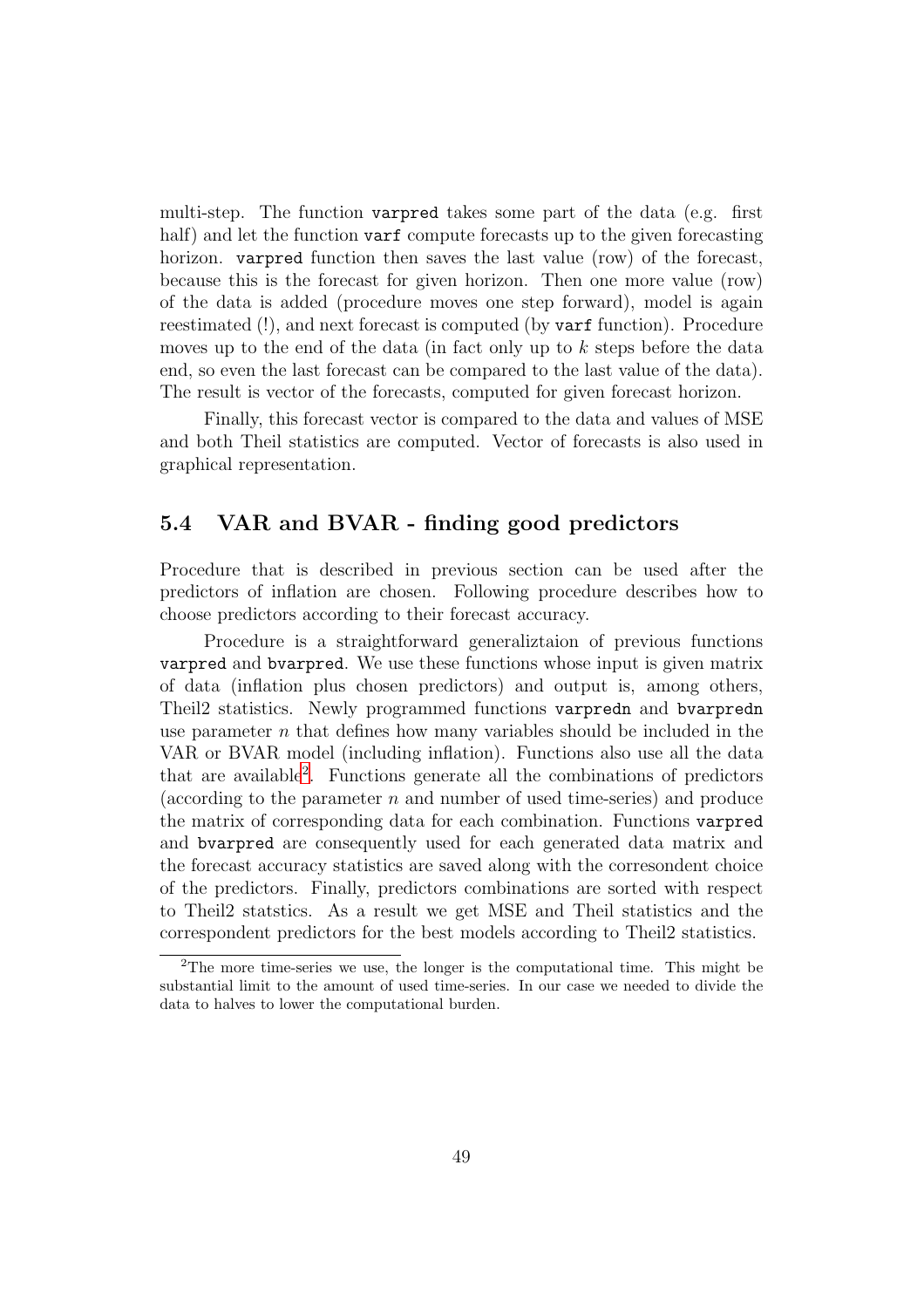multi-step. The function varpred takes some part of the data (e.g. first half) and let the function varf compute forecasts up to the given forecasting horizon. varpred function then saves the last value (row) of the forecast, because this is the forecast for given horizon. Then one more value (row) of the data is added (procedure moves one step forward), model is again reestimated (!), and next forecast is computed (by varf function). Procedure moves up to the end of the data (in fact only up to  $k$  steps before the data end, so even the last forecast can be compared to the last value of the data). The result is vector of the forecasts, computed for given forecast horizon.

Finally, this forecast vector is compared to the data and values of MSE and both Theil statistics are computed. Vector of forecasts is also used in graphical representation.

## 5.4 VAR and BVAR - finding good predictors

Procedure that is described in previous section can be used after the predictors of inflation are chosen. Following procedure describes how to choose predictors according to their forecast accuracy.

Procedure is a straightforward generaliztaion of previous functions varpred and bvarpred. We use these functions whose input is given matrix of data (inflation plus chosen predictors) and output is, among others, Theil2 statistics. Newly programmed functions varpredn and bvarpredn use parameter  $n$  that defines how many variables should be included in the VAR or BVAR model (including inflation). Functions also use all the data that are available[2](#page-49-0) . Functions generate all the combinations of predictors (according to the parameter n and number of used time-series) and produce the matrix of corresponding data for each combination. Functions varpred and bvarpred are consequently used for each generated data matrix and the forecast accuracy statistics are saved along with the corresondent choice of the predictors. Finally, predictors combinations are sorted with respect to Theil2 statstics. As a result we get MSE and Theil statistics and the correspondent predictors for the best models according to Theil2 statistics.

<span id="page-49-0"></span><sup>2</sup>The more time-series we use, the longer is the computational time. This might be substantial limit to the amount of used time-series. In our case we needed to divide the data to halves to lower the computational burden.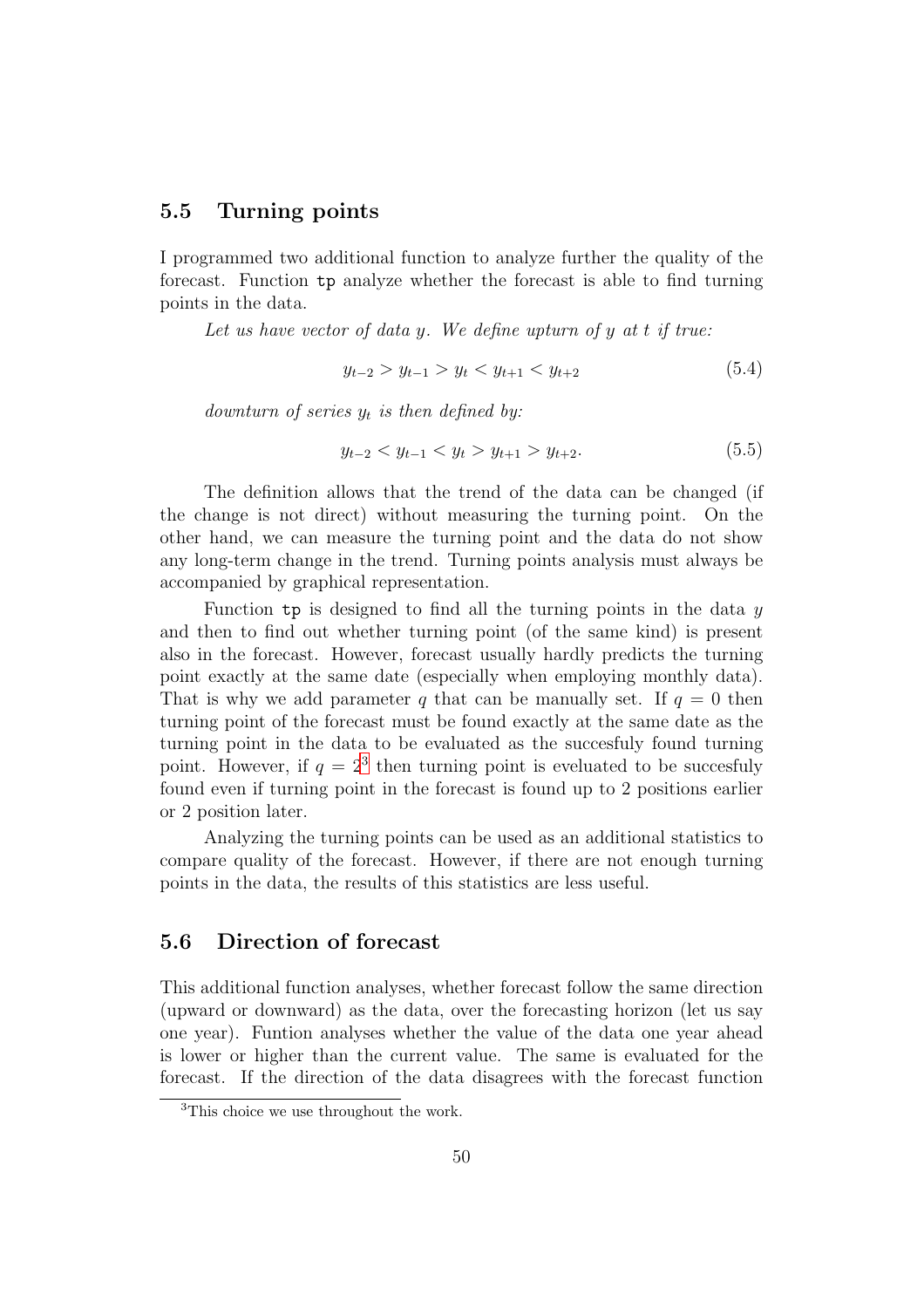## 5.5 Turning points

I programmed two additional function to analyze further the quality of the forecast. Function tp analyze whether the forecast is able to find turning points in the data.

Let us have vector of data y. We define upturn of y at  $t$  if true:

$$
y_{t-2} > y_{t-1} > y_t < y_{t+1} < y_{t+2}
$$
\n
$$
(5.4)
$$

downturn of series  $y_t$  is then defined by:

$$
y_{t-2} < y_{t-1} < y_t > y_{t+1} > y_{t+2}.\tag{5.5}
$$

The definition allows that the trend of the data can be changed (if the change is not direct) without measuring the turning point. On the other hand, we can measure the turning point and the data do not show any long-term change in the trend. Turning points analysis must always be accompanied by graphical representation.

Function tp is designed to find all the turning points in the data  $y$ and then to find out whether turning point (of the same kind) is present also in the forecast. However, forecast usually hardly predicts the turning point exactly at the same date (especially when employing monthly data). That is why we add parameter q that can be manually set. If  $q = 0$  then turning point of the forecast must be found exactly at the same date as the turning point in the data to be evaluated as the succesfuly found turning point. However, if  $q = 2^3$  $q = 2^3$  then turning point is eveluated to be succesfuly found even if turning point in the forecast is found up to 2 positions earlier or 2 position later.

Analyzing the turning points can be used as an additional statistics to compare quality of the forecast. However, if there are not enough turning points in the data, the results of this statistics are less useful.

### 5.6 Direction of forecast

This additional function analyses, whether forecast follow the same direction (upward or downward) as the data, over the forecasting horizon (let us say one year). Funtion analyses whether the value of the data one year ahead is lower or higher than the current value. The same is evaluated for the forecast. If the direction of the data disagrees with the forecast function

<span id="page-50-0"></span><sup>&</sup>lt;sup>3</sup>This choice we use throughout the work.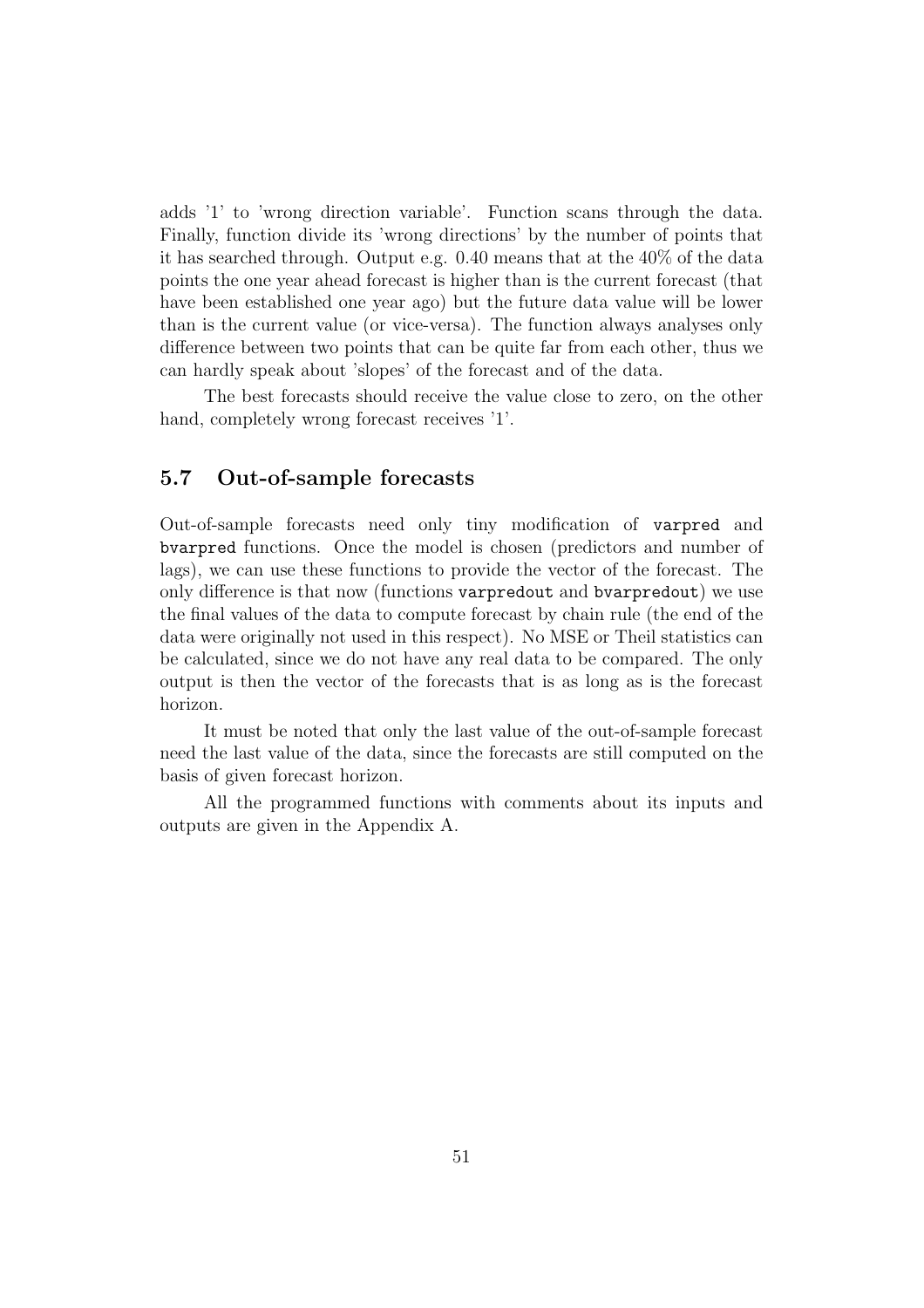adds '1' to 'wrong direction variable'. Function scans through the data. Finally, function divide its 'wrong directions' by the number of points that it has searched through. Output e.g. 0.40 means that at the 40% of the data points the one year ahead forecast is higher than is the current forecast (that have been established one year ago) but the future data value will be lower than is the current value (or vice-versa). The function always analyses only difference between two points that can be quite far from each other, thus we can hardly speak about 'slopes' of the forecast and of the data.

The best forecasts should receive the value close to zero, on the other hand, completely wrong forecast receives '1'.

### 5.7 Out-of-sample forecasts

Out-of-sample forecasts need only tiny modification of varpred and bvarpred functions. Once the model is chosen (predictors and number of lags), we can use these functions to provide the vector of the forecast. The only difference is that now (functions varpredout and bvarpredout) we use the final values of the data to compute forecast by chain rule (the end of the data were originally not used in this respect). No MSE or Theil statistics can be calculated, since we do not have any real data to be compared. The only output is then the vector of the forecasts that is as long as is the forecast horizon.

It must be noted that only the last value of the out-of-sample forecast need the last value of the data, since the forecasts are still computed on the basis of given forecast horizon.

All the programmed functions with comments about its inputs and outputs are given in the Appendix A.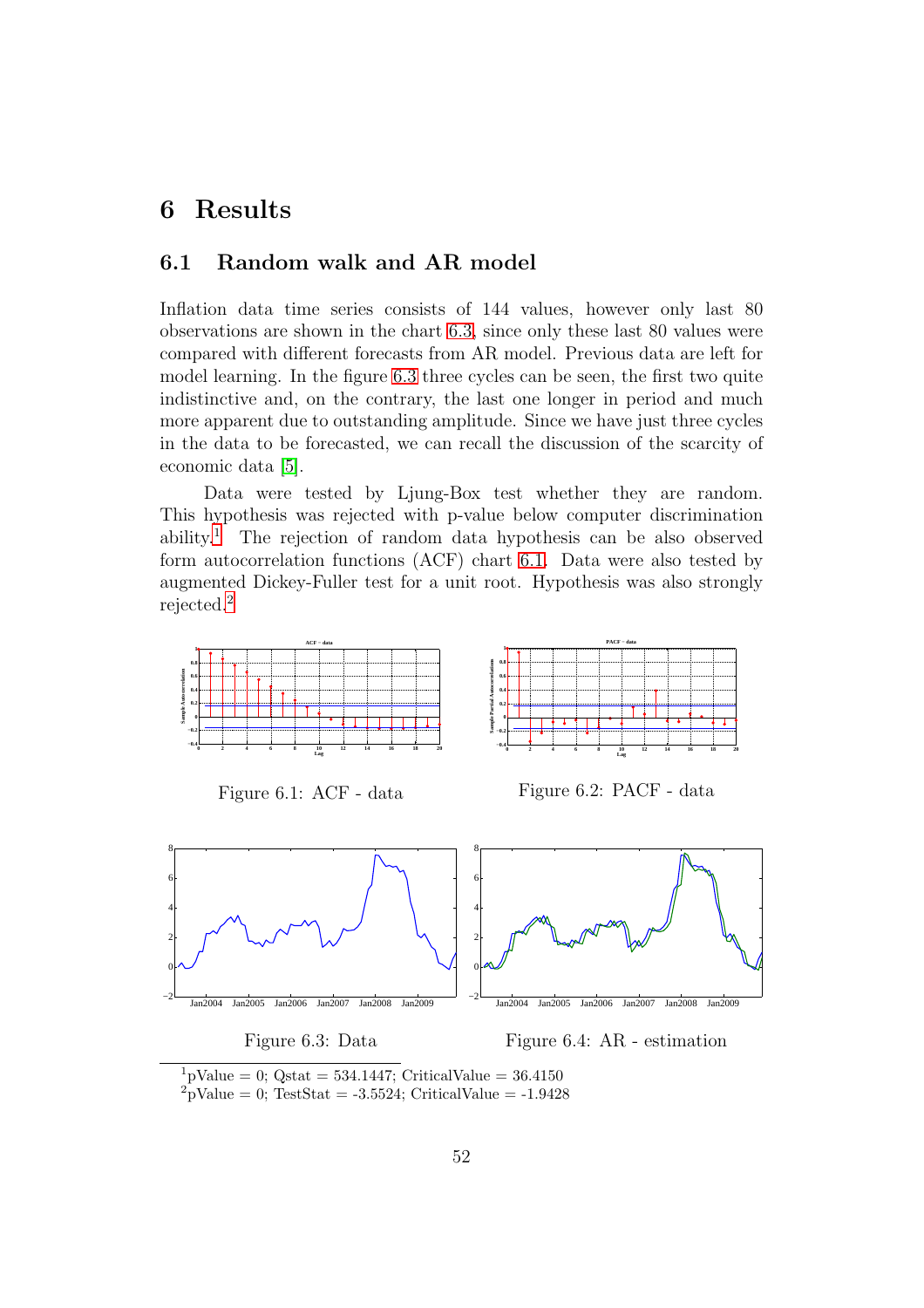# 6 Results

## 6.1 Random walk and AR model

Inflation data time series consists of 144 values, however only last 80 observations are shown in the chart [6.3,](#page-52-0) since only these last 80 values were compared with different forecasts from AR model. Previous data are left for model learning. In the figure [6.3](#page-52-0) three cycles can be seen, the first two quite indistinctive and, on the contrary, the last one longer in period and much more apparent due to outstanding amplitude. Since we have just three cycles in the data to be forecasted, we can recall the discussion of the scarcity of economic data [\[5\]](#page-78-5).

Data were tested by Ljung-Box test whether they are random. This hypothesis was rejected with p-value below computer discrimination ability.[1](#page-52-1) The rejection of random data hypothesis can be also observed form autocorrelation functions (ACF) chart [6.1.](#page-52-2) Data were also tested by augmented Dickey-Fuller test for a unit root. Hypothesis was also strongly rejected.[2](#page-52-3)

<span id="page-52-2"></span>

#### <span id="page-52-0"></span>Figure 6.3: Data

<span id="page-52-5"></span><span id="page-52-4"></span>Figure 6.4: AR - estimation

<span id="page-52-3"></span><span id="page-52-1"></span> $1\text{pValue} = 0$ ; Qstat = 534.1447; CriticalValue = 36.4150  ${}^{2}$ pValue = 0; TestStat = -3.5524; CriticalValue = -1.9428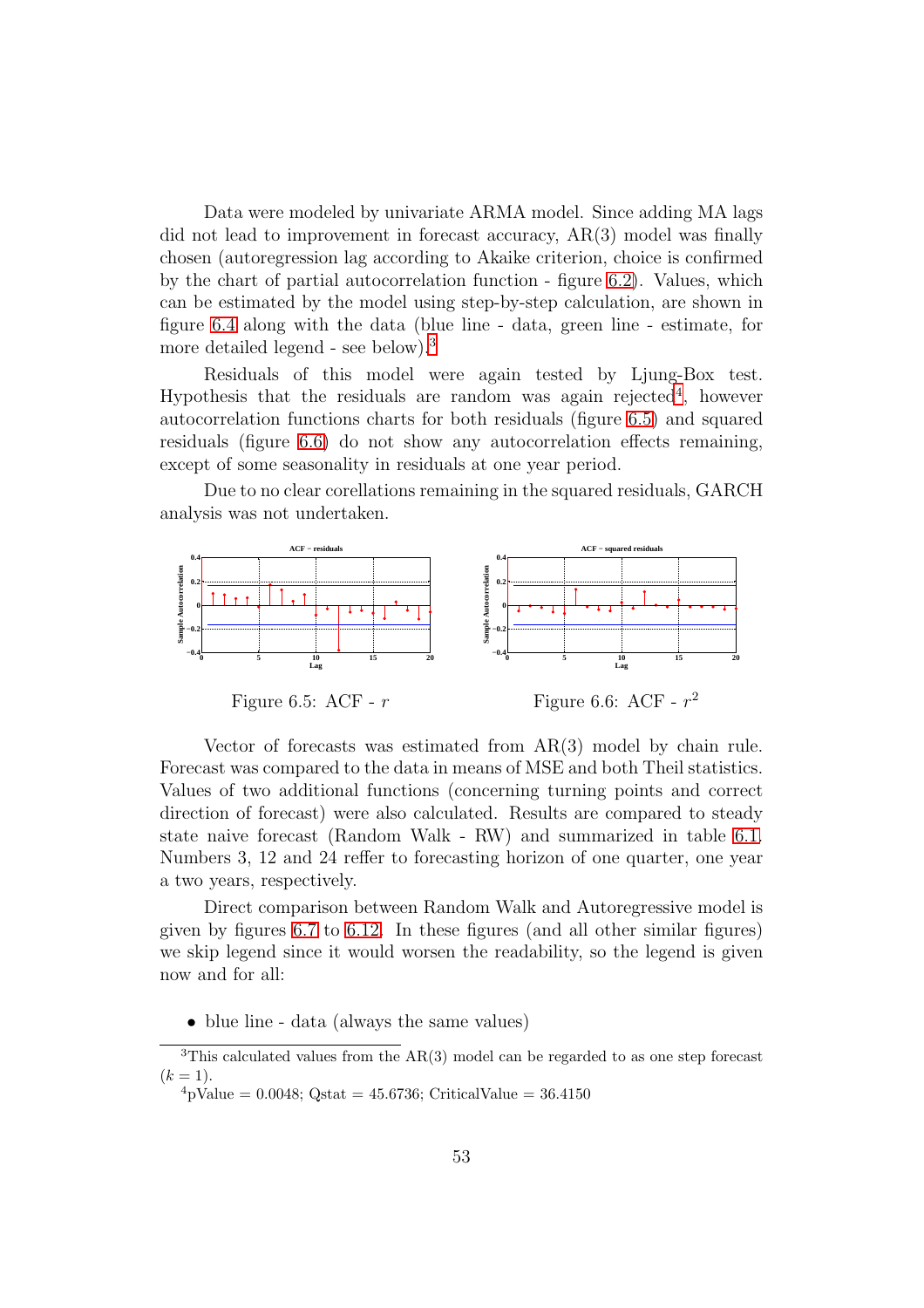Data were modeled by univariate ARMA model. Since adding MA lags did not lead to improvement in forecast accuracy, AR(3) model was finally chosen (autoregression lag according to Akaike criterion, choice is confirmed by the chart of partial autocorrelation function - figure [6.2\)](#page-52-4). Values, which can be estimated by the model using step-by-step calculation, are shown in figure [6.4](#page-52-5) along with the data (blue line - data, green line - estimate, for more detailed legend - see below).[3](#page-53-0)

Residuals of this model were again tested by Ljung-Box test. Hypothesis that the residuals are random was again rejected<sup>[4](#page-53-1)</sup>, however autocorrelation functions charts for both residuals (figure [6.5\)](#page-53-2) and squared residuals (figure [6.6\)](#page-53-3) do not show any autocorrelation effects remaining, except of some seasonality in residuals at one year period.

Due to no clear corellations remaining in the squared residuals, GARCH analysis was not undertaken.



<span id="page-53-2"></span>Figure 6.5: ACF -  $r$ 

<span id="page-53-3"></span>Figure 6.6: ACF -  $r^2$ 

Vector of forecasts was estimated from AR(3) model by chain rule. Forecast was compared to the data in means of MSE and both Theil statistics. Values of two additional functions (concerning turning points and correct direction of forecast) were also calculated. Results are compared to steady state naive forecast (Random Walk - RW) and summarized in table [6.1.](#page-54-0) Numbers 3, 12 and 24 reffer to forecasting horizon of one quarter, one year a two years, respectively.

Direct comparison between Random Walk and Autoregressive model is given by figures [6.7](#page-55-0) to [6.12.](#page-56-0) In these figures (and all other similar figures) we skip legend since it would worsen the readability, so the legend is given now and for all:

• blue line - data (always the same values)

<sup>3</sup>This calculated values from the AR(3) model can be regarded to as one step forecast  $(k = 1).$ 

<span id="page-53-1"></span><span id="page-53-0"></span> $^{4}$ pValue = 0.0048; Qstat = 45.6736; CriticalValue = 36.4150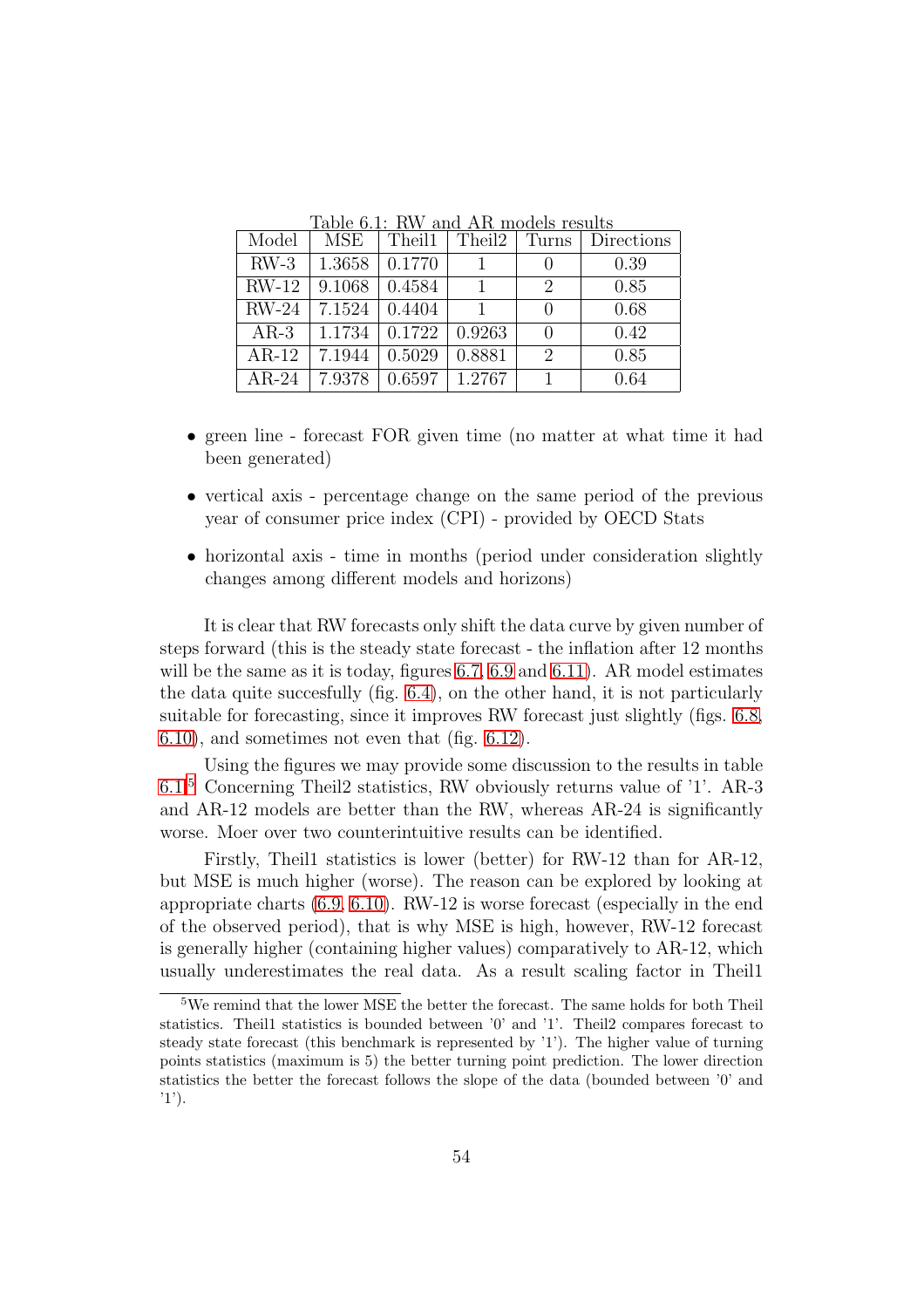| Model   | MSE              | Theil1                      | Theil2               | Turns                       | Directions |
|---------|------------------|-----------------------------|----------------------|-----------------------------|------------|
| $RW-3$  | 1.3658           | 0.1770                      |                      | $\cup$                      | 0.39       |
| $RW-12$ | $ 9.1068\rangle$ | 0.4584                      |                      | $\mathcal{D}_{\mathcal{L}}$ | 0.85       |
| $RW-24$ | 7.1524           | 0.4404                      |                      | $\left( \right)$            | 0.68       |
| $AR-3$  | 1.1734           | $\mid$ 0.1722 $\mid$ 0.9263 |                      | $\Omega$                    | 0.42       |
| $AR-12$ | 7.1944           | 0.5029                      | 0.8881               | 2                           | 0.85       |
| $AR-24$ | 7.9378           |                             | $0.6597 \mid 1.2767$ |                             | 0.64       |

<span id="page-54-0"></span>Table 6.1: RW and AR models results

- green line forecast FOR given time (no matter at what time it had been generated)
- vertical axis percentage change on the same period of the previous year of consumer price index (CPI) - provided by OECD Stats
- horizontal axis time in months (period under consideration slightly changes among different models and horizons)

It is clear that RW forecasts only shift the data curve by given number of steps forward (this is the steady state forecast - the inflation after 12 months will be the same as it is today, figures [6.7,](#page-55-0) [6.9](#page-56-1) and [6.11\)](#page-56-2). AR model estimates the data quite succesfully (fig. [6.4\)](#page-52-5), on the other hand, it is not particularly suitable for forecasting, since it improves RW forecast just slightly (figs. [6.8,](#page-55-1) [6.10\)](#page-56-3), and sometimes not even that (fig. [6.12\)](#page-56-0).

Using the figures we may provide some discussion to the results in table [6.1.](#page-54-0)[5](#page-54-1) Concerning Theil2 statistics, RW obviously returns value of '1'. AR-3 and AR-12 models are better than the RW, whereas AR-24 is significantly worse. Moer over two counterintuitive results can be identified.

Firstly, Theil1 statistics is lower (better) for RW-12 than for AR-12, but MSE is much higher (worse). The reason can be explored by looking at appropriate charts [\(6.9,](#page-56-1) [6.10\)](#page-56-3). RW-12 is worse forecast (especially in the end of the observed period), that is why MSE is high, however, RW-12 forecast is generally higher (containing higher values) comparatively to AR-12, which usually underestimates the real data. As a result scaling factor in Theil1

<span id="page-54-1"></span><sup>5</sup>We remind that the lower MSE the better the forecast. The same holds for both Theil statistics. Theil1 statistics is bounded between '0' and '1'. Theil2 compares forecast to steady state forecast (this benchmark is represented by '1'). The higher value of turning points statistics (maximum is 5) the better turning point prediction. The lower direction statistics the better the forecast follows the slope of the data (bounded between '0' and '1').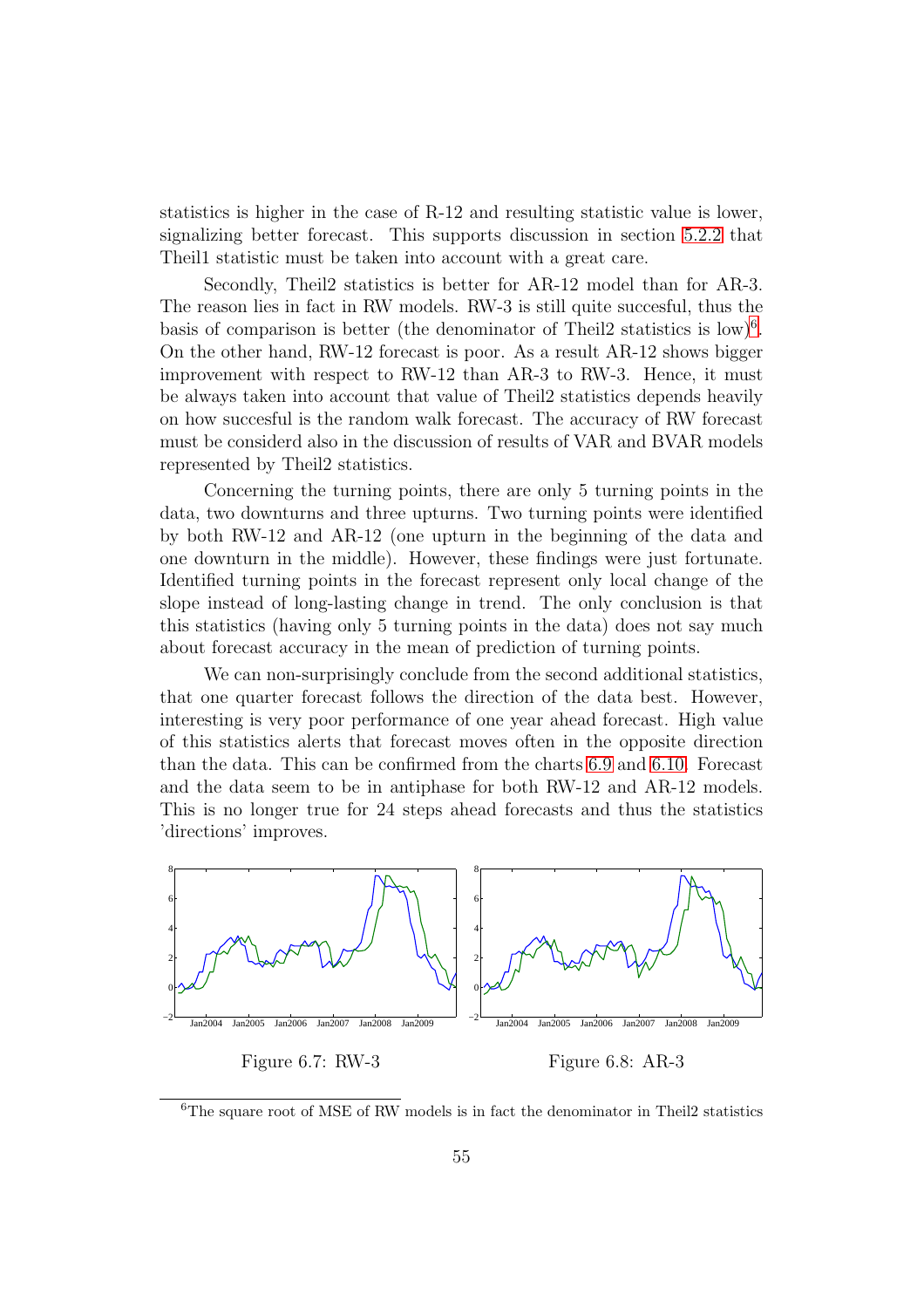statistics is higher in the case of R-12 and resulting statistic value is lower, signalizing better forecast. This supports discussion in section [5.2.2](#page-47-0) that Theil1 statistic must be taken into account with a great care.

Secondly, Theil2 statistics is better for AR-12 model than for AR-3. The reason lies in fact in RW models. RW-3 is still quite succesful, thus the basis of comparison is better (the denominator of Theil2 statistics is  $\text{low}$ )<sup>[6](#page-55-2)</sup>. On the other hand, RW-12 forecast is poor. As a result AR-12 shows bigger improvement with respect to RW-12 than AR-3 to RW-3. Hence, it must be always taken into account that value of Theil2 statistics depends heavily on how succesful is the random walk forecast. The accuracy of RW forecast must be considerd also in the discussion of results of VAR and BVAR models represented by Theil2 statistics.

Concerning the turning points, there are only 5 turning points in the data, two downturns and three upturns. Two turning points were identified by both RW-12 and AR-12 (one upturn in the beginning of the data and one downturn in the middle). However, these findings were just fortunate. Identified turning points in the forecast represent only local change of the slope instead of long-lasting change in trend. The only conclusion is that this statistics (having only 5 turning points in the data) does not say much about forecast accuracy in the mean of prediction of turning points.

We can non-surprisingly conclude from the second additional statistics, that one quarter forecast follows the direction of the data best. However, interesting is very poor performance of one year ahead forecast. High value of this statistics alerts that forecast moves often in the opposite direction than the data. This can be confirmed from the charts [6.9](#page-56-1) and [6.10.](#page-56-3) Forecast and the data seem to be in antiphase for both RW-12 and AR-12 models. This is no longer true for 24 steps ahead forecasts and thus the statistics 'directions' improves.



<span id="page-55-2"></span><span id="page-55-1"></span><span id="page-55-0"></span> ${}^{6}$ The square root of MSE of RW models is in fact the denominator in Theil2 statistics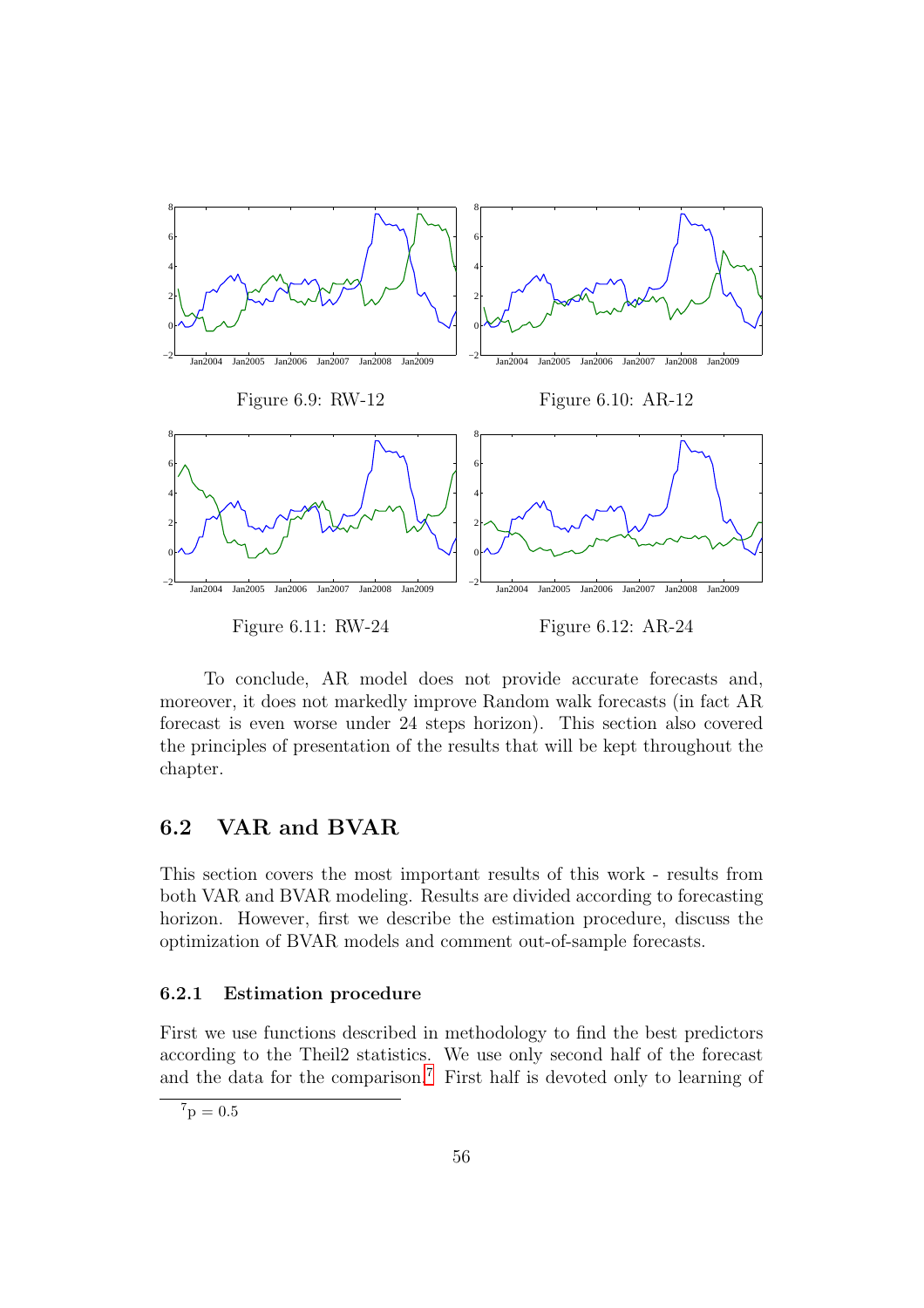<span id="page-56-1"></span>

<span id="page-56-3"></span><span id="page-56-2"></span><span id="page-56-0"></span>To conclude, AR model does not provide accurate forecasts and, moreover, it does not markedly improve Random walk forecasts (in fact AR forecast is even worse under 24 steps horizon). This section also covered the principles of presentation of the results that will be kept throughout the chapter.

# 6.2 VAR and BVAR

This section covers the most important results of this work - results from both VAR and BVAR modeling. Results are divided according to forecasting horizon. However, first we describe the estimation procedure, discuss the optimization of BVAR models and comment out-of-sample forecasts.

### 6.2.1 Estimation procedure

First we use functions described in methodology to find the best predictors according to the Theil2 statistics. We use only second half of the forecast and the data for the comparison.<sup>[7](#page-56-4)</sup> First half is devoted only to learning of

<span id="page-56-4"></span> ${}^{7}p = 0.5$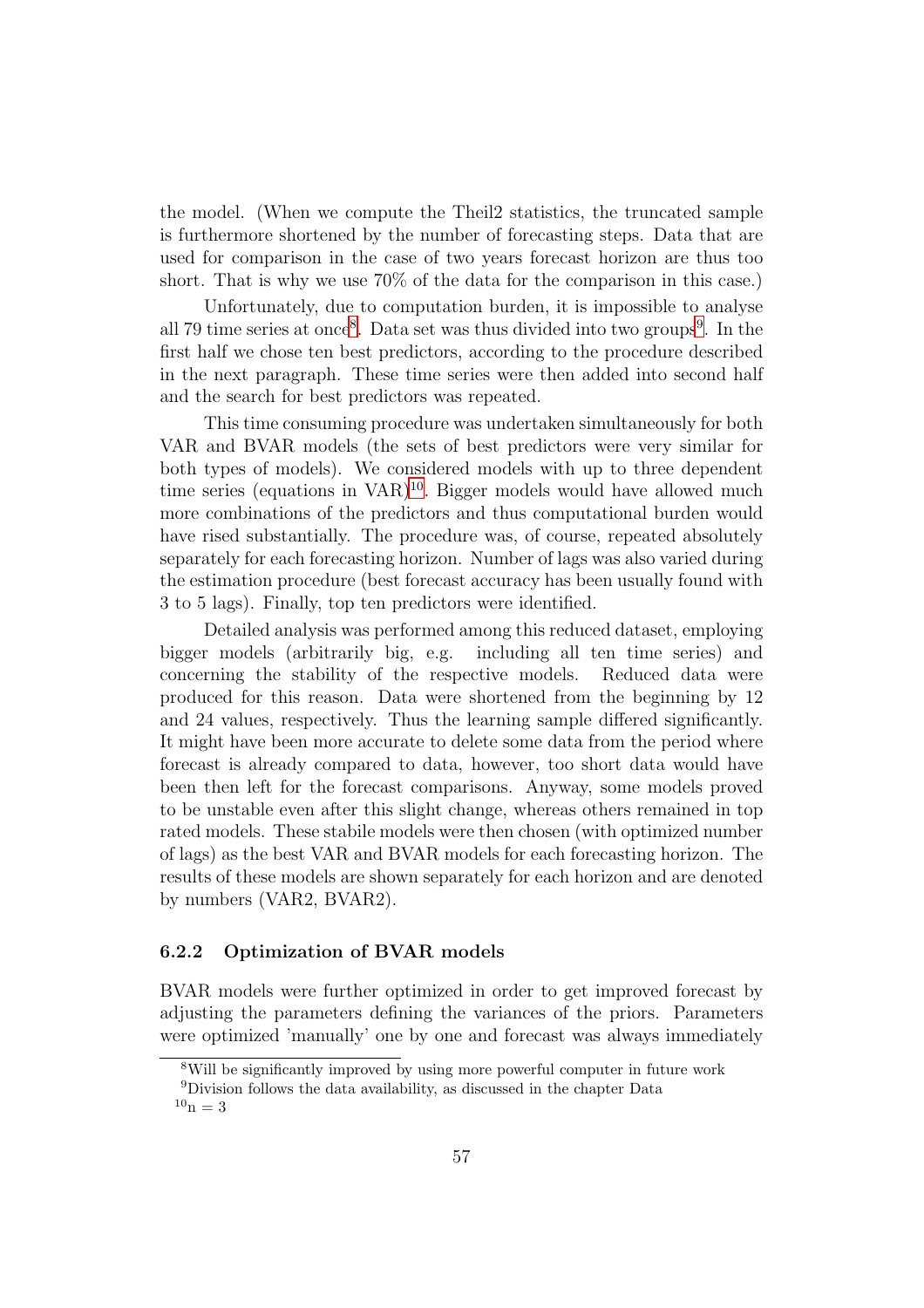the model. (When we compute the Theil2 statistics, the truncated sample is furthermore shortened by the number of forecasting steps. Data that are used for comparison in the case of two years forecast horizon are thus too short. That is why we use 70% of the data for the comparison in this case.)

Unfortunately, due to computation burden, it is impossible to analyse all 79 time series at once<sup>[8](#page-57-0)</sup>. Data set was thus divided into two groups<sup>[9](#page-57-1)</sup>. In the first half we chose ten best predictors, according to the procedure described in the next paragraph. These time series were then added into second half and the search for best predictors was repeated.

This time consuming procedure was undertaken simultaneously for both VAR and BVAR models (the sets of best predictors were very similar for both types of models). We considered models with up to three dependent time series (equations in  $VAR$ )<sup>[10](#page-57-2)</sup>. Bigger models would have allowed much more combinations of the predictors and thus computational burden would have rised substantially. The procedure was, of course, repeated absolutely separately for each forecasting horizon. Number of lags was also varied during the estimation procedure (best forecast accuracy has been usually found with 3 to 5 lags). Finally, top ten predictors were identified.

Detailed analysis was performed among this reduced dataset, employing bigger models (arbitrarily big, e.g. including all ten time series) and concerning the stability of the respective models. Reduced data were produced for this reason. Data were shortened from the beginning by 12 and 24 values, respectively. Thus the learning sample differed significantly. It might have been more accurate to delete some data from the period where forecast is already compared to data, however, too short data would have been then left for the forecast comparisons. Anyway, some models proved to be unstable even after this slight change, whereas others remained in top rated models. These stabile models were then chosen (with optimized number of lags) as the best VAR and BVAR models for each forecasting horizon. The results of these models are shown separately for each horizon and are denoted by numbers (VAR2, BVAR2).

#### 6.2.2 Optimization of BVAR models

BVAR models were further optimized in order to get improved forecast by adjusting the parameters defining the variances of the priors. Parameters were optimized 'manually' one by one and forecast was always immediately

<sup>8</sup>Will be significantly improved by using more powerful computer in future work

<span id="page-57-2"></span><span id="page-57-1"></span><span id="page-57-0"></span><sup>9</sup>Division follows the data availability, as discussed in the chapter Data  $10_{\rm n} = 3$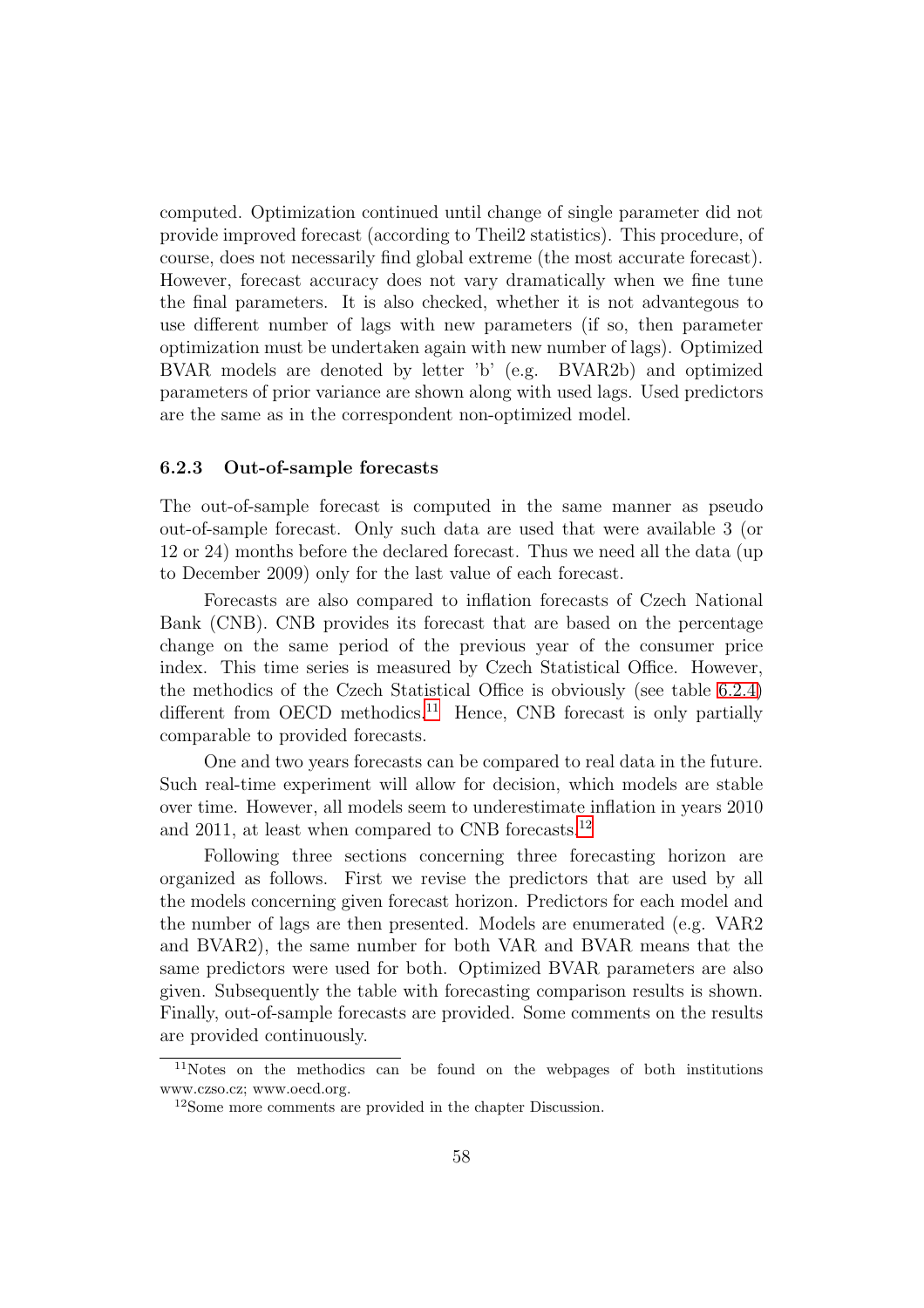computed. Optimization continued until change of single parameter did not provide improved forecast (according to Theil2 statistics). This procedure, of course, does not necessarily find global extreme (the most accurate forecast). However, forecast accuracy does not vary dramatically when we fine tune the final parameters. It is also checked, whether it is not advantegous to use different number of lags with new parameters (if so, then parameter optimization must be undertaken again with new number of lags). Optimized BVAR models are denoted by letter 'b' (e.g. BVAR2b) and optimized parameters of prior variance are shown along with used lags. Used predictors are the same as in the correspondent non-optimized model.

#### 6.2.3 Out-of-sample forecasts

The out-of-sample forecast is computed in the same manner as pseudo out-of-sample forecast. Only such data are used that were available 3 (or 12 or 24) months before the declared forecast. Thus we need all the data (up to December 2009) only for the last value of each forecast.

Forecasts are also compared to inflation forecasts of Czech National Bank (CNB). CNB provides its forecast that are based on the percentage change on the same period of the previous year of the consumer price index. This time series is measured by Czech Statistical Office. However, the methodics of the Czech Statistical Office is obviously (see table [6.2.4\)](#page-62-0) different from OECD methodics.<sup>[11](#page-58-0)</sup> Hence, CNB forecast is only partially comparable to provided forecasts.

One and two years forecasts can be compared to real data in the future. Such real-time experiment will allow for decision, which models are stable over time. However, all models seem to underestimate inflation in years 2010 and 2011, at least when compared to CNB forecasts.[12](#page-58-1)

Following three sections concerning three forecasting horizon are organized as follows. First we revise the predictors that are used by all the models concerning given forecast horizon. Predictors for each model and the number of lags are then presented. Models are enumerated (e.g. VAR2 and BVAR2), the same number for both VAR and BVAR means that the same predictors were used for both. Optimized BVAR parameters are also given. Subsequently the table with forecasting comparison results is shown. Finally, out-of-sample forecasts are provided. Some comments on the results are provided continuously.

<sup>11</sup>Notes on the methodics can be found on the webpages of both institutions www.czso.cz; www.oecd.org.

<span id="page-58-1"></span><span id="page-58-0"></span><sup>12</sup>Some more comments are provided in the chapter Discussion.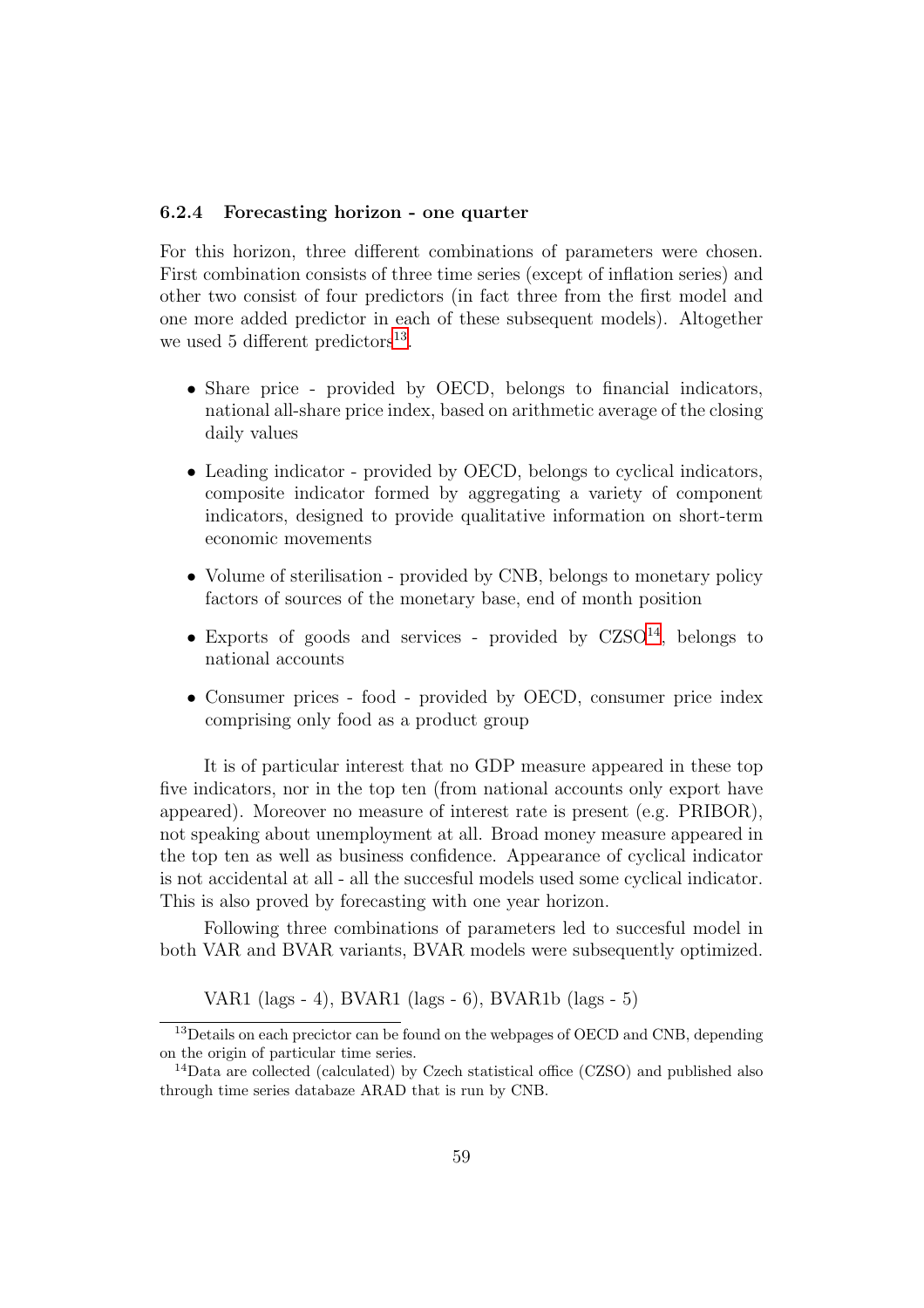#### 6.2.4 Forecasting horizon - one quarter

For this horizon, three different combinations of parameters were chosen. First combination consists of three time series (except of inflation series) and other two consist of four predictors (in fact three from the first model and one more added predictor in each of these subsequent models). Altogether we used 5 different predictors<sup>[13](#page-59-0)</sup>.

- Share price provided by OECD, belongs to financial indicators, national all-share price index, based on arithmetic average of the closing daily values
- Leading indicator provided by OECD, belongs to cyclical indicators, composite indicator formed by aggregating a variety of component indicators, designed to provide qualitative information on short-term economic movements
- Volume of sterilisation provided by CNB, belongs to monetary policy factors of sources of the monetary base, end of month position
- Exports of goods and services provided by  $CZSO<sup>14</sup>$  $CZSO<sup>14</sup>$  $CZSO<sup>14</sup>$ , belongs to national accounts
- Consumer prices food provided by OECD, consumer price index comprising only food as a product group

It is of particular interest that no GDP measure appeared in these top five indicators, nor in the top ten (from national accounts only export have appeared). Moreover no measure of interest rate is present (e.g. PRIBOR), not speaking about unemployment at all. Broad money measure appeared in the top ten as well as business confidence. Appearance of cyclical indicator is not accidental at all - all the succesful models used some cyclical indicator. This is also proved by forecasting with one year horizon.

Following three combinations of parameters led to succesful model in both VAR and BVAR variants, BVAR models were subsequently optimized.

VAR1 (lags - 4), BVAR1 (lags - 6), BVAR1b (lags - 5)

<span id="page-59-0"></span><sup>13</sup>Details on each precictor can be found on the webpages of OECD and CNB, depending on the origin of particular time series.

<span id="page-59-1"></span> $14$ Data are collected (calculated) by Czech statistical office (CZSO) and published also through time series databaze ARAD that is run by CNB.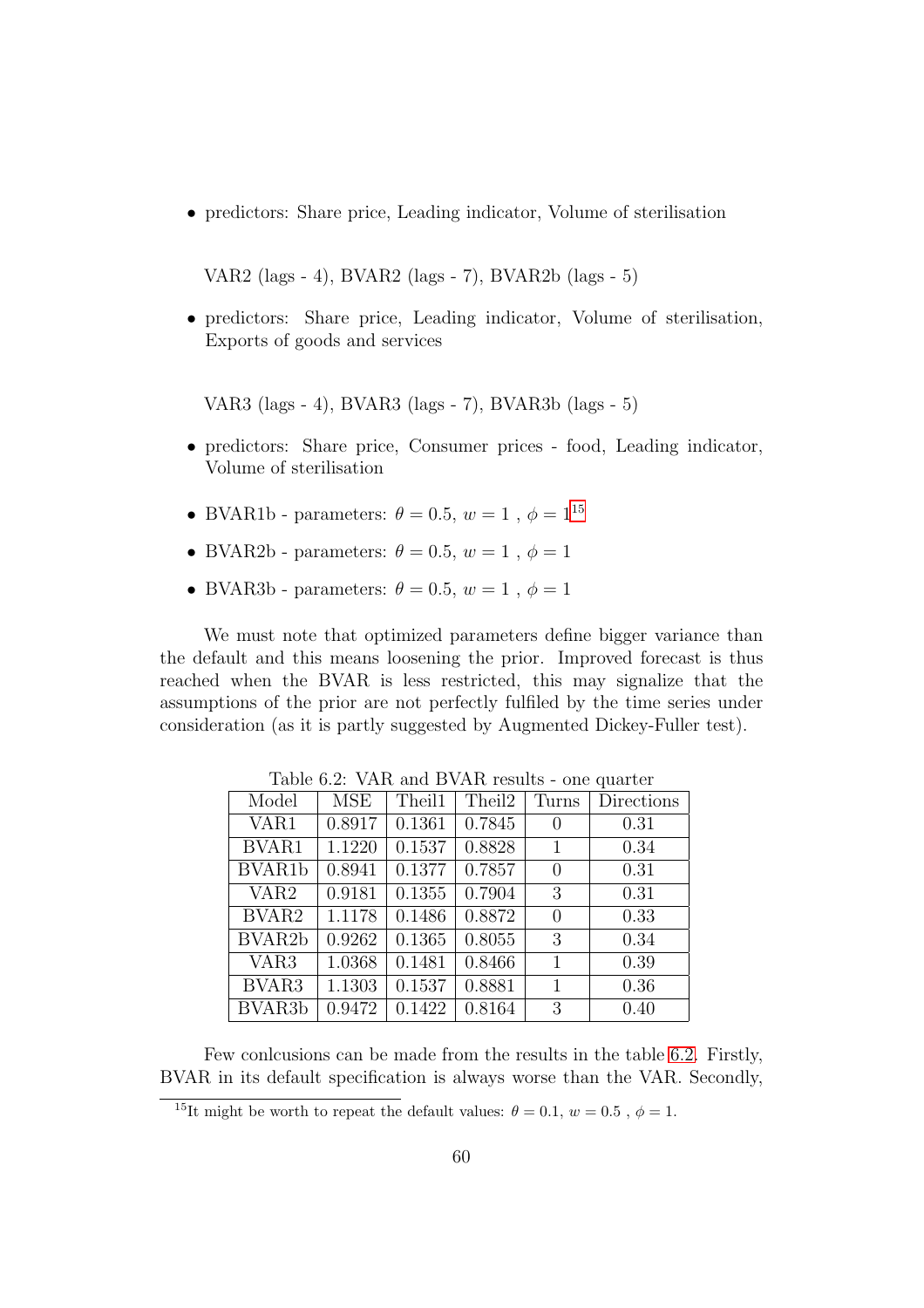• predictors: Share price, Leading indicator, Volume of sterilisation

VAR2 (lags - 4), BVAR2 (lags - 7), BVAR2b (lags - 5)

• predictors: Share price, Leading indicator, Volume of sterilisation, Exports of goods and services

VAR3 (lags - 4), BVAR3 (lags - 7), BVAR3b (lags - 5)

- predictors: Share price, Consumer prices food, Leading indicator, Volume of sterilisation
- BVAR1b parameters:  $\theta=0.5, \, w=1$  ,  $\phi=1^{15}$  $\phi=1^{15}$  $\phi=1^{15}$
- BVAR2b parameters:  $\theta = 0.5$ ,  $w = 1$ ,  $\phi = 1$
- BVAR3b parameters:  $\theta = 0.5, w = 1, \phi = 1$

We must note that optimized parameters define bigger variance than the default and this means loosening the prior. Improved forecast is thus reached when the BVAR is less restricted, this may signalize that the assumptions of the prior are not perfectly fulfiled by the time series under consideration (as it is partly suggested by Augmented Dickey-Fuller test).

| Model               | <b>MSE</b> | Theil1 | Theil2 | Turns            | Directions |
|---------------------|------------|--------|--------|------------------|------------|
| VAR1                | 0.8917     | 0.1361 | 0.7845 | $\left( \right)$ | 0.31       |
| BVAR1               | 1.1220     | 0.1537 | 0.8828 | 1                | 0.34       |
| BVAR1b              | 0.8941     | 0.1377 | 0.7857 | $\theta$         | 0.31       |
| VAR <sub>2</sub>    | 0.9181     | 0.1355 | 0.7904 | 3                | 0.31       |
| BVAR <sub>2</sub>   | 1.1178     | 0.1486 | 0.8872 | 0                | 0.33       |
| BVAR <sub>2</sub> b | 0.9262     | 0.1365 | 0.8055 | 3                | 0.34       |
| VAR <sub>3</sub>    | 1.0368     | 0.1481 | 0.8466 | 1                | 0.39       |
| BVAR <sub>3</sub>   | 1.1303     | 0.1537 | 0.8881 | 1                | 0.36       |
| BVAR <sub>3</sub> b | 0.9472     | 0.1422 | 0.8164 | 3                | 0.40       |

<span id="page-60-1"></span>Table 6.2: VAR and BVAR results - one quarter

Few conlcusions can be made from the results in the table [6.2.](#page-60-1) Firstly, BVAR in its default specification is always worse than the VAR. Secondly,

<span id="page-60-0"></span><sup>&</sup>lt;sup>15</sup>It might be worth to repeat the default values:  $\theta = 0.1, w = 0.5, \phi = 1$ .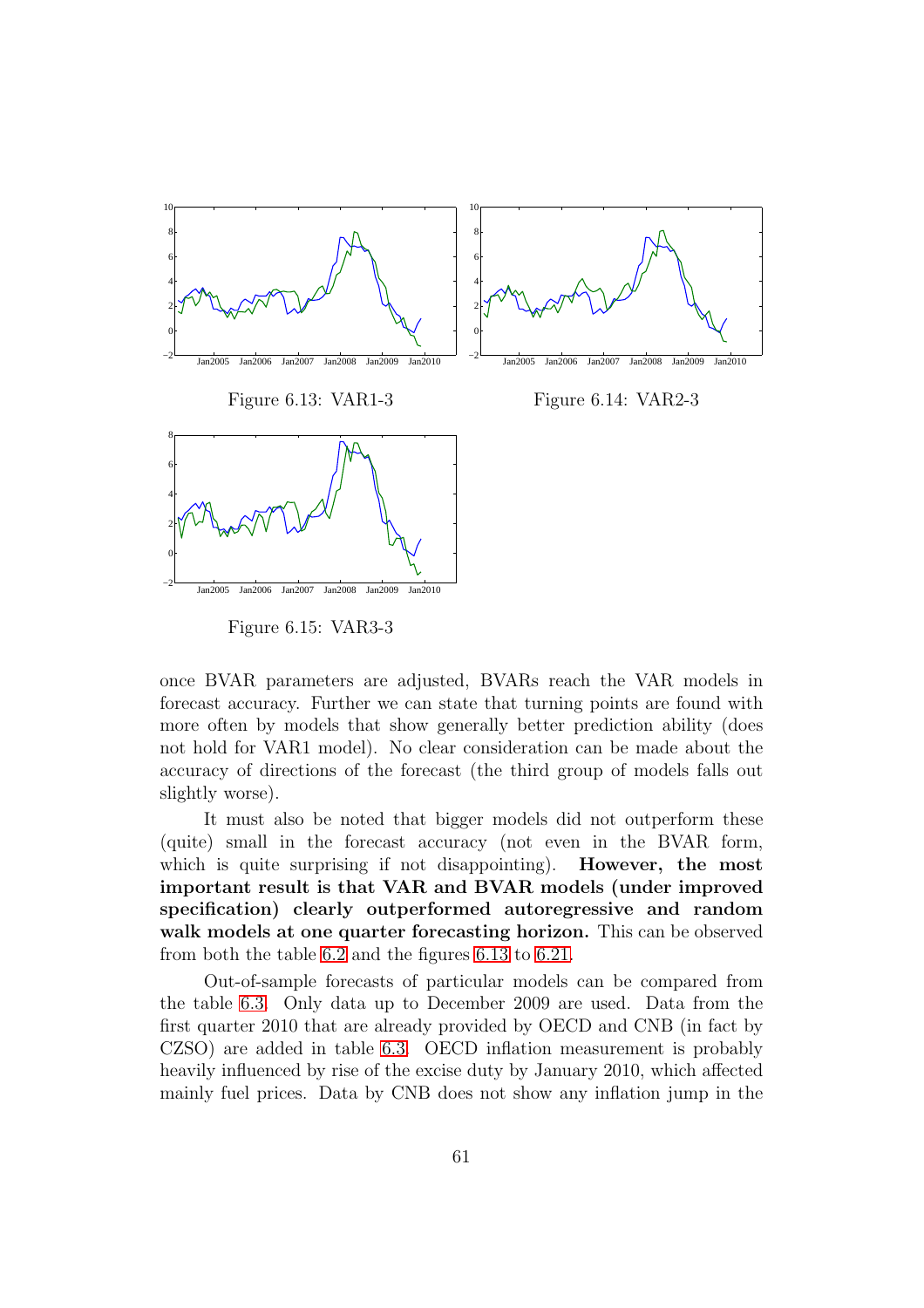

<span id="page-61-0"></span>Figure 6.15: VAR3-3

once BVAR parameters are adjusted, BVARs reach the VAR models in forecast accuracy. Further we can state that turning points are found with more often by models that show generally better prediction ability (does not hold for VAR1 model). No clear consideration can be made about the accuracy of directions of the forecast (the third group of models falls out slightly worse).

It must also be noted that bigger models did not outperform these (quite) small in the forecast accuracy (not even in the BVAR form, which is quite surprising if not disappointing). **However, the most** important result is that VAR and BVAR models (under improved specification) clearly outperformed autoregressive and random walk models at one quarter forecasting horizon. This can be observed from both the table [6.2](#page-60-1) and the figures [6.13](#page-61-0) to [6.21.](#page-62-0)

Out-of-sample forecasts of particular models can be compared from the table [6.3.](#page-63-0) Only data up to December 2009 are used. Data from the first quarter 2010 that are already provided by OECD and CNB (in fact by CZSO) are added in table [6.3.](#page-63-0) OECD inflation measurement is probably heavily influenced by rise of the excise duty by January 2010, which affected mainly fuel prices. Data by CNB does not show any inflation jump in the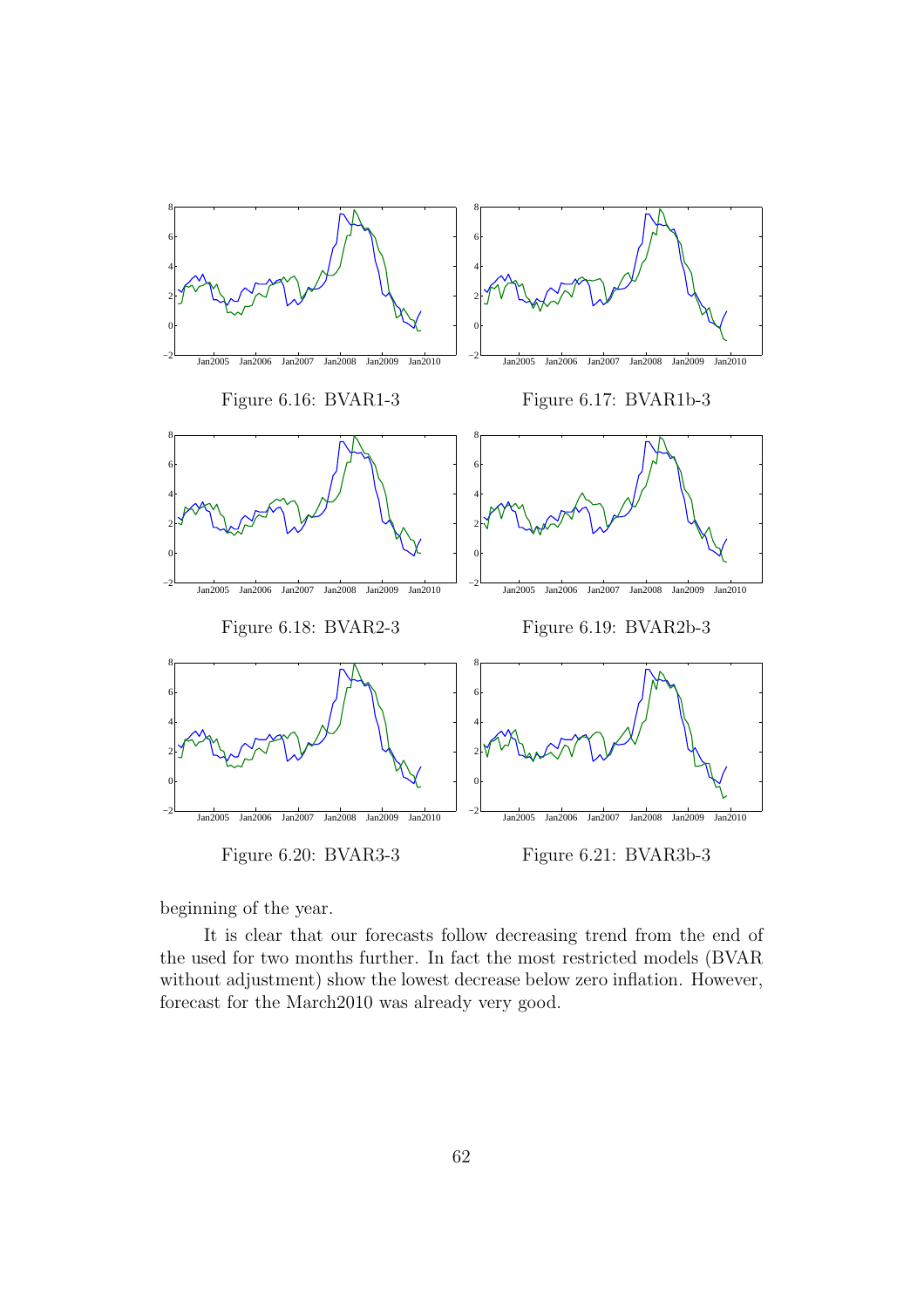

<span id="page-62-0"></span>beginning of the year.

It is clear that our forecasts follow decreasing trend from the end of the used for two months further. In fact the most restricted models (BVAR without adjustment) show the lowest decrease below zero inflation. However, forecast for the March2010 was already very good.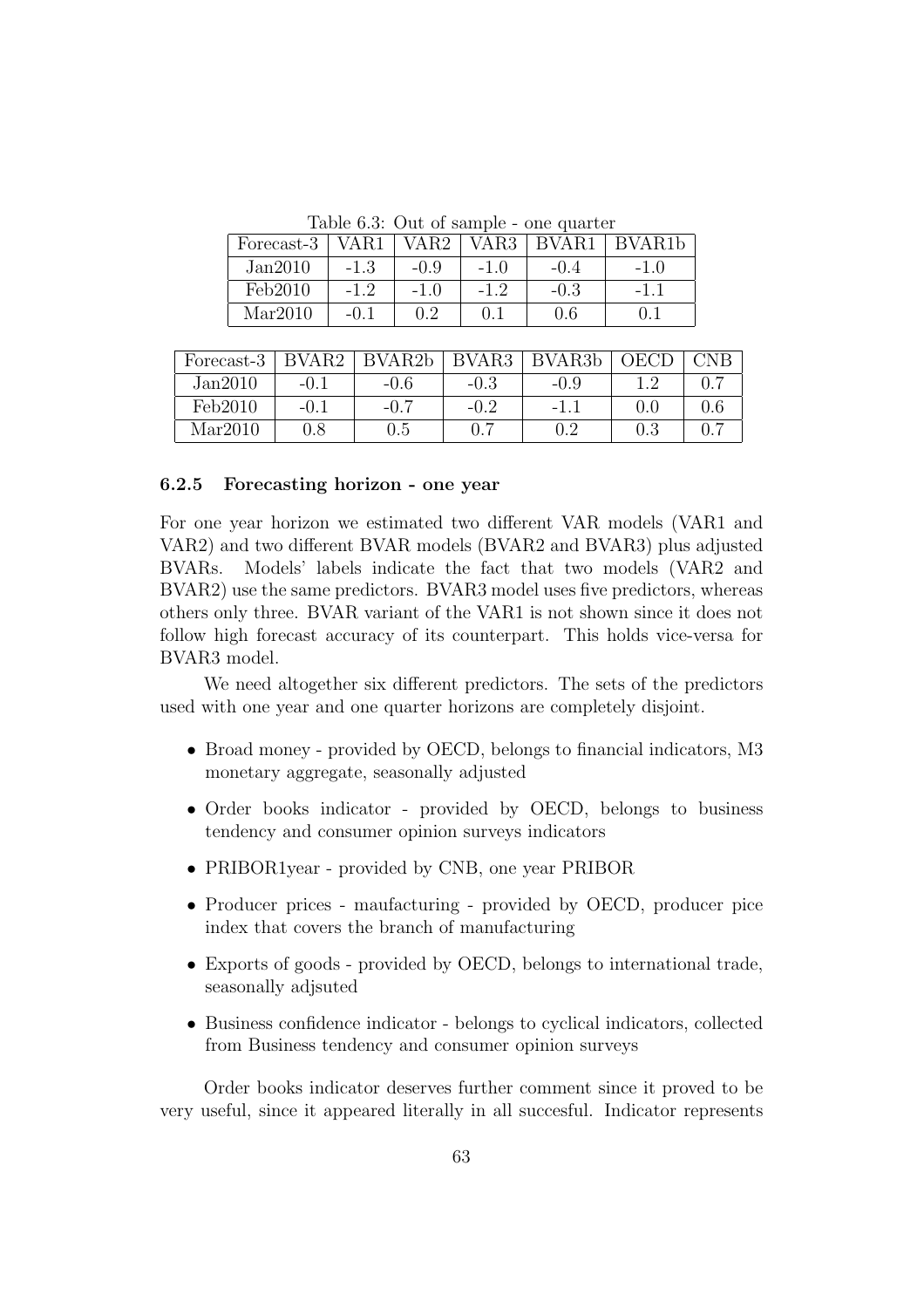<span id="page-63-0"></span>

| Table 6.3: Out of sample - one quarter |  |
|----------------------------------------|--|
|----------------------------------------|--|

| Forecast-3 | /AR1   | VAR2   | VAR3    | RVAR1  | BVAR <sub>1</sub> b |
|------------|--------|--------|---------|--------|---------------------|
| Jan2010    | $-1.3$ | $-0.9$ | $-1.0$  | $-0.4$ |                     |
| Feb2010    | $-12$  | $-1.0$ | $-1, 2$ | $-0.3$ |                     |
| Mar2010    |        |        | 0.1     | 0.6    |                     |

| Forecast-3 | RVAR <sub>2</sub> | $\rm RV\Delta$ R <sub>2</sub> h | BVAR <sub>3</sub> | BVAR <sub>3</sub> b |     |  |
|------------|-------------------|---------------------------------|-------------------|---------------------|-----|--|
| Jan2010    | $-0.1$            | $-0.6$                          | $-0.3$            | -0.9                |     |  |
| Feb2010    | $-0.1$            | $-0.7$                          | $-0.2$            | -1                  | 0.C |  |
| Mar2010    | $0.8\,$           | 0.5                             | $0.7\,$           |                     |     |  |

#### 6.2.5 Forecasting horizon - one year

For one year horizon we estimated two different VAR models (VAR1 and VAR2) and two different BVAR models (BVAR2 and BVAR3) plus adjusted BVARs. Models' labels indicate the fact that two models (VAR2 and BVAR2) use the same predictors. BVAR3 model uses five predictors, whereas others only three. BVAR variant of the VAR1 is not shown since it does not follow high forecast accuracy of its counterpart. This holds vice-versa for BVAR3 model.

We need altogether six different predictors. The sets of the predictors used with one year and one quarter horizons are completely disjoint.

- Broad money provided by OECD, belongs to financial indicators, M3 monetary aggregate, seasonally adjusted
- Order books indicator provided by OECD, belongs to business tendency and consumer opinion surveys indicators
- PRIBOR1year provided by CNB, one year PRIBOR
- Producer prices maufacturing provided by OECD, producer pice index that covers the branch of manufacturing
- Exports of goods provided by OECD, belongs to international trade, seasonally adjsuted
- Business confidence indicator belongs to cyclical indicators, collected from Business tendency and consumer opinion surveys

Order books indicator deserves further comment since it proved to be very useful, since it appeared literally in all succesful. Indicator represents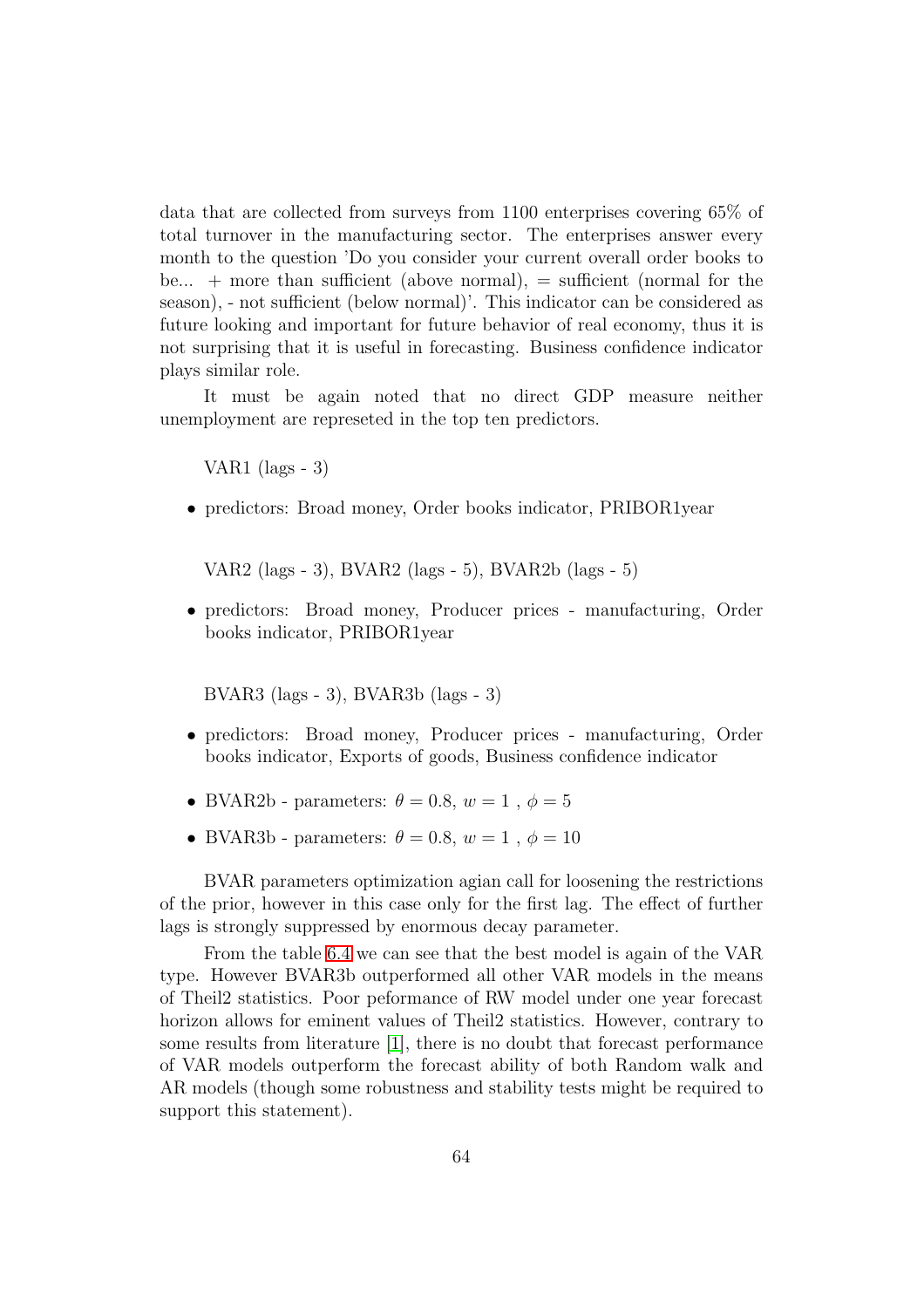data that are collected from surveys from 1100 enterprises covering 65% of total turnover in the manufacturing sector. The enterprises answer every month to the question 'Do you consider your current overall order books to be...  $+$  more than sufficient (above normal),  $=$  sufficient (normal for the season), - not sufficient (below normal)'. This indicator can be considered as future looking and important for future behavior of real economy, thus it is not surprising that it is useful in forecasting. Business confidence indicator plays similar role.

It must be again noted that no direct GDP measure neither unemployment are represeted in the top ten predictors.

VAR1 (lags  $-3$ )

• predictors: Broad money, Order books indicator, PRIBOR1year

VAR2 (lags - 3), BVAR2 (lags - 5), BVAR2b (lags - 5)

• predictors: Broad money, Producer prices - manufacturing, Order books indicator, PRIBOR1year

BVAR3 (lags - 3), BVAR3b (lags - 3)

- predictors: Broad money, Producer prices manufacturing, Order books indicator, Exports of goods, Business confidence indicator
- BVAR2b parameters:  $\theta = 0.8$ ,  $w = 1$ ,  $\phi = 5$
- BVAR3b parameters:  $\theta = 0.8$ ,  $w = 1$ ,  $\phi = 10$

BVAR parameters optimization agian call for loosening the restrictions of the prior, however in this case only for the first lag. The effect of further lags is strongly suppressed by enormous decay parameter.

From the table [6.4](#page-65-0) we can see that the best model is again of the VAR type. However BVAR3b outperformed all other VAR models in the means of Theil2 statistics. Poor peformance of RW model under one year forecast horizon allows for eminent values of Theil2 statistics. However, contrary to some results from literature [\[1\]](#page-78-6), there is no doubt that forecast performance of VAR models outperform the forecast ability of both Random walk and AR models (though some robustness and stability tests might be required to support this statement).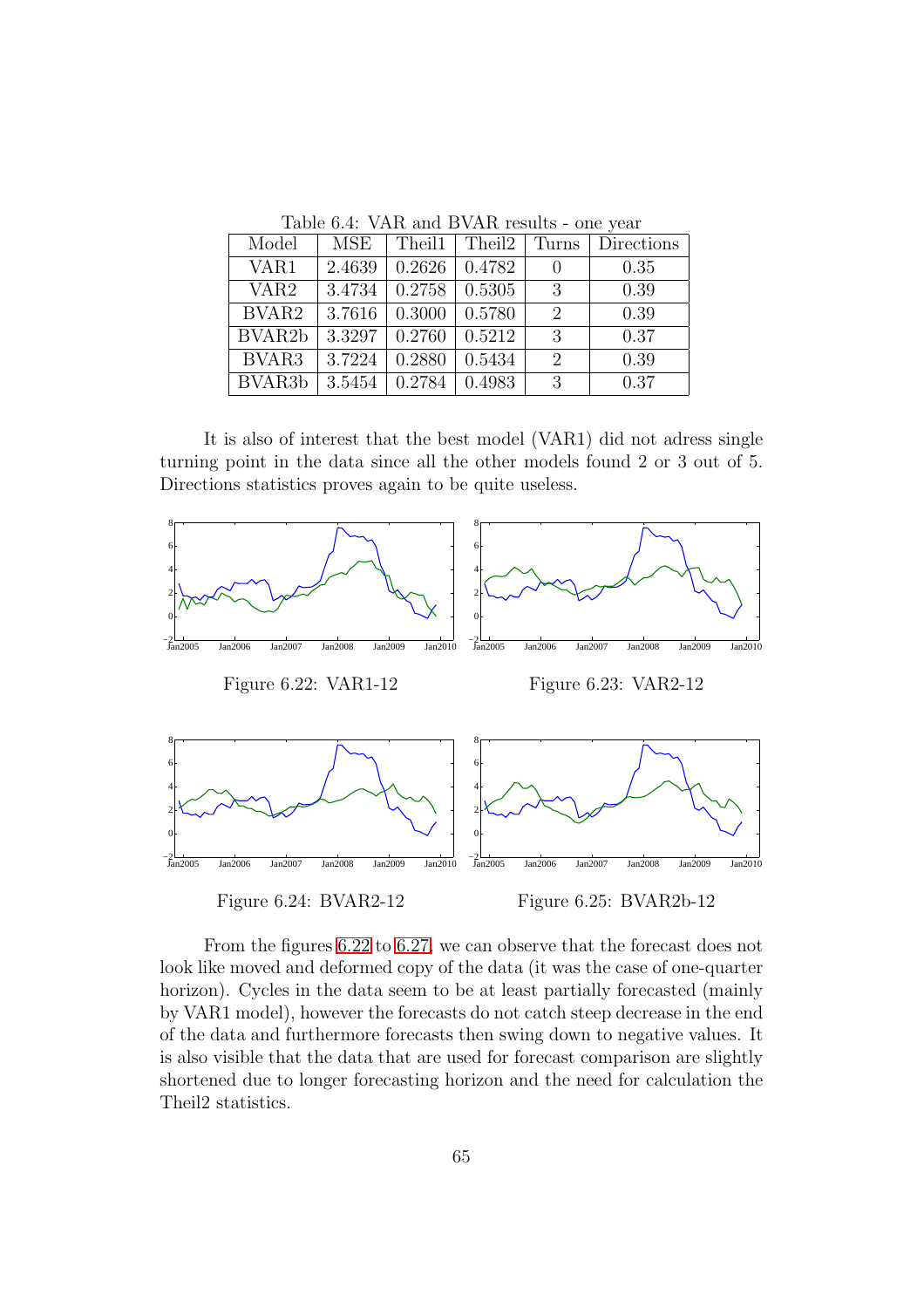|                     | Lable 0. T. VIIIt alle D VIIIt results One year |                                  |                                     |                  |            |  |  |  |
|---------------------|-------------------------------------------------|----------------------------------|-------------------------------------|------------------|------------|--|--|--|
| Model               | MSE                                             |                                  | Theil $1 \mid$ Theil $2 \mid$ Turns |                  | Directions |  |  |  |
| VAR1                | 2.4639                                          |                                  | $0.2626$   $0.4782$                 | $\left( \right)$ | 0.35       |  |  |  |
| VAR <sub>2</sub>    |                                                 | $3.4734 \pm 0.2758 \pm 0.5305$   |                                     | -3               | 0.39       |  |  |  |
| BVAR <sub>2</sub>   |                                                 | $3.7616$   0.3000   0.5780       |                                     | $\mathcal{D}$    | 0.39       |  |  |  |
| BVAR <sub>2</sub> b |                                                 | $3.3297 \mid 0.2760 \mid 0.5212$ |                                     | 3                | 0.37       |  |  |  |
| BVAR <sub>3</sub>   |                                                 | $3.7224 \pm 0.2880$              | 0.5434                              | $\mathcal{D}$    | 0.39       |  |  |  |
| BVAR <sub>3</sub> b |                                                 | $3.5454$   0.2784   0.4983       |                                     | 3                | 0.37       |  |  |  |

<span id="page-65-0"></span>Table 6.4: VAR and BVAR results - one year

It is also of interest that the best model (VAR1) did not adress single turning point in the data since all the other models found 2 or 3 out of 5. Directions statistics proves again to be quite useless.

<span id="page-65-1"></span>

From the figures [6.22](#page-65-1) to [6.27,](#page-66-0) we can observe that the forecast does not look like moved and deformed copy of the data (it was the case of one-quarter horizon). Cycles in the data seem to be at least partially forecasted (mainly by VAR1 model), however the forecasts do not catch steep decrease in the end of the data and furthermore forecasts then swing down to negative values. It is also visible that the data that are used for forecast comparison are slightly shortened due to longer forecasting horizon and the need for calculation the Theil2 statistics.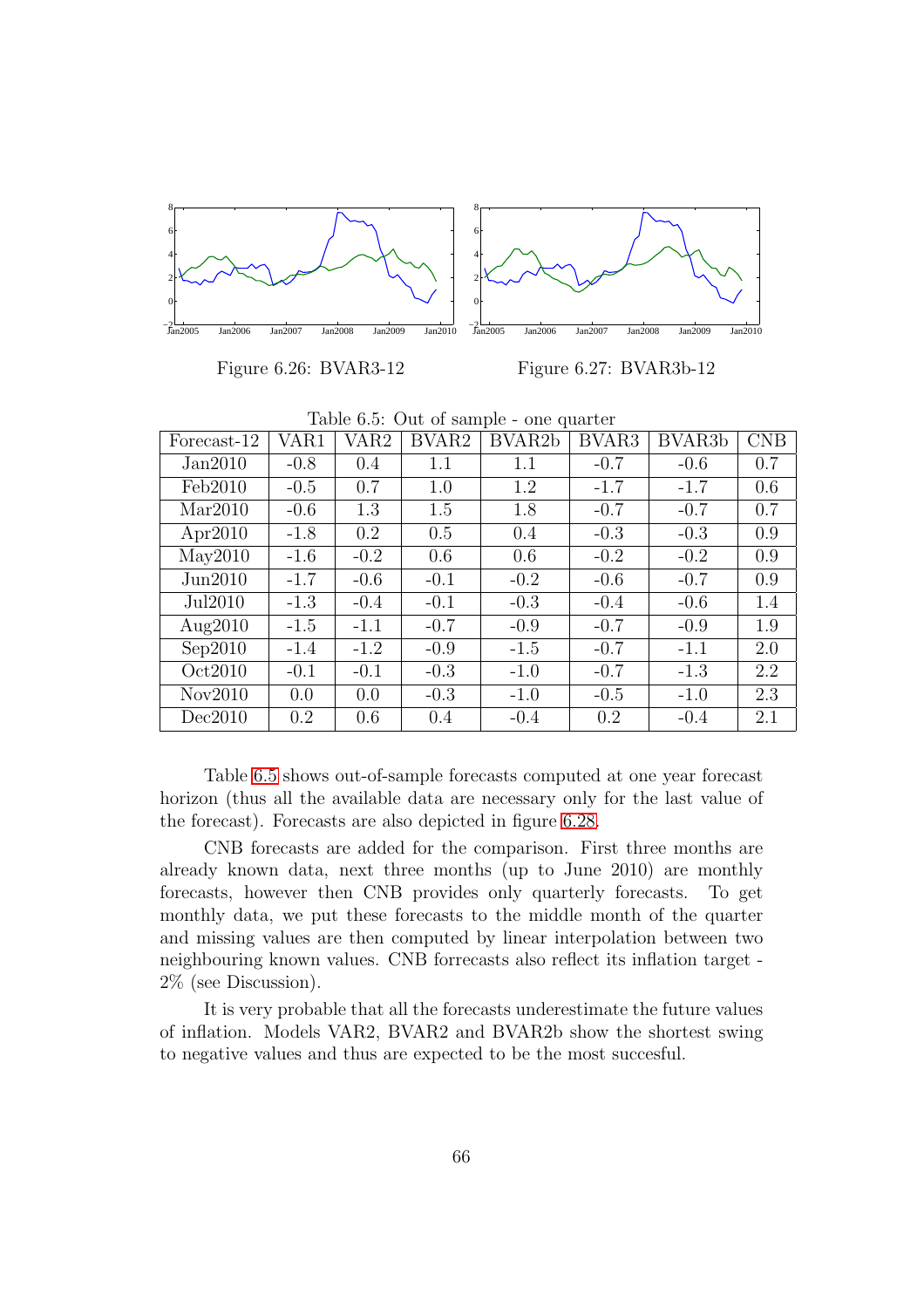

Figure 6.26: BVAR3-12

<span id="page-66-0"></span>Figure 6.27: BVAR3b-12

| Forecast-12 | VAR1   | VAR2   | BVAR2  | BVAR2b | BVAR3  | BVAR <sub>3</sub> b | CNB |
|-------------|--------|--------|--------|--------|--------|---------------------|-----|
| Jan2010     | $-0.8$ | 0.4    | 1.1    | 1.1    | $-0.7$ | $-0.6$              | 0.7 |
| Feb2010     | $-0.5$ | 0.7    | 1.0    | 1.2    | $-1.7$ | $-1.7$              | 0.6 |
| Mar2010     | $-0.6$ | 1.3    | 1.5    | 1.8    | $-0.7$ | $-0.7$              | 0.7 |
| Apr2010     | $-1.8$ | 0.2    | 0.5    | 0.4    | $-0.3$ | $-0.3$              | 0.9 |
| May2010     | $-1.6$ | $-0.2$ | 0.6    | 0.6    | $-0.2$ | $-0.2$              | 0.9 |
| Jun2010     | $-1.7$ | $-0.6$ | $-0.1$ | $-0.2$ | $-0.6$ | $-0.7$              | 0.9 |
| Jul2010     | $-1.3$ | $-0.4$ | $-0.1$ | $-0.3$ | $-0.4$ | $-0.6$              | 1.4 |
| Aug2010     | $-1.5$ | $-1.1$ | $-0.7$ | $-0.9$ | $-0.7$ | $-0.9$              | 1.9 |
| Sep2010     | $-1.4$ | $-1.2$ | $-0.9$ | $-1.5$ | $-0.7$ | $-1.1$              | 2.0 |
| Oct2010     | $-0.1$ | $-0.1$ | $-0.3$ | $-1.0$ | $-0.7$ | $-1.3$              | 2.2 |
| Nov2010     | 0.0    | 0.0    | $-0.3$ | $-1.0$ | $-0.5$ | $-1.0$              | 2.3 |
| Dec2010     | 0.2    | 0.6    | 0.4    | $-0.4$ | 0.2    | $-0.4$              | 2.1 |

<span id="page-66-1"></span>Table 6.5: Out of sample - one quarter

Table [6.5](#page-66-1) shows out-of-sample forecasts computed at one year forecast horizon (thus all the available data are necessary only for the last value of the forecast). Forecasts are also depicted in figure [6.28.](#page-67-0)

CNB forecasts are added for the comparison. First three months are already known data, next three months (up to June 2010) are monthly forecasts, however then CNB provides only quarterly forecasts. To get monthly data, we put these forecasts to the middle month of the quarter and missing values are then computed by linear interpolation between two neighbouring known values. CNB forrecasts also reflect its inflation target - 2% (see Discussion).

It is very probable that all the forecasts underestimate the future values of inflation. Models VAR2, BVAR2 and BVAR2b show the shortest swing to negative values and thus are expected to be the most succesful.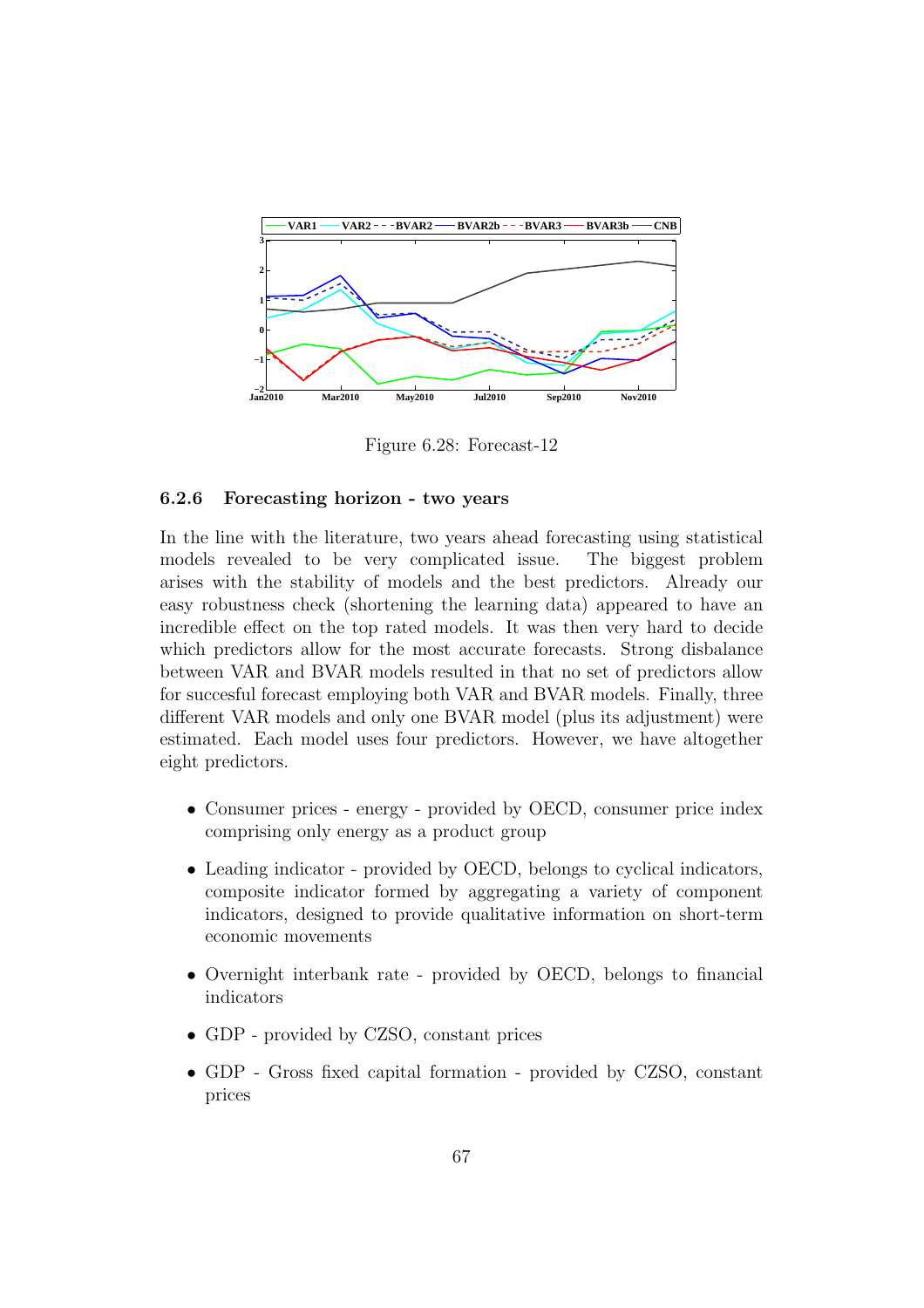

<span id="page-67-0"></span>Figure 6.28: Forecast-12

#### 6.2.6 Forecasting horizon - two years

In the line with the literature, two years ahead forecasting using statistical models revealed to be very complicated issue. The biggest problem arises with the stability of models and the best predictors. Already our easy robustness check (shortening the learning data) appeared to have an incredible effect on the top rated models. It was then very hard to decide which predictors allow for the most accurate forecasts. Strong disbalance between VAR and BVAR models resulted in that no set of predictors allow for succesful forecast employing both VAR and BVAR models. Finally, three different VAR models and only one BVAR model (plus its adjustment) were estimated. Each model uses four predictors. However, we have altogether eight predictors.

- Consumer prices energy provided by OECD, consumer price index comprising only energy as a product group
- Leading indicator provided by OECD, belongs to cyclical indicators, composite indicator formed by aggregating a variety of component indicators, designed to provide qualitative information on short-term economic movements
- Overnight interbank rate provided by OECD, belongs to financial indicators
- GDP provided by CZSO, constant prices
- GDP Gross fixed capital formation provided by CZSO, constant prices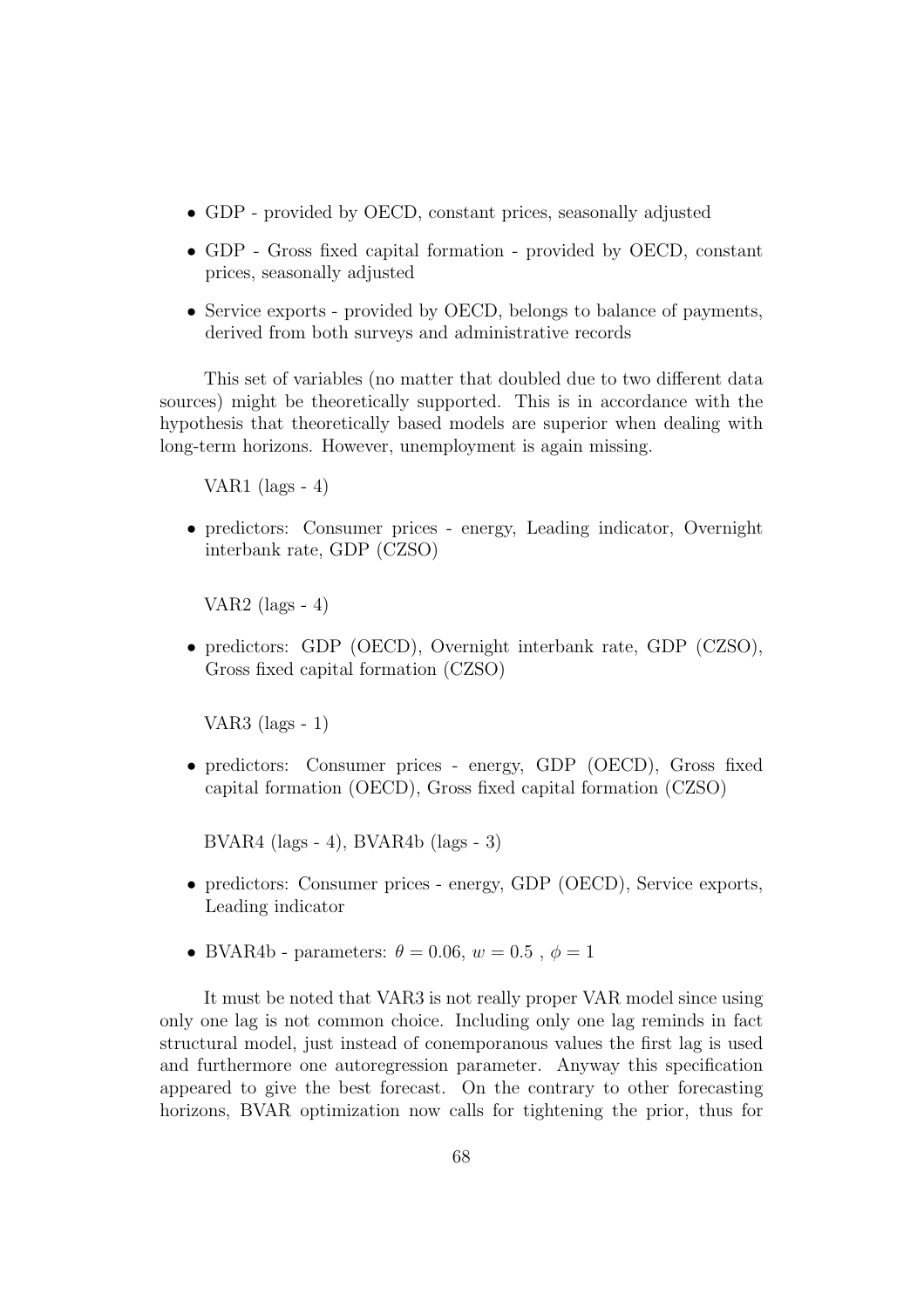- GDP provided by OECD, constant prices, seasonally adjusted
- GDP Gross fixed capital formation provided by OECD, constant prices, seasonally adjusted
- Service exports provided by OECD, belongs to balance of payments, derived from both surveys and administrative records

This set of variables (no matter that doubled due to two different data sources) might be theoretically supported. This is in accordance with the hypothesis that theoretically based models are superior when dealing with long-term horizons. However, unemployment is again missing.

VAR1 (lags - 4)

• predictors: Consumer prices - energy, Leading indicator, Overnight interbank rate, GDP (CZSO)

VAR2 (lags  $-4$ )

• predictors: GDP (OECD), Overnight interbank rate, GDP (CZSO), Gross fixed capital formation (CZSO)

VAR3 (lags - 1)

• predictors: Consumer prices - energy, GDP (OECD), Gross fixed capital formation (OECD), Gross fixed capital formation (CZSO)

BVAR4 (lags - 4), BVAR4b (lags - 3)

- predictors: Consumer prices energy, GDP (OECD), Service exports, Leading indicator
- BVAR4b parameters:  $\theta = 0.06$ ,  $w = 0.5$ ,  $\phi = 1$

It must be noted that VAR3 is not really proper VAR model since using only one lag is not common choice. Including only one lag reminds in fact structural model, just instead of conemporanous values the first lag is used and furthermore one autoregression parameter. Anyway this specification appeared to give the best forecast. On the contrary to other forecasting horizons, BVAR optimization now calls for tightening the prior, thus for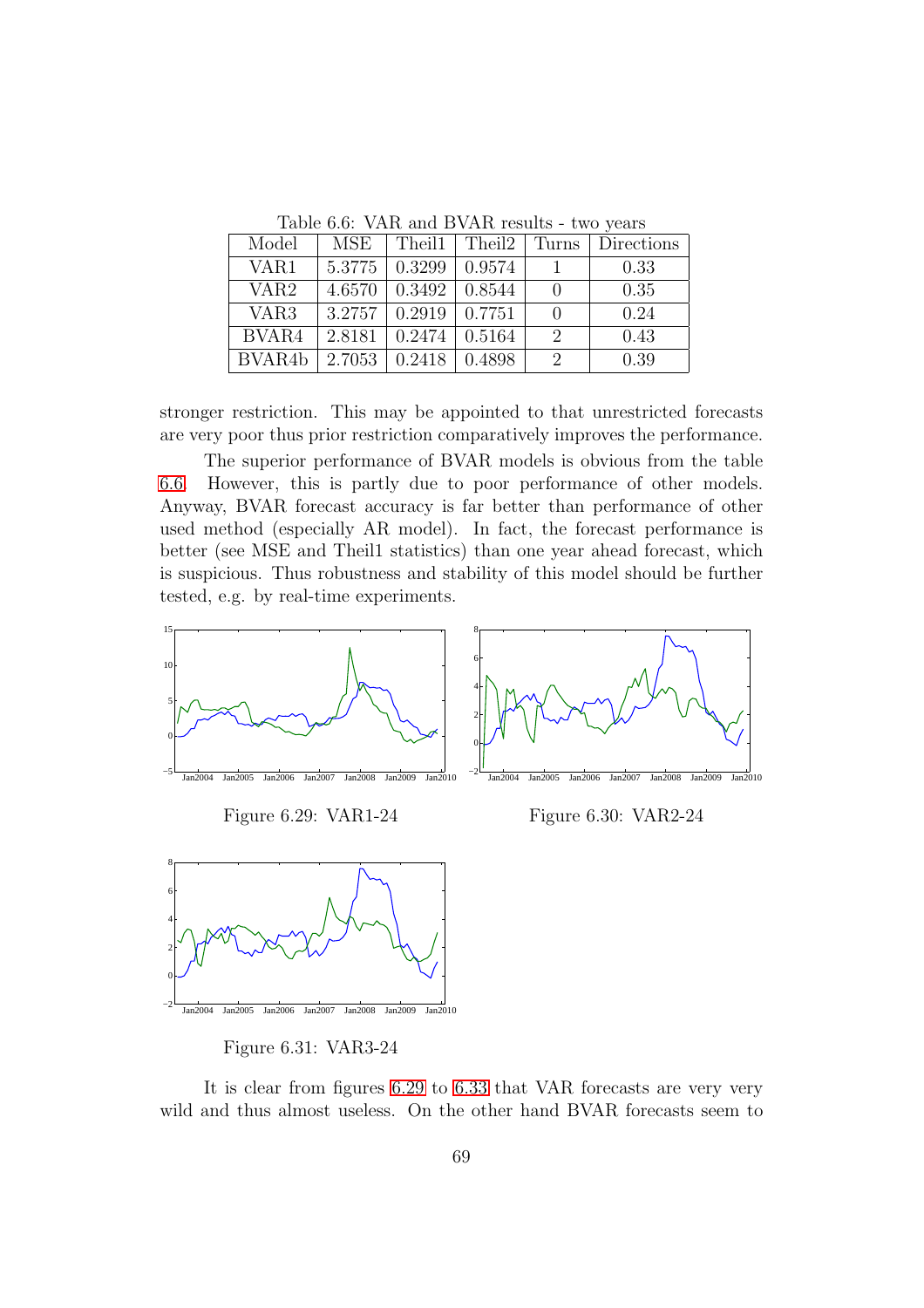| Model               | <b>MSE</b> |                                  | Theil $1  $ Theil $2  $ Turns |               | Directions |  |  |
|---------------------|------------|----------------------------------|-------------------------------|---------------|------------|--|--|
| VAR1                |            | $5.3775 \pm 0.3299 \pm 0.9574$   |                               |               | 0.33       |  |  |
| VAR <sub>2</sub>    |            | $4.6570 \pm 0.3492$              | 0.8544                        |               | 0.35       |  |  |
| VAR <sub>3</sub>    |            | $3.2757 \mid 0.2919 \mid 0.7751$ |                               |               | 0.24       |  |  |
| BVAR4               | 2.8181     | $0.2474 \pm 0.5164$              |                               | $\mathcal{D}$ | 0.43       |  |  |
| BVAR <sub>4</sub> b |            | $2.7053$   0.2418   0.4898       |                               | $\mathcal{D}$ | 0.39       |  |  |

<span id="page-69-0"></span>Table 6.6: VAR and BVAR results - two years

stronger restriction. This may be appointed to that unrestricted forecasts are very poor thus prior restriction comparatively improves the performance.

The superior performance of BVAR models is obvious from the table [6.6.](#page-69-0) However, this is partly due to poor performance of other models. Anyway, BVAR forecast accuracy is far better than performance of other used method (especially AR model). In fact, the forecast performance is better (see MSE and Theil1 statistics) than one year ahead forecast, which is suspicious. Thus robustness and stability of this model should be further tested, e.g. by real-time experiments.



<span id="page-69-1"></span>Figure 6.31: VAR3-24

It is clear from figures [6.29](#page-69-1) to [6.33](#page-70-0) that VAR forecasts are very very wild and thus almost useless. On the other hand BVAR forecasts seem to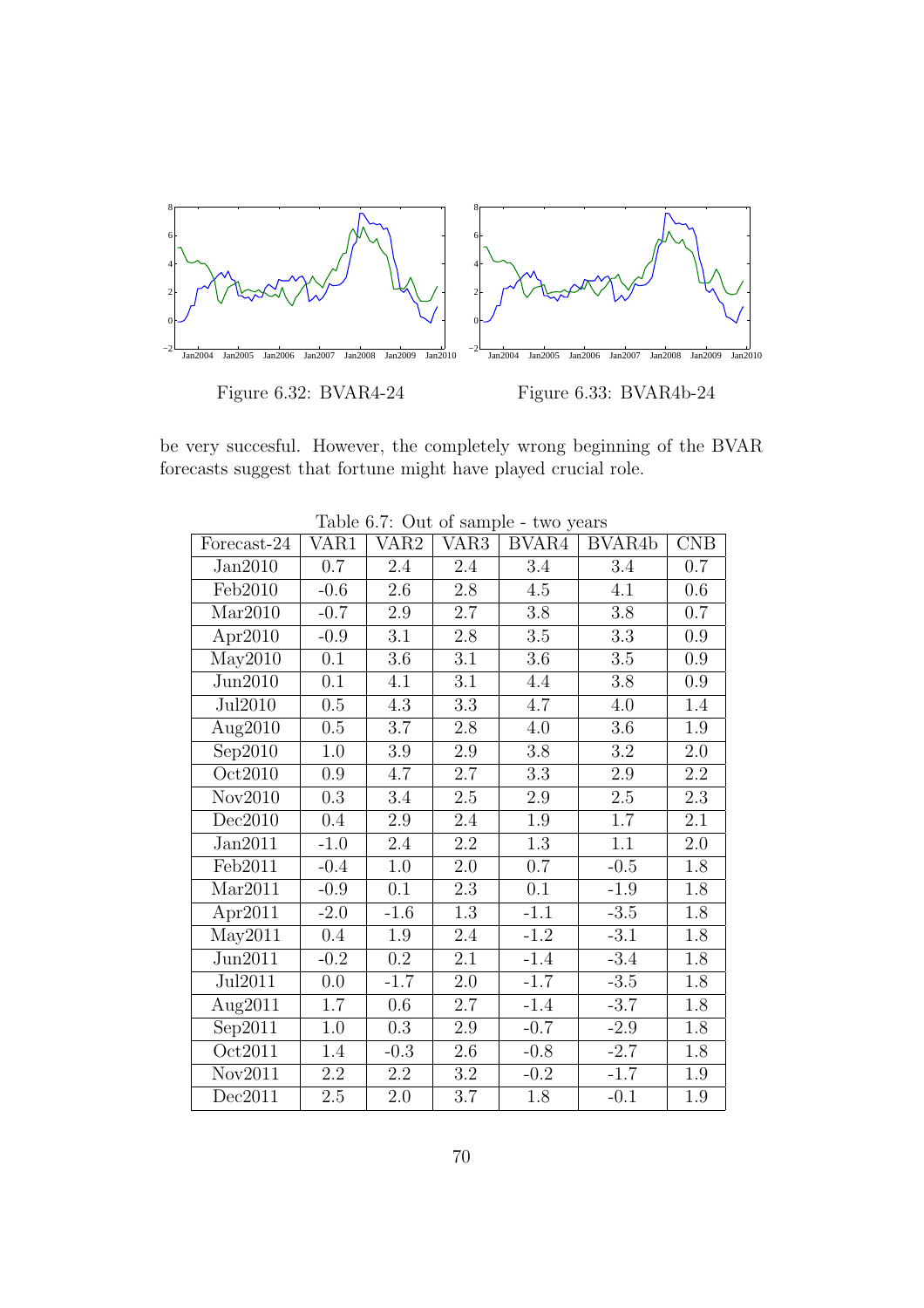

be very succesful. However, the completely wrong beginning of the BVAR forecasts suggest that fortune might have played crucial role.

| Forecast-24          | VAR1    | VAR2   | VAR <sub>3</sub> | BVAR4   | BVAR <sub>4</sub> b | CNB     |
|----------------------|---------|--------|------------------|---------|---------------------|---------|
| Jan2010              | 0.7     | 2.4    | 2.4              | 3.4     | 3.4                 | 0.7     |
| Feb2010              | $-0.6$  | 2.6    | $2.8\,$          | 4.5     | 4.1                 | 0.6     |
| Mar2010              | $-0.7$  | 2.9    | 2.7              | 3.8     | $3.8\,$             | $0.7\,$ |
| Apr2010              | $-0.9$  | 3.1    | 2.8              | $3.5\,$ | 3.3                 | 0.9     |
| May2010              | 0.1     | 3.6    | 3.1              | 3.6     | $3.5\,$             | 0.9     |
| Jun2010              | 0.1     | 4.1    | 3.1              | 4.4     | 3.8                 | 0.9     |
| Jul2010              | 0.5     | 4.3    | 3.3              | 4.7     | 4.0                 | 1.4     |
| Aug2010              | 0.5     | 3.7    | $2.8\,$          | 4.0     | $3.6\,$             | 1.9     |
| Sep2010              | $1.0\,$ | 3.9    | $2.9\,$          | $3.8\,$ | $\!3.2\!$           | 2.0     |
| Oct2010              | 0.9     | 4.7    | 2.7              | 3.3     | $2.9\,$             | 2.2     |
| Nov2010              | 0.3     | 3.4    | 2.5              | $2.9\,$ | $2.5\,$             | 2.3     |
| Dec2010              | 0.4     | 2.9    | 2.4              | 1.9     | 1.7                 | 2.1     |
| Jan2011              | $-1.0$  | 2.4    | 2.2              | 1.3     | 1.1                 | 2.0     |
| Feb2011              | $-0.4$  | 1.0    | 2.0              | 0.7     | $-0.5$              | 1.8     |
| Mar2011              | $-0.9$  | 0.1    | 2.3              | 0.1     | $-1.9$              | 1.8     |
| Apr2011              | $-2.0$  | $-1.6$ | 1.3              | $-1.1$  | $-3.5$              | 1.8     |
| $May2\overline{011}$ | 0.4     | 1.9    | 2.4              | $-1.2$  | $-3.1$              | 1.8     |
| Jun2011              | $-0.2$  | 0.2    | 2.1              | $-1.4$  | $-3.4$              | 1.8     |
| Jul2011              | 0.0     | $-1.7$ | 2.0              | $-1.7$  | $-3.5$              | 1.8     |
| Aug2011              | 1.7     | 0.6    | 2.7              | $-1.4$  | $-3.7$              | 1.8     |
| Sep2011              | $1.0\,$ | 0.3    | $2.9\,$          | $-0.7$  | $-2.9$              | 1.8     |
| Oct2011              | 1.4     | $-0.3$ | 2.6              | $-0.8$  | $-2.7$              | 1.8     |
| Nov2011              | 2.2     | 2.2    | $\!3.2\!$        | $-0.2$  | $-1.7$              | 1.9     |
| Dec2011              | $2.5\,$ | 2.0    | 3.7              | 1.8     | $-0.1$              | 1.9     |

<span id="page-70-1"></span><span id="page-70-0"></span>Table 6.7: Out of sample - two years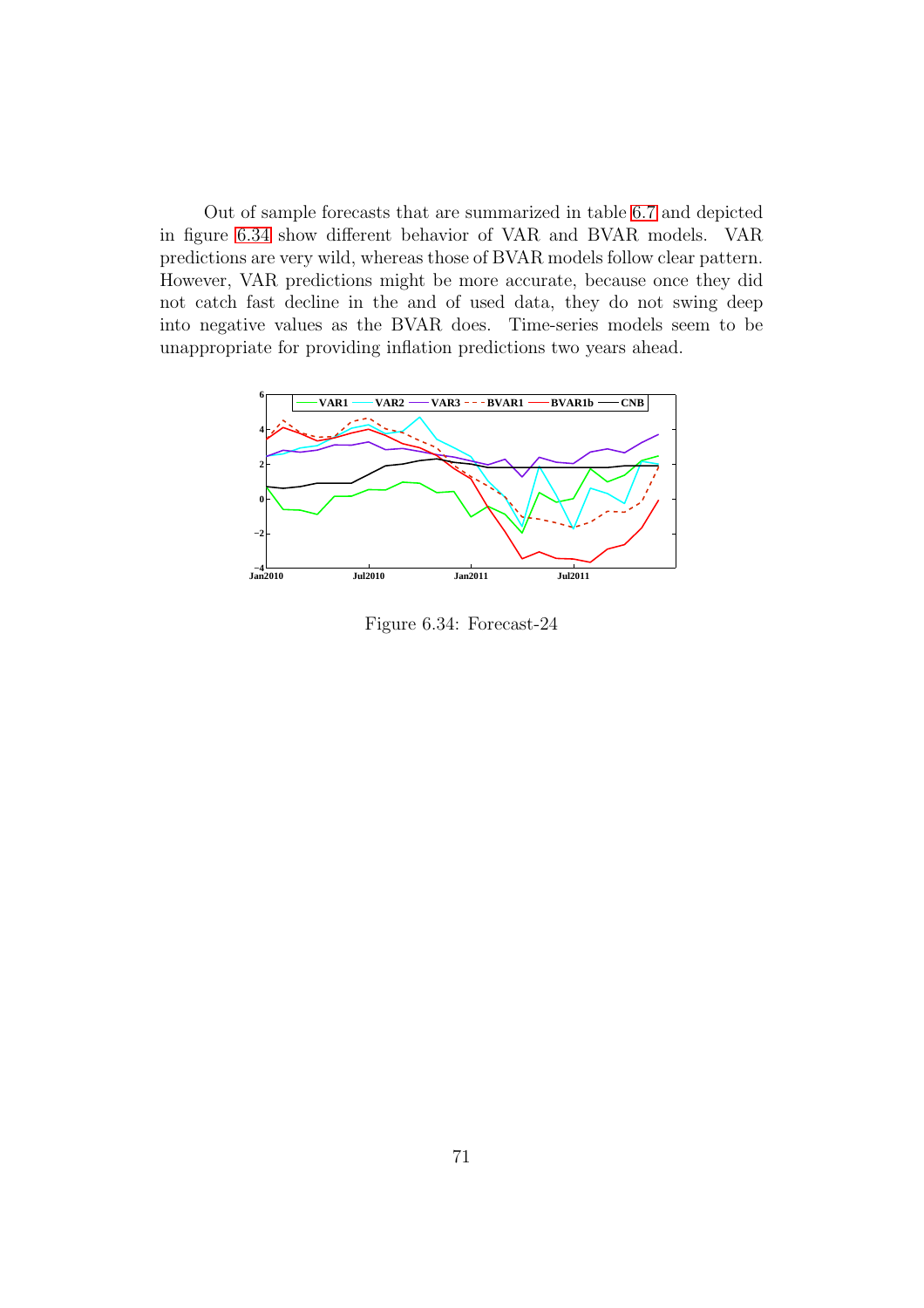Out of sample forecasts that are summarized in table [6.7](#page-70-1) and depicted in figure [6.34](#page-71-0) show different behavior of VAR and BVAR models. VAR predictions are very wild, whereas those of BVAR models follow clear pattern. However, VAR predictions might be more accurate, because once they did not catch fast decline in the and of used data, they do not swing deep into negative values as the BVAR does. Time-series models seem to be unappropriate for providing inflation predictions two years ahead.



<span id="page-71-0"></span>Figure 6.34: Forecast-24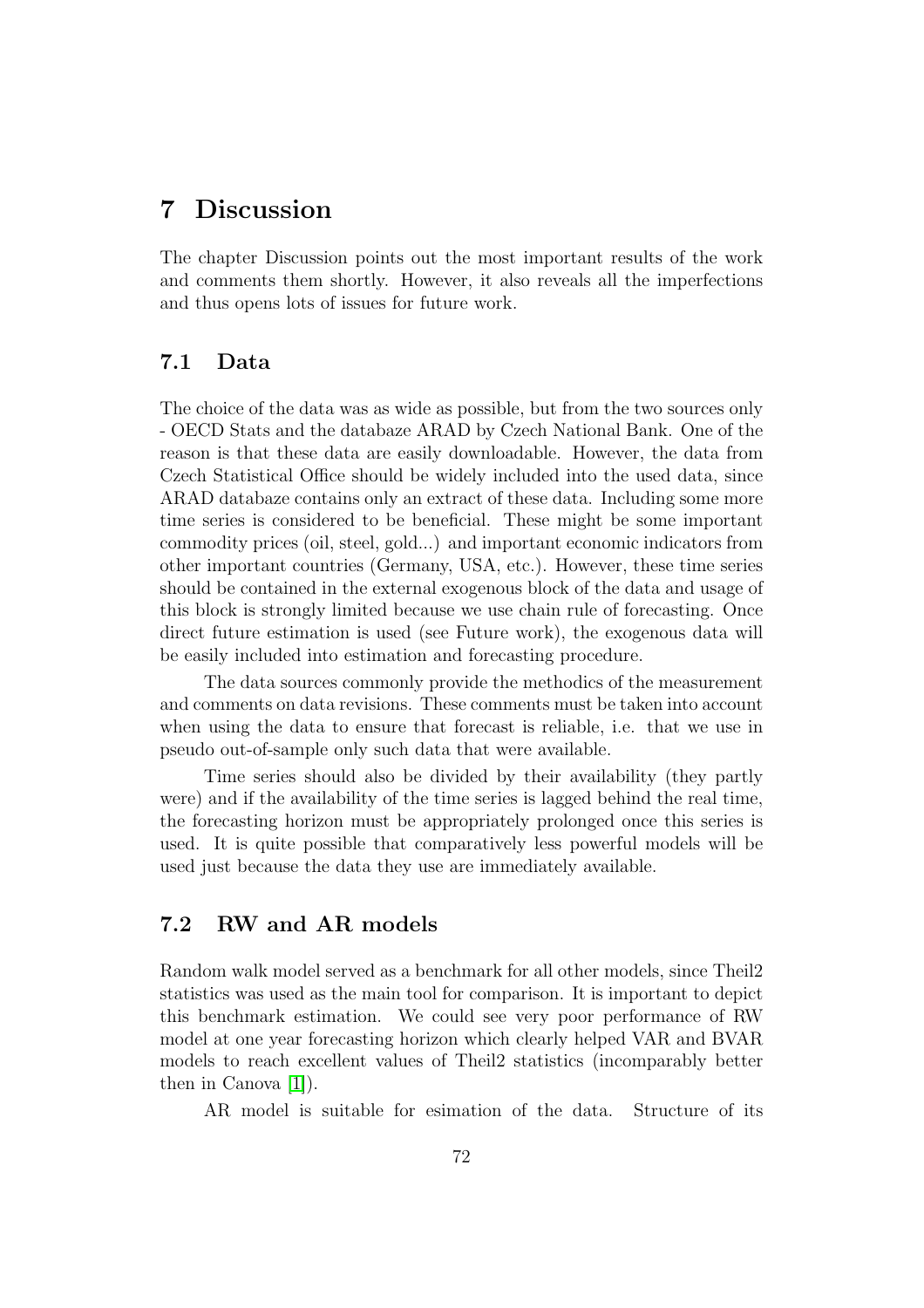### 7 Discussion

The chapter Discussion points out the most important results of the work and comments them shortly. However, it also reveals all the imperfections and thus opens lots of issues for future work.

### 7.1 Data

The choice of the data was as wide as possible, but from the two sources only - OECD Stats and the databaze ARAD by Czech National Bank. One of the reason is that these data are easily downloadable. However, the data from Czech Statistical Office should be widely included into the used data, since ARAD databaze contains only an extract of these data. Including some more time series is considered to be beneficial. These might be some important commodity prices (oil, steel, gold...) and important economic indicators from other important countries (Germany, USA, etc.). However, these time series should be contained in the external exogenous block of the data and usage of this block is strongly limited because we use chain rule of forecasting. Once direct future estimation is used (see Future work), the exogenous data will be easily included into estimation and forecasting procedure.

The data sources commonly provide the methodics of the measurement and comments on data revisions. These comments must be taken into account when using the data to ensure that forecast is reliable, i.e. that we use in pseudo out-of-sample only such data that were available.

Time series should also be divided by their availability (they partly were) and if the availability of the time series is lagged behind the real time, the forecasting horizon must be appropriately prolonged once this series is used. It is quite possible that comparatively less powerful models will be used just because the data they use are immediately available.

### 7.2 RW and AR models

Random walk model served as a benchmark for all other models, since Theil2 statistics was used as the main tool for comparison. It is important to depict this benchmark estimation. We could see very poor performance of RW model at one year forecasting horizon which clearly helped VAR and BVAR models to reach excellent values of Theil2 statistics (incomparably better then in Canova [\[1\]](#page-78-0)).

AR model is suitable for esimation of the data. Structure of its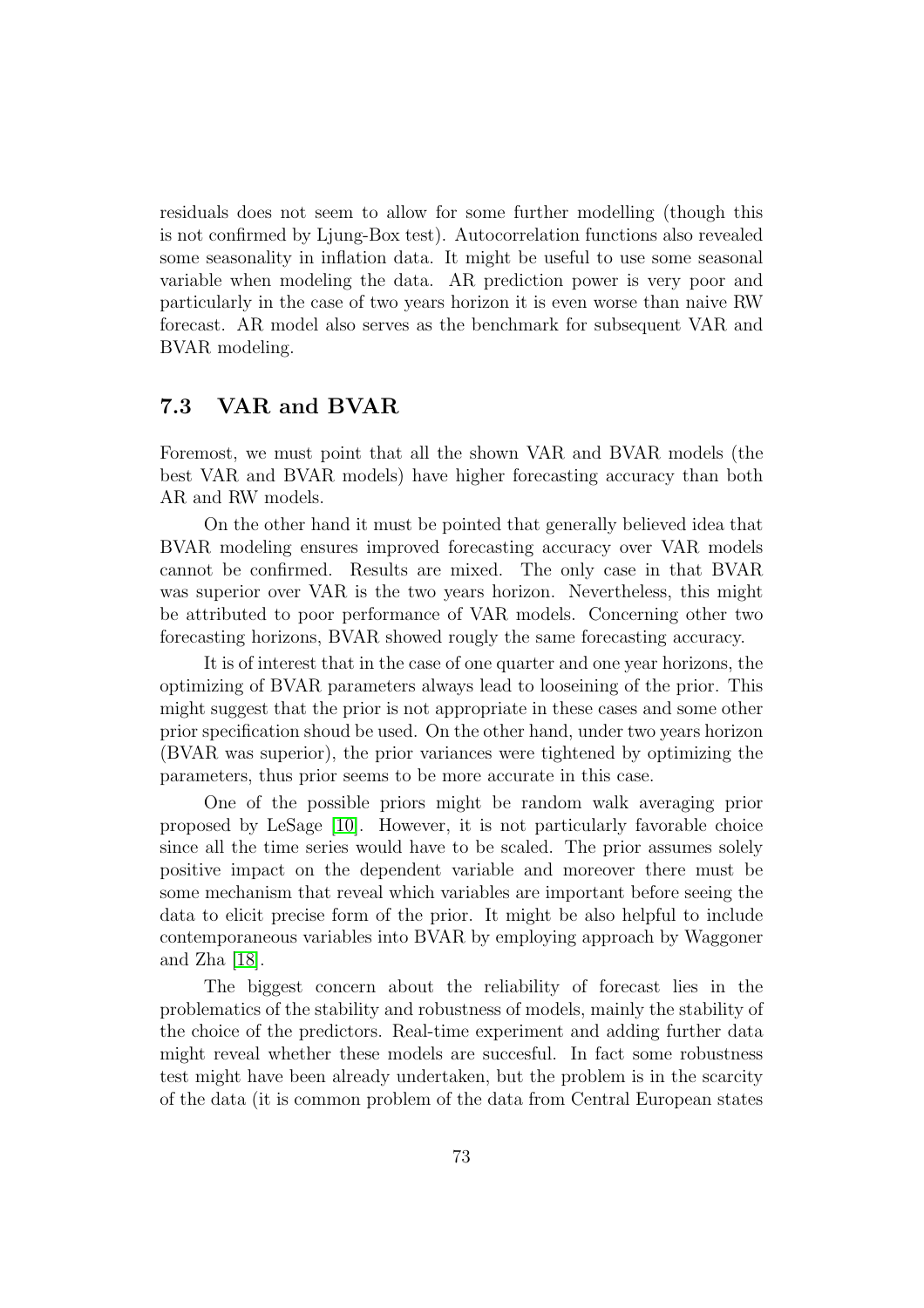residuals does not seem to allow for some further modelling (though this is not confirmed by Ljung-Box test). Autocorrelation functions also revealed some seasonality in inflation data. It might be useful to use some seasonal variable when modeling the data. AR prediction power is very poor and particularly in the case of two years horizon it is even worse than naive RW forecast. AR model also serves as the benchmark for subsequent VAR and BVAR modeling.

#### 7.3 VAR and BVAR

Foremost, we must point that all the shown VAR and BVAR models (the best VAR and BVAR models) have higher forecasting accuracy than both AR and RW models.

On the other hand it must be pointed that generally believed idea that BVAR modeling ensures improved forecasting accuracy over VAR models cannot be confirmed. Results are mixed. The only case in that BVAR was superior over VAR is the two years horizon. Nevertheless, this might be attributed to poor performance of VAR models. Concerning other two forecasting horizons, BVAR showed rougly the same forecasting accuracy.

It is of interest that in the case of one quarter and one year horizons, the optimizing of BVAR parameters always lead to looseining of the prior. This might suggest that the prior is not appropriate in these cases and some other prior specification shoud be used. On the other hand, under two years horizon (BVAR was superior), the prior variances were tightened by optimizing the parameters, thus prior seems to be more accurate in this case.

One of the possible priors might be random walk averaging prior proposed by LeSage [\[10\]](#page-78-1). However, it is not particularly favorable choice since all the time series would have to be scaled. The prior assumes solely positive impact on the dependent variable and moreover there must be some mechanism that reveal which variables are important before seeing the data to elicit precise form of the prior. It might be also helpful to include contemporaneous variables into BVAR by employing approach by Waggoner and Zha [\[18\]](#page-79-0).

The biggest concern about the reliability of forecast lies in the problematics of the stability and robustness of models, mainly the stability of the choice of the predictors. Real-time experiment and adding further data might reveal whether these models are succesful. In fact some robustness test might have been already undertaken, but the problem is in the scarcity of the data (it is common problem of the data from Central European states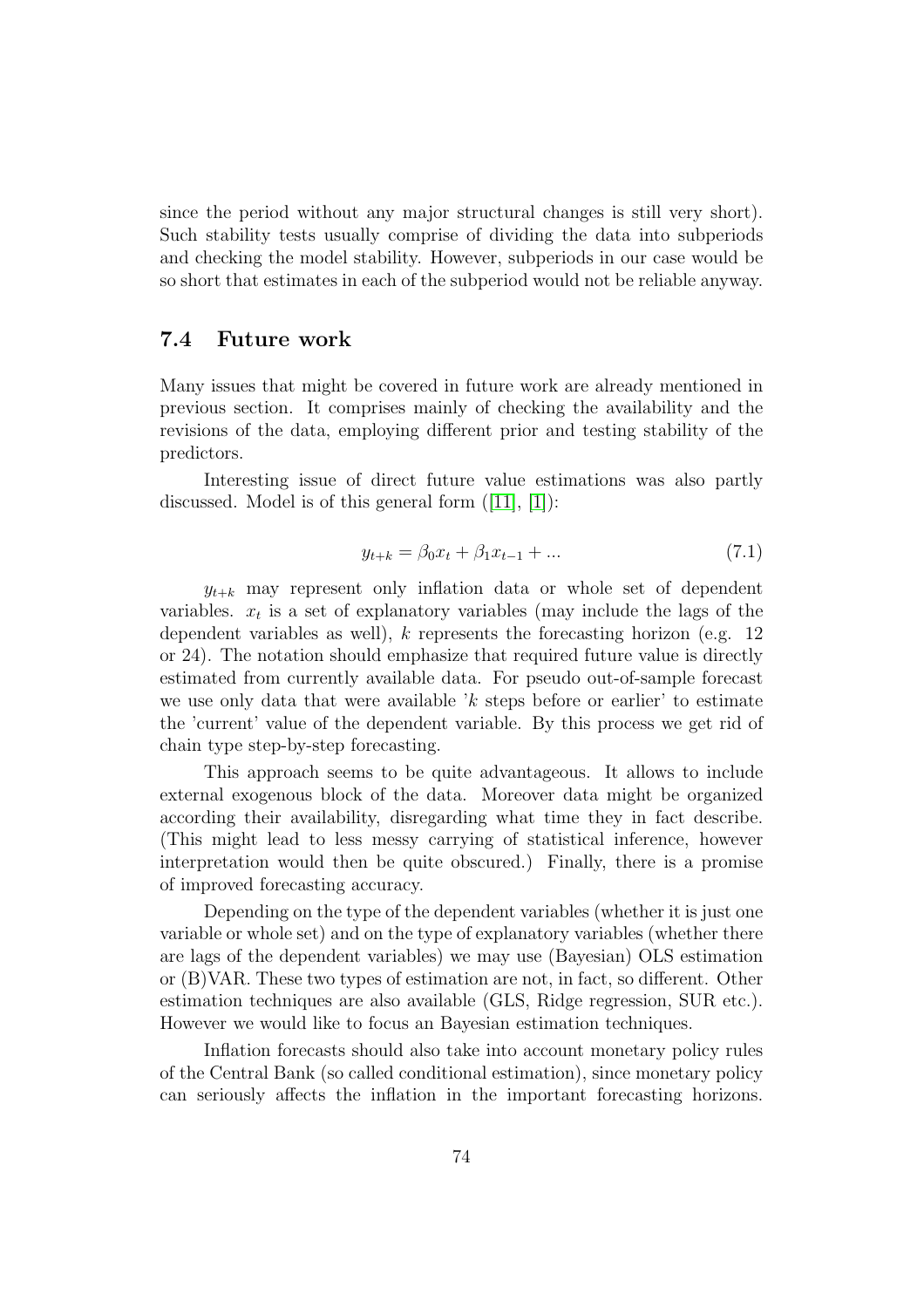since the period without any major structural changes is still very short). Such stability tests usually comprise of dividing the data into subperiods and checking the model stability. However, subperiods in our case would be so short that estimates in each of the subperiod would not be reliable anyway.

#### 7.4 Future work

Many issues that might be covered in future work are already mentioned in previous section. It comprises mainly of checking the availability and the revisions of the data, employing different prior and testing stability of the predictors.

Interesting issue of direct future value estimations was also partly discussed. Model is of this general form  $([11], [1])$  $([11], [1])$  $([11], [1])$  $([11], [1])$  $([11], [1])$ :

$$
y_{t+k} = \beta_0 x_t + \beta_1 x_{t-1} + \dots \tag{7.1}
$$

 $y_{t+k}$  may represent only inflation data or whole set of dependent variables.  $x_t$  is a set of explanatory variables (may include the lags of the dependent variables as well),  $k$  represents the forecasting horizon (e.g. 12) or 24). The notation should emphasize that required future value is directly estimated from currently available data. For pseudo out-of-sample forecast we use only data that were available 'k steps before or earlier' to estimate the 'current' value of the dependent variable. By this process we get rid of chain type step-by-step forecasting.

This approach seems to be quite advantageous. It allows to include external exogenous block of the data. Moreover data might be organized according their availability, disregarding what time they in fact describe. (This might lead to less messy carrying of statistical inference, however interpretation would then be quite obscured.) Finally, there is a promise of improved forecasting accuracy.

Depending on the type of the dependent variables (whether it is just one variable or whole set) and on the type of explanatory variables (whether there are lags of the dependent variables) we may use (Bayesian) OLS estimation or (B)VAR. These two types of estimation are not, in fact, so different. Other estimation techniques are also available (GLS, Ridge regression, SUR etc.). However we would like to focus an Bayesian estimation techniques.

Inflation forecasts should also take into account monetary policy rules of the Central Bank (so called conditional estimation), since monetary policy can seriously affects the inflation in the important forecasting horizons.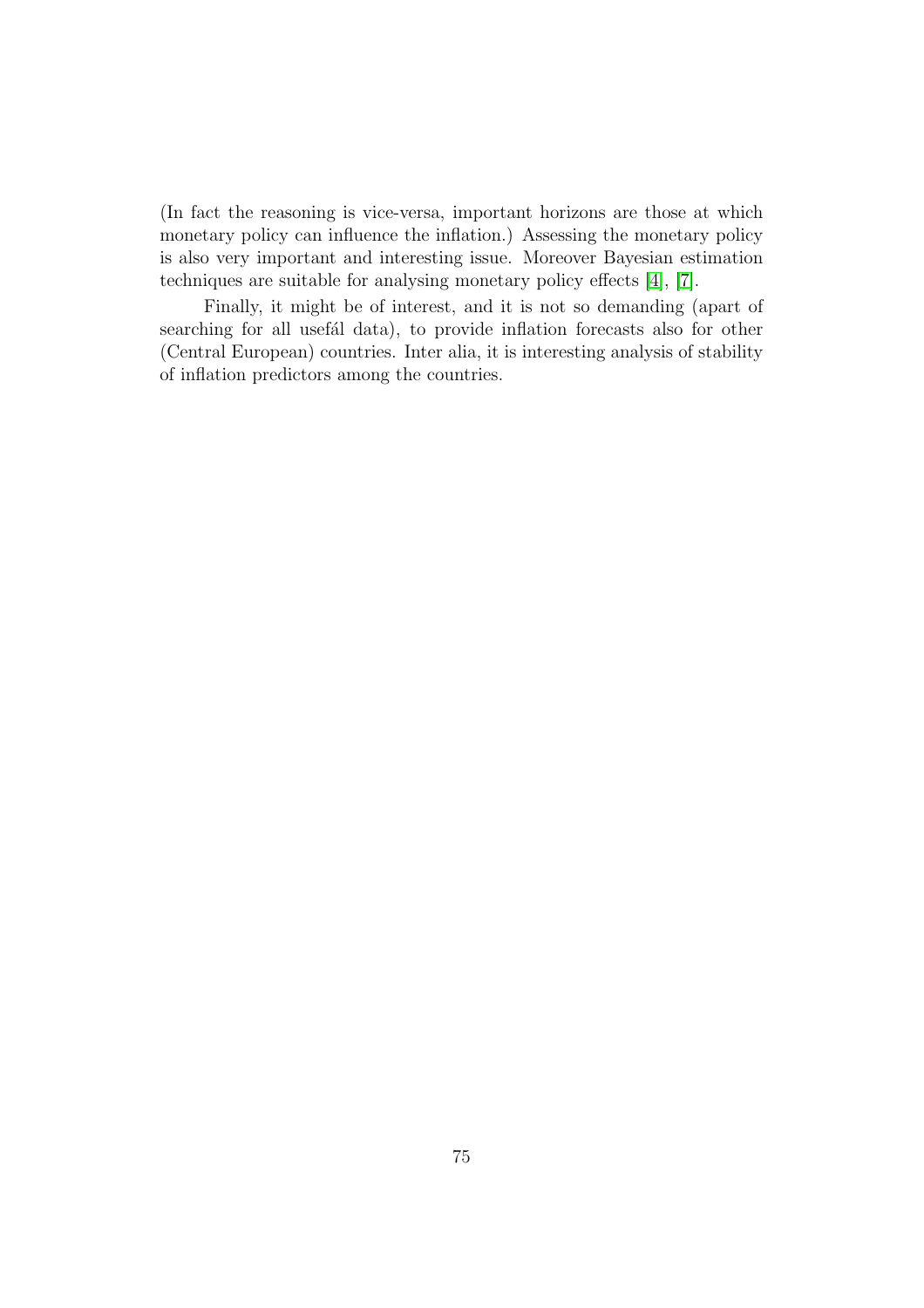(In fact the reasoning is vice-versa, important horizons are those at which monetary policy can influence the inflation.) Assessing the monetary policy is also very important and interesting issue. Moreover Bayesian estimation techniques are suitable for analysing monetary policy effects [\[4\]](#page-78-3), [\[7\]](#page-78-4).

Finally, it might be of interest, and it is not so demanding (apart of searching for all usefal data), to provide inflation forecasts also for other (Central European) countries. Inter alia, it is interesting analysis of stability of inflation predictors among the countries.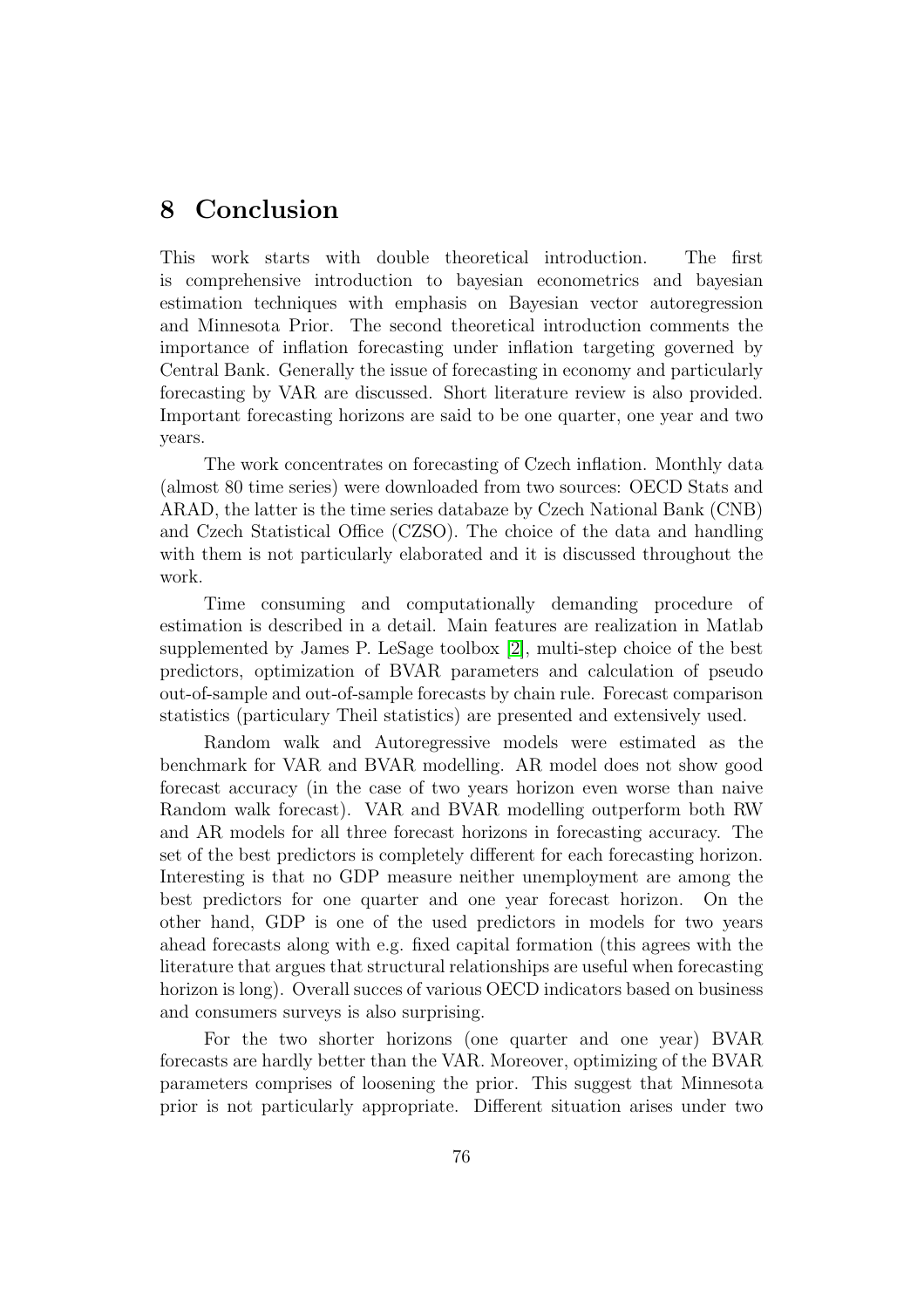### 8 Conclusion

This work starts with double theoretical introduction. The first is comprehensive introduction to bayesian econometrics and bayesian estimation techniques with emphasis on Bayesian vector autoregression and Minnesota Prior. The second theoretical introduction comments the importance of inflation forecasting under inflation targeting governed by Central Bank. Generally the issue of forecasting in economy and particularly forecasting by VAR are discussed. Short literature review is also provided. Important forecasting horizons are said to be one quarter, one year and two years.

The work concentrates on forecasting of Czech inflation. Monthly data (almost 80 time series) were downloaded from two sources: OECD Stats and ARAD, the latter is the time series databaze by Czech National Bank (CNB) and Czech Statistical Office (CZSO). The choice of the data and handling with them is not particularly elaborated and it is discussed throughout the work.

Time consuming and computationally demanding procedure of estimation is described in a detail. Main features are realization in Matlab supplemented by James P. LeSage toolbox [\[2\]](#page-78-5), multi-step choice of the best predictors, optimization of BVAR parameters and calculation of pseudo out-of-sample and out-of-sample forecasts by chain rule. Forecast comparison statistics (particulary Theil statistics) are presented and extensively used.

Random walk and Autoregressive models were estimated as the benchmark for VAR and BVAR modelling. AR model does not show good forecast accuracy (in the case of two years horizon even worse than naive Random walk forecast). VAR and BVAR modelling outperform both RW and AR models for all three forecast horizons in forecasting accuracy. The set of the best predictors is completely different for each forecasting horizon. Interesting is that no GDP measure neither unemployment are among the best predictors for one quarter and one year forecast horizon. On the other hand, GDP is one of the used predictors in models for two years ahead forecasts along with e.g. fixed capital formation (this agrees with the literature that argues that structural relationships are useful when forecasting horizon is long). Overall succes of various OECD indicators based on business and consumers surveys is also surprising.

For the two shorter horizons (one quarter and one year) BVAR forecasts are hardly better than the VAR. Moreover, optimizing of the BVAR parameters comprises of loosening the prior. This suggest that Minnesota prior is not particularly appropriate. Different situation arises under two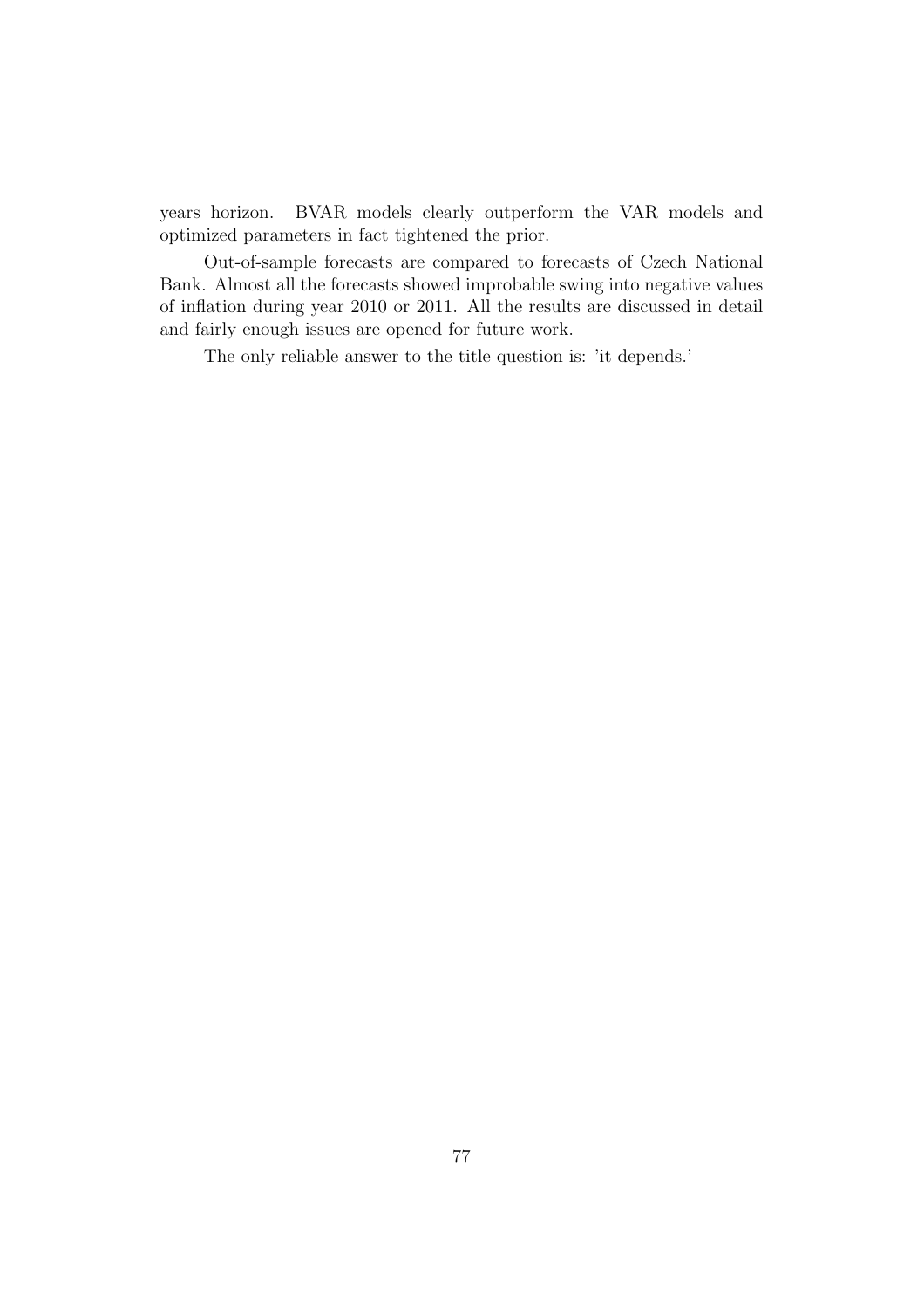years horizon. BVAR models clearly outperform the VAR models and optimized parameters in fact tightened the prior.

Out-of-sample forecasts are compared to forecasts of Czech National Bank. Almost all the forecasts showed improbable swing into negative values of inflation during year 2010 or 2011. All the results are discussed in detail and fairly enough issues are opened for future work.

The only reliable answer to the title question is: 'it depends.'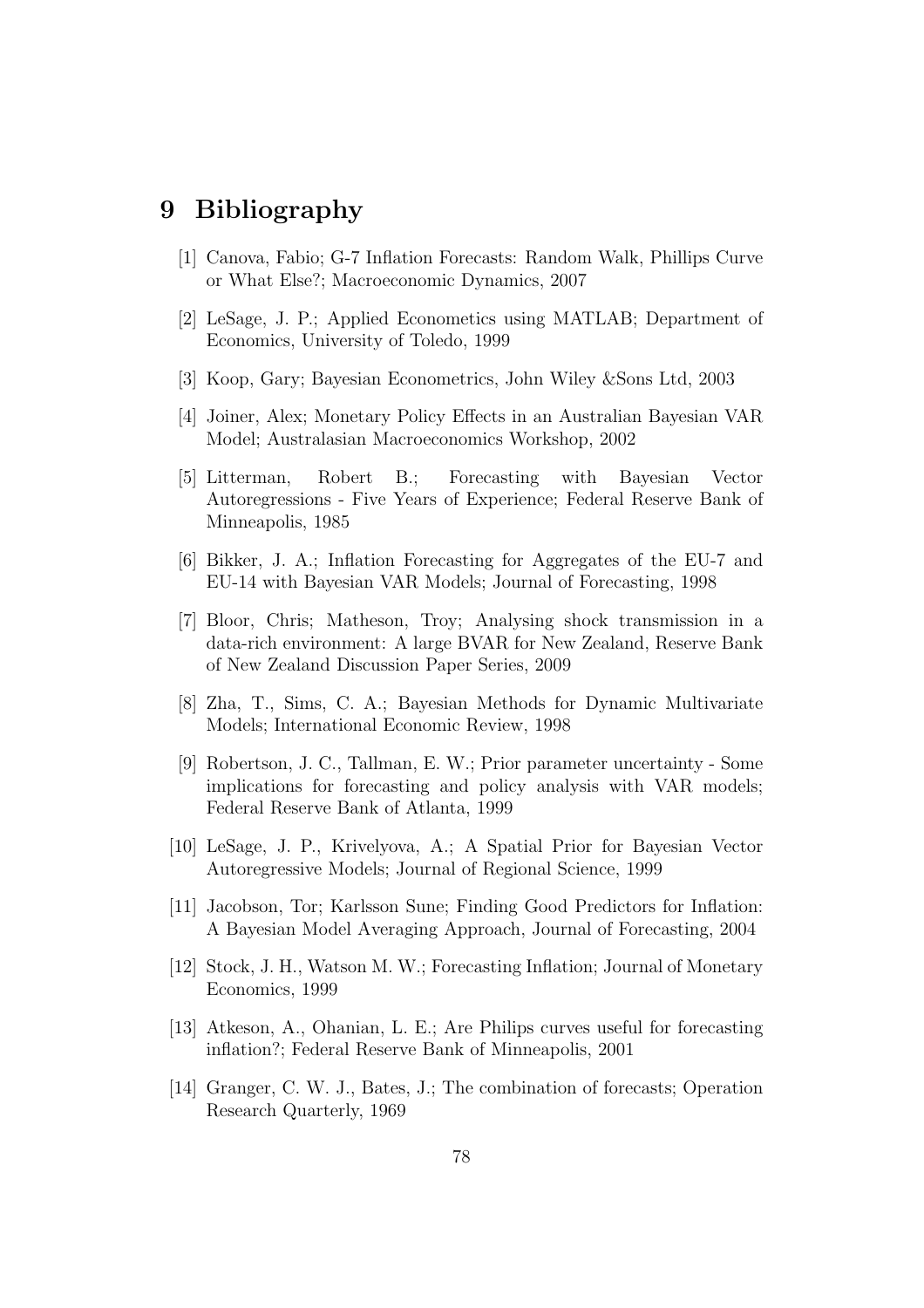# <span id="page-78-0"></span>9 Bibliography

- <span id="page-78-5"></span>[1] Canova, Fabio; G-7 Inflation Forecasts: Random Walk, Phillips Curve or What Else?; Macroeconomic Dynamics, 2007
- [2] LeSage, J. P.; Applied Econometics using MATLAB; Department of Economics, University of Toledo, 1999
- <span id="page-78-3"></span>[3] Koop, Gary; Bayesian Econometrics, John Wiley &Sons Ltd, 2003
- [4] Joiner, Alex; Monetary Policy Effects in an Australian Bayesian VAR Model; Australasian Macroeconomics Workshop, 2002
- [5] Litterman, Robert B.; Forecasting with Bayesian Vector Autoregressions - Five Years of Experience; Federal Reserve Bank of Minneapolis, 1985
- <span id="page-78-4"></span>[6] Bikker, J. A.; Inflation Forecasting for Aggregates of the EU-7 and EU-14 with Bayesian VAR Models; Journal of Forecasting, 1998
- [7] Bloor, Chris; Matheson, Troy; Analysing shock transmission in a data-rich environment: A large BVAR for New Zealand, Reserve Bank of New Zealand Discussion Paper Series, 2009
- [8] Zha, T., Sims, C. A.; Bayesian Methods for Dynamic Multivariate Models; International Economic Review, 1998
- [9] Robertson, J. C., Tallman, E. W.; Prior parameter uncertainty Some implications for forecasting and policy analysis with VAR models; Federal Reserve Bank of Atlanta, 1999
- <span id="page-78-1"></span>[10] LeSage, J. P., Krivelyova, A.; A Spatial Prior for Bayesian Vector Autoregressive Models; Journal of Regional Science, 1999
- <span id="page-78-2"></span>[11] Jacobson, Tor; Karlsson Sune; Finding Good Predictors for Inflation: A Bayesian Model Averaging Approach, Journal of Forecasting, 2004
- [12] Stock, J. H., Watson M. W.; Forecasting Inflation; Journal of Monetary Economics, 1999
- [13] Atkeson, A., Ohanian, L. E.; Are Philips curves useful for forecasting inflation?; Federal Reserve Bank of Minneapolis, 2001
- [14] Granger, C. W. J., Bates, J.; The combination of forecasts; Operation Research Quarterly, 1969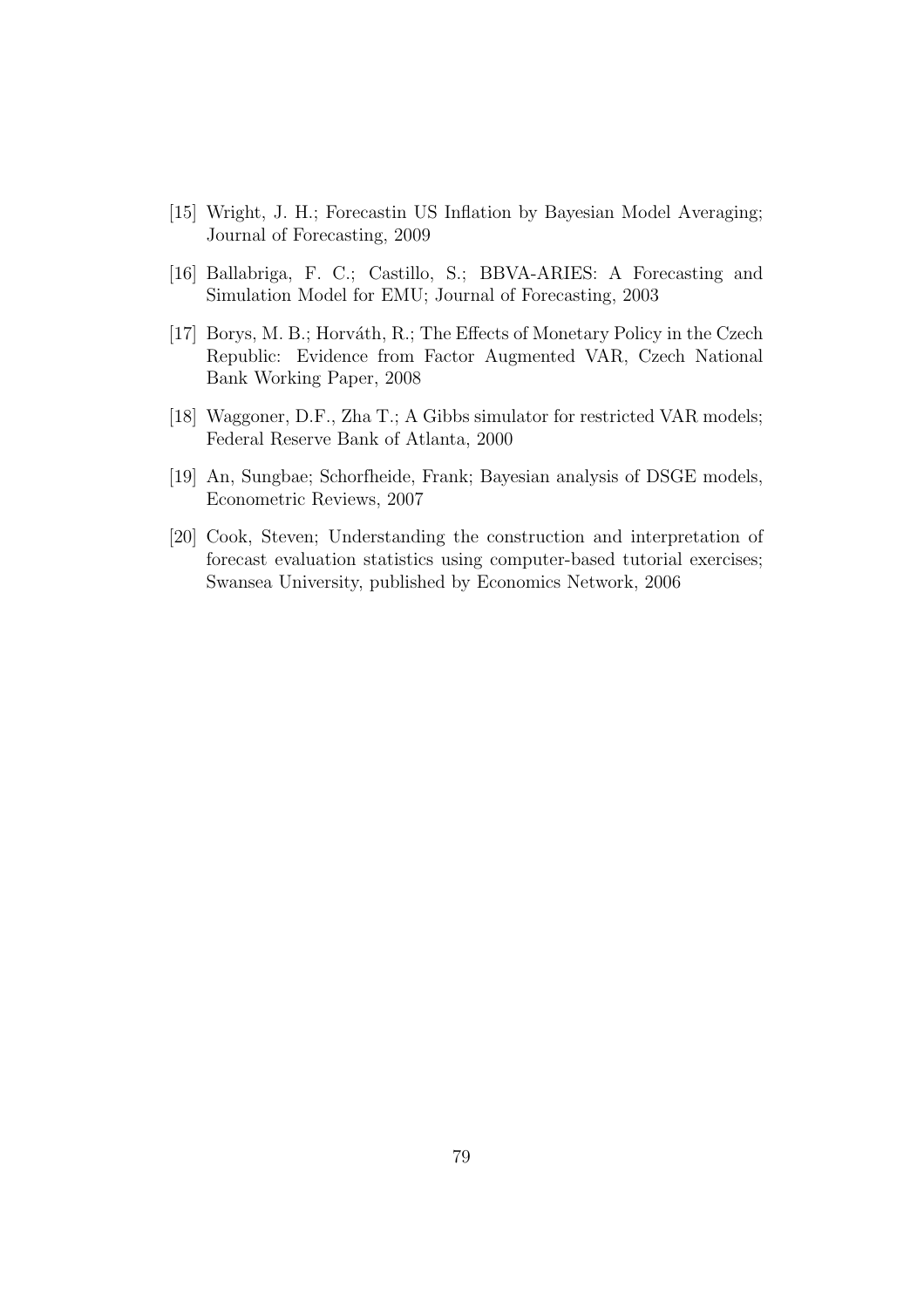- [15] Wright, J. H.; Forecastin US Inflation by Bayesian Model Averaging; Journal of Forecasting, 2009
- [16] Ballabriga, F. C.; Castillo, S.; BBVA-ARIES: A Forecasting and Simulation Model for EMU; Journal of Forecasting, 2003
- [17] Borys, M. B.; Horváth, R.; The Effects of Monetary Policy in the Czech Republic: Evidence from Factor Augmented VAR, Czech National Bank Working Paper, 2008
- <span id="page-79-0"></span>[18] Waggoner, D.F., Zha T.; A Gibbs simulator for restricted VAR models; Federal Reserve Bank of Atlanta, 2000
- [19] An, Sungbae; Schorfheide, Frank; Bayesian analysis of DSGE models, Econometric Reviews, 2007
- [20] Cook, Steven; Understanding the construction and interpretation of forecast evaluation statistics using computer-based tutorial exercises; Swansea University, published by Economics Network, 2006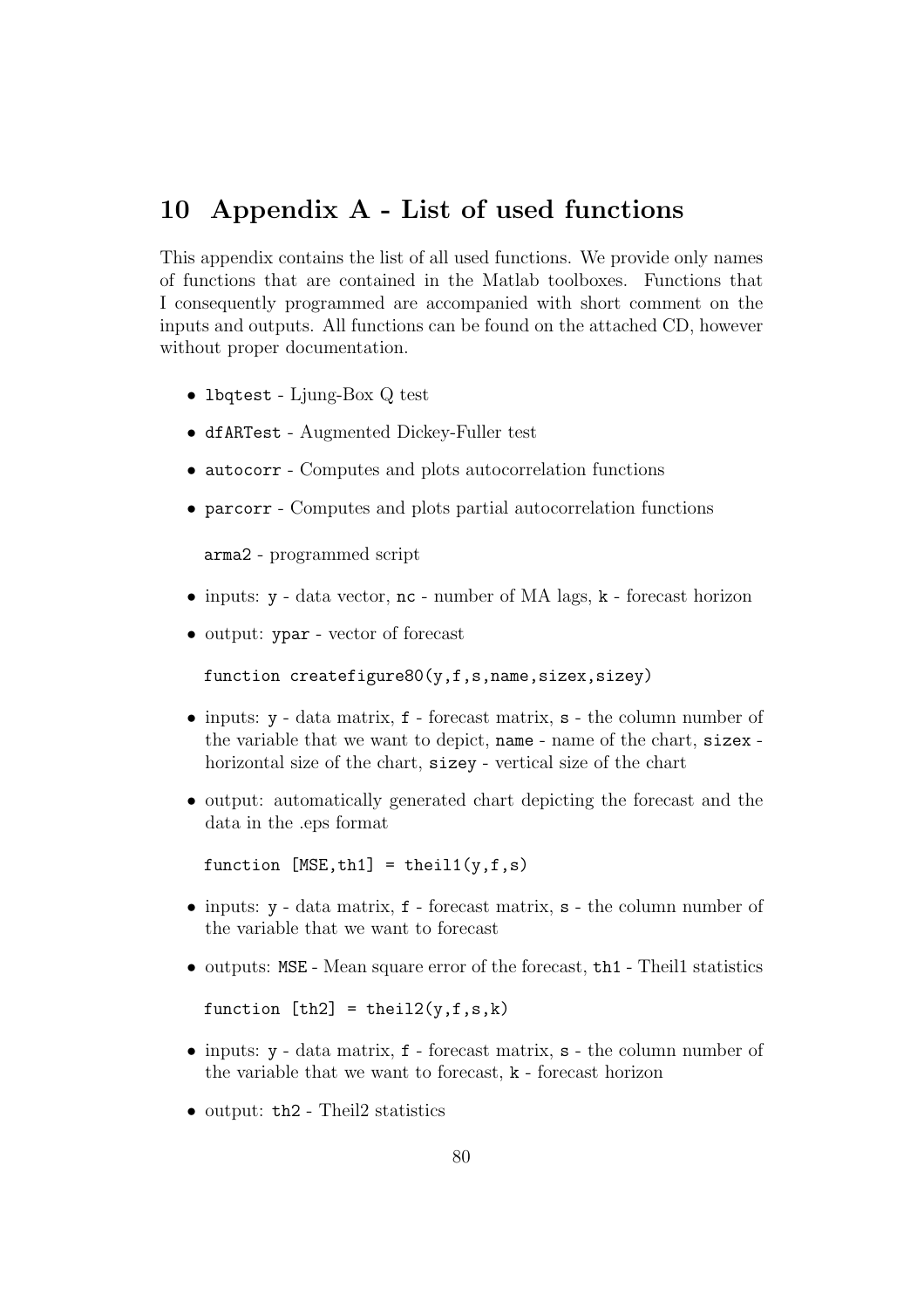## 10 Appendix A - List of used functions

This appendix contains the list of all used functions. We provide only names of functions that are contained in the Matlab toolboxes. Functions that I consequently programmed are accompanied with short comment on the inputs and outputs. All functions can be found on the attached CD, however without proper documentation.

- lbqtest Ljung-Box Q test
- dfARTest Augmented Dickey-Fuller test
- autocorr Computes and plots autocorrelation functions
- parcorr Computes and plots partial autocorrelation functions

arma2 - programmed script

- inputs:  $y data vector$ ,  $nc number of MA lags$ ,  $k forecast horizon$
- output: ypar vector of forecast

function createfigure80(y,f,s,name,sizex,sizey)

- inputs: y data matrix, f forecast matrix, s the column number of the variable that we want to depict, name - name of the chart, sizex horizontal size of the chart, sizey - vertical size of the chart
- output: automatically generated chart depicting the forecast and the data in the .eps format

function  $[MSE, th1] = thei11(y,f,s)$ 

- inputs: y data matrix, f forecast matrix, s the column number of the variable that we want to forecast
- outputs: MSE Mean square error of the forecast, th<sub>1</sub> Theill statistics

function  $[th2] = theil2(y, f, s, k)$ 

- inputs: y data matrix, f forecast matrix, s the column number of the variable that we want to forecast, k - forecast horizon
- output: th2 Theil2 statistics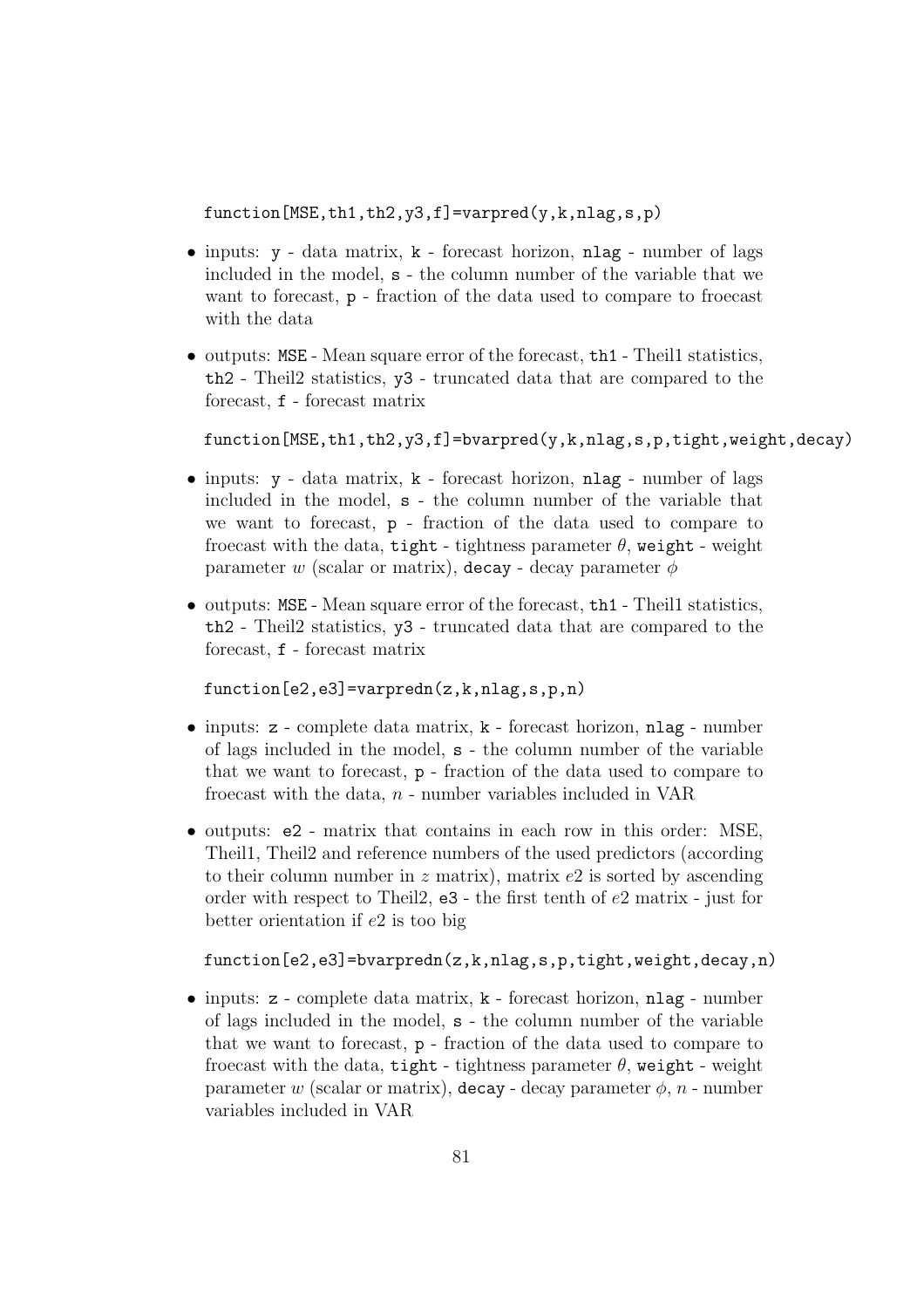function[MSE,th1,th2,y3,f]=varpred(y,k,nlag,s,p)

- inputs: y data matrix, k forecast horizon, nlag number of lags included in the model, s - the column number of the variable that we want to forecast, p - fraction of the data used to compare to froecast with the data
- outputs: MSE Mean square error of the forecast, th1 Theill statistics, th2 - Theil2 statistics, y3 - truncated data that are compared to the forecast, f - forecast matrix

 $function[MSE,th1,th2,y3,f]=bvarpred(y,k,nlag,s,p,tight,weight,decay)$ 

- inputs: y data matrix, k forecast horizon, nlag number of lags included in the model, s - the column number of the variable that we want to forecast, p - fraction of the data used to compare to froecast with the data, tight - tightness parameter  $\theta$ , weight - weight parameter w (scalar or matrix), decay - decay parameter  $\phi$
- outputs: MSE Mean square error of the forecast, the 1 Theill statistics, th2 - Theil2 statistics, y3 - truncated data that are compared to the forecast, f - forecast matrix

function[e2,e3]=varpredn(z,k,nlag,s,p,n)

- inputs: z complete data matrix, k forecast horizon, nlag number of lags included in the model, s - the column number of the variable that we want to forecast, p - fraction of the data used to compare to froecast with the data,  $n$  - number variables included in VAR
- outputs: e2 matrix that contains in each row in this order: MSE, Theil1, Theil2 and reference numbers of the used predictors (according to their column number in z matrix), matrix  $e^2$  is sorted by ascending order with respect to Theil2, e3 - the first tenth of e2 matrix - just for better orientation if  $e2$  is too big

```
function[e2,e3]=bvarpredn(z,k,nlag,s,p,tight,weight,decay,n)
```
• inputs: z - complete data matrix, k - forecast horizon, nlag - number of lags included in the model, s - the column number of the variable that we want to forecast, p - fraction of the data used to compare to froecast with the data, tight - tightness parameter  $\theta$ , weight - weight parameter w (scalar or matrix), decay - decay parameter  $\phi$ , n - number variables included in VAR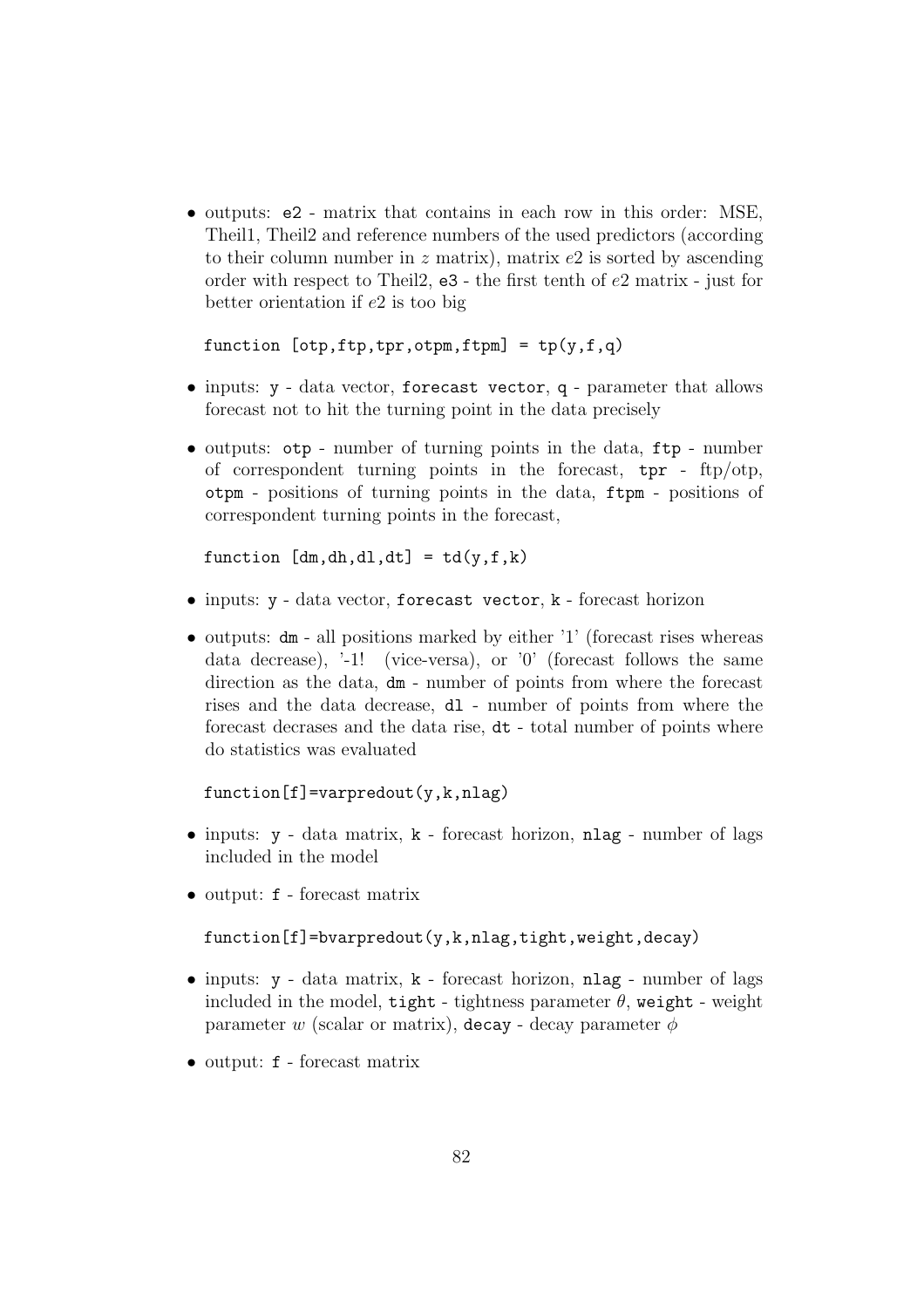• outputs: e2 - matrix that contains in each row in this order: MSE, Theil1, Theil2 and reference numbers of the used predictors (according to their column number in  $z$  matrix), matrix  $e2$  is sorted by ascending order with respect to Theil2, e3 - the first tenth of e2 matrix - just for better orientation if  $e2$  is too big

```
function [otp,ftp,tpr,otpm,ftpm] = tp(y,f,q)
```
- inputs:  $y data vector$ , forecast vector, q parameter that allows forecast not to hit the turning point in the data precisely
- outputs: otp number of turning points in the data, ftp number of correspondent turning points in the forecast, tpr - ftp/otp, otpm - positions of turning points in the data, ftpm - positions of correspondent turning points in the forecast,

function  $[dm, dh, dl, dt] = td(y, f, k)$ 

- inputs: y data vector, forecast vector, k forecast horizon
- outputs: dm all positions marked by either '1' (forecast rises whereas data decrease), '-1! (vice-versa), or '0' (forecast follows the same direction as the data, dm - number of points from where the forecast rises and the data decrease, dl - number of points from where the forecast decrases and the data rise, dt - total number of points where do statistics was evaluated

```
function[f] =varpredout(y,k,nlag)
```
- inputs:  $y data$  matrix,  $k 6$  recast horizon, nlag number of lags included in the model
- output: f forecast matrix

```
function[f]=bvarpredout(y,k,nlag,tight,weight,decay)
```
- inputs:  $y data$  matrix,  $k -$  forecast horizon, nlag number of lags included in the model, tight - tightness parameter  $\theta$ , weight - weight parameter w (scalar or matrix), decay - decay parameter  $\phi$
- output: f forecast matrix